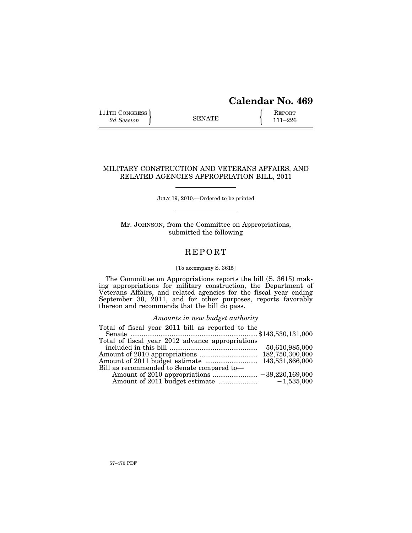# **Calendar No. 469**

111TH CONGRESS **REPORT** 2d Session **111–226** 

# MILITARY CONSTRUCTION AND VETERANS AFFAIRS, AND RELATED AGENCIES APPROPRIATION BILL, 2011

JULY 19, 2010.—Ordered to be printed

Mr. JOHNSON, from the Committee on Appropriations, submitted the following

# **REPORT**

# [To accompany S. 3615]

The Committee on Appropriations reports the bill (S. 3615) making appropriations for military construction, the Department of Veterans Affairs, and related agencies for the fiscal year ending September 30, 2011, and for other purposes, reports favorably thereon and recommends that the bill do pass.

*Amounts in new budget authority* 

| Total of fiscal year 2011 bill as reported to the |  |
|---------------------------------------------------|--|
|                                                   |  |
| Total of fiscal year 2012 advance appropriations  |  |
|                                                   |  |
|                                                   |  |
|                                                   |  |
| Bill as recommended to Senate compared to-        |  |
|                                                   |  |
|                                                   |  |
|                                                   |  |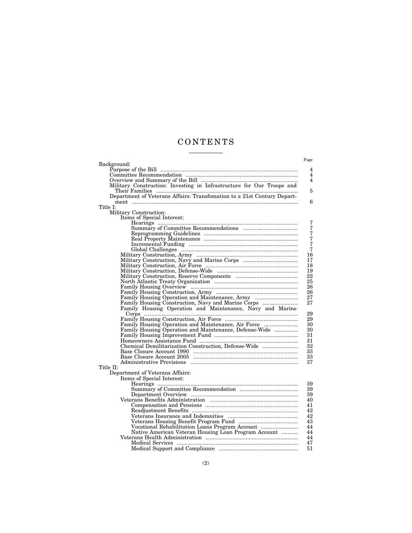# C O N T E N T S <u>and the state of the state</u>

|                                                                       | Page           |
|-----------------------------------------------------------------------|----------------|
| Background:                                                           |                |
|                                                                       | $\overline{4}$ |
|                                                                       | 4              |
|                                                                       | $\overline{4}$ |
| Military Construction: Investing in Infrastructure for Our Troops and |                |
|                                                                       | 5              |
|                                                                       |                |
|                                                                       | 6              |
| Title I:                                                              |                |
| Military Construction:                                                |                |
| Items of Special Interest:                                            |                |
|                                                                       | 7              |
|                                                                       | $\overline{7}$ |
|                                                                       | 7<br>$\dot{7}$ |
|                                                                       | 7              |
|                                                                       | $\overline{7}$ |
| Global Challenges Management Challenges (2009)                        | 16             |
| Military Construction, Army                                           | 17             |
|                                                                       | 18             |
|                                                                       | 19             |
|                                                                       | 22             |
|                                                                       | 25             |
|                                                                       | 26             |
|                                                                       | 26             |
| Family Housing Operation and Maintenance, Army                        | 27             |
| Family Housing Construction, Navy and Marine Corps                    | 27             |
| Family Housing Operation and Maintenance, Navy and Marine             |                |
|                                                                       | 29             |
|                                                                       | 29             |
| Family Housing Operation and Maintenance, Air Force                   | 30             |
| Family Housing Operation and Maintenance, Defense-Wide                | 30             |
|                                                                       | 31             |
|                                                                       | 31             |
| Chemical Demilitarization Construction, Defense-Wide                  | 32             |
|                                                                       | 33             |
|                                                                       | 33             |
|                                                                       | 37             |
| Title II:                                                             |                |
| Department of Veterans Affairs:                                       |                |
| Items of Special Interest:                                            |                |
|                                                                       | 39             |
|                                                                       | 39             |
|                                                                       | 39             |
|                                                                       | 40             |
|                                                                       | 41             |
|                                                                       | 42             |
|                                                                       | 42             |
|                                                                       | 43             |
| Vocational Rehabilitation Loans Program Account                       | 44             |
| Native American Veteran Housing Loan Program Account                  | 44             |
|                                                                       | 44             |
|                                                                       | 47             |
|                                                                       | 51             |
|                                                                       |                |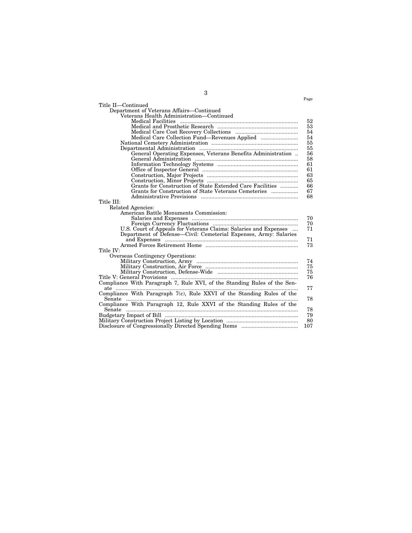|                                                                          | Page |
|--------------------------------------------------------------------------|------|
|                                                                          |      |
| Title II-Continued                                                       |      |
| Department of Veterans Affairs-Continued                                 |      |
| Veterans Health Administration-Continued                                 |      |
|                                                                          | 52   |
|                                                                          | 53   |
|                                                                          | 54   |
|                                                                          | 54   |
|                                                                          | 55   |
|                                                                          | 55   |
| General Operating Expenses, Veterans Benefits Administration             | 56   |
|                                                                          | 58   |
|                                                                          | 61   |
|                                                                          | 61   |
|                                                                          | 63   |
|                                                                          | 65   |
| Grants for Construction of State Extended Care Facilities                | 66   |
|                                                                          | 67   |
|                                                                          | 68   |
| Title III:                                                               |      |
| Related Agencies:                                                        |      |
| American Battle Monuments Commission:                                    |      |
|                                                                          | 70   |
|                                                                          | 70   |
| U.S. Court of Appeals for Veterans Claims: Salaries and Expenses         | 71   |
| Department of Defense—Civil: Cemeterial Expenses, Army: Salaries         |      |
|                                                                          | 71   |
|                                                                          | 73   |
| Title IV:                                                                |      |
| <b>Overseas Contingency Operations:</b>                                  |      |
|                                                                          | 74   |
|                                                                          | 75   |
|                                                                          | 75   |
|                                                                          | 76   |
| Compliance With Paragraph 7, Rule XVI, of the Standing Rules of the Sen- |      |
| ate                                                                      | 77   |
| Compliance With Paragraph 7(c), Rule XXVI of the Standing Rules of the   |      |
| Senate                                                                   | 78   |
| Compliance With Paragraph 12, Rule XXVI of the Standing Rules of the     |      |
|                                                                          | 78   |
|                                                                          | 79   |
|                                                                          | 80   |
|                                                                          | 107  |
|                                                                          |      |

3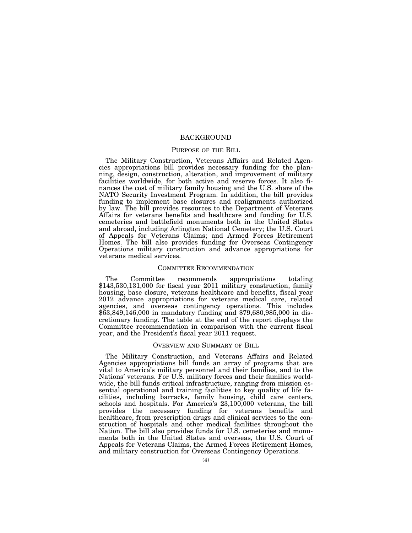# **BACKGROUND**

# PURPOSE OF THE BILL

The Military Construction, Veterans Affairs and Related Agencies appropriations bill provides necessary funding for the planning, design, construction, alteration, and improvement of military facilities worldwide, for both active and reserve forces. It also finances the cost of military family housing and the U.S. share of the NATO Security Investment Program. In addition, the bill provides funding to implement base closures and realignments authorized by law. The bill provides resources to the Department of Veterans Affairs for veterans benefits and healthcare and funding for U.S. cemeteries and battlefield monuments both in the United States and abroad, including Arlington National Cemetery; the U.S. Court of Appeals for Veterans Claims; and Armed Forces Retirement Homes. The bill also provides funding for Overseas Contingency Operations military construction and advance appropriations for veterans medical services.

#### COMMITTEE RECOMMENDATION

The Committee recommends appropriations totaling \$143,530,131,000 for fiscal year 2011 military construction, family housing, base closure, veterans healthcare and benefits, fiscal year 2012 advance appropriations for veterans medical care, related agencies, and overseas contingency operations. This includes \$63,849,146,000 in mandatory funding and \$79,680,985,000 in discretionary funding. The table at the end of the report displays the Committee recommendation in comparison with the current fiscal year, and the President's fiscal year 2011 request.

# OVERVIEW AND SUMMARY OF BILL

The Military Construction, and Veterans Affairs and Related Agencies appropriations bill funds an array of programs that are vital to America's military personnel and their families, and to the Nations' veterans. For U.S. military forces and their families worldwide, the bill funds critical infrastructure, ranging from mission essential operational and training facilities to key quality of life facilities, including barracks, family housing, child care centers, schools and hospitals. For America's 23,100,000 veterans, the bill provides the necessary funding for veterans benefits and healthcare, from prescription drugs and clinical services to the construction of hospitals and other medical facilities throughout the Nation. The bill also provides funds for U.S. cemeteries and monuments both in the United States and overseas, the U.S. Court of Appeals for Veterans Claims, the Armed Forces Retirement Homes, and military construction for Overseas Contingency Operations.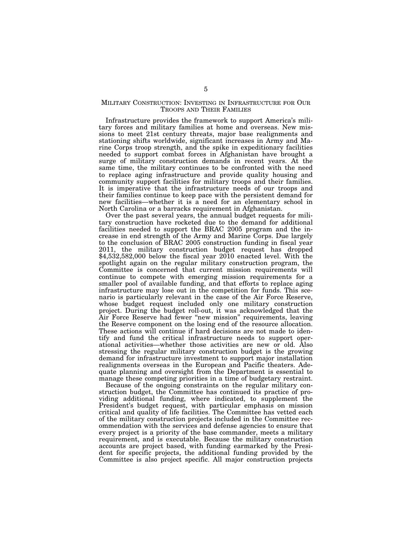# MILITARY CONSTRUCTION: INVESTING IN INFRASTRUCTURE FOR OUR TROOPS AND THEIR FAMILIES

Infrastructure provides the framework to support America's military forces and military families at home and overseas. New missions to meet 21st century threats, major base realignments and stationing shifts worldwide, significant increases in Army and Marine Corps troop strength, and the spike in expeditionary facilities needed to support combat forces in Afghanistan have brought a surge of military construction demands in recent years. At the same time, the military continues to be confronted with the need to replace aging infrastructure and provide quality housing and community support facilities for military troops and their families. It is imperative that the infrastructure needs of our troops and their families continue to keep pace with the persistent demand for new facilities—whether it is a need for an elementary school in North Carolina or a barracks requirement in Afghanistan.

Over the past several years, the annual budget requests for military construction have rocketed due to the demand for additional facilities needed to support the BRAC 2005 program and the increase in end strength of the Army and Marine Corps. Due largely to the conclusion of BRAC 2005 construction funding in fiscal year 2011, the military construction budget request has dropped  $$4,532,582,000$  below the fiscal year 2010 enacted level. With the spotlight again on the regular military construction program, the Committee is concerned that current mission requirements will continue to compete with emerging mission requirements for a smaller pool of available funding, and that efforts to replace aging infrastructure may lose out in the competition for funds. This scenario is particularly relevant in the case of the Air Force Reserve, whose budget request included only one military construction project. During the budget roll-out, it was acknowledged that the Air Force Reserve had fewer ''new mission'' requirements, leaving the Reserve component on the losing end of the resource allocation. These actions will continue if hard decisions are not made to identify and fund the critical infrastructure needs to support operational activities—whether those activities are new or old. Also stressing the regular military construction budget is the growing demand for infrastructure investment to support major installation realignments overseas in the European and Pacific theaters. Adequate planning and oversight from the Department is essential to manage these competing priorities in a time of budgetary restraint.

Because of the ongoing constraints on the regular military construction budget, the Committee has continued its practice of providing additional funding, where indicated, to supplement the President's budget request, with particular emphasis on mission critical and quality of life facilities. The Committee has vetted each of the military construction projects included in the Committee recommendation with the services and defense agencies to ensure that every project is a priority of the base commander, meets a military requirement, and is executable. Because the military construction accounts are project based, with funding earmarked by the President for specific projects, the additional funding provided by the Committee is also project specific. All major construction projects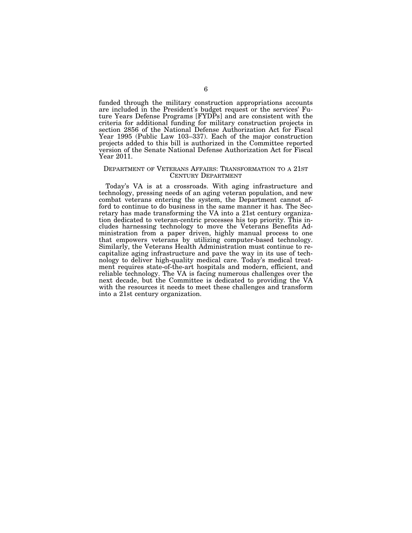funded through the military construction appropriations accounts are included in the President's budget request or the services' Future Years Defense Programs [FYDPs] and are consistent with the criteria for additional funding for military construction projects in section 2856 of the National Defense Authorization Act for Fiscal Year 1995 (Public Law 103–337). Each of the major construction projects added to this bill is authorized in the Committee reported version of the Senate National Defense Authorization Act for Fiscal Year 2011.

#### DEPARTMENT OF VETERANS AFFAIRS: TRANSFORMATION TO A 21ST CENTURY DEPARTMENT

Today's VA is at a crossroads. With aging infrastructure and technology, pressing needs of an aging veteran population, and new combat veterans entering the system, the Department cannot afford to continue to do business in the same manner it has. The Secretary has made transforming the VA into a 21st century organization dedicated to veteran-centric processes his top priority. This includes harnessing technology to move the Veterans Benefits Administration from a paper driven, highly manual process to one that empowers veterans by utilizing computer-based technology. Similarly, the Veterans Health Administration must continue to recapitalize aging infrastructure and pave the way in its use of technology to deliver high-quality medical care. Today's medical treatment requires state-of-the-art hospitals and modern, efficient, and reliable technology. The VA is facing numerous challenges over the next decade, but the Committee is dedicated to providing the VA with the resources it needs to meet these challenges and transform into a 21st century organization.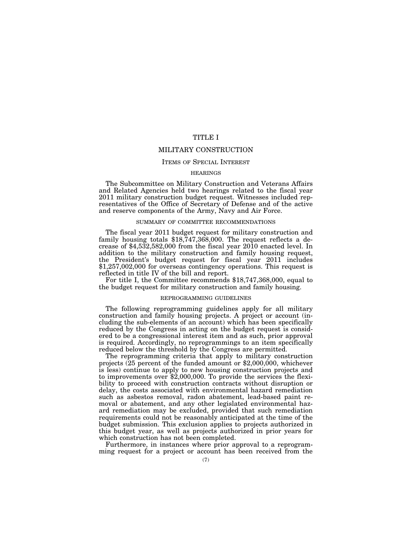# TITLE I

# MILITARY CONSTRUCTION

# ITEMS OF SPECIAL INTEREST

# **HEARINGS**

The Subcommittee on Military Construction and Veterans Affairs and Related Agencies held two hearings related to the fiscal year 2011 military construction budget request. Witnesses included representatives of the Office of Secretary of Defense and of the active and reserve components of the Army, Navy and Air Force.

# SUMMARY OF COMMITTEE RECOMMENDATIONS

The fiscal year 2011 budget request for military construction and family housing totals \$18,747,368,000. The request reflects a decrease of \$4,532,582,000 from the fiscal year 2010 enacted level. In addition to the military construction and family housing request, the President's budget request for fiscal year 2011 includes \$1,257,002,000 for overseas contingency operations. This request is reflected in title IV of the bill and report.

For title I, the Committee recommends \$18,747,368,000, equal to the budget request for military construction and family housing.

#### REPROGRAMMING GUIDELINES

The following reprogramming guidelines apply for all military construction and family housing projects. A project or account (including the sub-elements of an account) which has been specifically reduced by the Congress in acting on the budget request is considered to be a congressional interest item and as such, prior approval is required. Accordingly, no reprogrammings to an item specifically reduced below the threshold by the Congress are permitted.

The reprogramming criteria that apply to military construction projects (25 percent of the funded amount or \$2,000,000, whichever is less) continue to apply to new housing construction projects and to improvements over \$2,000,000. To provide the services the flexibility to proceed with construction contracts without disruption or delay, the costs associated with environmental hazard remediation such as asbestos removal, radon abatement, lead-based paint removal or abatement, and any other legislated environmental hazard remediation may be excluded, provided that such remediation requirements could not be reasonably anticipated at the time of the budget submission. This exclusion applies to projects authorized in this budget year, as well as projects authorized in prior years for which construction has not been completed.

Furthermore, in instances where prior approval to a reprogramming request for a project or account has been received from the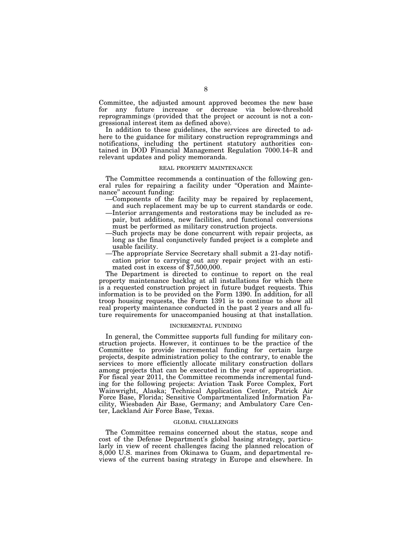Committee, the adjusted amount approved becomes the new base for any future increase or decrease via below-threshold reprogrammings (provided that the project or account is not a congressional interest item as defined above).

In addition to these guidelines, the services are directed to adhere to the guidance for military construction reprogrammings and notifications, including the pertinent statutory authorities contained in DOD Financial Management Regulation 7000.14–R and relevant updates and policy memoranda.

#### REAL PROPERTY MAINTENANCE

The Committee recommends a continuation of the following general rules for repairing a facility under ''Operation and Maintenance'' account funding:

- —Components of the facility may be repaired by replacement, and such replacement may be up to current standards or code.
- —Interior arrangements and restorations may be included as repair, but additions, new facilities, and functional conversions must be performed as military construction projects.
- —Such projects may be done concurrent with repair projects, as long as the final conjunctively funded project is a complete and usable facility.
- —The appropriate Service Secretary shall submit a 21-day notification prior to carrying out any repair project with an estimated cost in excess of \$7,500,000.

The Department is directed to continue to report on the real property maintenance backlog at all installations for which there is a requested construction project in future budget requests. This information is to be provided on the Form 1390. In addition, for all troop housing requests, the Form 1391 is to continue to show all real property maintenance conducted in the past 2 years and all future requirements for unaccompanied housing at that installation.

### INCREMENTAL FUNDING

In general, the Committee supports full funding for military construction projects. However, it continues to be the practice of the Committee to provide incremental funding for certain large projects, despite administration policy to the contrary, to enable the services to more efficiently allocate military construction dollars among projects that can be executed in the year of appropriation. For fiscal year 2011, the Committee recommends incremental funding for the following projects: Aviation Task Force Complex, Fort Wainwright, Alaska; Technical Application Center, Patrick Air Force Base, Florida; Sensitive Compartmentalized Information Facility, Wiesbaden Air Base, Germany; and Ambulatory Care Center, Lackland Air Force Base, Texas.

# GLOBAL CHALLENGES

The Committee remains concerned about the status, scope and cost of the Defense Department's global basing strategy, particularly in view of recent challenges facing the planned relocation of 8,000 U.S. marines from Okinawa to Guam, and departmental reviews of the current basing strategy in Europe and elsewhere. In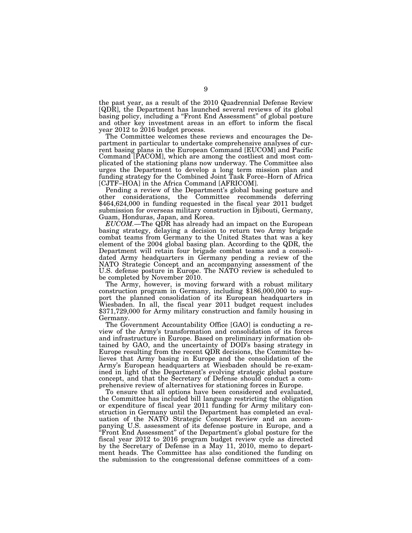the past year, as a result of the 2010 Quadrennial Defense Review [QDR], the Department has launched several reviews of its global basing policy, including a "Front End Assessment" of global posture and other key investment areas in an effort to inform the fiscal year 2012 to 2016 budget process.

The Committee welcomes these reviews and encourages the Department in particular to undertake comprehensive analyses of current basing plans in the European Command [EUCOM] and Pacific Command [PACOM], which are among the costliest and most complicated of the stationing plans now underway. The Committee also urges the Department to develop a long term mission plan and funding strategy for the Combined Joint Task Force–Horn of Africa [CJTF–HOA] in the Africa Command [AFRICOM].

Pending a review of the Department's global basing posture and other considerations, the Committee recommends deferring \$464,624,000 in funding requested in the fiscal year 2011 budget submission for overseas military construction in Djibouti, Germany, Guam, Honduras, Japan, and Korea.

*EUCOM.*—The QDR has already had an impact on the European basing strategy, delaying a decision to return two Army brigade combat teams from Germany to the United States that was a key element of the 2004 global basing plan. According to the QDR, the Department will retain four brigade combat teams and a consolidated Army headquarters in Germany pending a review of the NATO Strategic Concept and an accompanying assessment of the U.S. defense posture in Europe. The NATO review is scheduled to

be completed by November 2010.<br>The Army, however, is moving forward with a robust military The Army, however, is moving forward with a robust military construction program in Germany, including \$186,000,000 to support the planned consolidation of its European headquarters in Wiesbaden. In all, the fiscal year 2011 budget request includes \$371,729,000 for Army military construction and family housing in Germany.

The Government Accountability Office [GAO] is conducting a review of the Army's transformation and consolidation of its forces and infrastructure in Europe. Based on preliminary information obtained by GAO, and the uncertainty of DOD's basing strategy in Europe resulting from the recent QDR decisions, the Committee believes that Army basing in Europe and the consolidation of the Army's European headquarters at Wiesbaden should be re-examined in light of the Department's evolving strategic global posture concept, and that the Secretary of Defense should conduct a comprehensive review of alternatives for stationing forces in Europe.

To ensure that all options have been considered and evaluated, the Committee has included bill language restricting the obligation or expenditure of fiscal year 2011 funding for Army military construction in Germany until the Department has completed an evaluation of the NATO Strategic Concept Review and an accompanying U.S. assessment of its defense posture in Europe, and a ''Front End Assessment'' of the Department's global posture for the fiscal year 2012 to 2016 program budget review cycle as directed by the Secretary of Defense in a May 11, 2010, memo to department heads. The Committee has also conditioned the funding on the submission to the congressional defense committees of a com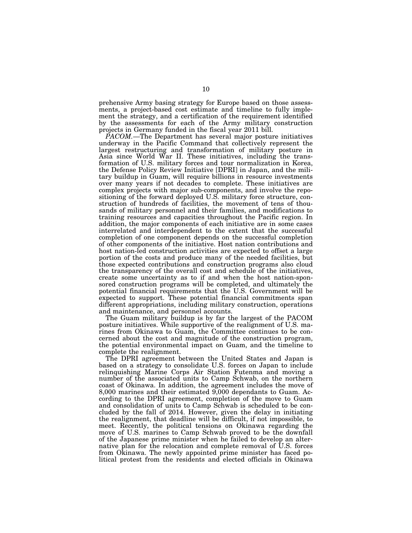prehensive Army basing strategy for Europe based on those assessments, a project-based cost estimate and timeline to fully implement the strategy, and a certification of the requirement identified by the assessments for each of the Army military construction projects in Germany funded in the fiscal year 2011 bill.

*PACOM.*—The Department has several major posture initiatives underway in the Pacific Command that collectively represent the largest restructuring and transformation of military posture in Asia since World War II. These initiatives, including the transformation of U.S. military forces and tour normalization in Korea, the Defense Policy Review Initiative [DPRI] in Japan, and the military buildup in Guam, will require billions in resource investments over many years if not decades to complete. These initiatives are complex projects with major sub-components, and involve the repositioning of the forward deployed U.S. military force structure, construction of hundreds of facilities, the movement of tens of thousands of military personnel and their families, and modifications to training resources and capacities throughout the Pacific region. In addition, the major components of each initiative are in some cases interrelated and interdependent to the extent that the successful completion of one component depends on the successful completion of other components of the initiative. Host nation contributions and host nation-led construction activities are expected to offset a large portion of the costs and produce many of the needed facilities, but those expected contributions and construction programs also cloud the transparency of the overall cost and schedule of the initiatives, create some uncertainty as to if and when the host nation-sponsored construction programs will be completed, and ultimately the potential financial requirements that the U.S. Government will be expected to support. These potential financial commitments span different appropriations, including military construction, operations and maintenance, and personnel accounts.

The Guam military buildup is by far the largest of the PACOM posture initiatives. While supportive of the realignment of U.S. marines from Okinawa to Guam, the Committee continues to be concerned about the cost and magnitude of the construction program, the potential environmental impact on Guam, and the timeline to complete the realignment.

The DPRI agreement between the United States and Japan is based on a strategy to consolidate U.S. forces on Japan to include relinquishing Marine Corps Air Station Futenma and moving a number of the associated units to Camp Schwab, on the northern coast of Okinawa. In addition, the agreement includes the move of 8,000 marines and their estimated 9,000 dependants to Guam. According to the DPRI agreement, completion of the move to Guam and consolidation of units to Camp Schwab is scheduled to be concluded by the fall of 2014. However, given the delay in initiating the realignment, that deadline will be difficult, if not impossible, to meet. Recently, the political tensions on Okinawa regarding the move of U.S. marines to Camp Schwab proved to be the downfall of the Japanese prime minister when he failed to develop an alternative plan for the relocation and complete removal of U.S. forces from Okinawa. The newly appointed prime minister has faced political protest from the residents and elected officials in Okinawa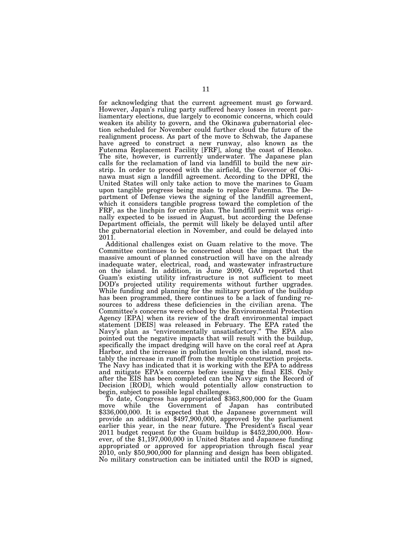for acknowledging that the current agreement must go forward. However, Japan's ruling party suffered heavy losses in recent parliamentary elections, due largely to economic concerns, which could weaken its ability to govern, and the Okinawa gubernatorial election scheduled for November could further cloud the future of the realignment process. As part of the move to Schwab, the Japanese have agreed to construct a new runway, also known as the Futenma Replacement Facility [FRF], along the coast of Henoko. The site, however, is currently underwater. The Japanese plan calls for the reclamation of land via landfill to build the new airstrip. In order to proceed with the airfield, the Governor of Okinawa must sign a landfill agreement. According to the DPRI, the United States will only take action to move the marines to Guam upon tangible progress being made to replace Futenma. The Department of Defense views the signing of the landfill agreement, which it considers tangible progress toward the completion of the FRF, as the linchpin for entire plan. The landfill permit was originally expected to be issued in August, but according the Defense Department officials, the permit will likely be delayed until after the gubernatorial election in November, and could be delayed into 2011.

Additional challenges exist on Guam relative to the move. The Committee continues to be concerned about the impact that the massive amount of planned construction will have on the already inadequate water, electrical, road, and wastewater infrastructure on the island. In addition, in June 2009, GAO reported that Guam's existing utility infrastructure is not sufficient to meet DOD's projected utility requirements without further upgrades. While funding and planning for the military portion of the buildup has been programmed, there continues to be a lack of funding resources to address these deficiencies in the civilian arena. The Committee's concerns were echoed by the Environmental Protection Agency [EPA] when its review of the draft environmental impact statement [DEIS] was released in February. The EPA rated the Navy's plan as ''environmentally unsatisfactory.'' The EPA also pointed out the negative impacts that will result with the buildup, specifically the impact dredging will have on the coral reef at Apra Harbor, and the increase in pollution levels on the island, most notably the increase in runoff from the multiple construction projects. The Navy has indicated that it is working with the EPA to address and mitigate EPA's concerns before issuing the final EIS. Only after the EIS has been completed can the Navy sign the Record of Decision [ROD], which would potentially allow construction to begin, subject to possible legal challenges.

To date, Congress has appropriated \$363,800,000 for the Guam move while the Government of Japan has contributed \$336,000,000. It is expected that the Japanese government will provide an additional \$497,900,000, approved by the parliament earlier this year, in the near future. The President's fiscal year 2011 budget request for the Guam buildup is \$452,200,000. However, of the \$1,197,000,000 in United States and Japanese funding appropriated or approved for appropriation through fiscal year  $2010$ , only \$50,900,000 for planning and design has been obligated. No military construction can be initiated until the ROD is signed,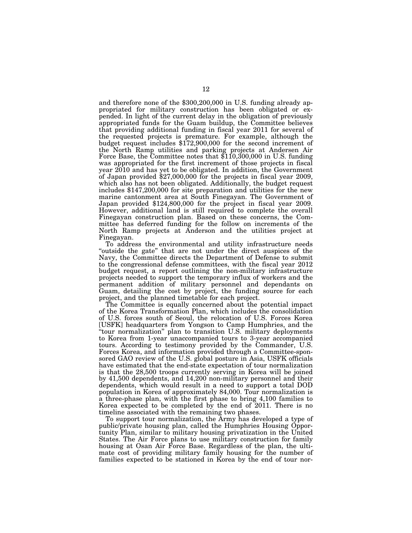and therefore none of the \$300,200,000 in U.S. funding already appropriated for military construction has been obligated or expended. In light of the current delay in the obligation of previously appropriated funds for the Guam buildup, the Committee believes that providing additional funding in fiscal year 2011 for several of the requested projects is premature. For example, although the budget request includes \$172,900,000 for the second increment of the North Ramp utilities and parking projects at Andersen Air Force Base, the Committee notes that \$110,300,000 in U.S. funding was appropriated for the first increment of those projects in fiscal year 2010 and has yet to be obligated. In addition, the Government of Japan provided \$27,000,000 for the projects in fiscal year 2009, which also has not been obligated. Additionally, the budget request includes \$147,200,000 for site preparation and utilities for the new marine cantonment area at South Finegayan. The Government of Japan provided \$124,800,000 for the project in fiscal year 2009. However, additional land is still required to complete the overall Finegayan construction plan. Based on these concerns, the Committee has deferred funding for the follow on increments of the North Ramp projects at Anderson and the utilities project at Finegayan.

To address the environmental and utility infrastructure needs "outside the gate" that are not under the direct auspices of the Navy, the Committee directs the Department of Defense to submit to the congressional defense committees, with the fiscal year 2012 budget request, a report outlining the non-military infrastructure projects needed to support the temporary influx of workers and the permanent addition of military personnel and dependants on Guam, detailing the cost by project, the funding source for each project, and the planned timetable for each project.

The Committee is equally concerned about the potential impact of the Korea Transformation Plan, which includes the consolidation of U.S. forces south of Seoul, the relocation of U.S. Forces Korea [USFK] headquarters from Yongson to Camp Humphries, and the ''tour normalization'' plan to transition U.S. military deployments to Korea from 1-year unaccompanied tours to 3-year accompanied tours. According to testimony provided by the Commander, U.S. Forces Korea, and information provided through a Committee-sponsored GAO review of the U.S. global posture in Asia, USFK officials have estimated that the end-state expectation of tour normalization is that the 28,500 troops currently serving in Korea will be joined by 41,500 dependents, and 14,200 non-military personnel and their dependents, which would result in a need to support a total DOD population in Korea of approximately 84,000. Tour normalization is a three-phase plan, with the first phase to bring 4,100 families to Korea expected to be completed by the end of 2011. There is no timeline associated with the remaining two phases.

To support tour normalization, the Army has developed a type of public/private housing plan, called the Humphries Housing Opportunity Plan, similar to military housing privatization in the United States. The Air Force plans to use military construction for family housing at Osan Air Force Base. Regardless of the plan, the ultimate cost of providing military family housing for the number of families expected to be stationed in Korea by the end of tour nor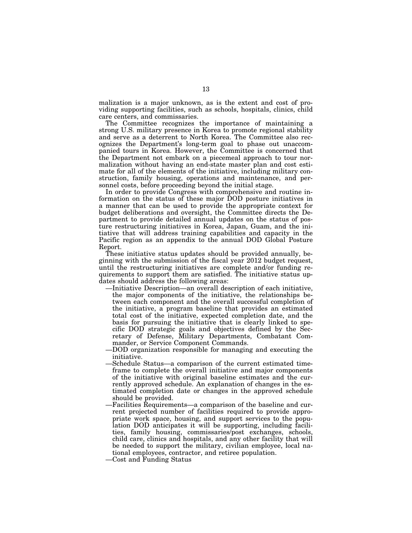malization is a major unknown, as is the extent and cost of providing supporting facilities, such as schools, hospitals, clinics, child care centers, and commissaries.

The Committee recognizes the importance of maintaining a strong U.S. military presence in Korea to promote regional stability and serve as a deterrent to North Korea. The Committee also recognizes the Department's long-term goal to phase out unaccompanied tours in Korea. However, the Committee is concerned that the Department not embark on a piecemeal approach to tour normalization without having an end-state master plan and cost estimate for all of the elements of the initiative, including military construction, family housing, operations and maintenance, and personnel costs, before proceeding beyond the initial stage.

In order to provide Congress with comprehensive and routine information on the status of these major DOD posture initiatives in a manner that can be used to provide the appropriate context for budget deliberations and oversight, the Committee directs the Department to provide detailed annual updates on the status of posture restructuring initiatives in Korea, Japan, Guam, and the initiative that will address training capabilities and capacity in the Pacific region as an appendix to the annual DOD Global Posture Report.

These initiative status updates should be provided annually, beginning with the submission of the fiscal year 2012 budget request, until the restructuring initiatives are complete and/or funding requirements to support them are satisfied. The initiative status updates should address the following areas:

- —Initiative Description—an overall description of each initiative, the major components of the initiative, the relationships between each component and the overall successful completion of the initiative, a program baseline that provides an estimated total cost of the initiative, expected completion date, and the basis for pursuing the initiative that is clearly linked to specific DOD strategic goals and objectives defined by the Secretary of Defense, Military Departments, Combatant Commander, or Service Component Commands.
- —DOD organization responsible for managing and executing the initiative.
- —Schedule Status—a comparison of the current estimated timeframe to complete the overall initiative and major components of the initiative with original baseline estimates and the currently approved schedule. An explanation of changes in the estimated completion date or changes in the approved schedule should be provided.
- —Facilities Requirements—a comparison of the baseline and current projected number of facilities required to provide appropriate work space, housing, and support services to the population DOD anticipates it will be supporting, including facilities, family housing, commissaries/post exchanges, schools, child care, clinics and hospitals, and any other facility that will be needed to support the military, civilian employee, local national employees, contractor, and retiree population.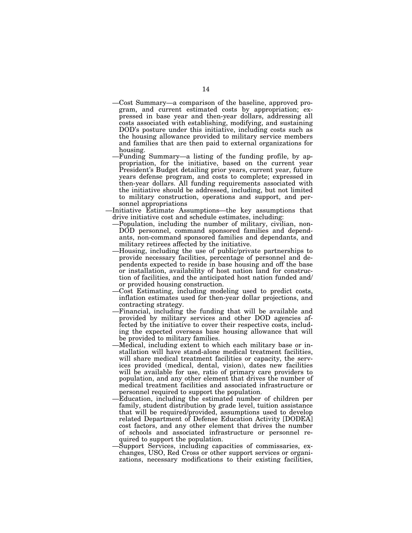- —Cost Summary—a comparison of the baseline, approved program, and current estimated costs by appropriation; expressed in base year and then-year dollars, addressing all costs associated with establishing, modifying, and sustaining DOD's posture under this initiative, including costs such as the housing allowance provided to military service members and families that are then paid to external organizations for housing.
- —Funding Summary—a listing of the funding profile, by appropriation, for the initiative, based on the current year President's Budget detailing prior years, current year, future years defense program, and costs to complete; expressed in then-year dollars. All funding requirements associated with the initiative should be addressed, including, but not limited to military construction, operations and support, and personnel appropriations
- —Initiative Estimate Assumptions—the key assumptions that drive initiative cost and schedule estimates, including:
	- —Population, including the number of military, civilian, non-DOD personnel, command sponsored families and dependants, non-command sponsored families and dependants, and military retirees affected by the initiative.
	- —Housing, including the use of public/private partnerships to provide necessary facilities, percentage of personnel and dependents expected to reside in base housing and off the base or installation, availability of host nation land for construction of facilities, and the anticipated host nation funded and/ or provided housing construction.
	- —Cost Estimating, including modeling used to predict costs, inflation estimates used for then-year dollar projections, and contracting strategy.
	- —Financial, including the funding that will be available and provided by military services and other DOD agencies affected by the initiative to cover their respective costs, including the expected overseas base housing allowance that will be provided to military families.
	- —Medical, including extent to which each military base or installation will have stand-alone medical treatment facilities, will share medical treatment facilities or capacity, the services provided (medical, dental, vision), dates new facilities will be available for use, ratio of primary care providers to population, and any other element that drives the number of medical treatment facilities and associated infrastructure or personnel required to support the population.
	- —Education, including the estimated number of children per family, student distribution by grade level, tuition assistance that will be required/provided, assumptions used to develop related Department of Defense Education Activity [DODEA] cost factors, and any other element that drives the number of schools and associated infrastructure or personnel required to support the population.
	- —Support Services, including capacities of commissaries, exchanges, USO, Red Cross or other support services or organizations, necessary modifications to their existing facilities,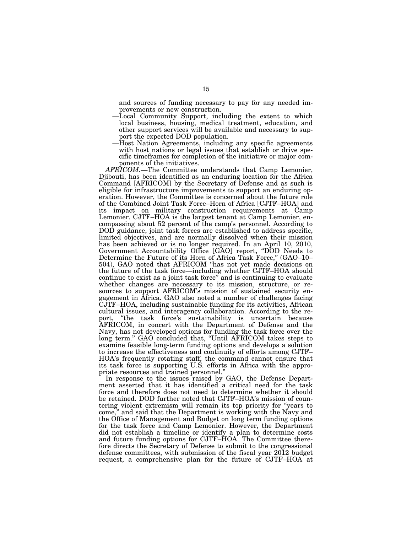and sources of funding necessary to pay for any needed improvements or new construction.

- —Local Community Support, including the extent to which local business, housing, medical treatment, education, and other support services will be available and necessary to support the expected DOD population.
- —Host Nation Agreements, including any specific agreements with host nations or legal issues that establish or drive specific timeframes for completion of the initiative or major components of the initiatives.

*AFRICOM.*—The Committee understands that Camp Lemonier, Djibouti, has been identified as an enduring location for the Africa Command [AFRICOM] by the Secretary of Defense and as such is eligible for infrastructure improvements to support an enduring operation. However, the Committee is concerned about the future role of the Combined Joint Task Force–Horn of Africa [CJTF–HOA] and its impact on military construction requirements at Camp Lemonier. CJTF–HOA is the largest tenant at Camp Lemonier, encompassing about 52 percent of the camp's personnel. According to DOD guidance, joint task forces are established to address specific, limited objectives, and are normally dissolved when their mission has been achieved or is no longer required. In an April 10, 2010, Government Accountability Office [GAO] report, ''DOD Needs to Determine the Future of its Horn of Africa Task Force," (GAO–10– 504), GAO noted that AFRICOM ''has not yet made decisions on the future of the task force—including whether CJTF–HOA should continue to exist as a joint task force'' and is continuing to evaluate whether changes are necessary to its mission, structure, or resources to support AFRICOM's mission of sustained security engagement in Africa. GAO also noted a number of challenges facing CJTF–HOA, including sustainable funding for its activities, African cultural issues, and interagency collaboration. According to the report, ''the task force's sustainability is uncertain because AFRICOM, in concert with the Department of Defense and the Navy, has not developed options for funding the task force over the long term.'' GAO concluded that, ''Until AFRICOM takes steps to examine feasible long-term funding options and develops a solution to increase the effectiveness and continuity of efforts among CJTF– HOA's frequently rotating staff, the command cannot ensure that its task force is supporting U.S. efforts in Africa with the appropriate resources and trained personnel.''

In response to the issues raised by GAO, the Defense Department asserted that it has identified a critical need for the task force and therefore does not need to determine whether it should be retained. DOD further noted that CJTF–HOA's mission of countering violent extremism will remain its top priority for ''years to come,'' and said that the Department is working with the Navy and the Office of Management and Budget on long term funding options for the task force and Camp Lemonier. However, the Department did not establish a timeline or identify a plan to determine costs and future funding options for CJTF–HOA. The Committee therefore directs the Secretary of Defense to submit to the congressional defense committees, with submission of the fiscal year 2012 budget request, a comprehensive plan for the future of CJTF–HOA at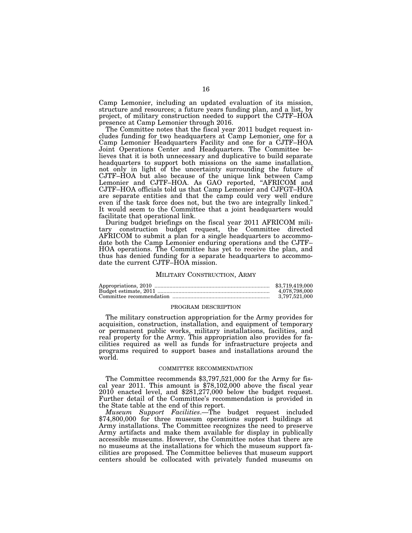Camp Lemonier, including an updated evaluation of its mission, structure and resources; a future years funding plan, and a list, by project, of military construction needed to support the CJTF–HOA presence at Camp Lemonier through 2016.

The Committee notes that the fiscal year 2011 budget request includes funding for two headquarters at Camp Lemonier, one for a Camp Lemonier Headquarters Facility and one for a CJTF–HOA Joint Operations Center and Headquarters. The Committee believes that it is both unnecessary and duplicative to build separate headquarters to support both missions on the same installation, not only in light of the uncertainty surrounding the future of CJTF–HOA but also because of the unique link between Camp Lemonier and CJTF–HOA. As GAO reported, ''AFRICOM and CJTF–HOA officials told us that Camp Lemonier and CJFGT–HOA are separate entities and that the camp could very well endure even if the task force does not, but the two are integrally linked.'' It would seem to the Committee that a joint headquarters would facilitate that operational link.

During budget briefings on the fiscal year 2011 AFRICOM military construction budget request, the Committee directed AFRICOM to submit a plan for a single headquarters to accommodate both the Camp Lemonier enduring operations and the CJTF– HOA operations. The Committee has yet to receive the plan, and thus has denied funding for a separate headquarters to accommodate the current CJTF–HOA mission.

#### MILITARY CONSTRUCTION, ARMY

| \$3.719.419.000 |
|-----------------|
| 4.078.798.000   |
| 3.797.521.000   |

#### PROGRAM DESCRIPTION

The military construction appropriation for the Army provides for acquisition, construction, installation, and equipment of temporary or permanent public works, military installations, facilities, and real property for the Army. This appropriation also provides for facilities required as well as funds for infrastructure projects and programs required to support bases and installations around the world.

# COMMITTEE RECOMMENDATION

The Committee recommends \$3,797,521,000 for the Army for fis- cal year 2011. This amount is \$78,102,000 above the fiscal year 2010 enacted level, and \$281,277,000 below the budget request. Further detail of the Committee's recommendation is provided in the State table at the end of this report.

*Museum Support Facilities*.—The budget request included \$74,800,000 for three museum operations support buildings at Army installations. The Committee recognizes the need to preserve Army artifacts and make them available for display in publically accessible museums. However, the Committee notes that there are no museums at the installations for which the museum support facilities are proposed. The Committee believes that museum support centers should be collocated with privately funded museums on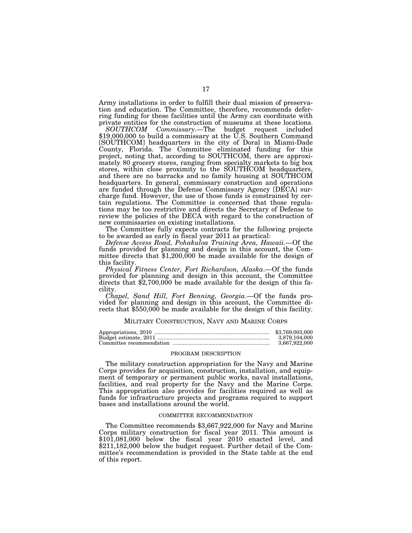Army installations in order to fulfill their dual mission of preservation and education. The Committee, therefore, recommends deferring funding for these facilities until the Army can coordinate with private entities for the construction of museums at these locations.<br>SOUTHCOM Commissary.—The budget request included

\$19,000,000 to build a commissary at the U.S. Southern Command [SOUTHCOM] headquarters in the city of Doral in Miami-Dade County, Florida. The Committee eliminated funding for this project, noting that, according to SOUTHCOM, there are approximately 80 grocery stores, ranging from specialty markets to big box stores, within close proximity to the SOUTHCOM headquarters, and there are no barracks and no family housing at SOUTHCOM headquarters. In general, commissary construction and operations are funded through the Defense Commissary Agency [DECA] surcharge fund. However, the use of those funds is constrained by certain regulations. The Committee is concerned that those regulations may be too restrictive and directs the Secretary of Defense to review the policies of the DECA with regard to the construction of new commissaries on existing installations.

The Committee fully expects contracts for the following projects to be awarded as early in fiscal year 2011 as practical:

*Defense Access Road, Pohakuloa Training Area, Hawaii.*—Of the funds provided for planning and design in this account, the Committee directs that  $$1,200,000$  be made available for the design of this facility.

*Physical Fitness Center, Fort Richardson, Alaska*.—Of the funds provided for planning and design in this account, the Committee directs that \$2,700,000 be made available for the design of this facility.

*Chapel, Sand Hill, Fort Benning, Georgia*.—Of the funds provided for planning and design in this account, the Committee directs that \$550,000 be made available for the design of this facility.

# MILITARY CONSTRUCTION, NAVY AND MARINE CORPS

| \$3,769,003,000 |
|-----------------|
| 3.879.104.000   |
| 3.667.922.000   |

#### PROGRAM DESCRIPTION

The military construction appropriation for the Navy and Marine Corps provides for acquisition, construction, installation, and equipment of temporary or permanent public works, naval installations, facilities, and real property for the Navy and the Marine Corps. This appropriation also provides for facilities required as well as funds for infrastructure projects and programs required to support bases and installations around the world.

#### COMMITTEE RECOMMENDATION

The Committee recommends \$3,667,922,000 for Navy and Marine Corps military construction for fiscal year 2011. This amount is \$101,081,000 below the fiscal year 2010 enacted level, and \$211,182,000 below the budget request. Further detail of the Committee's recommendation is provided in the State table at the end of this report.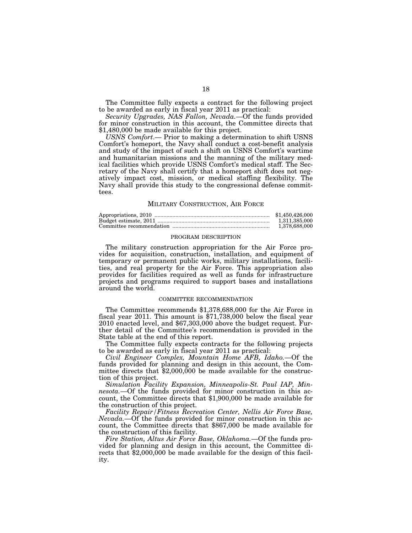The Committee fully expects a contract for the following project to be awarded as early in fiscal year 2011 as practical:

*Security Upgrades, NAS Fallon, Nevada.*—Of the funds provided for minor construction in this account, the Committee directs that \$1,480,000 be made available for this project.

*USNS Comfort*.— Prior to making a determination to shift USNS Comfort's homeport, the Navy shall conduct a cost-benefit analysis and study of the impact of such a shift on USNS Comfort's wartime and humanitarian missions and the manning of the military medical facilities which provide USNS Comfort's medical staff. The Secretary of the Navy shall certify that a homeport shift does not negatively impact cost, mission, or medical staffing flexibility. The Navy shall provide this study to the congressional defense committees.

#### MILITARY CONSTRUCTION, AIR FORCE

| \$1,450,426,000 |
|-----------------|
| 1.311.385.000   |
| 1.378.688.000   |

# PROGRAM DESCRIPTION

The military construction appropriation for the Air Force provides for acquisition, construction, installation, and equipment of temporary or permanent public works, military installations, facilities, and real property for the Air Force. This appropriation also provides for facilities required as well as funds for infrastructure projects and programs required to support bases and installations around the world.

#### COMMITTEE RECOMMENDATION

The Committee recommends \$1,378,688,000 for the Air Force in fiscal year 2011. This amount is \$71,738,000 below the fiscal year 2010 enacted level, and \$67,303,000 above the budget request. Further detail of the Committee's recommendation is provided in the State table at the end of this report.

The Committee fully expects contracts for the following projects to be awarded as early in fiscal year 2011 as practical:

*Civil Engineer Complex, Mountain Home AFB, Idaho.*—Of the funds provided for planning and design in this account, the Committee directs that \$2,000,000 be made available for the construction of this project.

*Simulation Facility Expansion, Minneapolis-St. Paul IAP, Minnesota.*—Of the funds provided for minor construction in this account, the Committee directs that \$1,900,000 be made available for the construction of this project.

*Facility Repair/Fitness Recreation Center, Nellis Air Force Base, Nevada.*—Of the funds provided for minor construction in this account, the Committee directs that \$867,000 be made available for the construction of this facility.

*Fire Station, Altus Air Force Base, Oklahoma.*—Of the funds provided for planning and design in this account, the Committee directs that \$2,000,000 be made available for the design of this facility.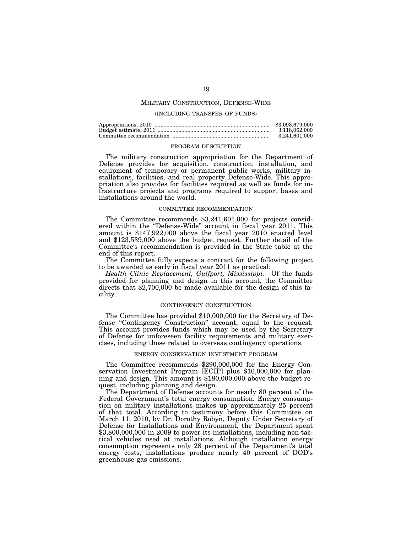# MILITARY CONSTRUCTION, DEFENSE-WIDE

#### (INCLUDING TRANSFER OF FUNDS)

| \$3.093.679.000 |
|-----------------|
| 3.118.062.000   |
| 3.241.601.000   |

## PROGRAM DESCRIPTION

The military construction appropriation for the Department of Defense provides for acquisition, construction, installation, and equipment of temporary or permanent public works, military installations, facilities, and real property Defense-Wide. This appropriation also provides for facilities required as well as funds for infrastructure projects and programs required to support bases and installations around the world.

#### COMMITTEE RECOMMENDATION

The Committee recommends \$3,241,601,000 for projects considered within the "Defense-Wide" account in fiscal year 2011. This amount is \$147,922,000 above the fiscal year 2010 enacted level and \$123,539,000 above the budget request. Further detail of the Committee's recommendation is provided in the State table at the end of this report.

The Committee fully expects a contract for the following project to be awarded as early in fiscal year 2011 as practical:

*Health Clinic Replacement, Gulfport, Mississippi.*—Of the funds provided for planning and design in this account, the Committee directs that \$2,700,000 be made available for the design of this facility.

#### CONTINGENCY CONSTRUCTION

The Committee has provided \$10,000,000 for the Secretary of Defense ''Contingency Construction'' account, equal to the request. This account provides funds which may be used by the Secretary of Defense for unforeseen facility requirements and military exercises, including those related to overseas contingency operations.

#### ENERGY CONSERVATION INVESTMENT PROGRAM

The Committee recommends \$290,000,000 for the Energy Conservation Investment Program [ECIP] plus \$10,000,000 for planning and design. This amount is \$180,000,000 above the budget request, including planning and design.

The Department of Defense accounts for nearly 80 percent of the Federal Government's total energy consumption. Energy consumption on military installations makes up approximately 25 percent of that total. According to testimony before this Committee on March 11, 2010, by Dr. Dorothy Robyn, Deputy Under Secretary of Defense for Installations and Environment, the Department spent \$3,800,000,000 in 2009 to power its installations, including non-tactical vehicles used at installations. Although installation energy consumption represents only 28 percent of the Department's total energy costs, installations produce nearly 40 percent of DOD's greenhouse gas emissions.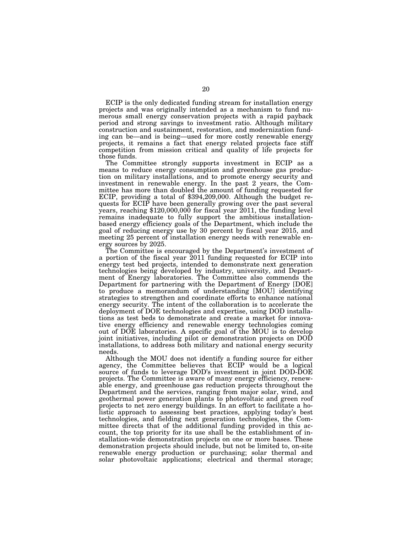ECIP is the only dedicated funding stream for installation energy projects and was originally intended as a mechanism to fund numerous small energy conservation projects with a rapid payback period and strong savings to investment ratio. Although military construction and sustainment, restoration, and modernization funding can be—and is being—used for more costly renewable energy projects, it remains a fact that energy related projects face stiff competition from mission critical and quality of life projects for those funds.

The Committee strongly supports investment in ECIP as a means to reduce energy consumption and greenhouse gas production on military installations, and to promote energy security and investment in renewable energy. In the past 2 years, the Committee has more than doubled the amount of funding requested for ECIP, providing a total of \$394,209,000. Although the budget requests for ECIP have been generally growing over the past several years, reaching \$120,000,000 for fiscal year 2011, the funding level remains inadequate to fully support the ambitious installationbased energy efficiency goals of the Department, which include the goal of reducing energy use by 30 percent by fiscal year 2015, and meeting 25 percent of installation energy needs with renewable energy sources by 2025.

The Committee is encouraged by the Department's investment of a portion of the fiscal year 2011 funding requested for ECIP into energy test bed projects, intended to demonstrate next generation technologies being developed by industry, university, and Department of Energy laboratories. The Committee also commends the Department for partnering with the Department of Energy [DOE] to produce a memorandum of understanding [MOU] identifying strategies to strengthen and coordinate efforts to enhance national energy security. The intent of the collaboration is to accelerate the deployment of DOE technologies and expertise, using DOD installations as test beds to demonstrate and create a market for innovative energy efficiency and renewable energy technologies coming out of DOE laboratories. A specific goal of the MOU is to develop joint initiatives, including pilot or demonstration projects on DOD installations, to address both military and national energy security needs.

Although the MOU does not identify a funding source for either agency, the Committee believes that ECIP would be a logical source of funds to leverage DOD's investment in joint DOD-DOE projects. The Committee is aware of many energy efficiency, renewable energy, and greenhouse gas reduction projects throughout the Department and the services, ranging from major solar, wind, and geothermal power generation plants to photovoltaic and green roof projects to net zero energy buildings. In an effort to facilitate a holistic approach to assessing best practices, applying today's best technologies, and fielding next generation technologies, the Committee directs that of the additional funding provided in this account, the top priority for its use shall be the establishment of installation-wide demonstration projects on one or more bases. These demonstration projects should include, but not be limited to, on-site renewable energy production or purchasing; solar thermal and solar photovoltaic applications; electrical and thermal storage;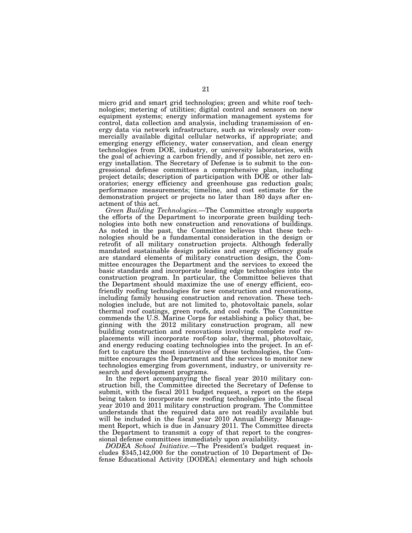micro grid and smart grid technologies; green and white roof technologies; metering of utilities; digital control and sensors on new equipment systems; energy information management systems for control, data collection and analysis, including transmission of energy data via network infrastructure, such as wirelessly over commercially available digital cellular networks, if appropriate; and emerging energy efficiency, water conservation, and clean energy technologies from DOE, industry, or university laboratories, with the goal of achieving a carbon friendly, and if possible, net zero energy installation. The Secretary of Defense is to submit to the congressional defense committees a comprehensive plan, including project details; description of participation with DOE or other laboratories; energy efficiency and greenhouse gas reduction goals; performance measurements; timeline, and cost estimate for the demonstration project or projects no later than 180 days after enactment of this act.

*Green Building Technologies.*—The Committee strongly supports the efforts of the Department to incorporate green building technologies into both new construction and renovations of buildings. As noted in the past, the Committee believes that these technologies should be a fundamental consideration in the design or retrofit of all military construction projects. Although federally mandated sustainable design policies and energy efficiency goals are standard elements of military construction design, the Committee encourages the Department and the services to exceed the basic standards and incorporate leading edge technologies into the construction program. In particular, the Committee believes that the Department should maximize the use of energy efficient, ecofriendly roofing technologies for new construction and renovations, including family housing construction and renovation. These technologies include, but are not limited to, photovoltaic panels, solar thermal roof coatings, green roofs, and cool roofs. The Committee commends the U.S. Marine Corps for establishing a policy that, beginning with the 2012 military construction program, all new building construction and renovations involving complete roof replacements will incorporate roof-top solar, thermal, photovoltaic, and energy reducing coating technologies into the project. In an effort to capture the most innovative of these technologies, the Committee encourages the Department and the services to monitor new technologies emerging from government, industry, or university research and development programs.

In the report accompanying the fiscal year 2010 military construction bill, the Committee directed the Secretary of Defense to submit, with the fiscal 2011 budget request, a report on the steps being taken to incorporate new roofing technologies into the fiscal year 2010 and 2011 military construction program. The Committee understands that the required data are not readily available but will be included in the fiscal year 2010 Annual Energy Management Report, which is due in January 2011. The Committee directs the Department to transmit a copy of that report to the congressional defense committees immediately upon availability.

*DODEA School Initiative.*—The President's budget request includes \$345,142,000 for the construction of 10 Department of Defense Educational Activity [DODEA] elementary and high schools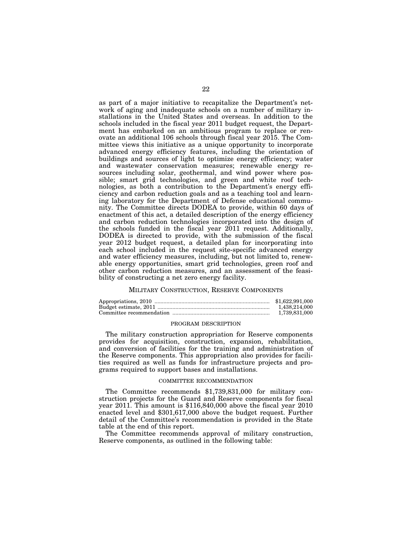as part of a major initiative to recapitalize the Department's network of aging and inadequate schools on a number of military installations in the United States and overseas. In addition to the schools included in the fiscal year 2011 budget request, the Department has embarked on an ambitious program to replace or renovate an additional 106 schools through fiscal year 2015. The Committee views this initiative as a unique opportunity to incorporate advanced energy efficiency features, including the orientation of buildings and sources of light to optimize energy efficiency; water and wastewater conservation measures; renewable energy resources including solar, geothermal, and wind power where possible; smart grid technologies, and green and white roof technologies, as both a contribution to the Department's energy efficiency and carbon reduction goals and as a teaching tool and learning laboratory for the Department of Defense educational community. The Committee directs DODEA to provide, within 60 days of enactment of this act, a detailed description of the energy efficiency and carbon reduction technologies incorporated into the design of the schools funded in the fiscal year 2011 request. Additionally, DODEA is directed to provide, with the submission of the fiscal year 2012 budget request, a detailed plan for incorporating into each school included in the request site-specific advanced energy and water efficiency measures, including, but not limited to, renewable energy opportunities, smart grid technologies, green roof and other carbon reduction measures, and an assessment of the feasibility of constructing a net zero energy facility.

#### MILITARY CONSTRUCTION, RESERVE COMPONENTS

| \$1,622,991,000 |
|-----------------|
| 1.438.214.000   |
| 1.739.831.000   |

#### PROGRAM DESCRIPTION

The military construction appropriation for Reserve components provides for acquisition, construction, expansion, rehabilitation, and conversion of facilities for the training and administration of the Reserve components. This appropriation also provides for facilities required as well as funds for infrastructure projects and programs required to support bases and installations.

#### COMMITTEE RECOMMENDATION

The Committee recommends \$1,739,831,000 for military construction projects for the Guard and Reserve components for fiscal year 2011. This amount is \$116,840,000 above the fiscal year 2010 enacted level and \$301,617,000 above the budget request. Further detail of the Committee's recommendation is provided in the State table at the end of this report.

The Committee recommends approval of military construction, Reserve components, as outlined in the following table: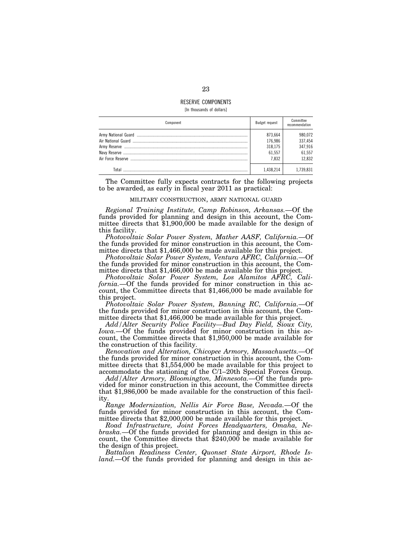# RESERVE COMPONENTS

[In thousands of dollars]

| Component | Budget request     | Committee<br>recommendation |
|-----------|--------------------|-----------------------------|
|           | 873.664<br>176.986 | 980.072<br>337,454          |
|           | 318.175            | 347,916<br>61.557           |
|           | 61.557<br>7.832    | 12.832                      |
| Total     | 1.438.214          | 1.739.831                   |

The Committee fully expects contracts for the following projects to be awarded, as early in fiscal year 2011 as practical:

#### MILITARY CONSTRUCTION, ARMY NATIONAL GUARD

*Regional Training Institute, Camp Robinson, Arkansas.*—Of the funds provided for planning and design in this account, the Committee directs that \$1,900,000 be made available for the design of this facility.

*Photovoltaic Solar Power System, Mather AASF, California.*—Of the funds provided for minor construction in this account, the Committee directs that \$1,466,000 be made available for this project.

*Photovoltaic Solar Power System, Ventura AFRC, California.*—Of the funds provided for minor construction in this account, the Committee directs that \$1,466,000 be made available for this project.

*Photovoltaic Solar Power System, Los Alamitos AFRC, California.*—Of the funds provided for minor construction in this account, the Committee directs that \$1,466,000 be made available for this project.

*Photovoltaic Solar Power System, Banning RC, California.*—Of the funds provided for minor construction in this account, the Committee directs that \$1,466,000 be made available for this project.

*Add/Alter Security Police Facility—Bud Day Field, Sioux City, Iowa.*—Of the funds provided for minor construction in this account, the Committee directs that \$1,950,000 be made available for the construction of this facility.

*Renovation and Alteration, Chicopee Armory, Massachusetts.*—Of the funds provided for minor construction in this account, the Committee directs that \$1,554,000 be made available for this project to accommodate the stationing of the C/1–20th Special Forces Group.

*Add/Alter Armory, Bloomington, Minnesota.*—Of the funds provided for minor construction in this account, the Committee directs that \$1,986,000 be made available for the construction of this facility.

*Range Modernization, Nellis Air Force Base, Nevada.*—Of the funds provided for minor construction in this account, the Committee directs that \$2,000,000 be made available for this project.

*Road Infrastructure, Joint Forces Headquarters, Omaha, Nebraska.*—Of the funds provided for planning and design in this ac- count, the Committee directs that \$240,000 be made available for the design of this project.

*Battalion Readiness Center, Quonset State Airport, Rhode Island.*—Of the funds provided for planning and design in this ac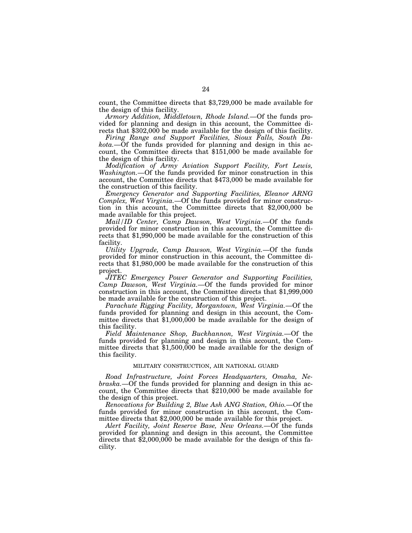count, the Committee directs that \$3,729,000 be made available for the design of this facility.

*Armory Addition, Middletown, Rhode Island.*—Of the funds provided for planning and design in this account, the Committee directs that \$302,000 be made available for the design of this facility.

*Firing Range and Support Facilities, Sioux Falls, South Dakota.*—Of the funds provided for planning and design in this account, the Committee directs that \$151,000 be made available for the design of this facility.

*Modification of Army Aviation Support Facility, Fort Lewis, Washington.*—Of the funds provided for minor construction in this account, the Committee directs that \$473,000 be made available for the construction of this facility.

*Emergency Generator and Supporting Facilities, Eleanor ARNG Complex, West Virginia.*—Of the funds provided for minor construction in this account, the Committee directs that \$2,000,000 be made available for this project.

*Mail/ID Center, Camp Dawson, West Virginia.*—Of the funds provided for minor construction in this account, the Committee directs that \$1,990,000 be made available for the construction of this facility.

*Utility Upgrade, Camp Dawson, West Virginia.*—Of the funds provided for minor construction in this account, the Committee directs that \$1,980,000 be made available for the construction of this project.

*JITEC Emergency Power Generator and Supporting Facilities, Camp Dawson, West Virginia.*—Of the funds provided for minor construction in this account, the Committee directs that \$1,999,000 be made available for the construction of this project.

*Parachute Rigging Facility, Morgantown, West Virginia.*—Of the funds provided for planning and design in this account, the Committee directs that \$1,000,000 be made available for the design of this facility.

*Field Maintenance Shop, Buckhannon, West Virginia.*—Of the funds provided for planning and design in this account, the Committee directs that \$1,500,000 be made available for the design of this facility.

# MILITARY CONSTRUCTION, AIR NATIONAL GUARD

*Road Infrastructure, Joint Forces Headquarters, Omaha, Nebraska.*—Of the funds provided for planning and design in this account, the Committee directs that \$210,000 be made available for the design of this project.

*Renovations for Building 2, Blue Ash ANG Station, Ohio.*—Of the funds provided for minor construction in this account, the Committee directs that \$2,000,000 be made available for this project.

*Alert Facility, Joint Reserve Base, New Orleans.*—Of the funds provided for planning and design in this account, the Committee directs that \$2,000,000 be made available for the design of this facility.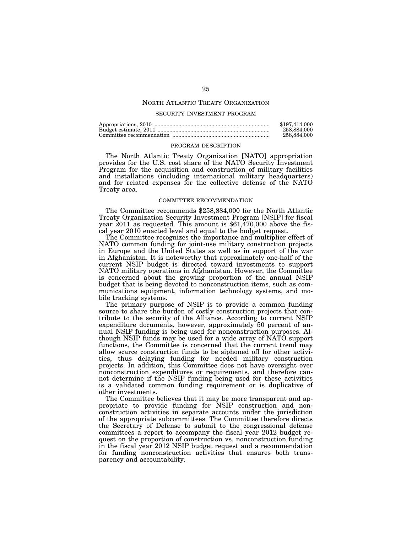# NORTH ATLANTIC TREATY ORGANIZATION

#### SECURITY INVESTMENT PROGRAM

| \$197.414.000 |
|---------------|
| 258,884,000   |
| 258,884,000   |

#### PROGRAM DESCRIPTION

The North Atlantic Treaty Organization [NATO] appropriation provides for the U.S. cost share of the NATO Security Investment Program for the acquisition and construction of military facilities and installations (including international military headquarters) and for related expenses for the collective defense of the NATO Treaty area.

#### COMMITTEE RECOMMENDATION

The Committee recommends \$258,884,000 for the North Atlantic Treaty Organization Security Investment Program [NSIP] for fiscal year 2011 as requested. This amount is \$61,470,000 above the fiscal year 2010 enacted level and equal to the budget request.

The Committee recognizes the importance and multiplier effect of NATO common funding for joint-use military construction projects in Europe and the United States as well as in support of the war in Afghanistan. It is noteworthy that approximately one-half of the current NSIP budget is directed toward investments to support NATO military operations in Afghanistan. However, the Committee is concerned about the growing proportion of the annual NSIP budget that is being devoted to nonconstruction items, such as communications equipment, information technology systems, and mobile tracking systems.

The primary purpose of NSIP is to provide a common funding source to share the burden of costly construction projects that contribute to the security of the Alliance. According to current NSIP expenditure documents, however, approximately 50 percent of annual NSIP funding is being used for nonconstruction purposes. Although NSIP funds may be used for a wide array of NATO support functions, the Committee is concerned that the current trend may allow scarce construction funds to be siphoned off for other activities, thus delaying funding for needed military construction projects. In addition, this Committee does not have oversight over nonconstruction expenditures or requirements, and therefore cannot determine if the NSIP funding being used for these activities is a validated common funding requirement or is duplicative of other investments.

The Committee believes that it may be more transparent and appropriate to provide funding for NSIP construction and nonconstruction activities in separate accounts under the jurisdiction of the appropriate subcommittees. The Committee therefore directs the Secretary of Defense to submit to the congressional defense committees a report to accompany the fiscal year 2012 budget request on the proportion of construction vs. nonconstruction funding in the fiscal year 2012 NSIP budget request and a recommendation for funding nonconstruction activities that ensures both transparency and accountability.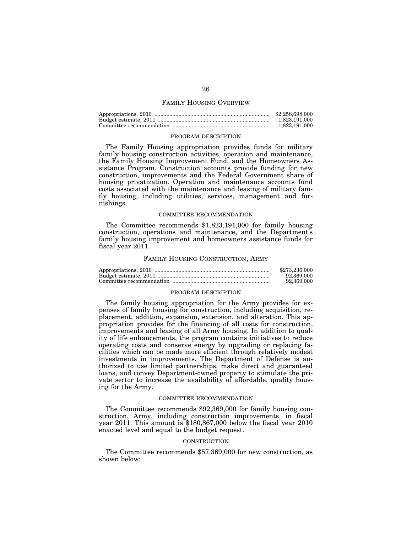#### FAMILY HOUSING OVERVIEW

| \$2,258,698,000 |
|-----------------|
| 1.823.191.000   |
| 1.823.191.000   |

#### PROGRAM DESCRIPTION

The Family Housing appropriation provides funds for military family housing construction activities, operation and maintenance, the Family Housing Improvement Fund, and the Homeowners Assistance Program. Construction accounts provide funding for new construction, improvements and the Federal Government share of housing privatization. Operation and maintenance accounts fund costs associated with the maintenance and leasing of military family housing, including utilities, services, management and furnishings.

#### COMMITTEE RECOMMENDATION

The Committee recommends \$1,823,191,000 for family housing construction, operations and maintenance, and the Department's family housing improvement and homeowners assistance funds for fiscal year 2011.

# FAMILY HOUSING CONSTRUCTION, ARMY

| \$273,236,000 |
|---------------|
| 92.369.000    |
| 92.369.000    |

#### PROGRAM DESCRIPTION

The family housing appropriation for the Army provides for expenses of family housing for construction, including acquisition, replacement, addition, expansion, extension, and alteration. This appropriation provides for the financing of all costs for construction, improvements and leasing of all Army housing. In addition to quality of life enhancements, the program contains initiatives to reduce operating costs and conserve energy by upgrading or replacing facilities which can be made more efficient through relatively modest investments in improvements. The Department of Defense is authorized to use limited partnerships, make direct and guaranteed loans, and convey Department-owned property to stimulate the private sector to increase the availability of affordable, quality housing for the Army.

#### COMMITTEE RECOMMENDATION

The Committee recommends \$92,369,000 for family housing construction, Army, including construction improvements, in fiscal year 2011. This amount is \$180,867,000 below the fiscal year 2010 enacted level and equal to the budget request.

# **CONSTRUCTION**

The Committee recommends \$57,369,000 for new construction, as shown below: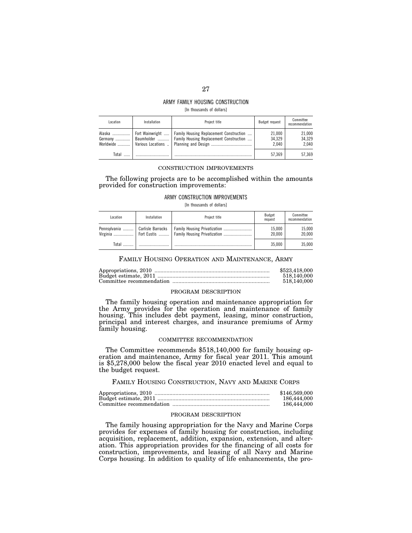# ARMY FAMILY HOUSING CONSTRUCTION

[In thousands of dollars]

| Location | Installation | Project title                                                                                                                  | Budget request            | Committee<br>recommendation |
|----------|--------------|--------------------------------------------------------------------------------------------------------------------------------|---------------------------|-----------------------------|
| Alaska   |              | Fort Wainwright    Family Housing Replacement Construction<br>Germany    Baumholder    Family Housing Replacement Construction | 21.000<br>34.329<br>2.040 | 21.000<br>34.329<br>2.040   |
| Total    |              |                                                                                                                                | 57.369                    | 57.369                      |

#### CONSTRUCTION IMPROVEMENTS

The following projects are to be accomplished within the amounts provided for construction improvements:

#### ARMY CONSTRUCTION IMPROVEMENTS

[In thousands of dollars]

| Location                 | Installation      | Project title | Budget<br>request | Committee<br>recommendation |
|--------------------------|-------------------|---------------|-------------------|-----------------------------|
| Pennsylvania<br>Virginia | Carlisle Barracks |               | 15.000<br>20.000  | 15.000<br>20.000            |
| Total                    |                   |               | 35.000            | 35.000                      |

# FAMILY HOUSING OPERATION AND MAINTENANCE, ARMY

| \$523,418,000 |
|---------------|
| 518,140,000   |
| 518,140,000   |

#### PROGRAM DESCRIPTION

The family housing operation and maintenance appropriation for the Army provides for the operation and maintenance of family housing. This includes debt payment, leasing, minor construction, principal and interest charges, and insurance premiums of Army family housing.

#### COMMITTEE RECOMMENDATION

The Committee recommends \$518,140,000 for family housing operation and maintenance, Army for fiscal year 2011. This amount is \$5,278,000 below the fiscal year 2010 enacted level and equal to the budget request.

#### FAMILY HOUSING CONSTRUCTION, NAVY AND MARINE CORPS

| \$146,569,000 |
|---------------|
| 186,444,000   |
| 186,444,000   |

#### PROGRAM DESCRIPTION

The family housing appropriation for the Navy and Marine Corps provides for expenses of family housing for construction, including acquisition, replacement, addition, expansion, extension, and alteration. This appropriation provides for the financing of all costs for construction, improvements, and leasing of all Navy and Marine Corps housing. In addition to quality of life enhancements, the pro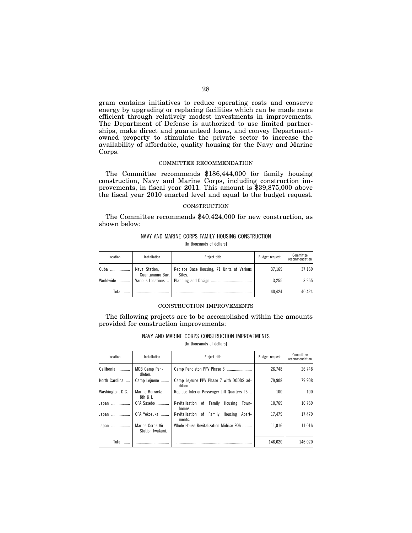gram contains initiatives to reduce operating costs and conserve energy by upgrading or replacing facilities which can be made more efficient through relatively modest investments in improvements. The Department of Defense is authorized to use limited partnerships, make direct and guaranteed loans, and convey Departmentowned property to stimulate the private sector to increase the availability of affordable, quality housing for the Navy and Marine Corps.

# COMMITTEE RECOMMENDATION

The Committee recommends \$186,444,000 for family housing construction, Navy and Marine Corps, including construction improvements, in fiscal year 2011. This amount is \$39,875,000 above the fiscal year 2010 enacted level and equal to the budget request.

#### **CONSTRUCTION**

The Committee recommends \$40,424,000 for new construction, as shown below:

# NAVY AND MARINE CORPS FAMILY HOUSING CONSTRUCTION [In thousands of dollars]

| Location  | Installation                      | Project title                                       | Budget request | Committee<br>recommendation |
|-----------|-----------------------------------|-----------------------------------------------------|----------------|-----------------------------|
| Cuba      | Naval Station,<br>Guantanamo Bay. | Replace Base Housing, 71 Units at Various<br>Sites. | 37,169         | 37.169                      |
| Worldwide |                                   |                                                     | 3.255          | 3.255                       |
| Total     |                                   |                                                     | 40.424         | 40.424                      |

#### CONSTRUCTION IMPROVEMENTS

The following projects are to be accomplished within the amounts provided for construction improvements:

# NAVY AND MARINE CORPS CONSTRUCTION IMPROVEMENTS

[In thousands of dollars]

| Location         | Installation                         | Project title                                           | Budget request | Committee<br>recommendation |
|------------------|--------------------------------------|---------------------------------------------------------|----------------|-----------------------------|
| California       | MCB Camp Pen-<br>dleton.             | Camp Pendleton PPV Phase 8                              | 26,748         | 26,748                      |
| North Carolina   | Camp Lejuene                         | Camp Lejeune PPV Phase 7 with DODDS ad-<br>dition.      | 79,908         | 79,908                      |
| Washington, D.C. | Marine Barracks<br>$8th$ & L         | Replace Interior Passenger Lift Quarters #6             | 100            | 100                         |
| Japan            | CFA Sasebo                           | Revitalization of Family<br>Housing<br>Town-<br>homes.  | 10.769         | 10.769                      |
| Japan            | CFA Yokosuka                         | Revitalization of Family<br>Housing<br>Apart-<br>ments. | 17,479         | 17,479                      |
| Japan            | Marine Corps Air<br>Station Iwakuni. | Whole House Revitalization Midrise 906                  | 11,016         | 11.016                      |
| Total            |                                      |                                                         | 146,020        | 146,020                     |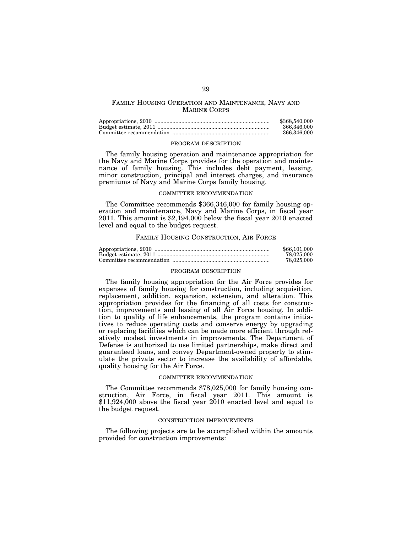# FAMILY HOUSING OPERATION AND MAINTENANCE, NAVY AND MARINE CORPS

| \$368,540,000 |
|---------------|
| 366.346.000   |
| 366,346,000   |

#### PROGRAM DESCRIPTION

The family housing operation and maintenance appropriation for the Navy and Marine Corps provides for the operation and maintenance of family housing. This includes debt payment, leasing, minor construction, principal and interest charges, and insurance premiums of Navy and Marine Corps family housing.

#### COMMITTEE RECOMMENDATION

The Committee recommends \$366,346,000 for family housing operation and maintenance, Navy and Marine Corps, in fiscal year 2011. This amount is \$2,194,000 below the fiscal year 2010 enacted level and equal to the budget request.

#### FAMILY HOUSING CONSTRUCTION, AIR FORCE

| \$66,101,000 |
|--------------|
| 78.025.000   |
| 78.025.000   |

# PROGRAM DESCRIPTION

The family housing appropriation for the Air Force provides for expenses of family housing for construction, including acquisition, replacement, addition, expansion, extension, and alteration. This appropriation provides for the financing of all costs for construction, improvements and leasing of all Air Force housing. In addition to quality of life enhancements, the program contains initiatives to reduce operating costs and conserve energy by upgrading or replacing facilities which can be made more efficient through relatively modest investments in improvements. The Department of Defense is authorized to use limited partnerships, make direct and guaranteed loans, and convey Department-owned property to stimulate the private sector to increase the availability of affordable, quality housing for the Air Force.

## COMMITTEE RECOMMENDATION

The Committee recommends \$78,025,000 for family housing construction, Air Force, in fiscal year 2011. This amount is \$11,924,000 above the fiscal year 2010 enacted level and equal to the budget request.

#### CONSTRUCTION IMPROVEMENTS

The following projects are to be accomplished within the amounts provided for construction improvements: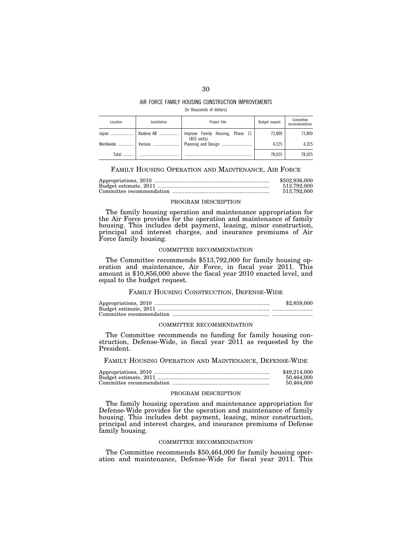#### AIR FORCE FAMILY HOUSING CONSTRUCTION IMPROVEMENTS [In thousands of dollars]

| Location  | Installation    | Project title                                    | Budget request | Committee<br>recommendation |
|-----------|-----------------|--------------------------------------------------|----------------|-----------------------------|
| Japan     | Kadena AB       | Improve Family Housing, Phase 11<br>(403 units). | 73.800         | 73.800                      |
| Worldwide | <i>Various </i> |                                                  | 4.225          | 4.225                       |
| Total     |                 |                                                  | 78,025         | 78.025                      |

# FAMILY HOUSING OPERATION AND MAINTENANCE, AIR FORCE

| \$502,936,000 |
|---------------|
| 513.792.000   |
| 513.792.000   |

#### PROGRAM DESCRIPTION

The family housing operation and maintenance appropriation for the Air Force provides for the operation and maintenance of family housing. This includes debt payment, leasing, minor construction, principal and interest charges, and insurance premiums of Air Force family housing.

#### COMMITTEE RECOMMENDATION

The Committee recommends \$513,792,000 for family housing operation and maintenance, Air Force, in fiscal year 2011. This amount is \$10,856,000 above the fiscal year 2010 enacted level, and equal to the budget request.

# FAMILY HOUSING CONSTRUCTION, DEFENSE-WIDE

| \$2,859,000 |
|-------------|
|             |
|             |

#### COMMITTEE RECOMMENDATION

The Committee recommends no funding for family housing construction, Defense-Wide, in fiscal year 2011 as requested by the President.

FAMILY HOUSING OPERATION AND MAINTENANCE, DEFENSE-WIDE

| \$49,214,000 |
|--------------|
| 50.464.000   |
| 50.464.000   |

# PROGRAM DESCRIPTION

The family housing operation and maintenance appropriation for Defense-Wide provides for the operation and maintenance of family housing. This includes debt payment, leasing, minor construction, principal and interest charges, and insurance premiums of Defense family housing.

#### COMMITTEE RECOMMENDATION

The Committee recommends \$50,464,000 for family housing operation and maintenance, Defense-Wide for fiscal year 2011. This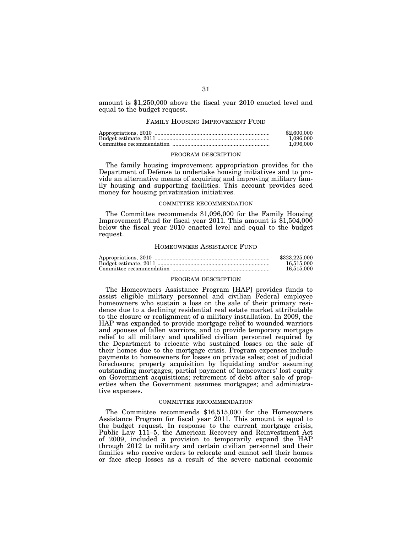amount is \$1,250,000 above the fiscal year 2010 enacted level and equal to the budget request.

#### FAMILY HOUSING IMPROVEMENT FUND

| \$2,600,000 |
|-------------|
| 1.096.000   |
| 1.096.000   |

# PROGRAM DESCRIPTION

The family housing improvement appropriation provides for the Department of Defense to undertake housing initiatives and to provide an alternative means of acquiring and improving military family housing and supporting facilities. This account provides seed money for housing privatization initiatives.

#### COMMITTEE RECOMMENDATION

The Committee recommends \$1,096,000 for the Family Housing Improvement Fund for fiscal year 2011. This amount is \$1,504,000 below the fiscal year 2010 enacted level and equal to the budget request.

#### HOMEOWNERS ASSISTANCE FUND

| \$323,225,000 |
|---------------|
| 16.515.000    |
| 16.515.000    |

#### PROGRAM DESCRIPTION

The Homeowners Assistance Program [HAP] provides funds to assist eligible military personnel and civilian Federal employee homeowners who sustain a loss on the sale of their primary residence due to a declining residential real estate market attributable to the closure or realignment of a military installation. In 2009, the HAP was expanded to provide mortgage relief to wounded warriors and spouses of fallen warriors, and to provide temporary mortgage relief to all military and qualified civilian personnel required by the Department to relocate who sustained losses on the sale of their homes due to the mortgage crisis. Program expenses include payments to homeowners for losses on private sales; cost of judicial foreclosure; property acquisition by liquidating and/or assuming outstanding mortgages; partial payment of homeowners' lost equity on Government acquisitions; retirement of debt after sale of properties when the Government assumes mortgages; and administrative expenses.

#### COMMITTEE RECOMMENDATION

The Committee recommends \$16,515,000 for the Homeowners Assistance Program for fiscal year 2011. This amount is equal to the budget request. In response to the current mortgage crisis, Public Law 111–5, the American Recovery and Reinvestment Act of 2009, included a provision to temporarily expand the HAP through 2012 to military and certain civilian personnel and their families who receive orders to relocate and cannot sell their homes or face steep losses as a result of the severe national economic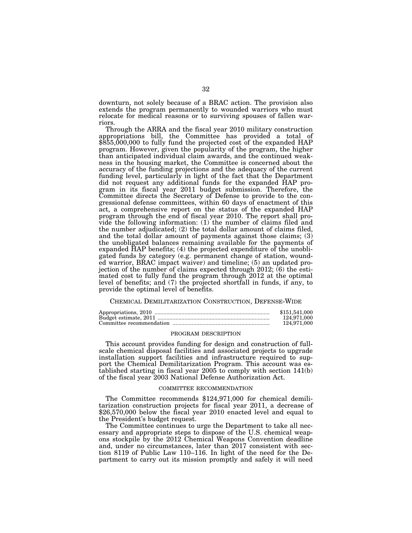downturn, not solely because of a BRAC action. The provision also extends the program permanently to wounded warriors who must relocate for medical reasons or to surviving spouses of fallen warriors.

Through the ARRA and the fiscal year 2010 military construction appropriations bill, the Committee has provided a total of \$855,000,000 to fully fund the projected cost of the expanded HAP program. However, given the popularity of the program, the higher than anticipated individual claim awards, and the continued weakness in the housing market, the Committee is concerned about the accuracy of the funding projections and the adequacy of the current funding level, particularly in light of the fact that the Department did not request any additional funds for the expanded HAP program in its fiscal year 2011 budget submission. Therefore, the Committee directs the Secretary of Defense to provide to the congressional defense committees, within 60 days of enactment of this act, a comprehensive report on the status of the expanded HAP program through the end of fiscal year 2010. The report shall provide the following information: (1) the number of claims filed and the number adjudicated; (2) the total dollar amount of claims filed, and the total dollar amount of payments against those claims; (3) the unobligated balances remaining available for the payments of expanded HAP benefits; (4) the projected expenditure of the unobligated funds by category (e.g. permanent change of station, wounded warrior, BRAC impact waiver) and timeline; (5) an updated projection of the number of claims expected through 2012; (6) the estimated cost to fully fund the program through 2012 at the optimal level of benefits; and (7) the projected shortfall in funds, if any, to provide the optimal level of benefits.

#### CHEMICAL DEMILITARIZATION CONSTRUCTION, DEFENSE-WIDE

| \$151,541,000 |
|---------------|
| 124.971.000   |
| 124.971.000   |

#### PROGRAM DESCRIPTION

This account provides funding for design and construction of fullscale chemical disposal facilities and associated projects to upgrade installation support facilities and infrastructure required to support the Chemical Demilitarization Program. This account was established starting in fiscal year 2005 to comply with section 141(b) of the fiscal year 2003 National Defense Authorization Act.

#### COMMITTEE RECOMMENDATION

The Committee recommends \$124,971,000 for chemical demilitarization construction projects for fiscal year 2011, a decrease of \$26,570,000 below the fiscal year 2010 enacted level and equal to the President's budget request.

The Committee continues to urge the Department to take all necessary and appropriate steps to dispose of the U.S. chemical weapons stockpile by the 2012 Chemical Weapons Convention deadline and, under no circumstances, later than 2017 consistent with section 8119 of Public Law 110–116. In light of the need for the Department to carry out its mission promptly and safely it will need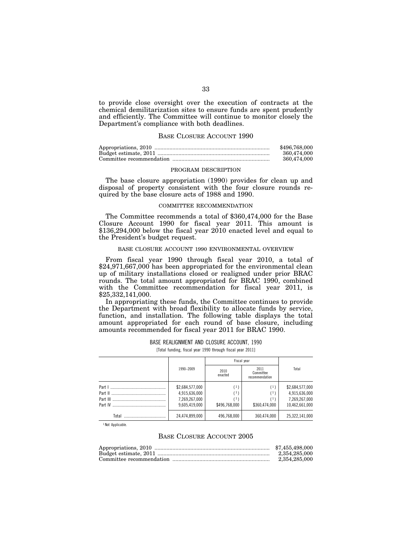to provide close oversight over the execution of contracts at the chemical demilitarization sites to ensure funds are spent prudently and efficiently. The Committee will continue to monitor closely the Department's compliance with both deadlines.

#### BASE CLOSURE ACCOUNT 1990

| \$496.768,000 |
|---------------|
| 360.474.000   |
| 360.474.000   |

#### PROGRAM DESCRIPTION

The base closure appropriation (1990) provides for clean up and disposal of property consistent with the four closure rounds required by the base closure acts of 1988 and 1990.

#### COMMITTEE RECOMMENDATION

The Committee recommends a total of \$360,474,000 for the Base Closure Account 1990 for fiscal year 2011. This amount is \$136,294,000 below the fiscal year 2010 enacted level and equal to the President's budget request.

## BASE CLOSURE ACCOUNT 1990 ENVIRONMENTAL OVERVIEW

From fiscal year 1990 through fiscal year 2010, a total of \$24,971,667,000 has been appropriated for the environmental clean up of military installations closed or realigned under prior BRAC rounds. The total amount appropriated for BRAC 1990, combined with the Committee recommendation for fiscal year 2011, is \$25,332,141,000.

In appropriating these funds, the Committee continues to provide the Department with broad flexibility to allocate funds by service, function, and installation. The following table displays the total amount appropriated for each round of base closure, including amounts recommended for fiscal year 2011 for BRAC 1990.

BASE REALIGNMENT AND CLOSURE ACCOUNT, 1990

[Total funding, fiscal year 1990 through fiscal year 2011]

|                   |                                                                    |                                     | Fiscal year                         |                                                                     |
|-------------------|--------------------------------------------------------------------|-------------------------------------|-------------------------------------|---------------------------------------------------------------------|
|                   | 1990-2009                                                          | 2010<br>enacted                     | 2011<br>Committee<br>recommendation | Total                                                               |
| Part I<br>Part IV | \$2,684,577,000<br>4,915,636,000<br>7,269,267,000<br>9.605.419.000 | (1)<br>Π.<br>' 1 '<br>\$496.768.000 | (1)<br>(1)<br>(1)<br>\$360.474.000  | \$2,684,577,000<br>4,915,636,000<br>7,269,267,000<br>10,462,661,000 |
| Total             | 24,474,899,000                                                     | 496,768,000                         | 360,474,000                         | 25,322,141,000                                                      |

<sup>1</sup> Not Applicable.

# BASE CLOSURE ACCOUNT 2005

| \$7.455.498.000 |
|-----------------|
| 2.354.285.000   |
| 2.354.285.000   |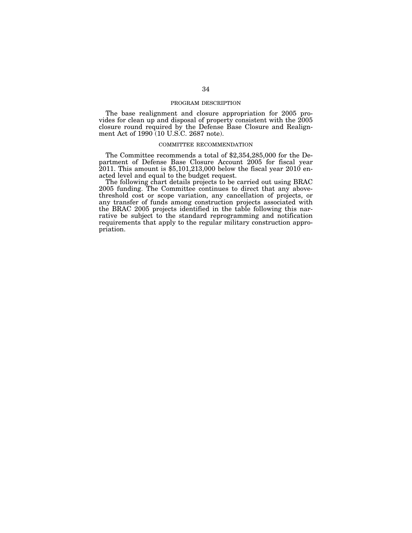#### PROGRAM DESCRIPTION

The base realignment and closure appropriation for 2005 provides for clean up and disposal of property consistent with the 2005 closure round required by the Defense Base Closure and Realignment Act of 1990 (10 U.S.C. 2687 note).

#### COMMITTEE RECOMMENDATION

The Committee recommends a total of \$2,354,285,000 for the Department of Defense Base Closure Account 2005 for fiscal year 2011. This amount is \$5,101,213,000 below the fiscal year 2010 enacted level and equal to the budget request.

The following chart details projects to be carried out using BRAC 2005 funding. The Committee continues to direct that any abovethreshold cost or scope variation, any cancellation of projects, or any transfer of funds among construction projects associated with the BRAC 2005 projects identified in the table following this narrative be subject to the standard reprogramming and notification requirements that apply to the regular military construction appropriation.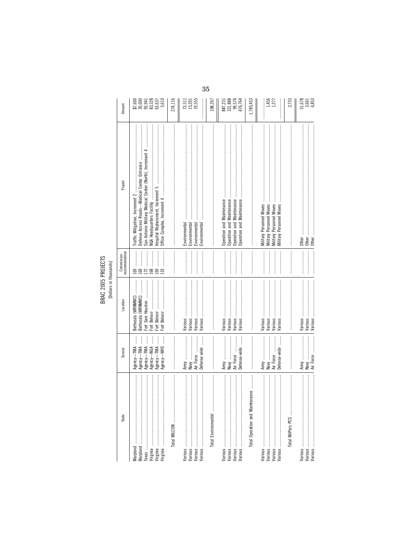| State                                                                                                                                                                                                                                                                                                                                                                                                                                                                                                                                                               | Service                                                                                                                                                                                                                                                                                                                                                                                                                                 | Location                                                   | recommendation<br>Commission | Project                                                                                                                                                                                                     | Amount                                   |
|---------------------------------------------------------------------------------------------------------------------------------------------------------------------------------------------------------------------------------------------------------------------------------------------------------------------------------------------------------------------------------------------------------------------------------------------------------------------------------------------------------------------------------------------------------------------|-----------------------------------------------------------------------------------------------------------------------------------------------------------------------------------------------------------------------------------------------------------------------------------------------------------------------------------------------------------------------------------------------------------------------------------------|------------------------------------------------------------|------------------------------|-------------------------------------------------------------------------------------------------------------------------------------------------------------------------------------------------------------|------------------------------------------|
| Maryland                                                                                                                                                                                                                                                                                                                                                                                                                                                                                                                                                            | $\vdots$<br>j<br>İ<br>┋<br>┋<br>ļ<br>Agency-TMA<br>Agency-NGA<br>Agency-WHS<br>Agency-TMA<br>Agency-TMA<br>Agency-TMA                                                                                                                                                                                                                                                                                                                   | Bethesda (WRNMMC)<br>Fort Sam Houston<br>Bethesda (WRNMMC) | 169<br>$\overline{33}$       | San Antonio Military Medical Center (North), Increment<br>Defense Access Roads-Medical Center Entrance<br>NGA Headquarters Facility<br>Hospital Replacement, Increment 5<br>Traffic Mitigation, Increment 2 |                                          |
|                                                                                                                                                                                                                                                                                                                                                                                                                                                                                                                                                                     |                                                                                                                                                                                                                                                                                                                                                                                                                                         |                                                            |                              |                                                                                                                                                                                                             | 274,116                                  |
|                                                                                                                                                                                                                                                                                                                                                                                                                                                                                                                                                                     | Air Force<br>Defense-wide<br>Navy                                                                                                                                                                                                                                                                                                                                                                                                       | Various<br>Various<br>Various<br>Various                   |                              | Environmental<br>Environmental<br>Environmental<br>Environmental                                                                                                                                            | $73,511$<br>$15,201$<br>$19,555$         |
| Total Environmental                                                                                                                                                                                                                                                                                                                                                                                                                                                                                                                                                 |                                                                                                                                                                                                                                                                                                                                                                                                                                         |                                                            |                              |                                                                                                                                                                                                             | 108,267                                  |
|                                                                                                                                                                                                                                                                                                                                                                                                                                                                                                                                                                     | Defense-wide<br>Air Force<br>Navy                                                                                                                                                                                                                                                                                                                                                                                                       | Various<br>Various<br>Various<br>Various                   |                              | Operation and Maintenance<br>Operation and Maintenance<br>Operation and Maintenance                                                                                                                         | 887,231<br>321,888<br>99,5764<br>476,764 |
| $\begin{minipage}{0.9\linewidth} \begin{tabular}{l} \toprule \multicolumn{3}{c}{\textbf{0.9\linewidth}} \begin{tabular}{l} \multicolumn{3}{c}{\textbf{0.9\linewidth}} \end{tabular} \end{minipage} \end{minipage} \begin{minipage}{0.9\linewidth} \begin{tabular}{l} \multicolumn{3}{c}{\textbf{0.9\linewidth}} \end{tabular} \end{minipage} \end{minipage} \begin{minipage}{0.9\linewidth} \begin{tabular}{l} \multicolumn{3}{c}{\textbf{0.9\linewidth}} \end{tabular} \end{minipage} \end{minipage} \begin{minipage}{0.9$<br>ance<br>Total Operation and Maintena | $\begin{minipage}{0.9\linewidth} \begin{tabular}{l} \hline \textbf{1} & \textbf{1} & \textbf{1} & \textbf{1} & \textbf{1} & \textbf{1} & \textbf{1} & \textbf{1} & \textbf{1} & \textbf{1} & \textbf{1} & \textbf{1} & \textbf{1} & \textbf{1} & \textbf{1} & \textbf{1} & \textbf{1} & \textbf{1} & \textbf{1} & \textbf{1} & \textbf{1} & \textbf{1} & \textbf{1} & \textbf{1} & \textbf{1} & \textbf{1} & \textbf{1} & \textbf{1} &$ |                                                            |                              |                                                                                                                                                                                                             | 1,785,453                                |
| Various ……………………………………………                                                                                                                                                                                                                                                                                                                                                                                                                                                                                                                                           | Air Force<br>Defense-wide<br>Navy                                                                                                                                                                                                                                                                                                                                                                                                       | Various<br>Various<br>Various<br>Various                   |                              | <b>Military Personnel Moves</b><br>Military Personnel Moves<br><b>Moves</b><br>Personnel Moves<br><b>Military Personnel</b><br>Military I                                                                   | 1,456<br>1,277                           |
|                                                                                                                                                                                                                                                                                                                                                                                                                                                                                                                                                                     |                                                                                                                                                                                                                                                                                                                                                                                                                                         |                                                            |                              |                                                                                                                                                                                                             | 2,733                                    |
|                                                                                                                                                                                                                                                                                                                                                                                                                                                                                                                                                                     | Army ………<br>Navy<br>Air Force                                                                                                                                                                                                                                                                                                                                                                                                           | Various<br>Various<br>Various                              |                              | Other<br>Other<br>Other                                                                                                                                                                                     | $\frac{51,678}{3,601}$<br>6,853          |

 $35\,$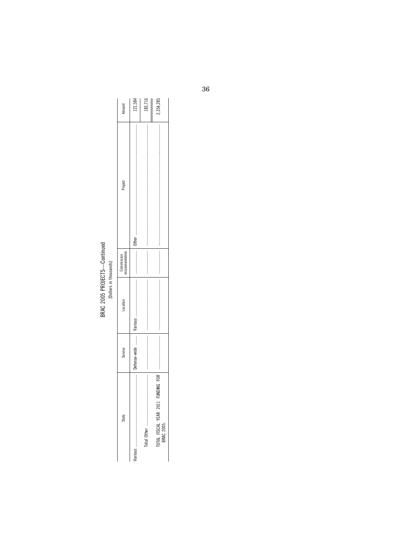# BRAC 2005 PROJECTS—Continued<br>[Dollars in thousands]

|        |         |  |         | TOTAL FISCAL YEAR 2011<br>BRAC 2005. |
|--------|---------|--|---------|--------------------------------------|
|        |         |  |         |                                      |
| 21.584 |         |  |         |                                      |
|        | Project |  | Service | State                                |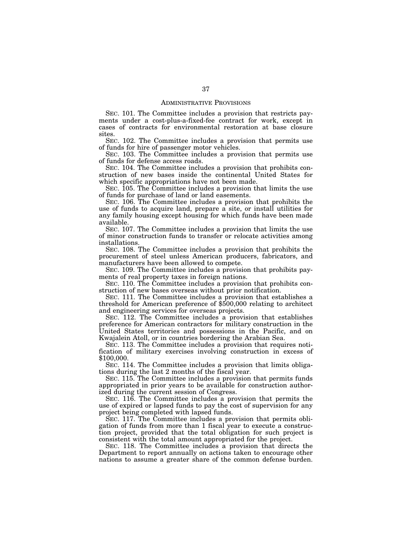## ADMINISTRATIVE PROVISIONS

SEC. 101. The Committee includes a provision that restricts payments under a cost-plus-a-fixed-fee contract for work, except in cases of contracts for environmental restoration at base closure sites.

SEC. 102. The Committee includes a provision that permits use of funds for hire of passenger motor vehicles.

SEC. 103. The Committee includes a provision that permits use of funds for defense access roads.

SEC. 104. The Committee includes a provision that prohibits construction of new bases inside the continental United States for which specific appropriations have not been made.

SEC. 105. The Committee includes a provision that limits the use of funds for purchase of land or land easements.

SEC. 106. The Committee includes a provision that prohibits the use of funds to acquire land, prepare a site, or install utilities for any family housing except housing for which funds have been made available.

SEC. 107. The Committee includes a provision that limits the use of minor construction funds to transfer or relocate activities among installations.

SEC. 108. The Committee includes a provision that prohibits the procurement of steel unless American producers, fabricators, and manufacturers have been allowed to compete.

SEC. 109. The Committee includes a provision that prohibits payments of real property taxes in foreign nations.

SEC. 110. The Committee includes a provision that prohibits construction of new bases overseas without prior notification.

SEC. 111. The Committee includes a provision that establishes a threshold for American preference of \$500,000 relating to architect and engineering services for overseas projects.

SEC. 112. The Committee includes a provision that establishes preference for American contractors for military construction in the United States territories and possessions in the Pacific, and on Kwajalein Atoll, or in countries bordering the Arabian Sea.

SEC. 113. The Committee includes a provision that requires notification of military exercises involving construction in excess of \$100,000.

SEC. 114. The Committee includes a provision that limits obligations during the last 2 months of the fiscal year.

SEC. 115. The Committee includes a provision that permits funds appropriated in prior years to be available for construction authorized during the current session of Congress.

SEC. 116. The Committee includes a provision that permits the use of expired or lapsed funds to pay the cost of supervision for any project being completed with lapsed funds.

SEC. 117. The Committee includes a provision that permits obligation of funds from more than 1 fiscal year to execute a construction project, provided that the total obligation for such project is consistent with the total amount appropriated for the project.

SEC. 118. The Committee includes a provision that directs the Department to report annually on actions taken to encourage other nations to assume a greater share of the common defense burden.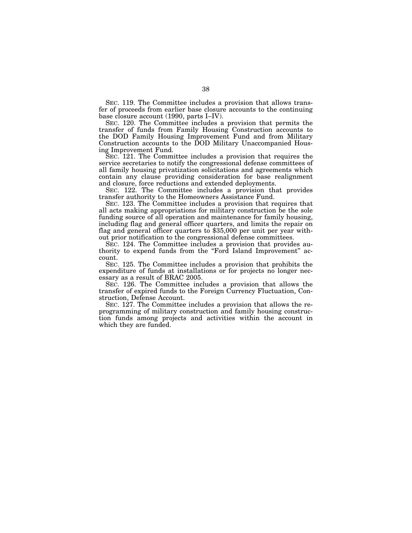SEC. 119. The Committee includes a provision that allows transfer of proceeds from earlier base closure accounts to the continuing base closure account (1990, parts I–IV).

SEC. 120. The Committee includes a provision that permits the transfer of funds from Family Housing Construction accounts to the DOD Family Housing Improvement Fund and from Military Construction accounts to the DOD Military Unaccompanied Housing Improvement Fund.

SEC. 121. The Committee includes a provision that requires the service secretaries to notify the congressional defense committees of all family housing privatization solicitations and agreements which contain any clause providing consideration for base realignment and closure, force reductions and extended deployments.

SEC. 122. The Committee includes a provision that provides transfer authority to the Homeowners Assistance Fund.

SEC. 123. The Committee includes a provision that requires that all acts making appropriations for military construction be the sole funding source of all operation and maintenance for family housing, including flag and general officer quarters, and limits the repair on flag and general officer quarters to \$35,000 per unit per year without prior notification to the congressional defense committees.

SEC. 124. The Committee includes a provision that provides authority to expend funds from the ''Ford Island Improvement'' account.

SEC. 125. The Committee includes a provision that prohibits the expenditure of funds at installations or for projects no longer necessary as a result of BRAC 2005.

SEC. 126. The Committee includes a provision that allows the transfer of expired funds to the Foreign Currency Fluctuation, Construction, Defense Account.

SEC. 127. The Committee includes a provision that allows the reprogramming of military construction and family housing construction funds among projects and activities within the account in which they are funded.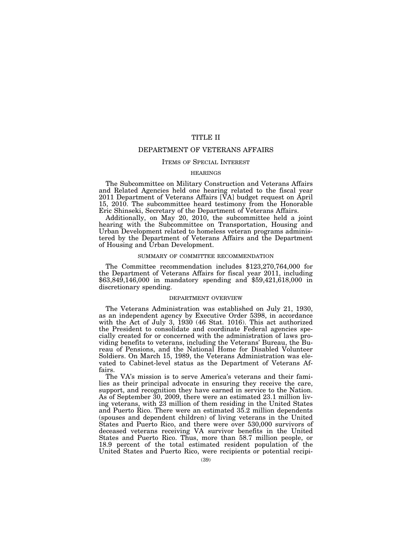# TITLE II

# DEPARTMENT OF VETERANS AFFAIRS

## ITEMS OF SPECIAL INTEREST

## **HEARINGS**

The Subcommittee on Military Construction and Veterans Affairs and Related Agencies held one hearing related to the fiscal year 2011 Department of Veterans Affairs [VA] budget request on April 15, 2010. The subcommittee heard testimony from the Honorable Eric Shinseki, Secretary of the Department of Veterans Affairs.

Additionally, on May 20, 2010, the subcommittee held a joint hearing with the Subcommittee on Transportation, Housing and Urban Development related to homeless veteran programs administered by the Department of Veterans Affairs and the Department of Housing and Urban Development.

## SUMMARY OF COMMITTEE RECOMMENDATION

The Committee recommendation includes \$123,270,764,000 for the Department of Veterans Affairs for fiscal year 2011, including \$63,849,146,000 in mandatory spending and \$59,421,618,000 in discretionary spending.

#### DEPARTMENT OVERVIEW

The Veterans Administration was established on July 21, 1930, as an independent agency by Executive Order 5398, in accordance with the Act of July 3, 1930 (46 Stat. 1016). This act authorized the President to consolidate and coordinate Federal agencies specially created for or concerned with the administration of laws providing benefits to veterans, including the Veterans' Bureau, the Bureau of Pensions, and the National Home for Disabled Volunteer Soldiers. On March 15, 1989, the Veterans Administration was elevated to Cabinet-level status as the Department of Veterans Affairs.

The VA's mission is to serve America's veterans and their families as their principal advocate in ensuring they receive the care, support, and recognition they have earned in service to the Nation. As of September 30, 2009, there were an estimated 23.1 million living veterans, with 23 million of them residing in the United States and Puerto Rico. There were an estimated 35.2 million dependents (spouses and dependent children) of living veterans in the United States and Puerto Rico, and there were over 530,000 survivors of deceased veterans receiving VA survivor benefits in the United States and Puerto Rico. Thus, more than 58.7 million people, or 18.9 percent of the total estimated resident population of the United States and Puerto Rico, were recipients or potential recipi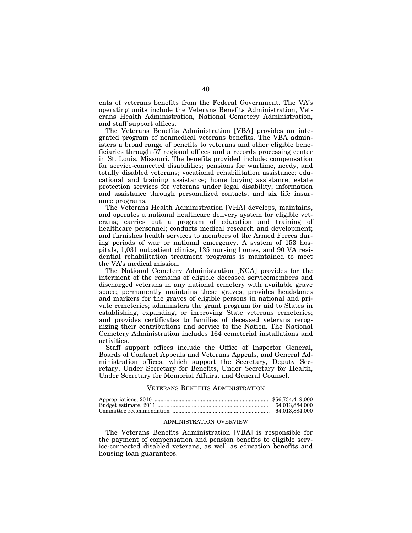ents of veterans benefits from the Federal Government. The VA's operating units include the Veterans Benefits Administration, Veterans Health Administration, National Cemetery Administration, and staff support offices.

The Veterans Benefits Administration [VBA] provides an integrated program of nonmedical veterans benefits. The VBA administers a broad range of benefits to veterans and other eligible beneficiaries through 57 regional offices and a records processing center in St. Louis, Missouri. The benefits provided include: compensation for service-connected disabilities; pensions for wartime, needy, and totally disabled veterans; vocational rehabilitation assistance; educational and training assistance; home buying assistance; estate protection services for veterans under legal disability; information and assistance through personalized contacts; and six life insurance programs.

The Veterans Health Administration [VHA] develops, maintains, and operates a national healthcare delivery system for eligible veterans; carries out a program of education and training of healthcare personnel; conducts medical research and development; and furnishes health services to members of the Armed Forces during periods of war or national emergency. A system of 153 hospitals, 1,031 outpatient clinics, 135 nursing homes, and 90 VA residential rehabilitation treatment programs is maintained to meet the VA's medical mission.

The National Cemetery Administration [NCA] provides for the interment of the remains of eligible deceased servicemembers and discharged veterans in any national cemetery with available grave space; permanently maintains these graves; provides headstones and markers for the graves of eligible persons in national and private cemeteries; administers the grant program for aid to States in establishing, expanding, or improving State veterans cemeteries; and provides certificates to families of deceased veterans recognizing their contributions and service to the Nation. The National Cemetery Administration includes 164 cemeterial installations and activities.

Staff support offices include the Office of Inspector General, Boards of Contract Appeals and Veterans Appeals, and General Administration offices, which support the Secretary, Deputy Secretary, Under Secretary for Benefits, Under Secretary for Health, Under Secretary for Memorial Affairs, and General Counsel.

## VETERANS BENEFITS ADMINISTRATION

## ADMINISTRATION OVERVIEW

The Veterans Benefits Administration [VBA] is responsible for the payment of compensation and pension benefits to eligible service-connected disabled veterans, as well as education benefits and housing loan guarantees.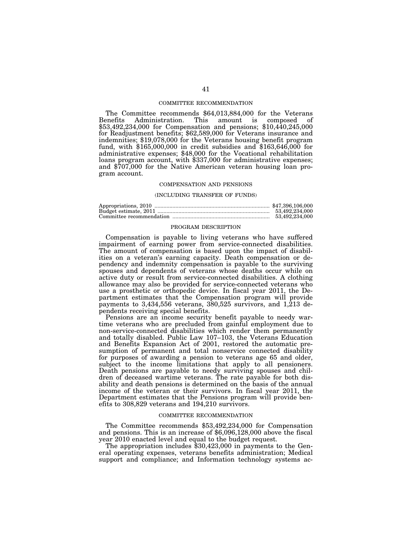### COMMITTEE RECOMMENDATION

The Committee recommends \$64,013,884,000 for the Veterans<br>Benefits Administration. This amount is composed of Administration. This amount is composed of \$53,492,234,000 for Compensation and pensions; \$10,440,245,000 for Readjustment benefits; \$62,589,000 for Veterans insurance and indemnities; \$19,078,000 for the Veterans housing benefit program fund, with \$165,000,000 in credit subsidies and \$163,646,000 for administrative expenses; \$48,000 for the Vocational rehabilitation loans program account, with \$337,000 for administrative expenses; and \$707,000 for the Native American veteran housing loan program account.

### COMPENSATION AND PENSIONS

#### (INCLUDING TRANSFER OF FUNDS)

| 53.492.234.000 |
|----------------|
| 53.492.234.000 |

### PROGRAM DESCRIPTION

Compensation is payable to living veterans who have suffered impairment of earning power from service-connected disabilities. The amount of compensation is based upon the impact of disabilities on a veteran's earning capacity. Death compensation or dependency and indemnity compensation is payable to the surviving spouses and dependents of veterans whose deaths occur while on active duty or result from service-connected disabilities. A clothing allowance may also be provided for service-connected veterans who use a prosthetic or orthopedic device. In fiscal year 2011, the Department estimates that the Compensation program will provide payments to 3,434,556 veterans, 380,525 survivors, and 1,213 dependents receiving special benefits.

Pensions are an income security benefit payable to needy wartime veterans who are precluded from gainful employment due to non-service-connected disabilities which render them permanently and totally disabled. Public Law 107–103, the Veterans Education and Benefits Expansion Act of 2001, restored the automatic presumption of permanent and total nonservice connected disability for purposes of awarding a pension to veterans age 65 and older, subject to the income limitations that apply to all pensioners. Death pensions are payable to needy surviving spouses and children of deceased wartime veterans. The rate payable for both disability and death pensions is determined on the basis of the annual income of the veteran or their survivors. In fiscal year 2011, the Department estimates that the Pensions program will provide benefits to 308,829 veterans and 194,210 survivors.

#### COMMITTEE RECOMMENDATION

The Committee recommends \$53,492,234,000 for Compensation and pensions. This is an increase of \$6,096,128,000 above the fiscal year 2010 enacted level and equal to the budget request.

The appropriation includes \$30,423,000 in payments to the General operating expenses, veterans benefits administration; Medical support and compliance; and Information technology systems ac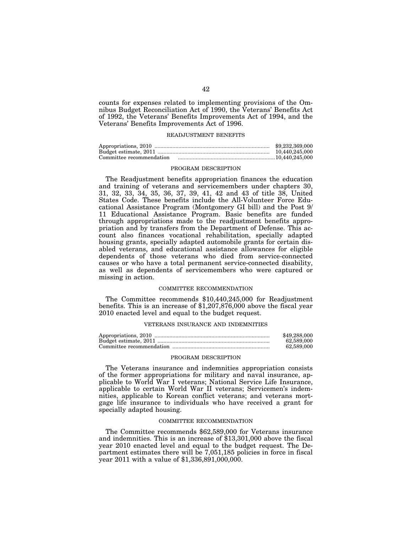counts for expenses related to implementing provisions of the Omnibus Budget Reconciliation Act of 1990, the Veterans' Benefits Act of 1992, the Veterans' Benefits Improvements Act of 1994, and the Veterans' Benefits Improvements Act of 1996.

### READJUSTMENT BENEFITS

|                          | \$9,232,369,000 |
|--------------------------|-----------------|
|                          | 10.440.245.000  |
| Committee recommendation |                 |

### PROGRAM DESCRIPTION

The Readjustment benefits appropriation finances the education and training of veterans and servicemembers under chapters 30, 31, 32, 33, 34, 35, 36, 37, 39, 41, 42 and 43 of title 38, United States Code. These benefits include the All-Volunteer Force Educational Assistance Program (Montgomery GI bill) and the Post 9/ 11 Educational Assistance Program. Basic benefits are funded through appropriations made to the readjustment benefits appropriation and by transfers from the Department of Defense. This account also finances vocational rehabilitation, specially adapted housing grants, specially adapted automobile grants for certain disabled veterans, and educational assistance allowances for eligible dependents of those veterans who died from service-connected causes or who have a total permanent service-connected disability, as well as dependents of servicemembers who were captured or missing in action.

### COMMITTEE RECOMMENDATION

The Committee recommends \$10,440,245,000 for Readjustment benefits. This is an increase of \$1,207,876,000 above the fiscal year 2010 enacted level and equal to the budget request.

### VETERANS INSURANCE AND INDEMNITIES

| \$49,288,000 |
|--------------|
| 62.589.000   |
| 62.589.000   |

### PROGRAM DESCRIPTION

The Veterans insurance and indemnities appropriation consists of the former appropriations for military and naval insurance, applicable to World War I veterans; National Service Life Insurance, applicable to certain World War II veterans; Servicemen's indemnities, applicable to Korean conflict veterans; and veterans mortgage life insurance to individuals who have received a grant for specially adapted housing.

## COMMITTEE RECOMMENDATION

The Committee recommends \$62,589,000 for Veterans insurance and indemnities. This is an increase of \$13,301,000 above the fiscal year 2010 enacted level and equal to the budget request. The Department estimates there will be 7,051,185 policies in force in fiscal year 2011 with a value of \$1,336,891,000,000.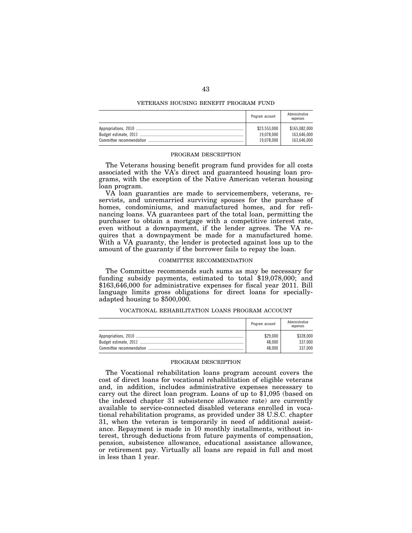## VETERANS HOUSING BENEFIT PROGRAM FUND

|                          | Program account | Administrative<br>expenses |
|--------------------------|-----------------|----------------------------|
|                          | \$23,553,000    | \$165,082,000              |
|                          | 19.078.000      | 163.646.000                |
| Committee recommendation | 19,078,000      | 163.646.000                |

## PROGRAM DESCRIPTION

The Veterans housing benefit program fund provides for all costs associated with the VA's direct and guaranteed housing loan programs, with the exception of the Native American veteran housing loan program.

VA loan guaranties are made to servicemembers, veterans, reservists, and unremarried surviving spouses for the purchase of homes, condominiums, and manufactured homes, and for refinancing loans. VA guarantees part of the total loan, permitting the purchaser to obtain a mortgage with a competitive interest rate, even without a downpayment, if the lender agrees. The VA requires that a downpayment be made for a manufactured home. With a VA guaranty, the lender is protected against loss up to the amount of the guaranty if the borrower fails to repay the loan.

#### COMMITTEE RECOMMENDATION

The Committee recommends such sums as may be necessary for funding subsidy payments, estimated to total \$19,078,000; and \$163,646,000 for administrative expenses for fiscal year 2011. Bill language limits gross obligations for direct loans for speciallyadapted housing to \$500,000.

## VOCATIONAL REHABILITATION LOANS PROGRAM ACCOUNT

|                          | Program account              | Administrative<br>expenses      |
|--------------------------|------------------------------|---------------------------------|
| Committee recommendation | \$29,000<br>48.000<br>48.000 | \$328,000<br>337.000<br>337.000 |

#### PROGRAM DESCRIPTION

The Vocational rehabilitation loans program account covers the cost of direct loans for vocational rehabilitation of eligible veterans and, in addition, includes administrative expenses necessary to carry out the direct loan program. Loans of up to \$1,095 (based on the indexed chapter 31 subsistence allowance rate) are currently available to service-connected disabled veterans enrolled in vocational rehabilitation programs, as provided under 38 U.S.C. chapter 31, when the veteran is temporarily in need of additional assistance. Repayment is made in 10 monthly installments, without interest, through deductions from future payments of compensation, pension, subsistence allowance, educational assistance allowance, or retirement pay. Virtually all loans are repaid in full and most in less than 1 year.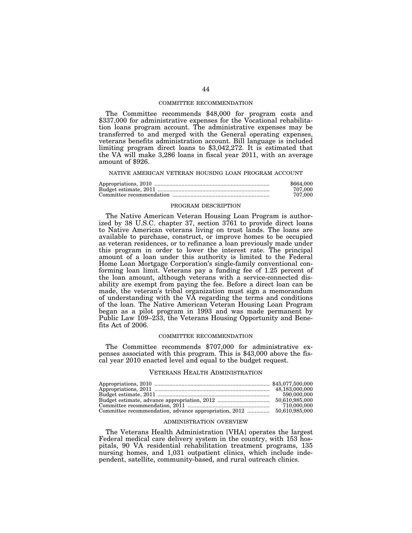### COMMITTEE RECOMMENDATION

The Committee recommends \$48,000 for program costs and \$337,000 for administrative expenses for the Vocational rehabilitation loans program account. The administrative expenses may be transferred to and merged with the General operating expenses, veterans benefits administration account. Bill language is included limiting program direct loans to \$3,042,272. It is estimated that the VA will make 3,286 loans in fiscal year 2011, with an average amount of \$926.

#### NATIVE AMERICAN VETERAN HOUSING LOAN PROGRAM ACCOUNT

| \$664,000 |
|-----------|
| 707.000   |
| 707.000   |

## PROGRAM DESCRIPTION

The Native American Veteran Housing Loan Program is authorized by 38 U.S.C. chapter 37, section 3761 to provide direct loans to Native American veterans living on trust lands. The loans are available to purchase, construct, or improve homes to be occupied as veteran residences, or to refinance a loan previously made under this program in order to lower the interest rate. The principal amount of a loan under this authority is limited to the Federal Home Loan Mortgage Corporation's single-family conventional conforming loan limit. Veterans pay a funding fee of 1.25 percent of the loan amount, although veterans with a service-connected disability are exempt from paying the fee. Before a direct loan can be made, the veteran's tribal organization must sign a memorandum of understanding with the VA regarding the terms and conditions of the loan. The Native American Veteran Housing Loan Program began as a pilot program in 1993 and was made permanent by Public Law 109–233, the Veterans Housing Opportunity and Benefits Act of 2006.

### COMMITTEE RECOMMENDATION

The Committee recommends \$707,000 for administrative expenses associated with this program. This is \$43,000 above the fiscal year 2010 enacted level and equal to the budget request.

#### VETERANS HEALTH ADMINISTRATION

| 590,000,000 |
|-------------|
|             |
| 710.000.000 |
|             |

## ADMINISTRATION OVERVIEW

The Veterans Health Administration [VHA] operates the largest Federal medical care delivery system in the country, with 153 hospitals, 90 VA residential rehabilitation treatment programs, 135 nursing homes, and 1,031 outpatient clinics, which include independent, satellite, community-based, and rural outreach clinics.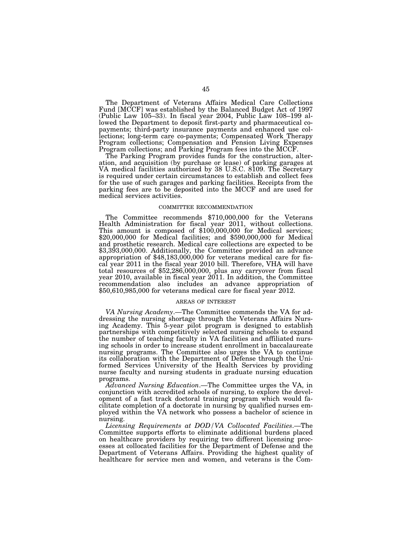The Department of Veterans Affairs Medical Care Collections Fund [MCCF] was established by the Balanced Budget Act of 1997 (Public Law 105–33). In fiscal year 2004, Public Law 108–199 allowed the Department to deposit first-party and pharmaceutical copayments; third-party insurance payments and enhanced use collections; long-term care co-payments; Compensated Work Therapy Program collections; Compensation and Pension Living Expenses Program collections; and Parking Program fees into the MCCF.

The Parking Program provides funds for the construction, alteration, and acquisition (by purchase or lease) of parking garages at VA medical facilities authorized by 38 U.S.C. 8109. The Secretary is required under certain circumstances to establish and collect fees for the use of such garages and parking facilities. Receipts from the parking fees are to be deposited into the MCCF and are used for medical services activities.

## COMMITTEE RECOMMENDATION

The Committee recommends \$710,000,000 for the Veterans Health Administration for fiscal year 2011, without collections. This amount is composed of \$100,000,000 for Medical services; \$20,000,000 for Medical facilities; and \$590,000,000 for Medical and prosthetic research. Medical care collections are expected to be \$3,393,000,000. Additionally, the Committee provided an advance appropriation of \$48,183,000,000 for veterans medical care for fiscal year 2011 in the fiscal year 2010 bill. Therefore, VHA will have total resources of \$52,286,000,000, plus any carryover from fiscal year 2010, available in fiscal year 2011. In addition, the Committee recommendation also includes an advance appropriation of \$50,610,985,000 for veterans medical care for fiscal year 2012.

## AREAS OF INTEREST

*VA Nursing Academy*.—The Committee commends the VA for addressing the nursing shortage through the Veterans Affairs Nursing Academy. This 5-year pilot program is designed to establish partnerships with competitively selected nursing schools to expand the number of teaching faculty in VA facilities and affiliated nursing schools in order to increase student enrollment in baccalaureate nursing programs. The Committee also urges the VA to continue its collaboration with the Department of Defense through the Uniformed Services University of the Health Services by providing nurse faculty and nursing students in graduate nursing education programs.

*Advanced Nursing Education*.—The Committee urges the VA, in conjunction with accredited schools of nursing, to explore the development of a fast track doctoral training program which would facilitate completion of a doctorate in nursing by qualified nurses employed within the VA network who possess a bachelor of science in nursing.

*Licensing Requirements at DOD/VA Collocated Facilities*.—The Committee supports efforts to eliminate additional burdens placed on healthcare providers by requiring two different licensing processes at collocated facilities for the Department of Defense and the Department of Veterans Affairs. Providing the highest quality of healthcare for service men and women, and veterans is the Com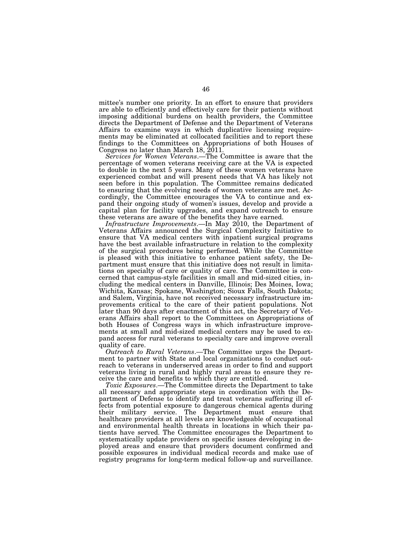mittee's number one priority. In an effort to ensure that providers are able to efficiently and effectively care for their patients without imposing additional burdens on health providers, the Committee directs the Department of Defense and the Department of Veterans Affairs to examine ways in which duplicative licensing requirements may be eliminated at collocated facilities and to report these findings to the Committees on Appropriations of both Houses of Congress no later than March 18,  $2011$ .

*Services for Women Veterans*.—The Committee is aware that the percentage of women veterans receiving care at the VA is expected to double in the next 5 years. Many of these women veterans have experienced combat and will present needs that VA has likely not seen before in this population. The Committee remains dedicated to ensuring that the evolving needs of women veterans are met. Accordingly, the Committee encourages the VA to continue and expand their ongoing study of women's issues, develop and provide a capital plan for facility upgrades, and expand outreach to ensure these veterans are aware of the benefits they have earned.

*Infrastructure Improvements*.—In May 2010, the Department of Veterans Affairs announced the Surgical Complexity Initiative to ensure that VA medical centers with inpatient surgical programs have the best available infrastructure in relation to the complexity of the surgical procedures being performed. While the Committee is pleased with this initiative to enhance patient safety, the Department must ensure that this initiative does not result in limitations on specialty of care or quality of care. The Committee is concerned that campus-style facilities in small and mid-sized cities, including the medical centers in Danville, Illinois; Des Moines, Iowa; Wichita, Kansas; Spokane, Washington; Sioux Falls, South Dakota; and Salem, Virginia, have not received necessary infrastructure improvements critical to the care of their patient populations. Not later than 90 days after enactment of this act, the Secretary of Veterans Affairs shall report to the Committees on Appropriations of both Houses of Congress ways in which infrastructure improvements at small and mid-sized medical centers may be used to expand access for rural veterans to specialty care and improve overall quality of care.

*Outreach to Rural Veterans*.—The Committee urges the Department to partner with State and local organizations to conduct outreach to veterans in underserved areas in order to find and support veterans living in rural and highly rural areas to ensure they receive the care and benefits to which they are entitled.

*Toxic Exposures*.—The Committee directs the Department to take all necessary and appropriate steps in coordination with the Department of Defense to identify and treat veterans suffering ill effects from potential exposure to dangerous chemical agents during their military service. The Department must ensure that healthcare providers at all levels are knowledgeable of occupational and environmental health threats in locations in which their patients have served. The Committee encourages the Department to systematically update providers on specific issues developing in deployed areas and ensure that providers document confirmed and possible exposures in individual medical records and make use of registry programs for long-term medical follow-up and surveillance.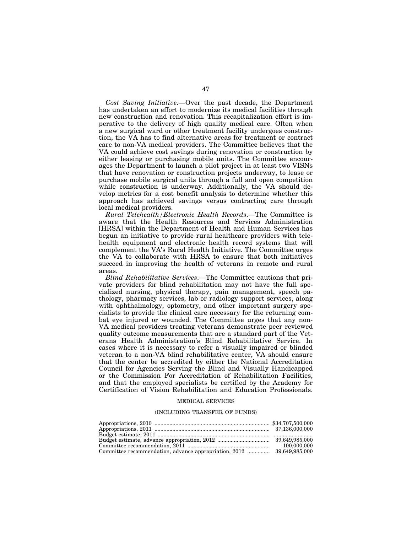*Cost Saving Initiative*.—Over the past decade, the Department has undertaken an effort to modernize its medical facilities through new construction and renovation. This recapitalization effort is imperative to the delivery of high quality medical care. Often when a new surgical ward or other treatment facility undergoes construction, the VA has to find alternative areas for treatment or contract care to non-VA medical providers. The Committee believes that the VA could achieve cost savings during renovation or construction by either leasing or purchasing mobile units. The Committee encourages the Department to launch a pilot project in at least two VISNs that have renovation or construction projects underway, to lease or purchase mobile surgical units through a full and open competition while construction is underway. Additionally, the VA should develop metrics for a cost benefit analysis to determine whether this approach has achieved savings versus contracting care through local medical providers.

*Rural Telehealth/Electronic Health Records*.—The Committee is aware that the Health Resources and Services Administration [HRSA] within the Department of Health and Human Services has begun an initiative to provide rural healthcare providers with telehealth equipment and electronic health record systems that will complement the VA's Rural Health Initiative. The Committee urges the VA to collaborate with HRSA to ensure that both initiatives succeed in improving the health of veterans in remote and rural areas.

*Blind Rehabilitative Services*.—The Committee cautions that private providers for blind rehabilitation may not have the full specialized nursing, physical therapy, pain management, speech pathology, pharmacy services, lab or radiology support services, along with ophthalmology, optometry, and other important surgery specialists to provide the clinical care necessary for the returning combat eye injured or wounded. The Committee urges that any non-VA medical providers treating veterans demonstrate peer reviewed quality outcome measurements that are a standard part of the Veterans Health Administration's Blind Rehabilitative Service. In cases where it is necessary to refer a visually impaired or blinded veteran to a non-VA blind rehabilitative center, VA should ensure that the center be accredited by either the National Accreditation Council for Agencies Serving the Blind and Visually Handicapped or the Commission For Accreditation of Rehabilitation Facilities, and that the employed specialists be certified by the Academy for Certification of Vision Rehabilitation and Education Professionals.

#### MEDICAL SERVICES

#### (INCLUDING TRANSFER OF FUNDS)

|                                                                       | 100.000.000 |
|-----------------------------------------------------------------------|-------------|
| Committee recommendation, advance appropriation, 2012  39,649,985,000 |             |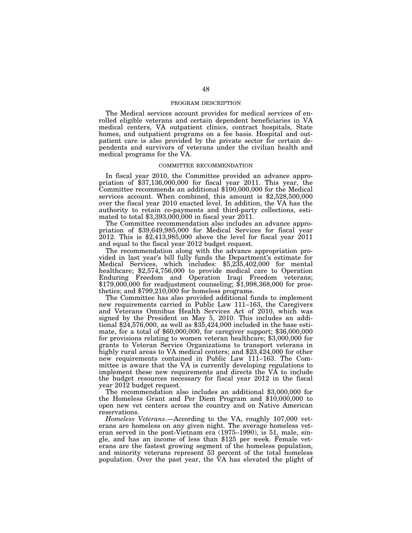### PROGRAM DESCRIPTION

The Medical services account provides for medical services of enrolled eligible veterans and certain dependent beneficiaries in VA medical centers, VA outpatient clinics, contract hospitals, State homes, and outpatient programs on a fee basis. Hospital and outpatient care is also provided by the private sector for certain dependents and survivors of veterans under the civilian health and medical programs for the VA.

## COMMITTEE RECOMMENDATION

In fiscal year 2010, the Committee provided an advance appropriation of \$37,136,000,000 for fiscal year 2011. This year, the Committee recommends an additional \$100,000,000 for the Medical services account. When combined, this amount is \$2,528,500,000 over the fiscal year 2010 enacted level. In addition, the VA has the authority to retain co-payments and third-party collections, estimated to total \$3,393,000,000 in fiscal year 2011.

The Committee recommendation also includes an advance appropriation of \$39,649,985,000 for Medical Services for fiscal year 2012. This is \$2,413,985,000 above the level for fiscal year 2011 and equal to the fiscal year 2012 budget request.

The recommendation along with the advance appropriation provided in last year's bill fully funds the Department's estimate for Medical Services, which includes: \$5,235,402,000 for mental healthcare; \$2,574,756,000 to provide medical care to Operation Enduring Freedom and Operation Iraqi Freedom veterans; \$179,000,000 for readjustment counseling; \$1,998,368,000 for prosthetics; and \$799,210,000 for homeless programs.

The Committee has also provided additional funds to implement new requirements carried in Public Law 111–163, the Caregivers and Veterans Omnibus Health Services Act of 2010, which was signed by the President on May 5, 2010. This includes an additional \$24,576,000, as well as \$35,424,000 included in the base estimate, for a total of \$60,000,000, for caregiver support; \$36,000,000 for provisions relating to women veteran healthcare; \$3,000,000 for grants to Veteran Service Organizations to transport veterans in highly rural areas to VA medical centers; and \$23,424,000 for other new requirements contained in Public Law 111–163. The Committee is aware that the VA is currently developing regulations to implement these new requirements and directs the VA to include the budget resources necessary for fiscal year 2012 in the fiscal year 2012 budget request.

The recommendation also includes an additional \$3,000,000 for the Homeless Grant and Per Diem Program and \$10,000,000 to open new vet centers across the country and on Native American reservations.

*Homeless Veterans*.—According to the VA, roughly 107,000 veterans are homeless on any given night. The average homeless veteran served in the post-Vietnam era (1975–1990), is 51, male, single, and has an income of less than \$125 per week. Female veterans are the fastest growing segment of the homeless population, and minority veterans represent 53 percent of the total homeless population. Over the past year, the VA has elevated the plight of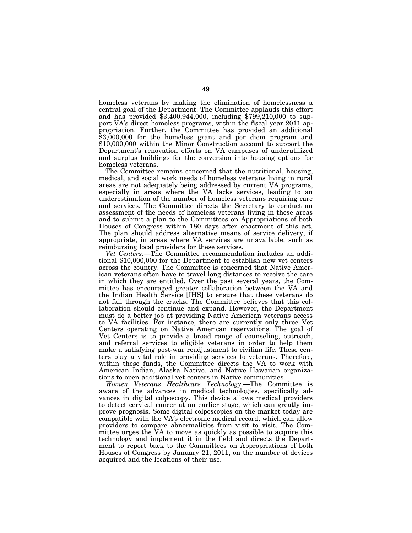homeless veterans by making the elimination of homelessness a central goal of the Department. The Committee applauds this effort and has provided  $$3,400,944,000$ , including  $$799,210,000$  to support VA's direct homeless programs, within the fiscal year 2011 appropriation. Further, the Committee has provided an additional \$3,000,000 for the homeless grant and per diem program and \$10,000,000 within the Minor Construction account to support the Department's renovation efforts on VA campuses of underutilized and surplus buildings for the conversion into housing options for homeless veterans.

The Committee remains concerned that the nutritional, housing, medical, and social work needs of homeless veterans living in rural areas are not adequately being addressed by current VA programs, especially in areas where the VA lacks services, leading to an underestimation of the number of homeless veterans requiring care and services. The Committee directs the Secretary to conduct an assessment of the needs of homeless veterans living in these areas and to submit a plan to the Committees on Appropriations of both Houses of Congress within 180 days after enactment of this act. The plan should address alternative means of service delivery, if appropriate, in areas where VA services are unavailable, such as reimbursing local providers for these services.

*Vet Centers*.—The Committee recommendation includes an additional \$10,000,000 for the Department to establish new vet centers across the country. The Committee is concerned that Native American veterans often have to travel long distances to receive the care in which they are entitled. Over the past several years, the Committee has encouraged greater collaboration between the VA and the Indian Health Service [IHS] to ensure that these veterans do not fall through the cracks. The Committee believes that this collaboration should continue and expand. However, the Department must do a better job at providing Native American veterans access to VA facilities. For instance, there are currently only three Vet Centers operating on Native American reservations. The goal of Vet Centers is to provide a broad range of counseling, outreach, and referral services to eligible veterans in order to help them make a satisfying post-war readjustment to civilian life. These centers play a vital role in providing services to veterans. Therefore, within these funds, the Committee directs the VA to work with American Indian, Alaska Native, and Native Hawaiian organizations to open additional vet centers in Native communities.

*Women Veterans Healthcare Technology*.—The Committee is aware of the advances in medical technologies, specifically advances in digital colposcopy. This device allows medical providers to detect cervical cancer at an earlier stage, which can greatly improve prognosis. Some digital colposcopies on the market today are compatible with the VA's electronic medical record, which can allow providers to compare abnormalities from visit to visit. The Committee urges the VA to move as quickly as possible to acquire this technology and implement it in the field and directs the Department to report back to the Committees on Appropriations of both Houses of Congress by January 21, 2011, on the number of devices acquired and the locations of their use.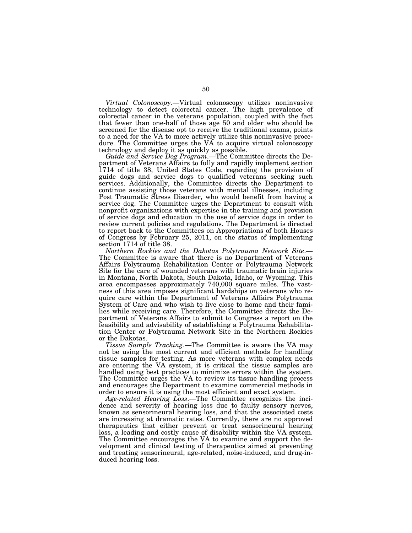*Virtual Colonoscopy*.—Virtual colonoscopy utilizes noninvasive technology to detect colorectal cancer. The high prevalence of colorectal cancer in the veterans population, coupled with the fact that fewer than one-half of those age 50 and older who should be screened for the disease opt to receive the traditional exams, points to a need for the VA to more actively utilize this noninvasive procedure. The Committee urges the VA to acquire virtual colonoscopy technology and deploy it as quickly as possible.

*Guide and Service Dog Program*.—The Committee directs the Department of Veterans Affairs to fully and rapidly implement section 1714 of title 38, United States Code, regarding the provision of guide dogs and service dogs to qualified veterans seeking such services. Additionally, the Committee directs the Department to continue assisting those veterans with mental illnesses, including Post Traumatic Stress Disorder, who would benefit from having a service dog. The Committee urges the Department to consult with nonprofit organizations with expertise in the training and provision of service dogs and education in the use of service dogs in order to review current policies and regulations. The Department is directed to report back to the Committees on Appropriations of both Houses of Congress by February 25, 2011, on the status of implementing

section 1714 of title 38.<br>Northern Rockies and the Dakotas Polytrauma Network Site. The Committee is aware that there is no Department of Veterans Affairs Polytrauma Rehabilitation Center or Polytrauma Network Site for the care of wounded veterans with traumatic brain injuries in Montana, North Dakota, South Dakota, Idaho, or Wyoming. This area encompasses approximately 740,000 square miles. The vastness of this area imposes significant hardships on veterans who require care within the Department of Veterans Affairs Polytrauma System of Care and who wish to live close to home and their families while receiving care. Therefore, the Committee directs the Department of Veterans Affairs to submit to Congress a report on the feasibility and advisability of establishing a Polytrauma Rehabilitation Center or Polytrauma Network Site in the Northern Rockies or the Dakotas.

*Tissue Sample Tracking*.—The Committee is aware the VA may not be using the most current and efficient methods for handling tissue samples for testing. As more veterans with complex needs are entering the VA system, it is critical the tissue samples are handled using best practices to minimize errors within the system. The Committee urges the VA to review its tissue handling process and encourages the Department to examine commercial methods in order to ensure it is using the most efficient and exact system.

*Age-related Hearing Loss*.—The Committee recognizes the incidence and severity of hearing loss due to faulty sensory nerves, known as sensorineural hearing loss, and that the associated costs are increasing at dramatic rates. Currently, there are no approved therapeutics that either prevent or treat sensorineural hearing loss, a leading and costly cause of disability within the VA system. The Committee encourages the VA to examine and support the development and clinical testing of therapeutics aimed at preventing and treating sensorineural, age-related, noise-induced, and drug-induced hearing loss.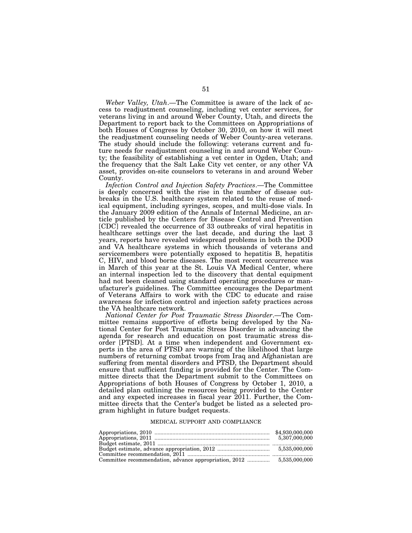*Weber Valley, Utah*.—The Committee is aware of the lack of access to readjustment counseling, including vet center services, for veterans living in and around Weber County, Utah, and directs the Department to report back to the Committees on Appropriations of both Houses of Congress by October 30, 2010, on how it will meet the readjustment counseling needs of Weber County-area veterans. The study should include the following: veterans current and future needs for readjustment counseling in and around Weber County; the feasibility of establishing a vet center in Ogden, Utah; and the frequency that the Salt Lake City vet center, or any other VA asset, provides on-site counselors to veterans in and around Weber County.

*Infection Control and Injection Safety Practices*.—The Committee is deeply concerned with the rise in the number of disease outbreaks in the U.S. healthcare system related to the reuse of medical equipment, including syringes, scopes, and multi-dose vials. In the January 2009 edition of the Annals of Internal Medicine, an article published by the Centers for Disease Control and Prevention [CDC] revealed the occurrence of 33 outbreaks of viral hepatitis in healthcare settings over the last decade, and during the last 3 years, reports have revealed widespread problems in both the DOD and VA healthcare systems in which thousands of veterans and servicemembers were potentially exposed to hepatitis B, hepatitis C, HIV, and blood borne diseases. The most recent occurrence was in March of this year at the St. Louis VA Medical Center, where an internal inspection led to the discovery that dental equipment had not been cleaned using standard operating procedures or manufacturer's guidelines. The Committee encourages the Department of Veterans Affairs to work with the CDC to educate and raise awareness for infection control and injection safety practices across the VA healthcare network.

*National Center for Post Traumatic Stress Disorder*.—The Committee remains supportive of efforts being developed by the National Center for Post Traumatic Stress Disorder in advancing the agenda for research and education on post traumatic stress disorder [PTSD]. At a time when independent and Government experts in the area of PTSD are warning of the likelihood that large numbers of returning combat troops from Iraq and Afghanistan are suffering from mental disorders and PTSD, the Department should ensure that sufficient funding is provided for the Center. The Committee directs that the Department submit to the Committees on Appropriations of both Houses of Congress by October 1, 2010, a detailed plan outlining the resources being provided to the Center and any expected increases in fiscal year 2011. Further, the Committee directs that the Center's budget be listed as a selected program highlight in future budget requests.

### MEDICAL SUPPORT AND COMPLIANCE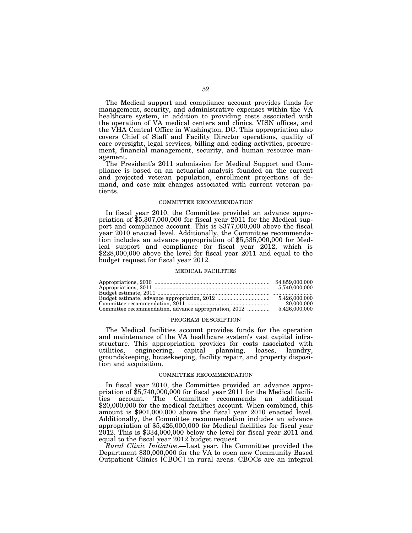The Medical support and compliance account provides funds for management, security, and administrative expenses within the VA healthcare system, in addition to providing costs associated with the operation of VA medical centers and clinics, VISN offices, and the VHA Central Office in Washington, DC. This appropriation also covers Chief of Staff and Facility Director operations, quality of care oversight, legal services, billing and coding activities, procurement, financial management, security, and human resource management.

The President's 2011 submission for Medical Support and Compliance is based on an actuarial analysis founded on the current and projected veteran population, enrollment projections of demand, and case mix changes associated with current veteran patients.

#### COMMITTEE RECOMMENDATION

In fiscal year 2010, the Committee provided an advance appropriation of \$5,307,000,000 for fiscal year 2011 for the Medical support and compliance account. This is \$377,000,000 above the fiscal year 2010 enacted level. Additionally, the Committee recommendation includes an advance appropriation of \$5,535,000,000 for Medical support and compliance for fiscal year 2012, which is \$228,000,000 above the level for fiscal year 2011 and equal to the budget request for fiscal year 2012.

#### MEDICAL FACILITIES

| 5.740.000.000 |
|---------------|
|               |
|               |
| 20,000,000    |
|               |

#### PROGRAM DESCRIPTION

The Medical facilities account provides funds for the operation and maintenance of the VA healthcare system's vast capital infrastructure. This appropriation provides for costs associated with utilities, engineering, capital planning, leases, laundry, groundskeeping, housekeeping, facility repair, and property disposition and acquisition.

## COMMITTEE RECOMMENDATION

In fiscal year 2010, the Committee provided an advance appropriation of \$5,740,000,000 for fiscal year 2011 for the Medical facilities account. The Committee recommends an additional \$20,000,000 for the medical facilities account. When combined, this amount is \$901,000,000 above the fiscal year 2010 enacted level. Additionally, the Committee recommendation includes an advance appropriation of \$5,426,000,000 for Medical facilities for fiscal year  $2012$ . This is  $$334,000,000$  below the level for fiscal year  $2011$  and equal to the fiscal year 2012 budget request.

*Rural Clinic Initiative*.—Last year, the Committee provided the Department \$30,000,000 for the VA to open new Community Based Outpatient Clinics [CBOC] in rural areas. CBOCs are an integral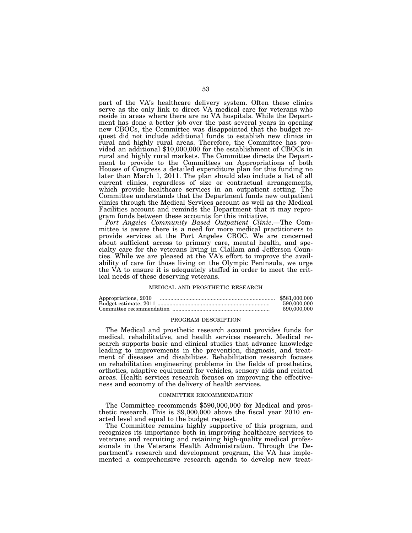part of the VA's healthcare delivery system. Often these clinics serve as the only link to direct VA medical care for veterans who reside in areas where there are no VA hospitals. While the Department has done a better job over the past several years in opening new CBOCs, the Committee was disappointed that the budget request did not include additional funds to establish new clinics in rural and highly rural areas. Therefore, the Committee has provided an additional \$10,000,000 for the establishment of CBOCs in rural and highly rural markets. The Committee directs the Department to provide to the Committees on Appropriations of both Houses of Congress a detailed expenditure plan for this funding no later than March 1, 2011. The plan should also include a list of all current clinics, regardless of size or contractual arrangements, which provide healthcare services in an outpatient setting. The Committee understands that the Department funds new outpatient clinics through the Medical Services account as well as the Medical Facilities account and reminds the Department that it may reprogram funds between these accounts for this initiative.

*Port Angeles Community Based Outpatient Clinic*.—The Committee is aware there is a need for more medical practitioners to provide services at the Port Angeles CBOC. We are concerned about sufficient access to primary care, mental health, and specialty care for the veterans living in Clallam and Jefferson Counties. While we are pleased at the VA's effort to improve the availability of care for those living on the Olympic Peninsula, we urge the VA to ensure it is adequately staffed in order to meet the critical needs of these deserving veterans.

## MEDICAL AND PROSTHETIC RESEARCH

| Appropriations, 2010 | \$581,000,000 |
|----------------------|---------------|
|                      | 590,000,000   |
|                      | 590,000,000   |

#### PROGRAM DESCRIPTION

The Medical and prosthetic research account provides funds for medical, rehabilitative, and health services research. Medical research supports basic and clinical studies that advance knowledge leading to improvements in the prevention, diagnosis, and treatment of diseases and disabilities. Rehabilitation research focuses on rehabilitation engineering problems in the fields of prosthetics, orthotics, adaptive equipment for vehicles, sensory aids and related areas. Health services research focuses on improving the effectiveness and economy of the delivery of health services.

## COMMITTEE RECOMMENDATION

The Committee recommends \$590,000,000 for Medical and prosthetic research. This is  $$9,000,000$  above the fiscal year  $2010$  enacted level and equal to the budget request.

The Committee remains highly supportive of this program, and recognizes its importance both in improving healthcare services to veterans and recruiting and retaining high-quality medical professionals in the Veterans Health Administration. Through the Department's research and development program, the VA has implemented a comprehensive research agenda to develop new treat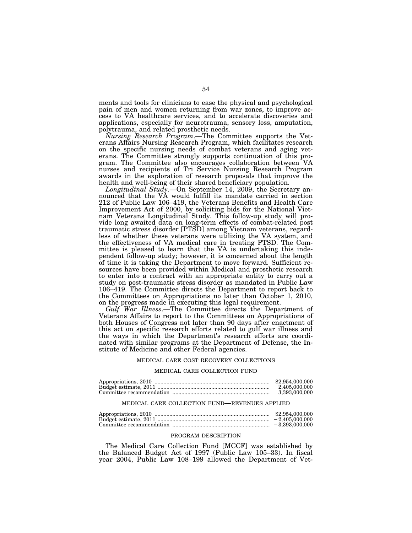ments and tools for clinicians to ease the physical and psychological pain of men and women returning from war zones, to improve access to VA healthcare services, and to accelerate discoveries and applications, especially for neurotrauma, sensory loss, amputation, polytrauma, and related prosthetic needs.

*Nursing Research Program*.—The Committee supports the Veterans Affairs Nursing Research Program, which facilitates research on the specific nursing needs of combat veterans and aging veterans. The Committee strongly supports continuation of this program. The Committee also encourages collaboration between VA nurses and recipients of Tri Service Nursing Research Program awards in the exploration of research proposals that improve the health and well-being of their shared beneficiary population.

*Longitudinal Study*.—On September 14, 2009, the Secretary announced that the VA would fulfill its mandate carried in section 212 of Public Law 106–419, the Veterans Benefits and Health Care Improvement Act of 2000, by soliciting bids for the National Vietnam Veterans Longitudinal Study. This follow-up study will provide long awaited data on long-term effects of combat-related post traumatic stress disorder [PTSD] among Vietnam veterans, regardless of whether these veterans were utilizing the VA system, and the effectiveness of VA medical care in treating PTSD. The Committee is pleased to learn that the VA is undertaking this independent follow-up study; however, it is concerned about the length of time it is taking the Department to move forward. Sufficient resources have been provided within Medical and prosthetic research to enter into a contract with an appropriate entity to carry out a study on post-traumatic stress disorder as mandated in Public Law 106–419. The Committee directs the Department to report back to the Committees on Appropriations no later than October 1, 2010, on the progress made in executing this legal requirement.

*Gulf War Illness*.—The Committee directs the Department of Veterans Affairs to report to the Committees on Appropriations of both Houses of Congress not later than 90 days after enactment of this act on specific research efforts related to gulf war illness and the ways in which the Department's research efforts are coordinated with similar programs at the Department of Defense, the Institute of Medicine and other Federal agencies.

#### MEDICAL CARE COST RECOVERY COLLECTIONS

#### MEDICAL CARE COLLECTION FUND

| \$2,954,000,000 |
|-----------------|
| 2.405.000.000   |
| 3.393.000.000   |

### MEDICAL CARE COLLECTION FUND—REVENUES APPLIED

| $-2.405,000,000$ |
|------------------|
| $-3.393.000.000$ |

### PROGRAM DESCRIPTION

The Medical Care Collection Fund [MCCF] was established by the Balanced Budget Act of 1997 (Public Law 105–33). In fiscal year 2004, Public Law 108–199 allowed the Department of Vet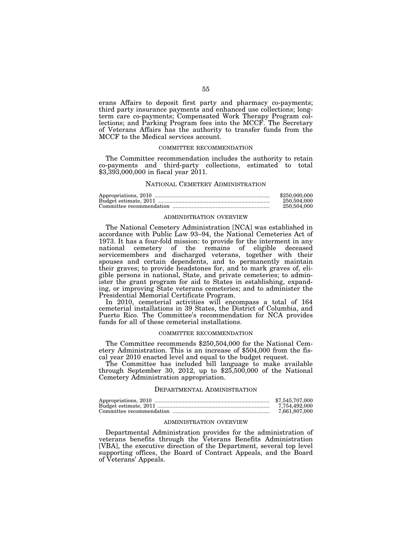erans Affairs to deposit first party and pharmacy co-payments; third party insurance payments and enhanced use collections; longterm care co-payments; Compensated Work Therapy Program collections; and Parking Program fees into the MCCF. The Secretary of Veterans Affairs has the authority to transfer funds from the MCCF to the Medical services account.

### COMMITTEE RECOMMENDATION

The Committee recommendation includes the authority to retain co-payments and third-party collections, estimated to total \$3,393,000,000 in fiscal year 2011.

## NATIONAL CEMETERY ADMINISTRATION

| \$250,000,000 |
|---------------|
| 250,504,000   |
| 250,504,000   |

### ADMINISTRATION OVERVIEW

The National Cemetery Administration [NCA] was established in accordance with Public Law 93–94, the National Cemeteries Act of 1973. It has a four-fold mission: to provide for the interment in any national cemetery of the remains of eligible deceased servicemembers and discharged veterans, together with their spouses and certain dependents, and to permanently maintain their graves; to provide headstones for, and to mark graves of, eligible persons in national, State, and private cemeteries; to administer the grant program for aid to States in establishing, expanding, or improving State veterans cemeteries; and to administer the Presidential Memorial Certificate Program.

In 2010, cemeterial activities will encompass a total of 164 cemeterial installations in 39 States, the District of Columbia, and Puerto Rico. The Committee's recommendation for NCA provides funds for all of these cemeterial installations.

## COMMITTEE RECOMMENDATION

The Committee recommends \$250,504,000 for the National Cemetery Administration. This is an increase of \$504,000 from the fiscal year 2010 enacted level and equal to the budget request.

The Committee has included bill language to make available through September 30, 2012, up to \$25,500,000 of the National Cemetery Administration appropriation.

## DEPARTMENTAL ADMINISTRATION

| \$7,545,707,000 |
|-----------------|
| 7.754.492.000   |
| 7,661,807,000   |

## ADMINISTRATION OVERVIEW

Departmental Administration provides for the administration of veterans benefits through the Veterans Benefits Administration [VBA], the executive direction of the Department, several top level supporting offices, the Board of Contract Appeals, and the Board of Veterans' Appeals.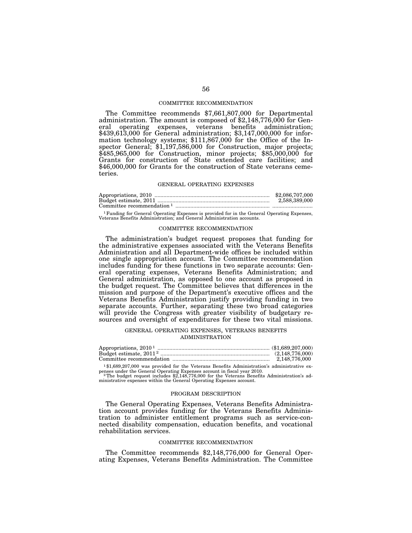### COMMITTEE RECOMMENDATION

The Committee recommends \$7,661,807,000 for Departmental administration. The amount is composed of \$2,148,776,000 for General operating expenses, veterans benefits administration; \$439,613,000 for General administration; \$3,147,000,000 for information technology systems; \$111,867,000 for the Office of the Inspector General; \$1,197,586,000 for Construction, major projects; \$485,965,000 for Construction, minor projects; \$85,000,000 for Grants for construction of State extended care facilities; and \$46,000,000 for Grants for the construction of State veterans cemeteries.

#### GENERAL OPERATING EXPENSES

|                              | \$2,086,707,000 |
|------------------------------|-----------------|
|                              | 2,588,389,000   |
| Committee recommendation $1$ |                 |

1Funding for General Operating Expenses is provided for in the General Operating Expenses, Veterans Benefits Administration; and General Administration accounts.

### COMMITTEE RECOMMENDATION

The administration's budget request proposes that funding for the administrative expenses associated with the Veterans Benefits Administration and all Department-wide offices be included within one single appropriation account. The Committee recommendation includes funding for these functions in two separate accounts: General operating expenses, Veterans Benefits Administration; and General administration, as opposed to one account as proposed in the budget request. The Committee believes that differences in the mission and purpose of the Department's executive offices and the Veterans Benefits Administration justify providing funding in two separate accounts. Further, separating these two broad categories will provide the Congress with greater visibility of budgetary resources and oversight of expenditures for these two vital missions.

## GENERAL OPERATING EXPENSES, VETERANS BENEFITS ADMINISTRATION

| 2.148.776.000 |
|---------------|

1 \$1,689,207,000 was provided for the Veterans Benefits Administration's administrative expenses under the General Operating Expenses account in fiscal year 2010.<br><sup>2</sup>The budget request includes \$2,148,776,000 for the Veterans Benefits Administration's ad-

ministrative expenses within the General Operating Expenses account.

#### PROGRAM DESCRIPTION

The General Operating Expenses, Veterans Benefits Administration account provides funding for the Veterans Benefits Administration to administer entitlement programs such as service-connected disability compensation, education benefits, and vocational rehabilitation services.

## COMMITTEE RECOMMENDATION

The Committee recommends \$2,148,776,000 for General Operating Expenses, Veterans Benefits Administration. The Committee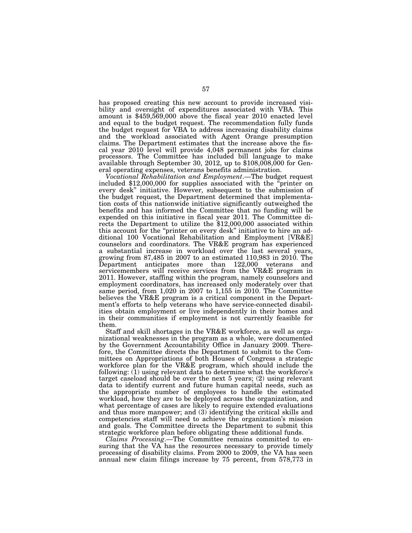has proposed creating this new account to provide increased visibility and oversight of expenditures associated with VBA. This amount is \$459,569,000 above the fiscal year 2010 enacted level and equal to the budget request. The recommendation fully funds the budget request for VBA to address increasing disability claims and the workload associated with Agent Orange presumption claims. The Department estimates that the increase above the fiscal year 2010 level will provide 4,048 permanent jobs for claims processors. The Committee has included bill language to make available through September 30, 2012, up to \$108,008,000 for Gen-

eral operating expenses, veterans benefits administration.<br>Vocational Rehabilitation and Employment.—The budget request included \$12,000,000 for supplies associated with the "printer on every desk'' initiative. However, subsequent to the submission of the budget request, the Department determined that implementation costs of this nationwide initiative significantly outweighed the benefits and has informed the Committee that no funding will be expended on this initiative in fiscal year 2011. The Committee directs the Department to utilize the \$12,000,000 associated within this account for the "printer on every desk" initiative to hire an additional 100 Vocational Rehabilitation and Employment [VR&E] counselors and coordinators. The VR&E program has experienced a substantial increase in workload over the last several years, growing from 87,485 in 2007 to an estimated 110,983 in 2010. The Department anticipates more than 122,000 veterans and servicemembers will receive services from the VR&E program in 2011. However, staffing within the program, namely counselors and employment coordinators, has increased only moderately over that same period, from 1,020 in 2007 to 1,155 in 2010. The Committee believes the VR&E program is a critical component in the Department's efforts to help veterans who have service-connected disabilities obtain employment or live independently in their homes and in their communities if employment is not currently feasible for them.

Staff and skill shortages in the VR&E workforce, as well as organizational weaknesses in the program as a whole, were documented by the Government Accountability Office in January 2009. Therefore, the Committee directs the Department to submit to the Committees on Appropriations of both Houses of Congress a strategic workforce plan for the VR&E program, which should include the following:  $(1)$  using relevant data to determine what the workforce's target caseload should be over the next 5 years; (2) using relevant data to identify current and future human capital needs, such as the appropriate number of employees to handle the estimated workload, how they are to be deployed across the organization, and what percentage of cases are likely to require extended evaluations and thus more manpower; and (3) identifying the critical skills and competencies staff will need to achieve the organization's mission and goals. The Committee directs the Department to submit this strategic workforce plan before obligating these additional funds.

*Claims Processing*.—The Committee remains committed to ensuring that the VA has the resources necessary to provide timely processing of disability claims. From 2000 to 2009, the VA has seen annual new claim filings increase by 75 percent, from 578,773 in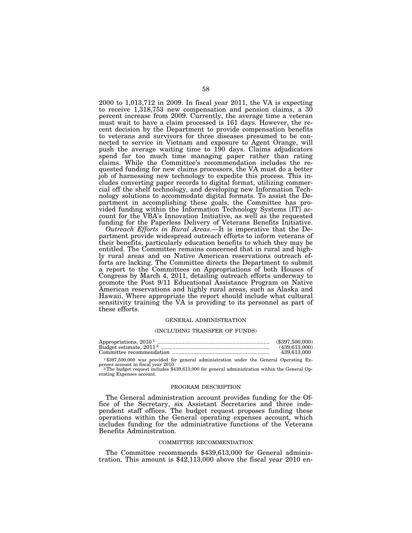2000 to 1,013,712 in 2009. In fiscal year 2011, the VA is expecting to receive 1,318,753 new compensation and pension claims, a 30 percent increase from 2009. Currently, the average time a veteran must wait to have a claim processed is 161 days. However, the recent decision by the Department to provide compensation benefits to veterans and survivors for three diseases presumed to be connected to service in Vietnam and exposure to Agent Orange, will push the average waiting time to 190 days. Claims adjudicators spend far too much time managing paper rather than rating claims. While the Committee's recommendation includes the requested funding for new claims processors, the VA must do a better job of harnessing new technology to expedite this process. This includes converting paper records to digital format, utilizing commercial off the shelf technology, and developing new Information Technology solutions to accommodate digital formats. To assist the Department in accomplishing these goals, the Committee has provided funding within the Information Technology Systems [IT] account for the VBA's Innovation Initiative, as well as the requested funding for the Paperless Delivery of Veterans Benefits Initiative.

*Outreach Efforts in Rural Areas*.—It is imperative that the Department provide widespread outreach efforts to inform veterans of their benefits, particularly education benefits to which they may be entitled. The Committee remains concerned that in rural and highly rural areas and on Native American reservations outreach efforts are lacking. The Committee directs the Department to submit a report to the Committees on Appropriations of both Houses of Congress by March 4, 2011, detailing outreach efforts underway to promote the Post 9/11 Educational Assistance Program on Native American reservations and highly rural areas, such as Alaska and Hawaii. Where appropriate the report should include what cultural sensitivity training the VA is providing to its personnel as part of these efforts.

#### GENERAL ADMINISTRATION

#### (INCLUDING TRANSFER OF FUNDS)

|                                                                                                                                  | $(\$397.500.000)$ |
|----------------------------------------------------------------------------------------------------------------------------------|-------------------|
|                                                                                                                                  | (439.613.000)     |
|                                                                                                                                  | 439,613,000       |
| $1\$ \$397,500,000 was provided for general administration under the General Operating Ex-<br>penses account in fiscal year 2010 |                   |

penses account in fiscal year 2010. 2The budget request includes \$439,613,000 for general administration within the General Operating Expenses account.

#### PROGRAM DESCRIPTION

The General administration account provides funding for the Office of the Secretary, six Assistant Secretaries and three independent staff offices. The budget request proposes funding these operations within the General operating expenses account, which includes funding for the administrative functions of the Veterans Benefits Administration.

### COMMITTEE RECOMMENDATION

The Committee recommends \$439,613,000 for General administration. This amount is \$42,113,000 above the fiscal year 2010 en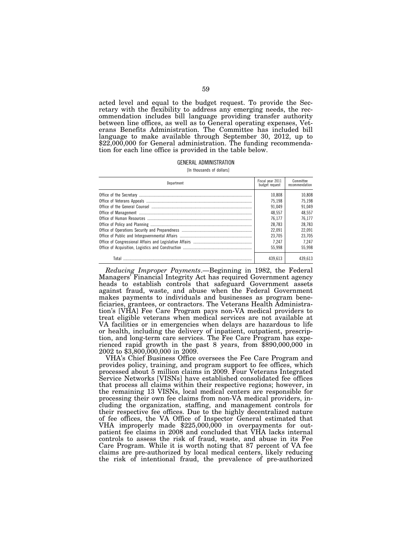acted level and equal to the budget request. To provide the Secretary with the flexibility to address any emerging needs, the recommendation includes bill language providing transfer authority between line offices, as well as to General operating expenses, Veterans Benefits Administration. The Committee has included bill language to make available through September 30, 2012, up to \$22,000,000 for General administration. The funding recommendation for each line office is provided in the table below.

### GENERAL ADMINISTRATION

[In thousands of dollars]

| Department | Fiscal year 2011<br>budget request | Committee<br>recommendation |
|------------|------------------------------------|-----------------------------|
|            | 10.808                             | 10.808                      |
|            | 75.198                             | 75.198                      |
|            | 91.049                             | 91.049                      |
|            | 48.557                             | 48.557                      |
|            | 76.177                             | 76.177                      |
|            | 28.783                             | 28.783                      |
|            | 22.091                             | 22.091                      |
|            | 23.705                             | 23.705                      |
|            | 7.247                              | 7.247                       |
|            | 55.998                             | 55.998                      |
| Total      | 439.613                            | 439.613                     |

*Reducing Improper Payments*.—Beginning in 1982, the Federal Managers' Financial Integrity Act has required Government agency heads to establish controls that safeguard Government assets against fraud, waste, and abuse when the Federal Government makes payments to individuals and businesses as program beneficiaries, grantees, or contractors. The Veterans Health Administration's [VHA] Fee Care Program pays non-VA medical providers to treat eligible veterans when medical services are not available at VA facilities or in emergencies when delays are hazardous to life or health, including the delivery of inpatient, outpatient, prescription, and long-term care services. The Fee Care Program has experienced rapid growth in the past 8 years, from \$890,000,000 in 2002 to \$3,800,000,000 in 2009.

VHA's Chief Business Office oversees the Fee Care Program and provides policy, training, and program support to fee offices, which processed about 5 million claims in 2009. Four Veterans Integrated Service Networks [VISNs] have established consolidated fee offices that process all claims within their respective regions; however, in the remaining 13 VISNs, local medical centers are responsible for processing their own fee claims from non-VA medical providers, including the organization, staffing, and management controls for their respective fee offices. Due to the highly decentralized nature of fee offices, the VA Office of Inspector General estimated that VHA improperly made \$225,000,000 in overpayments for outpatient fee claims in 2008 and concluded that VHA lacks internal controls to assess the risk of fraud, waste, and abuse in its Fee Care Program. While it is worth noting that 87 percent of VA fee claims are pre-authorized by local medical centers, likely reducing the risk of intentional fraud, the prevalence of pre-authorized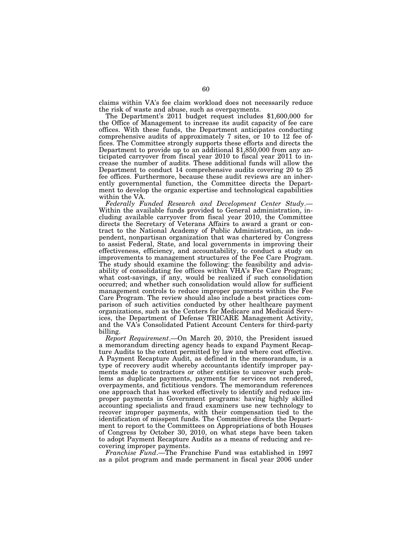claims within VA's fee claim workload does not necessarily reduce the risk of waste and abuse, such as overpayments. The Department's 2011 budget request includes \$1,600,000 for

the Office of Management to increase its audit capacity of fee care offices. With these funds, the Department anticipates conducting comprehensive audits of approximately 7 sites, or 10 to 12 fee offices. The Committee strongly supports these efforts and directs the Department to provide up to an additional \$1,850,000 from any anticipated carryover from fiscal year 2010 to fiscal year 2011 to increase the number of audits. These additional funds will allow the Department to conduct 14 comprehensive audits covering 20 to 25 fee offices. Furthermore, because these audit reviews are an inherently governmental function, the Committee directs the Department to develop the organic expertise and technological capabilities

within the VA.<br>Federally Funded Research and Development Center Study.— Within the available funds provided to General administration, including available carryover from fiscal year 2010, the Committee directs the Secretary of Veterans Affairs to award a grant or contract to the National Academy of Public Administration, an independent, nonpartisan organization that was chartered by Congress to assist Federal, State, and local governments in improving their effectiveness, efficiency, and accountability, to conduct a study on improvements to management structures of the Fee Care Program. The study should examine the following: the feasibility and advisability of consolidating fee offices within VHA's Fee Care Program; what cost-savings, if any, would be realized if such consolidation occurred; and whether such consolidation would allow for sufficient management controls to reduce improper payments within the Fee Care Program. The review should also include a best practices comparison of such activities conducted by other healthcare payment organizations, such as the Centers for Medicare and Medicaid Services, the Department of Defense TRICARE Management Activity, and the VA's Consolidated Patient Account Centers for third-party billing.

*Report Requirement*.—On March 20, 2010, the President issued a memorandum directing agency heads to expand Payment Recapture Audits to the extent permitted by law and where cost effective. A Payment Recapture Audit, as defined in the memorandum, is a type of recovery audit whereby accountants identify improper payments made to contractors or other entities to uncover such problems as duplicate payments, payments for services not rendered, overpayments, and fictitious vendors. The memorandum references one approach that has worked effectively to identify and reduce improper payments in Government programs: having highly skilled accounting specialists and fraud examiners use new technology to recover improper payments, with their compensation tied to the identification of misspent funds. The Committee directs the Department to report to the Committees on Appropriations of both Houses of Congress by October 30, 2010, on what steps have been taken to adopt Payment Recapture Audits as a means of reducing and recovering improper payments.

*Franchise Fund*.—The Franchise Fund was established in 1997 as a pilot program and made permanent in fiscal year 2006 under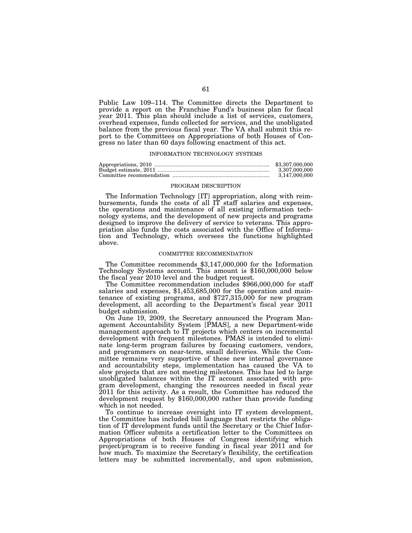Public Law 109–114. The Committee directs the Department to provide a report on the Franchise Fund's business plan for fiscal year 2011. This plan should include a list of services, customers, overhead expenses, funds collected for services, and the unobligated balance from the previous fiscal year. The VA shall submit this report to the Committees on Appropriations of both Houses of Congress no later than 60 days following enactment of this act.

### INFORMATION TECHNOLOGY SYSTEMS

| \$3,307,000,000 |
|-----------------|
| 3.307.000.000   |
| 3.147.000.000   |

#### PROGRAM DESCRIPTION

The Information Technology [IT] appropriation, along with reimbursements, funds the costs of all IT staff salaries and expenses, the operations and maintenance of all existing information technology systems, and the development of new projects and programs designed to improve the delivery of service to veterans. This appropriation also funds the costs associated with the Office of Information and Technology, which oversees the functions highlighted above.

### COMMITTEE RECOMMENDATION

The Committee recommends \$3,147,000,000 for the Information Technology Systems account. This amount is \$160,000,000 below

The Committee recommendation includes \$966,000,000 for staff salaries and expenses, \$1,453,685,000 for the operation and maintenance of existing programs, and \$727,315,000 for new program development, all according to the Department's fiscal year 2011 budget submission.

On June 19, 2009, the Secretary announced the Program Management Accountability System [PMAS], a new Department-wide management approach to IT projects which centers on incremental development with frequent milestones. PMAS is intended to eliminate long-term program failures by focusing customers, vendors, and programmers on near-term, small deliveries. While the Committee remains very supportive of these new internal governance and accountability steps, implementation has caused the VA to slow projects that are not meeting milestones. This has led to large unobligated balances within the IT account associated with program development, changing the resources needed in fiscal year 2011 for this activity. As a result, the Committee has reduced the development request by \$160,000,000 rather than provide funding which is not needed.

To continue to increase oversight into IT system development, the Committee has included bill language that restricts the obligation of IT development funds until the Secretary or the Chief Information Officer submits a certification letter to the Committees on Appropriations of both Houses of Congress identifying which project/program is to receive funding in fiscal year 2011 and for how much. To maximize the Secretary's flexibility, the certification letters may be submitted incrementally, and upon submission,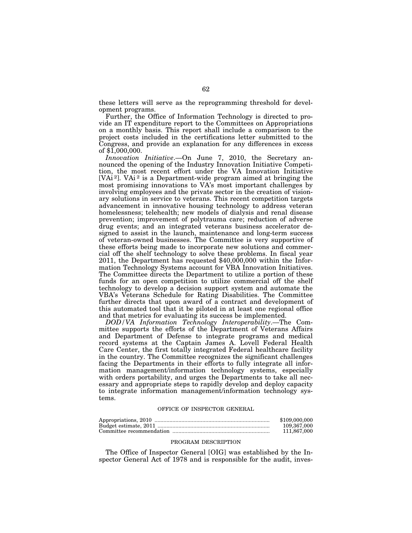these letters will serve as the reprogramming threshold for development programs.

Further, the Office of Information Technology is directed to provide an IT expenditure report to the Committees on Appropriations on a monthly basis. This report shall include a comparison to the project costs included in the certifications letter submitted to the Congress, and provide an explanation for any differences in excess of \$1,000,000.

*Innovation Initiative*.—On June 7, 2010, the Secretary announced the opening of the Industry Innovation Initiative Competition, the most recent effort under the VA Innovation Initiative [VAi<sup>2</sup>]. VAi<sup>2</sup> is a Department-wide program aimed at bringing the most promising innovations to VA's most important challenges by involving employees and the private sector in the creation of visionary solutions in service to veterans. This recent competition targets advancement in innovative housing technology to address veteran homelessness; telehealth; new models of dialysis and renal disease prevention; improvement of polytrauma care; reduction of adverse drug events; and an integrated veterans business accelerator designed to assist in the launch, maintenance and long-term success of veteran-owned businesses. The Committee is very supportive of these efforts being made to incorporate new solutions and commercial off the shelf technology to solve these problems. In fiscal year 2011, the Department has requested \$40,000,000 within the Information Technology Systems account for VBA Innovation Initiatives. The Committee directs the Department to utilize a portion of these funds for an open competition to utilize commercial off the shelf technology to develop a decision support system and automate the VBA's Veterans Schedule for Rating Disabilities. The Committee further directs that upon award of a contract and development of this automated tool that it be piloted in at least one regional office and that metrics for evaluating its success be implemented.

*DOD/VA Information Technology Interoperability*.—The Committee supports the efforts of the Department of Veterans Affairs and Department of Defense to integrate programs and medical record systems at the Captain James A. Lovell Federal Health Care Center, the first totally integrated Federal healthcare facility in the country. The Committee recognizes the significant challenges facing the Departments in their efforts to fully integrate all information management/information technology systems, especially with orders portability, and urges the Departments to take all necessary and appropriate steps to rapidly develop and deploy capacity to integrate information management/information technology systems.

#### OFFICE OF INSPECTOR GENERAL

| \$109,000,000 |
|---------------|
| 109.367.000   |
| 111.867.000   |

### PROGRAM DESCRIPTION

The Office of Inspector General [OIG] was established by the Inspector General Act of 1978 and is responsible for the audit, inves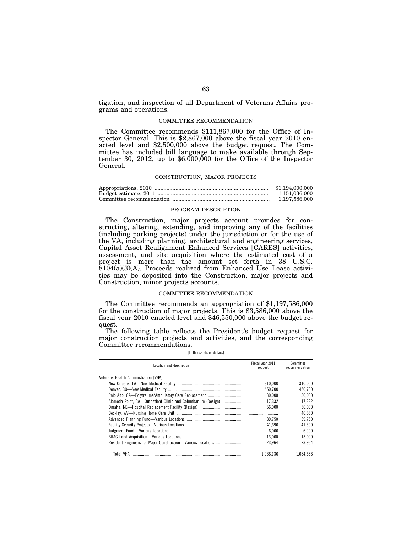tigation, and inspection of all Department of Veterans Affairs programs and operations.

#### COMMITTEE RECOMMENDATION

The Committee recommends \$111,867,000 for the Office of Inspector General. This is \$2,867,000 above the fiscal year 2010 enacted level and \$2,500,000 above the budget request. The Committee has included bill language to make available through September 30, 2012, up to  $$6,000,000$  for the Office of the Inspector General.

## CONSTRUCTION, MAJOR PROJECTS

| \$1,194,000,000 |
|-----------------|
| 1.151.036.000   |
| 1,197,586,000   |

### PROGRAM DESCRIPTION

The Construction, major projects account provides for constructing, altering, extending, and improving any of the facilities (including parking projects) under the jurisdiction or for the use of the VA, including planning, architectural and engineering services, Capital Asset Realignment Enhanced Services [CARES] activities, assessment, and site acquisition where the estimated cost of a project is more than the amount set forth in 38 U.S.C.  $8104(a)(3)(A)$ . Proceeds realized from Enhanced Use Lease activities may be deposited into the Construction, major projects and Construction, minor projects accounts.

## COMMITTEE RECOMMENDATION

The Committee recommends an appropriation of \$1,197,586,000 for the construction of major projects. This is \$3,586,000 above the fiscal year 2010 enacted level and \$46,550,000 above the budget request.

The following table reflects the President's budget request for major construction projects and activities, and the corresponding Committee recommendations.

[In thousands of dollars]

| Location and description                                     | Fiscal year 2011<br>request | Committee<br>recommendation |
|--------------------------------------------------------------|-----------------------------|-----------------------------|
| Veterans Health Administration [VHA]:                        |                             |                             |
|                                                              | 310.000                     | 310.000                     |
|                                                              | 450.700                     | 450.700                     |
|                                                              | 30.000                      | 30.000                      |
| Alameda Point, CA—Outpatient Clinic and Columbarium (Design) | 17,332                      | 17,332                      |
|                                                              | 56.000                      | 56.000                      |
|                                                              |                             | 46.550                      |
|                                                              | 89.750                      | 89.750                      |
|                                                              | 41.390                      | 41.390                      |
|                                                              | 6.000                       | 6.000                       |
|                                                              | 13.000                      | 13.000                      |
|                                                              | 23.964                      | 23.964                      |
| Total VHA                                                    | 1.038.136                   | 1.084.686                   |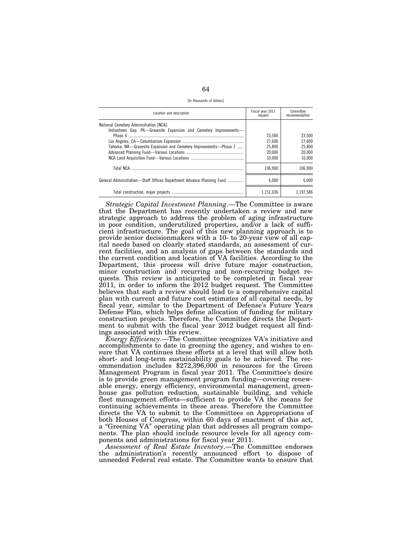64

[In thousands of dollars]

| Location and description                                                                                                                                                         | Fiscal year 2011<br>request                    | Committee<br>recommendation                    |
|----------------------------------------------------------------------------------------------------------------------------------------------------------------------------------|------------------------------------------------|------------------------------------------------|
| National Cemetery Administration [NCA]:<br>Indiantown Gap, PA-Gravesite Expansion and Cemetery Improvements-<br>Tahoma. WA—Gravesite Expansion and Cemetery Improvements—Phase 2 | 23,500<br>27.600<br>25,800<br>20.000<br>10.000 | 23.500<br>27.600<br>25.800<br>20,000<br>10.000 |
|                                                                                                                                                                                  | 106.900                                        | 106.900                                        |
| General Administration—Staff Offices Department Advance Planning Fund                                                                                                            | 6.000                                          | 6.000                                          |
|                                                                                                                                                                                  | 1.151.036                                      | 1.197.586                                      |

*Strategic Capital Investment Planning*.—The Committee is aware that the Department has recently undertaken a review and new strategic approach to address the problem of aging infrastructure in poor condition, underutilized properties, and/or a lack of sufficient infrastructure. The goal of this new planning approach is to provide senior decisionmakers with a 10- to 20-year view of all capital needs based on clearly stated standards, an assessment of current facilities, and an analysis of gaps between the standards and the current condition and location of VA facilities. According to the Department, this process will drive future major construction, minor construction and recurring and non-recurring budget requests. This review is anticipated to be completed in fiscal year 2011, in order to inform the 2012 budget request. The Committee believes that such a review should lead to a comprehensive capital plan with current and future cost estimates of all capital needs, by fiscal year, similar to the Department of Defense's Future Years Defense Plan, which helps define allocation of funding for military construction projects. Therefore, the Committee directs the Department to submit with the fiscal year 2012 budget request all findings associated with this review.

*Energy Efficiency*.—The Committee recognizes VA's initiative and accomplishments to date in greening the agency, and wishes to ensure that VA continues these efforts at a level that will allow both short- and long-term sustainability goals to be achieved. The recommendation includes \$272,396,000 in resources for the Green Management Program in fiscal year 2011. The Committee's desire is to provide green management program funding—covering renewable energy, energy efficiency, environmental management, greenhouse gas pollution reduction, sustainable building, and vehicle fleet management efforts—sufficient to provide VA the means for continuing achievements in these areas. Therefore the Committee directs the VA to submit to the Committees on Appropriations of both Houses of Congress, within 60 days of enactment of this act, a ''Greening VA'' operating plan that addresses all program components. The plan should include resource levels for all agency components and administrations for fiscal year 2011.

*Assessment of Real Estate Inventory*.—The Committee endorses the administration's recently announced effort to dispose of unneeded Federal real estate. The Committee wants to ensure that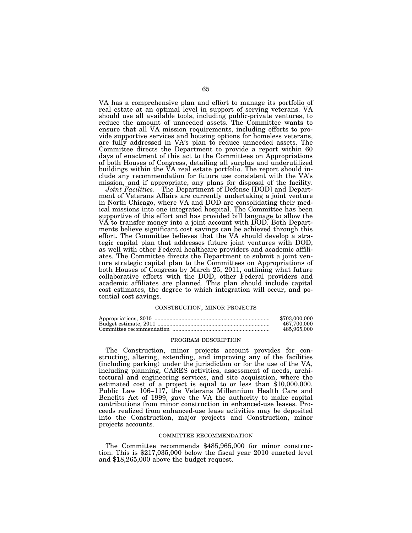VA has a comprehensive plan and effort to manage its portfolio of real estate at an optimal level in support of serving veterans. VA should use all available tools, including public-private ventures, to reduce the amount of unneeded assets. The Committee wants to ensure that all VA mission requirements, including efforts to provide supportive services and housing options for homeless veterans, are fully addressed in VA's plan to reduce unneeded assets. The Committee directs the Department to provide a report within 60 days of enactment of this act to the Committees on Appropriations of both Houses of Congress, detailing all surplus and underutilized buildings within the VA real estate portfolio. The report should include any recommendation for future use consistent with the VA's mission, and if appropriate, any plans for disposal of the facility.

*Joint Facilities*.—The Department of Defense [DOD] and Department of Veterans Affairs are currently undertaking a joint venture in North Chicago, where VA and DOD are consolidating their medical missions into one integrated hospital. The Committee has been supportive of this effort and has provided bill language to allow the VA to transfer money into a joint account with DOD. Both Departments believe significant cost savings can be achieved through this effort. The Committee believes that the VA should develop a strategic capital plan that addresses future joint ventures with DOD, as well with other Federal healthcare providers and academic affiliates. The Committee directs the Department to submit a joint venture strategic capital plan to the Committees on Appropriations of both Houses of Congress by March 25, 2011, outlining what future collaborative efforts with the DOD, other Federal providers and academic affiliates are planned. This plan should include capital cost estimates, the degree to which integration will occur, and potential cost savings.

## CONSTRUCTION, MINOR PROJECTS

| \$703,000,000 |
|---------------|
| 467.700.000   |
| 485,965,000   |

## PROGRAM DESCRIPTION

The Construction, minor projects account provides for constructing, altering, extending, and improving any of the facilities (including parking) under the jurisdiction or for the use of the VA, including planning, CARES activities, assessment of needs, architectural and engineering services, and site acquisition, where the estimated cost of a project is equal to or less than \$10,000,000. Public Law 106–117, the Veterans Millennium Health Care and Benefits Act of 1999, gave the VA the authority to make capital contributions from minor construction in enhanced-use leases. Proceeds realized from enhanced-use lease activities may be deposited into the Construction, major projects and Construction, minor projects accounts.

#### COMMITTEE RECOMMENDATION

The Committee recommends \$485,965,000 for minor construction. This is \$217,035,000 below the fiscal year 2010 enacted level and \$18,265,000 above the budget request.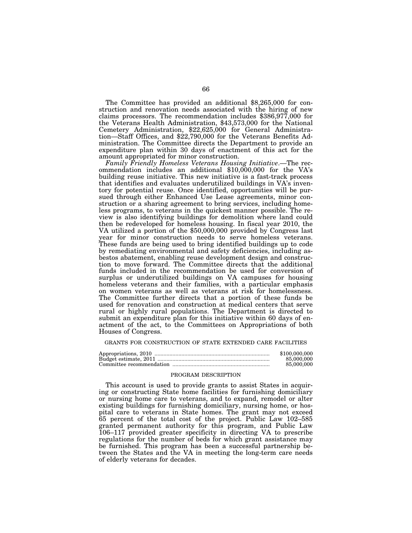The Committee has provided an additional \$8,265,000 for construction and renovation needs associated with the hiring of new claims processors. The recommendation includes \$386,977,000 for the Veterans Health Administration, \$43,573,000 for the National Cemetery Administration, \$22,625,000 for General Administration—Staff Offices, and \$22,790,000 for the Veterans Benefits Administration. The Committee directs the Department to provide an expenditure plan within 30 days of enactment of this act for the amount appropriated for minor construction.

*Family Friendly Homeless Veterans Housing Initiative*.—The recommendation includes an additional \$10,000,000 for the VA's building reuse initiative. This new initiative is a fast-track process that identifies and evaluates underutilized buildings in VA's inventory for potential reuse. Once identified, opportunities will be pursued through either Enhanced Use Lease agreements, minor construction or a sharing agreement to bring services, including homeless programs, to veterans in the quickest manner possible. The review is also identifying buildings for demolition where land could then be redeveloped for homeless housing. In fiscal year 2010, the VA utilized a portion of the \$50,000,000 provided by Congress last year for minor construction needs to serve homeless veterans. These funds are being used to bring identified buildings up to code by remediating environmental and safety deficiencies, including asbestos abatement, enabling reuse development design and construction to move forward. The Committee directs that the additional funds included in the recommendation be used for conversion of surplus or underutilized buildings on VA campuses for housing homeless veterans and their families, with a particular emphasis on women veterans as well as veterans at risk for homelessness. The Committee further directs that a portion of these funds be used for renovation and construction at medical centers that serve rural or highly rural populations. The Department is directed to submit an expenditure plan for this initiative within 60 days of enactment of the act, to the Committees on Appropriations of both Houses of Congress.

## GRANTS FOR CONSTRUCTION OF STATE EXTENDED CARE FACILITIES

| \$100,000,000 |
|---------------|
| 85,000,000    |
| 85,000,000    |

#### PROGRAM DESCRIPTION

This account is used to provide grants to assist States in acquiring or constructing State home facilities for furnishing domiciliary or nursing home care to veterans, and to expand, remodel or alter existing buildings for furnishing domiciliary, nursing home, or hospital care to veterans in State homes. The grant may not exceed 65 percent of the total cost of the project. Public Law 102–585 granted permanent authority for this program, and Public Law 106–117 provided greater specificity in directing VA to prescribe regulations for the number of beds for which grant assistance may be furnished. This program has been a successful partnership between the States and the VA in meeting the long-term care needs of elderly veterans for decades.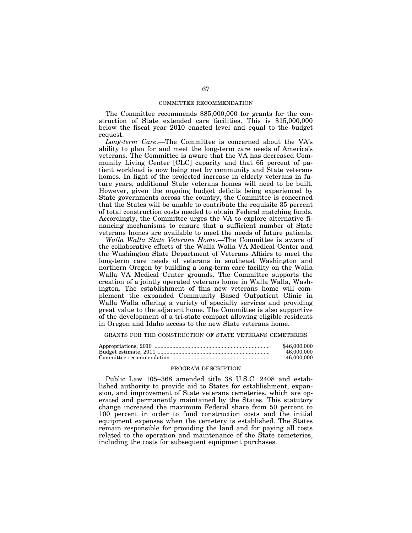### COMMITTEE RECOMMENDATION

The Committee recommends \$85,000,000 for grants for the construction of State extended care facilities. This is \$15,000,000 below the fiscal year 2010 enacted level and equal to the budget request.

*Long-term Care*.—The Committee is concerned about the VA's ability to plan for and meet the long-term care needs of America's veterans. The Committee is aware that the VA has decreased Community Living Center [CLC] capacity and that 65 percent of patient workload is now being met by community and State veterans homes. In light of the projected increase in elderly veterans in future years, additional State veterans homes will need to be built. However, given the ongoing budget deficits being experienced by State governments across the country, the Committee is concerned that the States will be unable to contribute the requisite 35 percent of total construction costs needed to obtain Federal matching funds. Accordingly, the Committee urges the VA to explore alternative financing mechanisms to ensure that a sufficient number of State veterans homes are available to meet the needs of future patients.

*Walla Walla State Veterans Home*.—The Committee is aware of the collaborative efforts of the Walla Walla VA Medical Center and the Washington State Department of Veterans Affairs to meet the long-term care needs of veterans in southeast Washington and northern Oregon by building a long-term care facility on the Walla Walla VA Medical Center grounds. The Committee supports the creation of a jointly operated veterans home in Walla Walla, Washington. The establishment of this new veterans home will complement the expanded Community Based Outpatient Clinic in Walla Walla offering a variety of specialty services and providing great value to the adjacent home. The Committee is also supportive of the development of a tri-state compact allowing eligible residents in Oregon and Idaho access to the new State veterans home.

GRANTS FOR THE CONSTRUCTION OF STATE VETERANS CEMETERIES

| \$46,000,000 |
|--------------|
| 46,000,000   |
| 46,000,000   |

### PROGRAM DESCRIPTION

Public Law 105–368 amended title 38 U.S.C. 2408 and established authority to provide aid to States for establishment, expansion, and improvement of State veterans cemeteries, which are operated and permanently maintained by the States. This statutory change increased the maximum Federal share from 50 percent to 100 percent in order to fund construction costs and the initial equipment expenses when the cemetery is established. The States remain responsible for providing the land and for paying all costs related to the operation and maintenance of the State cemeteries, including the costs for subsequent equipment purchases.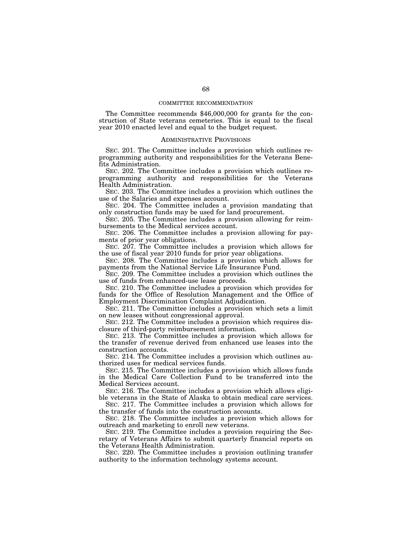## COMMITTEE RECOMMENDATION

The Committee recommends \$46,000,000 for grants for the construction of State veterans cemeteries. This is equal to the fiscal year 2010 enacted level and equal to the budget request.

## ADMINISTRATIVE PROVISIONS

SEC. 201. The Committee includes a provision which outlines reprogramming authority and responsibilities for the Veterans Benefits Administration.

SEC. 202. The Committee includes a provision which outlines reprogramming authority and responsibilities for the Veterans Health Administration.

SEC. 203. The Committee includes a provision which outlines the use of the Salaries and expenses account.

SEC. 204. The Committee includes a provision mandating that only construction funds may be used for land procurement.

SEC. 205. The Committee includes a provision allowing for reimbursements to the Medical services account.

SEC. 206. The Committee includes a provision allowing for payments of prior year obligations.

SEC. 207. The Committee includes a provision which allows for the use of fiscal year 2010 funds for prior year obligations.

SEC. 208. The Committee includes a provision which allows for payments from the National Service Life Insurance Fund.

SEC. 209. The Committee includes a provision which outlines the use of funds from enhanced-use lease proceeds.

SEC. 210. The Committee includes a provision which provides for funds for the Office of Resolution Management and the Office of Employment Discrimination Complaint Adjudication.

SEC. 211. The Committee includes a provision which sets a limit on new leases without congressional approval.

SEC. 212. The Committee includes a provision which requires disclosure of third-party reimbursement information.

SEC. 213. The Committee includes a provision which allows for the transfer of revenue derived from enhanced use leases into the construction accounts.

SEC. 214. The Committee includes a provision which outlines authorized uses for medical services funds.

SEC. 215. The Committee includes a provision which allows funds in the Medical Care Collection Fund to be transferred into the Medical Services account.

SEC. 216. The Committee includes a provision which allows eligible veterans in the State of Alaska to obtain medical care services.

SEC. 217. The Committee includes a provision which allows for the transfer of funds into the construction accounts.

SEC. 218. The Committee includes a provision which allows for outreach and marketing to enroll new veterans.

SEC. 219. The Committee includes a provision requiring the Secretary of Veterans Affairs to submit quarterly financial reports on the Veterans Health Administration.

SEC. 220. The Committee includes a provision outlining transfer authority to the information technology systems account.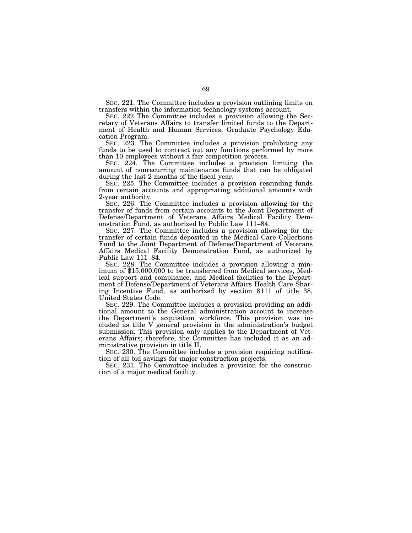SEC. 221. The Committee includes a provision outlining limits on transfers within the information technology systems account.

SEC. 222 The Committee includes a provision allowing the Secretary of Veterans Affairs to transfer limited funds to the Department of Health and Human Services, Graduate Psychology Education Program.

SEC. 223. The Committee includes a provision prohibiting any funds to be used to contract out any functions performed by more than 10 employees without a fair competition process.

SEC. 224. The Committee includes a provision limiting the amount of nonrecurring maintenance funds that can be obligated during the last 2 months of the fiscal year.

SEC. 225. The Committee includes a provision rescinding funds from certain accounts and appropriating additional amounts with 2-year authority.

SEC. 226. The Committee includes a provision allowing for the transfer of funds from certain accounts to the Joint Department of Defense/Department of Veterans Affairs Medical Facility Demonstration Fund, as authorized by Public Law 111–84.

SEC. 227. The Committee includes a provision allowing for the transfer of certain funds deposited in the Medical Care Collections Fund to the Joint Department of Defense/Department of Veterans Affairs Medical Facility Demonstration Fund, as authorized by Public Law 111–84.

SEC. 228. The Committee includes a provision allowing a min- imum of \$15,000,000 to be transferred from Medical services, Medical support and compliance, and Medical facilities to the Department of Defense/Department of Veterans Affairs Health Care Sharing Incentive Fund, as authorized by section 8111 of title 38, United States Code.

SEC. 229. The Committee includes a provision providing an additional amount to the General administration account to increase the Department's acquisition workforce. This provision was included as title V general provision in the administration's budget submission. This provision only applies to the Department of Veterans Affairs; therefore, the Committee has included it as an administrative provision in title II.

SEC. 230. The Committee includes a provision requiring notification of all bid savings for major construction projects.

SEC. 231. The Committee includes a provision for the construction of a major medical facility.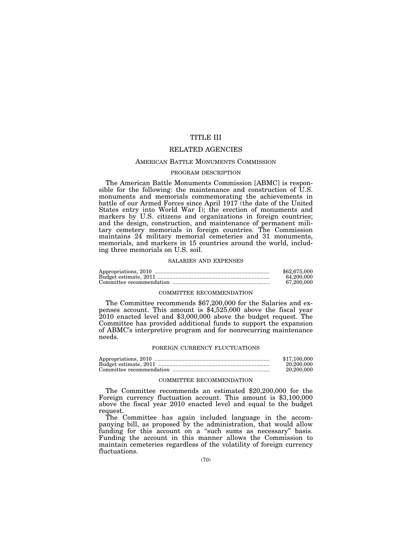# TITLE III

# RELATED AGENCIES

## AMERICAN BATTLE MONUMENTS COMMISSION

## PROGRAM DESCRIPTION

The American Battle Monuments Commission [ABMC] is responsible for the following: the maintenance and construction of U.S. monuments and memorials commemorating the achievements in battle of our Armed Forces since April 1917 (the date of the United States entry into World War I); the erection of monuments and markers by U.S. citizens and organizations in foreign countries; and the design, construction, and maintenance of permanent military cemetery memorials in foreign countries. The Commission maintains  $24$  military memorial cemeteries and 31 monuments, memorials, and markers in 15 countries around the world, including three memorials on U.S. soil.

#### SALARIES AND EXPENSES

| \$62,675,000 |
|--------------|
| 64.200.000   |
| 67.200.000   |

## COMMITTEE RECOMMENDATION

The Committee recommends \$67,200,000 for the Salaries and expenses account. This amount is \$4,525,000 above the fiscal year 2010 enacted level and \$3,000,000 above the budget request. The Committee has provided additional funds to support the expansion of ABMC's interpretive program and for nonrecurring maintenance needs.

#### FOREIGN CURRENCY FLUCTUATIONS

| \$17,100,000 |
|--------------|
| 20,200,000   |
| 20,200,000   |

## COMMITTEE RECOMMENDATION

The Committee recommends an estimated \$20,200,000 for the Foreign currency fluctuation account. This amount is \$3,100,000 above the fiscal year 2010 enacted level and equal to the budget request.

The Committee has again included language in the accompanying bill, as proposed by the administration, that would allow funding for this account on a "such sums as necessary" basis. Funding the account in this manner allows the Commission to maintain cemeteries regardless of the volatility of foreign currency fluctuations.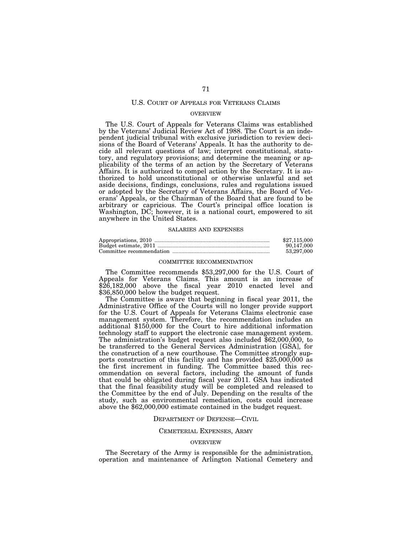## U.S. COURT OF APPEALS FOR VETERANS CLAIMS

### OVERVIEW

The U.S. Court of Appeals for Veterans Claims was established by the Veterans' Judicial Review Act of 1988. The Court is an independent judicial tribunal with exclusive jurisdiction to review decisions of the Board of Veterans' Appeals. It has the authority to decide all relevant questions of law; interpret constitutional, statutory, and regulatory provisions; and determine the meaning or applicability of the terms of an action by the Secretary of Veterans Affairs. It is authorized to compel action by the Secretary. It is authorized to hold unconstitutional or otherwise unlawful and set aside decisions, findings, conclusions, rules and regulations issued or adopted by the Secretary of Veterans Affairs, the Board of Veterans' Appeals, or the Chairman of the Board that are found to be arbitrary or capricious. The Court's principal office location is Washington, DC; however, it is a national court, empowered to sit anywhere in the United States.

## SALARIES AND EXPENSES

| \$27,115,000 |
|--------------|
| 90.147.000   |
| 53.297.000   |

### COMMITTEE RECOMMENDATION

The Committee recommends \$53,297,000 for the U.S. Court of Appeals for Veterans Claims. This amount is an increase of \$26,182,000 above the fiscal year 2010 enacted level and \$36,850,000 below the budget request.

The Committee is aware that beginning in fiscal year 2011, the Administrative Office of the Courts will no longer provide support for the U.S. Court of Appeals for Veterans Claims electronic case management system. Therefore, the recommendation includes an additional \$150,000 for the Court to hire additional information technology staff to support the electronic case management system. The administration's budget request also included \$62,000,000, to be transferred to the General Services Administration [GSA], for the construction of a new courthouse. The Committee strongly supports construction of this facility and has provided  $$25,000,000$  as the first increment in funding. The Committee based this recommendation on several factors, including the amount of funds that could be obligated during fiscal year 2011. GSA has indicated that the final feasibility study will be completed and released to the Committee by the end of July. Depending on the results of the study, such as environmental remediation, costs could increase above the \$62,000,000 estimate contained in the budget request.

### DEPARTMENT OF DEFENSE—CIVIL

#### CEMETERIAL EXPENSES, ARMY

#### OVERVIEW

The Secretary of the Army is responsible for the administration, operation and maintenance of Arlington National Cemetery and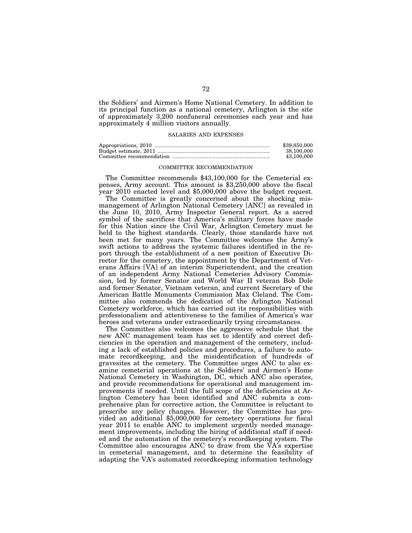the Soldiers' and Airmen's Home National Cemetery. In addition to its principal function as a national cemetery, Arlington is the site of approximately 3,200 nonfuneral ceremonies each year and has approximately 4 million visitors annually.

## SALARIES AND EXPENSES

| \$39,850,000 |
|--------------|
| 38.100.000   |
| 43.100.000   |

## COMMITTEE RECOMMENDATION

The Committee recommends \$43,100,000 for the Cemeterial expenses, Army account. This amount is \$3,250,000 above the fiscal year 2010 enacted level and \$5,000,000 above the budget request.

The Committee is greatly concerned about the shocking mismanagement of Arlington National Cemetery [ANC] as revealed in the June 10, 2010, Army Inspector General report. As a sacred symbol of the sacrifices that America's military forces have made for this Nation since the Civil War, Arlington Cemetery must be held to the highest standards. Clearly, those standards have not been met for many years. The Committee welcomes the Army's swift actions to address the systemic failures identified in the report through the establishment of a new position of Executive Director for the cemetery, the appointment by the Department of Veterans Affairs [VA] of an interim Superintendent, and the creation of an independent Army National Cemeteries Advisory Commission, led by former Senator and World War II veteran Bob Dole and former Senator, Vietnam veteran, and current Secretary of the American Battle Monuments Commission Max Cleland. The Committee also commends the dedication of the Arlington National Cemetery workforce, which has carried out its responsibilities with professionalism and attentiveness to the families of America's war heroes and veterans under extraordinarily trying circumstances.

The Committee also welcomes the aggressive schedule that the new ANC management team has set to identify and correct deficiencies in the operation and management of the cemetery, including a lack of established policies and procedures, a failure to automate recordkeeping, and the misidentification of hundreds of gravesites at the cemetery. The Committee urges ANC to also examine cemeterial operations at the Soldiers' and Airmen's Home National Cemetery in Washington, DC, which ANC also operates, and provide recommendations for operational and management improvements if needed. Until the full scope of the deficiencies at Arlington Cemetery has been identified and ANC submits a comprehensive plan for corrective action, the Committee is reluctant to prescribe any policy changes. However, the Committee has provided an additional \$5,000,000 for cemetery operations for fiscal year 2011 to enable ANC to implement urgently needed management improvements, including the hiring of additional staff if needed and the automation of the cemetery's recordkeeping system. The Committee also encourages ANC to draw from the VA's expertise in cemeterial management, and to determine the feasibility of adapting the VA's automated recordkeeping information technology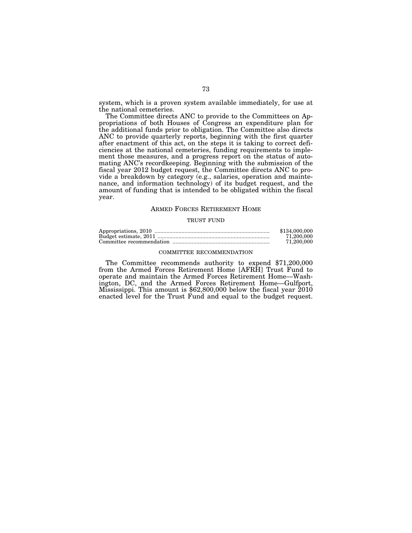system, which is a proven system available immediately, for use at the national cemeteries.

The Committee directs ANC to provide to the Committees on Appropriations of both Houses of Congress an expenditure plan for the additional funds prior to obligation. The Committee also directs ANC to provide quarterly reports, beginning with the first quarter after enactment of this act, on the steps it is taking to correct deficiencies at the national cemeteries, funding requirements to implement those measures, and a progress report on the status of automating ANC's recordkeeping. Beginning with the submission of the fiscal year 2012 budget request, the Committee directs ANC to provide a breakdown by category (e.g., salaries, operation and maintenance, and information technology) of its budget request, and the amount of funding that is intended to be obligated within the fiscal year.

#### ARMED FORCES RETIREMENT HOME

#### TRUST FUND

| \$134,000,000 |
|---------------|
| 71.200.000    |
| 71.200.000    |

#### COMMITTEE RECOMMENDATION

The Committee recommends authority to expend \$71,200,000 from the Armed Forces Retirement Home [AFRH] Trust Fund to operate and maintain the Armed Forces Retirement Home—Washington, DC, and the Armed Forces Retirement Home—Gulfport, Mississippi. This amount is \$62,800,000 below the fiscal year 2010 enacted level for the Trust Fund and equal to the budget request.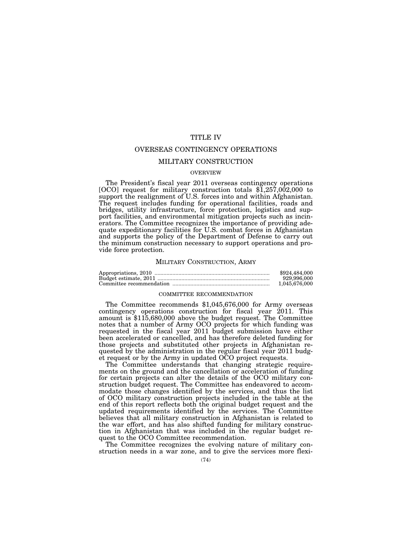### TITLE IV

### OVERSEAS CONTINGENCY OPERATIONS

#### MILITARY CONSTRUCTION

#### OVERVIEW

The President's fiscal year 2011 overseas contingency operations [OCO] request for military construction totals \$1,257,002,000 to support the realignment of U.S. forces into and within Afghanistan. The request includes funding for operational facilities, roads and bridges, utility infrastructure, force protection, logistics and support facilities, and environmental mitigation projects such as incinerators. The Committee recognizes the importance of providing adequate expeditionary facilities for U.S. combat forces in Afghanistan and supports the policy of the Department of Defense to carry out the minimum construction necessary to support operations and provide force protection.

#### MILITARY CONSTRUCTION, ARMY

| \$924,484,000 |
|---------------|
| 929.996.000   |
| 1.045.676.000 |

#### COMMITTEE RECOMMENDATION

The Committee recommends \$1,045,676,000 for Army overseas contingency operations construction for fiscal year  $2011$ . This amount is \$115,680,000 above the budget request. The Committee notes that a number of Army OCO projects for which funding was requested in the fiscal year 2011 budget submission have either been accelerated or cancelled, and has therefore deleted funding for those projects and substituted other projects in Afghanistan requested by the administration in the regular fiscal year 2011 budget request or by the Army in updated OCO project requests.

The Committee understands that changing strategic requirements on the ground and the cancellation or acceleration of funding for certain projects can alter the details of the OCO military construction budget request. The Committee has endeavored to accommodate those changes identified by the services, and thus the list of OCO military construction projects included in the table at the end of this report reflects both the original budget request and the updated requirements identified by the services. The Committee believes that all military construction in Afghanistan is related to the war effort, and has also shifted funding for military construction in Afghanistan that was included in the regular budget request to the OCO Committee recommendation.

The Committee recognizes the evolving nature of military construction needs in a war zone, and to give the services more flexi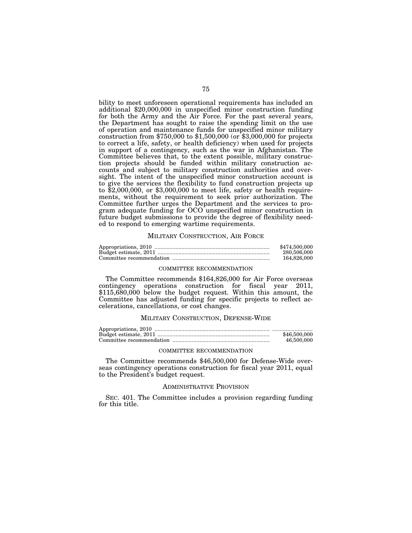bility to meet unforeseen operational requirements has included an additional \$20,000,000 in unspecified minor construction funding for both the Army and the Air Force. For the past several years, the Department has sought to raise the spending limit on the use of operation and maintenance funds for unspecified minor military construction from \$750,000 to \$1,500,000 (or \$3,000,000 for projects to correct a life, safety, or health deficiency) when used for projects in support of a contingency, such as the war in Afghanistan. The Committee believes that, to the extent possible, military construction projects should be funded within military construction accounts and subject to military construction authorities and oversight. The intent of the unspecified minor construction account is to give the services the flexibility to fund construction projects up to \$2,000,000, or \$3,000,000 to meet life, safety or health requirements, without the requirement to seek prior authorization. The Committee further urges the Department and the services to program adequate funding for OCO unspecified minor construction in future budget submissions to provide the degree of flexibility needed to respond to emerging wartime requirements.

#### MILITARY CONSTRUCTION, AIR FORCE

| \$474,500,000 |
|---------------|
| 280,506,000   |
| 164.826.000   |

#### COMMITTEE RECOMMENDATION

The Committee recommends \$164,826,000 for Air Force overseas contingency operations construction for fiscal year 2011,  $$115,680,000$  below the budget request. Within this amount, the Committee has adjusted funding for specific projects to reflect accelerations, cancellations, or cost changes.

#### MILITARY CONSTRUCTION, DEFENSE-WIDE

| \$46,500,000 |
|--------------|
| 46,500,000   |

#### COMMITTEE RECOMMENDATION

The Committee recommends \$46,500,000 for Defense-Wide overseas contingency operations construction for fiscal year 2011, equal to the President's budget request.

#### ADMINISTRATIVE PROVISION

SEC. 401. The Committee includes a provision regarding funding for this title.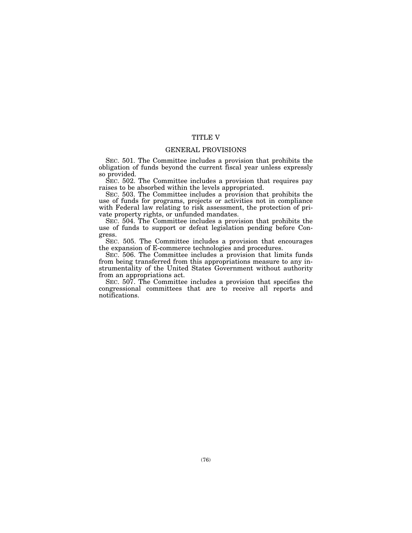### TITLE V

### GENERAL PROVISIONS

SEC. 501. The Committee includes a provision that prohibits the obligation of funds beyond the current fiscal year unless expressly so provided.

SEC. 502. The Committee includes a provision that requires pay raises to be absorbed within the levels appropriated.

SEC. 503. The Committee includes a provision that prohibits the use of funds for programs, projects or activities not in compliance with Federal law relating to risk assessment, the protection of private property rights, or unfunded mandates.

SEC. 504. The Committee includes a provision that prohibits the use of funds to support or defeat legislation pending before Congress.

SEC. 505. The Committee includes a provision that encourages the expansion of E-commerce technologies and procedures.

SEC. 506. The Committee includes a provision that limits funds from being transferred from this appropriations measure to any instrumentality of the United States Government without authority from an appropriations act.

SEC. 507. The Committee includes a provision that specifies the congressional committees that are to receive all reports and notifications.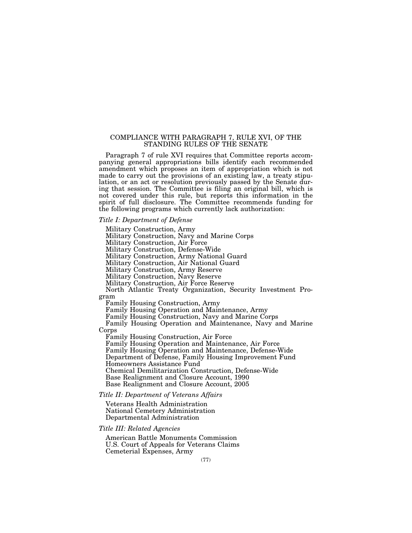### COMPLIANCE WITH PARAGRAPH 7, RULE XVI, OF THE STANDING RULES OF THE SENATE

Paragraph 7 of rule XVI requires that Committee reports accompanying general appropriations bills identify each recommended amendment which proposes an item of appropriation which is not made to carry out the provisions of an existing law, a treaty stipulation, or an act or resolution previously passed by the Senate during that session. The Committee is filing an original bill, which is not covered under this rule, but reports this information in the spirit of full disclosure. The Committee recommends funding for the following programs which currently lack authorization:

#### *Title I: Department of Defense*

Military Construction, Army

Military Construction, Navy and Marine Corps

Military Construction, Air Force

Military Construction, Defense-Wide

Military Construction, Army National Guard

Military Construction, Air National Guard

Military Construction, Army Reserve

Military Construction, Navy Reserve

Military Construction, Air Force Reserve

North Atlantic Treaty Organization, Security Investment Program

Family Housing Construction, Army

Family Housing Operation and Maintenance, Army

Family Housing Construction, Navy and Marine Corps

Family Housing Operation and Maintenance, Navy and Marine Corps

Family Housing Construction, Air Force

Family Housing Operation and Maintenance, Air Force

Family Housing Operation and Maintenance, Defense-Wide

Department of Defense, Family Housing Improvement Fund

Homeowners Assistance Fund

Chemical Demilitarization Construction, Defense-Wide

Base Realignment and Closure Account, 1990

Base Realignment and Closure Account, 2005

### *Title II: Department of Veterans Affairs*

Veterans Health Administration National Cemetery Administration Departmental Administration

#### *Title III: Related Agencies*

American Battle Monuments Commission U.S. Court of Appeals for Veterans Claims Cemeterial Expenses, Army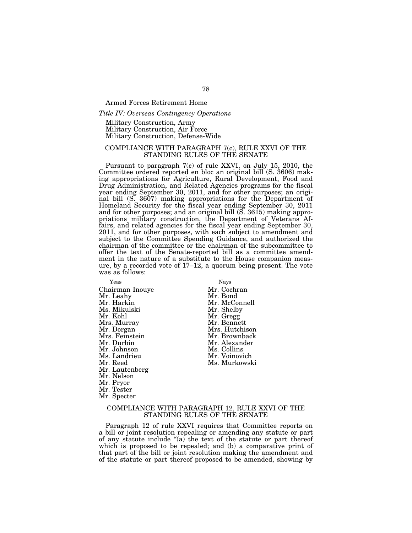#### Armed Forces Retirement Home

#### *Title IV: Overseas Contingency Operations*

Military Construction, Army Military Construction, Air Force Military Construction, Defense-Wide

### COMPLIANCE WITH PARAGRAPH 7(c), RULE XXVI OF THE STANDING RULES OF THE SENATE

Pursuant to paragraph 7(c) of rule XXVI, on July 15, 2010, the Committee ordered reported en bloc an original bill (S. 3606) making appropriations for Agriculture, Rural Development, Food and Drug Administration, and Related Agencies programs for the fiscal year ending September 30, 2011, and for other purposes; an original bill (S. 3607) making appropriations for the Department of Homeland Security for the fiscal year ending September 30, 2011 and for other purposes; and an original bill (S. 3615) making appropriations military construction, the Department of Veterans Affairs, and related agencies for the fiscal year ending September 30, 2011, and for other purposes, with each subject to amendment and subject to the Committee Spending Guidance, and authorized the chairman of the committee or the chairman of the subcommittee to offer the text of the Senate-reported bill as a committee amendment in the nature of a substitute to the House companion measure, by a recorded vote of 17–12, a quorum being present. The vote was as follows:

Yeas Nays Chairman Inouye Mr. Cochran Mr. Leahy<br>Mr. Harkin Ms. Mikulski<br>Mr. Kohl Mrs. Murray<br>Mr. Dorgan Mrs. Feinstein<br>Mr. Durbin Mr. Johnson Ms. Collins Ms. Landrieu Mr. Voinovich Mr. Lautenberg Mr. Nelson Mr. Pryor Mr. Tester Mr. Specter

Mr. McConnell<br>Mr. Shelby Mr. Gregg<br>Mr. Bennett Mrs. Hutchison<br>Mr. Brownback Mr. Alexander Ms. Murkowski

### COMPLIANCE WITH PARAGRAPH 12, RULE XXVI OF THE STANDING RULES OF THE SENATE

Paragraph 12 of rule XXVI requires that Committee reports on a bill or joint resolution repealing or amending any statute or part of any statute include ''(a) the text of the statute or part thereof which is proposed to be repealed; and (b) a comparative print of that part of the bill or joint resolution making the amendment and of the statute or part thereof proposed to be amended, showing by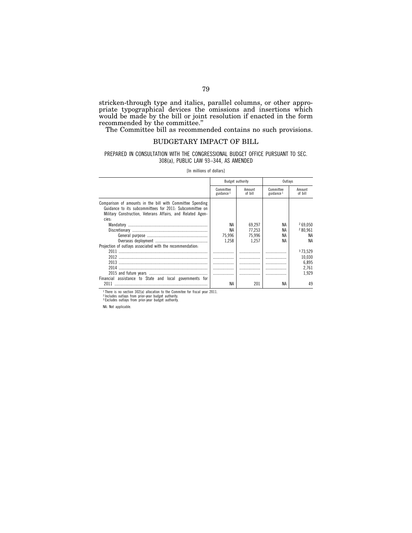stricken-through type and italics, parallel columns, or other appropriate typographical devices the omissions and insertions which would be made by the bill or joint resolution if enacted in the form recommended by the committee.''

The Committee bill as recommended contains no such provisions.

### BUDGETARY IMPACT OF BILL

### PREPARED IN CONSULTATION WITH THE CONGRESSIONAL BUDGET OFFICE PURSUANT TO SEC. 308(a), PUBLIC LAW 93–344, AS AMENDED

[In millions of dollars]

|                                                                                                                                                                                             |                           | Budget authority  | Outlavs                   |                   |  |
|---------------------------------------------------------------------------------------------------------------------------------------------------------------------------------------------|---------------------------|-------------------|---------------------------|-------------------|--|
|                                                                                                                                                                                             | Committee<br>guidance $1$ | Amount<br>of bill | Committee<br>guidance $1$ | Amount<br>of bill |  |
| Comparison of amounts in the bill with Committee Spending<br>Guidance to its subcommittees for 2011: Subcommittee on<br>Military Construction, Veterans Affairs, and Related Agen-<br>cies: |                           |                   |                           |                   |  |
|                                                                                                                                                                                             | NA                        | 69.297            | ΝA                        | 269.050           |  |
|                                                                                                                                                                                             | ΝA                        | 77.253            | ΝA                        | 280.961           |  |
|                                                                                                                                                                                             | 75.996                    | 75.996            | NA                        | ΝA                |  |
|                                                                                                                                                                                             | 1.258                     | 1.257             | ΝA                        | ΝA                |  |
| Projection of outlays associated with the recommendation:                                                                                                                                   |                           |                   |                           |                   |  |
| 2011                                                                                                                                                                                        | .                         |                   |                           | 373.529           |  |
|                                                                                                                                                                                             |                           | .                 | .                         | 10,030            |  |
| 2013                                                                                                                                                                                        |                           |                   |                           | 6.895             |  |
| 2014                                                                                                                                                                                        |                           |                   |                           | 2.761             |  |
|                                                                                                                                                                                             |                           |                   |                           | 1.929             |  |
| Financial assistance to State and local governments for                                                                                                                                     |                           |                   |                           |                   |  |
| 2011                                                                                                                                                                                        | ΝA                        | 201               | NA                        | 49                |  |

<sup>1</sup> There is no section 302(a) allocation to the Commitee for fiscal year 2011.<br><sup>2</sup> Includes outlays from prior-year budget authority.<br><sup>3 Excludes outlays from prior-year budget authority.</sup>

NA: Not applicable.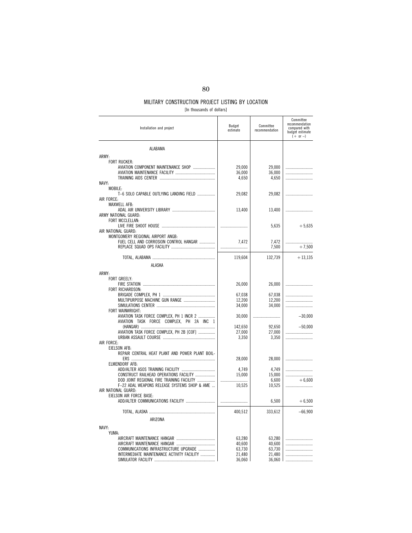[In thousands of dollars]

| Installation and project                                                             | Budget<br>estimate | Committee<br>recommendation | Committee<br>recommendation<br>compared with<br>budget estimate<br>$(+ or -)$ |
|--------------------------------------------------------------------------------------|--------------------|-----------------------------|-------------------------------------------------------------------------------|
| ALABAMA                                                                              |                    |                             |                                                                               |
| ARMY:                                                                                |                    |                             |                                                                               |
| <b>FORT RUCKER:</b>                                                                  |                    |                             |                                                                               |
| AVIATION COMPONENT MAINTENANCE SHOP                                                  | 29,000             | 29,000                      |                                                                               |
|                                                                                      | 36,000<br>4,650    | 36,000<br>4,650             |                                                                               |
| NAVY:                                                                                |                    |                             |                                                                               |
| MOBILE:                                                                              |                    |                             |                                                                               |
| T-6 SOLO CAPABLE OUTLYING LANDING FIELD                                              | 29,082             | 29,082                      |                                                                               |
| AIR FORCE:<br>MAXWELL AFB:                                                           |                    |                             |                                                                               |
|                                                                                      | 13,400             | 13,400                      |                                                                               |
| ARMY NATIONAL GUARD:                                                                 |                    |                             |                                                                               |
| FORT MCCLELLAN:                                                                      |                    |                             |                                                                               |
| AIR NATIONAL GUARD:                                                                  |                    | 5,635                       | $+5,635$                                                                      |
| MONTGOMERY REGIONAL AIRPORT ANGB:                                                    |                    |                             |                                                                               |
| FUEL CELL AND CORROSION CONTROL HANGAR                                               | 7,472              | 7,472                       |                                                                               |
|                                                                                      |                    | 7,500                       | $+7,500$                                                                      |
|                                                                                      | 119,604            | 132,739                     | $+13,135$                                                                     |
| <b>ALASKA</b>                                                                        |                    |                             |                                                                               |
| ARMY:                                                                                |                    |                             |                                                                               |
| <b>FORT GREELY:</b>                                                                  |                    |                             |                                                                               |
|                                                                                      | 26,000             | 26,000                      |                                                                               |
| FORT RICHARDSON:                                                                     |                    |                             |                                                                               |
| MULTIPURPOSE MACHINE GUN RANGE                                                       | 67,038<br>12,200   | 67.038<br>12,200            |                                                                               |
|                                                                                      | 34,000             | 34,000                      |                                                                               |
| FORT WAINWRIGHT:                                                                     |                    |                             |                                                                               |
| AVIATION TASK FORCE COMPLEX, PH 1 INCR 2<br>AVIATION TASK FORCE COMPLEX, PH 2A INC 1 | 30,000             |                             | $-30,000$                                                                     |
|                                                                                      | 142,650            | 92,650                      | $-50,000$                                                                     |
| AVIATION TASK FORCE COMPLEX, PH 2B [COF]                                             | 27,000             | 27,000                      |                                                                               |
|                                                                                      | 3,350              | 3,350                       |                                                                               |
| AIR FORCE:<br>EIELSON AFB:                                                           |                    |                             |                                                                               |
| REPAIR CENTRAL HEAT PLANT AND POWER PLANT BOIL-                                      |                    |                             |                                                                               |
|                                                                                      | 28,000             | 28,000                      |                                                                               |
| ELMENDORF AFB:                                                                       |                    |                             |                                                                               |
| CONSTRUCT RAILHEAD OPERATIONS FACILITY                                               | 4,749<br>15,000    | 4,749<br>15,000             |                                                                               |
| DOD JOINT REGIONAL FIRE TRAINING FACILITY                                            |                    | 6,600                       | $+6.600$                                                                      |
| F-22 ADAL WEAPONS RELEASE SYSTEMS SHOP & AME                                         | 10,525             | 10,525                      |                                                                               |
| AIR NATIONAL GUARD:<br>EIELSON AIR FORCE BASE:                                       |                    |                             |                                                                               |
|                                                                                      |                    | 6,500                       | $+6,500$                                                                      |
|                                                                                      |                    |                             |                                                                               |
|                                                                                      | 400,512            | 333,612                     | $-66,900$                                                                     |
| ARIZONA                                                                              |                    |                             |                                                                               |
| NAVY:                                                                                |                    |                             |                                                                               |
| YUMA:                                                                                | 63,280             | 63,280                      |                                                                               |
|                                                                                      | 40,600             | 40.600                      |                                                                               |
| COMMUNICATIONS INFRASTRUCTURE UPGRADE                                                | 63,730             | 63,730                      |                                                                               |
| INTERMEDIATE MAINTENANCE ACTIVITY FACILITY                                           | 21,480             | 21,480                      |                                                                               |
|                                                                                      | 36,060             | 36,060                      |                                                                               |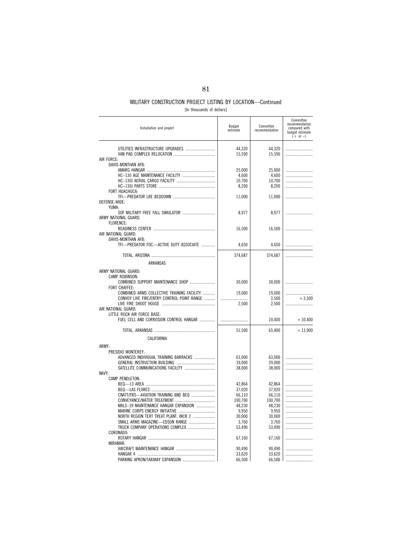| Installation and project                                              | Budget<br>estimate | Committee<br>recommendation | Committee<br>recommendation<br>compared with<br>budget estimate<br>$( + or - )$ |
|-----------------------------------------------------------------------|--------------------|-----------------------------|---------------------------------------------------------------------------------|
| UTILITIES INFRASTRUCTURE UPGRADES<br>AIR FORCE:                       | 44,320<br>15,590   | 44,320<br>15,590            |                                                                                 |
| DAVIS-MONTHAN AFB:                                                    |                    |                             |                                                                                 |
|                                                                       | 25.000             | 25.000                      |                                                                                 |
|                                                                       | 4,600              | 4,600                       |                                                                                 |
|                                                                       | 10,700             | 10,700                      |                                                                                 |
| FORT HUACHUCA:                                                        | 8,200              | 8,200                       |                                                                                 |
| DEFENSE-WIDE:                                                         | 11,000             | 11,000                      |                                                                                 |
| YUMA:<br>SOF MILITARY FREE FALL SIMULATOR<br>ARMY NATIONAL GUARD:     | 8,977              | 8,977                       |                                                                                 |
| FLORENCE:                                                             |                    |                             |                                                                                 |
| AIR NATIONAL GUARD:<br>DAVIS-MONTHAN AFB:                             | 16,500             | 16,500                      |                                                                                 |
| TFI-PREDATOR FOC-ACTIVE DUTY ASSOCIATE                                | 4,650              | 4,650                       |                                                                                 |
|                                                                       | 374,687            | 374,687                     |                                                                                 |
| ARKANSAS                                                              |                    |                             |                                                                                 |
| ARMY NATIONAL GUARD:                                                  |                    |                             |                                                                                 |
| CAMP ROBINSON:<br>COMBINED SUPPORT MAINTENANCE SHOP                   | 30,000             | 30,000                      |                                                                                 |
| FORT CHAFFEE:<br>COMBINED ARMS COLLECTIVE TRAINING FACILITY           |                    |                             |                                                                                 |
| CONVOY LIVE FIRE/ENTRY CONTROL POINT RANGE                            | 19,000<br>         | 19,000<br>3,500             | $+3.500$                                                                        |
|                                                                       | 2,500              | 2,500                       |                                                                                 |
| AIR NATIONAL GUARD:                                                   |                    |                             |                                                                                 |
| LITTLE ROCK AIR FORCE BASE:<br>FUEL CELL AND CORROSION CONTROL HANGAR |                    | 10,400                      | $+10,400$                                                                       |
|                                                                       | 51,500             | 65,400                      | $+13,900$                                                                       |
| CALIFORNIA                                                            |                    |                             |                                                                                 |
|                                                                       |                    |                             |                                                                                 |
| ARMY:                                                                 |                    |                             |                                                                                 |
| PRESIDIO MONTEREY:<br>ADVANCED INDIVIDUAL TRAINING BARRACKS           | 63,000             | 63,000                      |                                                                                 |
|                                                                       | 39,000             | 39,000                      |                                                                                 |
| SATELLITE COMMUNICATIONS FACILITY                                     | 38,000             | 38,000                      | .                                                                               |
| NAVY-                                                                 |                    |                             |                                                                                 |
| CAMP PENDLETON:                                                       |                    |                             |                                                                                 |
|                                                                       | 42,864<br>37,020   | 42,864<br>37,020            |                                                                                 |
| CNATT/FRS-AVIATION TRAINING AND BEQ                                   | 66,110             | 66,110                      |                                                                                 |
|                                                                       | 100,700            | 100,700                     |                                                                                 |
| MALS-39 MAINTENANCE HANGAR EXPANSION                                  | 48,230             | 48,230                      |                                                                                 |
|                                                                       | 9,950              | 9,950                       |                                                                                 |
| NORTH REGION TERT TREAT PLANT, INCR 2                                 | 30,000             | 30,000                      |                                                                                 |
|                                                                       | 3,760              | 3.760                       |                                                                                 |
| CORONADO:                                                             | 53,490             | 53,490                      |                                                                                 |
|                                                                       | 67,160             | 67,160                      |                                                                                 |
| MIRAMAR:                                                              |                    |                             |                                                                                 |
|                                                                       | 90,490             | 90,490                      |                                                                                 |
|                                                                       | 33,620             | 33,620                      |                                                                                 |
| PARKING APRON/TAXIWAY EXPANSION                                       | 66,500             | 66,500 l                    |                                                                                 |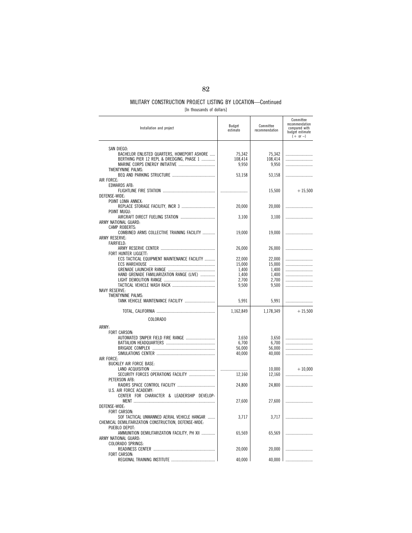[In thousands of dollars]

| Installation and project                                                                                                           | Budget<br>estimate         | Committee<br>recommendation | Committee<br>recommendation<br>compared with<br>budget estimate<br>$(+ or -)$ |
|------------------------------------------------------------------------------------------------------------------------------------|----------------------------|-----------------------------|-------------------------------------------------------------------------------|
| SAN DIEGO:<br>BACHELOR ENLISTED QUARTERS, HOMEPORT ASHORE<br>BERTHING PIER 12 REPL & DREDGING, PHASE 1<br><b>TWENTYNINE PALMS:</b> | 75,342<br>108,414<br>9,950 | 75,342<br>108,414<br>9,950  |                                                                               |
| AIR FORCE:                                                                                                                         | 53.158                     | 53.158                      |                                                                               |
| <b>EDWARDS AFB:</b><br>DEFENSE-WIDE:                                                                                               |                            | 15,500                      | $+15,500$                                                                     |
| POINT LOMA ANNEX:                                                                                                                  | 20,000                     | 20,000                      |                                                                               |
| POINT MUGU:                                                                                                                        | 3,100                      | 3,100                       |                                                                               |
| ARMY NATIONAL GUARD:<br><b>CAMP ROBERTS:</b>                                                                                       |                            |                             |                                                                               |
| COMBINED ARMS COLLECTIVE TRAINING FACILITY<br><b>ARMY RESERVE:</b><br><b>FAIRFIELD:</b>                                            | 19,000                     | 19,000                      |                                                                               |
| FORT HUNTER LIGGETT:                                                                                                               | 26,000                     | 26,000                      |                                                                               |
| ECS TACTICAL EQUIPMENT MAINTENANCE FACILITY                                                                                        | 22,000<br>15.000           | 22,000<br>15.000            |                                                                               |
| HAND GRENADE FAMILIARIZATION RANGE (LIVE)                                                                                          | 1,400<br>1,400             | 1,400<br>1,400              |                                                                               |
|                                                                                                                                    | 2,700                      | 2,700                       | .                                                                             |
|                                                                                                                                    | 9,500                      | 9,500                       |                                                                               |
| <b>NAVY RESERVE:</b><br><b>TWENTYNINE PALMS:</b><br>TANK VEHICLE MAINTENANCE FACILITY                                              | 5,991                      | 5,991                       |                                                                               |
|                                                                                                                                    | 1,162,849                  | 1,178,349                   | $+15,500$                                                                     |
| COLORADO                                                                                                                           |                            |                             |                                                                               |
| ARMY:                                                                                                                              |                            |                             |                                                                               |
| FORT CARSON:<br>AUTOMATED SNIPER FIELD FIRE RANGE                                                                                  | 3,650                      | 3.650                       |                                                                               |
|                                                                                                                                    | 6,700<br>56,000            | 6,700<br>56,000             |                                                                               |
|                                                                                                                                    | 40,000                     | 40,000                      |                                                                               |
| AIR FORCE:<br><b>BUCKLEY AIR FORCE BASE:</b>                                                                                       |                            |                             |                                                                               |
| SECURITY FORCES OPERATIONS FACILITY                                                                                                | <br>12,160                 | 10,000<br>12,160            | $+10.000$                                                                     |
| PETERSON AFB:<br>U.S. AIR FORCE ACADEMY:                                                                                           | 24,800                     | 24,800                      |                                                                               |
| CENTER FOR CHARACTER & LEADERSHIP DEVELOP-<br>DEFENSE-WIDE:                                                                        | 27,600                     | 27,600                      |                                                                               |
| FORT CARSON:<br>SOF TACTICAL UNMANNED AERIAL VEHICLE HANGAR                                                                        | 3,717                      | 3,717                       |                                                                               |
| CHEMICAL DEMILITARIZATION CONSTRUCTION, DEFENSE-WIDE:<br>PUEBLO DEPOT:                                                             |                            |                             |                                                                               |
| AMMUNITION DEMILITARIZATION FACILITY, PH XII<br>ARMY NATIONAL GUARD:                                                               | 65,569                     | 65,569                      |                                                                               |
| COLORADO SPRINGS:                                                                                                                  | 20,000                     | 20,000                      |                                                                               |
| FORT CARSON:                                                                                                                       | 40,000                     | 40,000                      |                                                                               |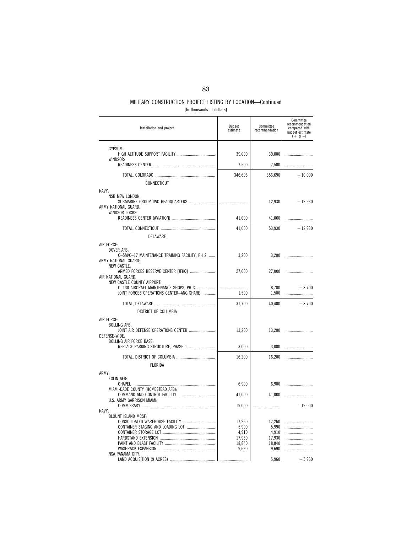| [In thousands of dollars] |  |  |
|---------------------------|--|--|
|---------------------------|--|--|

| Installation and project                                                                                         | Budget<br>estimate | Committee<br>recommendation | Committee<br>recommendation<br>compared with<br>budget estimate<br>$(+ or -)$ |
|------------------------------------------------------------------------------------------------------------------|--------------------|-----------------------------|-------------------------------------------------------------------------------|
| GYPSUM:                                                                                                          |                    |                             |                                                                               |
| WINDSOR:                                                                                                         | 39,000             | 39,000                      |                                                                               |
|                                                                                                                  | 7,500              | 7,500                       |                                                                               |
|                                                                                                                  | 346,696            | 356,696                     | $+10,000$                                                                     |
| CONNECTICUT                                                                                                      |                    |                             |                                                                               |
| NAVY:                                                                                                            |                    |                             |                                                                               |
| NSB NEW LONDON:<br>SUBMARINE GROUP TWO HEADQUARTERS<br>ARMY NATIONAL GUARD:<br><b>WINDSOR LOCKS:</b>             |                    | 12,930                      | $+12,930$                                                                     |
|                                                                                                                  | 41,000             | 41,000                      |                                                                               |
|                                                                                                                  | 41,000             | 53,930                      | $+12,930$                                                                     |
| DELAWARE                                                                                                         |                    |                             |                                                                               |
| AIR FORCE:<br>DOVER AFB:<br>C-5M/C-17 MAINTENANCE TRAINING FACILITY, PH 2<br>ARMY NATIONAL GUARD:                | 3,200              | 3,200                       |                                                                               |
| <b>NEW CASTLE:</b><br>ARMED FORCES RESERVE CENTER [JFHQ]<br>AIR NATIONAL GUARD:                                  | 27,000             | 27,000                      |                                                                               |
| NEW CASTLE COUNTY AIRPORT:<br>C-130 AIRCRAFT MAINTENANCE SHOPS, PH 3<br>JOINT FORCES OPERATIONS CENTER-ANG SHARE | <br>1,500          | 8,700<br>1,500              | $+8.700$                                                                      |
|                                                                                                                  | 31,700             | 40.400                      | $+8.700$                                                                      |
| DISTRICT OF COLUMBIA                                                                                             |                    |                             |                                                                               |
| AIR FORCE:<br><b>BOLLING AFB:</b>                                                                                |                    |                             |                                                                               |
| JOINT AIR DEFENSE OPERATIONS CENTER<br>DEFENSE-WIDE:                                                             | 13,200             | 13,200                      |                                                                               |
| <b>BOLLING AIR FORCE BASE:</b><br>REPLACE PARKING STRUCTURE, PHASE 1                                             | 3,000              | 3,000                       |                                                                               |
|                                                                                                                  | 16,200             | 16,200                      |                                                                               |
| FLORIDA                                                                                                          |                    |                             |                                                                               |
| ARMY:                                                                                                            |                    |                             |                                                                               |
| EGLIN AFB:                                                                                                       | 6,900              | 6,900                       |                                                                               |
| MIAMI-DADE COUNTY (HOMESTEAD AFB):                                                                               |                    |                             |                                                                               |
| U.S. ARMY GARRISON MIAMI:                                                                                        | 41,000             | 41,000                      |                                                                               |
| NAVY:                                                                                                            | 19,000             |                             | $-19,000$                                                                     |
| <b>BLOUNT ISLAND MCSF:</b>                                                                                       |                    |                             |                                                                               |
| CONSOLIDATED WAREHOUSE FACILITY                                                                                  | 17,260             | 17,260                      |                                                                               |
|                                                                                                                  | 5,990<br>4,910     | 5,990<br>4,910              |                                                                               |
|                                                                                                                  | 17,930             | 17,930                      |                                                                               |
|                                                                                                                  | 18.840             | 18.840                      |                                                                               |
|                                                                                                                  | 9,690              | 9,690                       |                                                                               |
| <b>NSA PANAMA CITY:</b>                                                                                          |                    |                             |                                                                               |
|                                                                                                                  |                    | 5,960                       | $+5,960$                                                                      |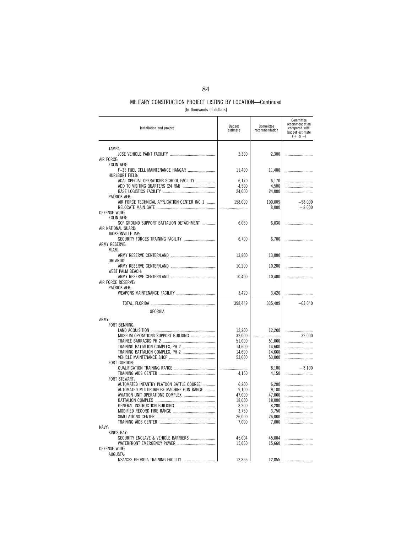|  | [In thousands of dollars] |  |  |  |
|--|---------------------------|--|--|--|
|--|---------------------------|--|--|--|

| Installation and project                     | Budget<br>estimate | Committee<br>recommendation | Committee<br>recommendation<br>compared with<br>budget estimate<br>$(+ or -)$ |
|----------------------------------------------|--------------------|-----------------------------|-------------------------------------------------------------------------------|
| TAMPA:                                       | 2,300              | 2,300                       |                                                                               |
| AIR FORCE:                                   |                    |                             |                                                                               |
| <b>EGLIN AFB:</b>                            |                    |                             |                                                                               |
| F-35 FUEL CELL MAINTENANCE HANGAR            | 11,400             | 11,400                      |                                                                               |
| <b>HURLBURT FIELD:</b>                       |                    |                             |                                                                               |
| ADAL SPECIAL OPERATIONS SCHOOL FACILITY      | 6,170              | 6,170                       |                                                                               |
|                                              | 4,500              | 4,500                       |                                                                               |
| PATRICK AFB:                                 | 24,000             | 24,000                      |                                                                               |
| AIR FORCE TECHNICAL APPLICATION CENTER INC 1 | 158,009            | 100.009<br>8,000            | $-58,000$<br>$+8,000$                                                         |
| DEFENSE-WIDE:                                |                    |                             |                                                                               |
| <b>EGLIN AFB:</b>                            |                    |                             |                                                                               |
| SOF GROUND SUPPORT BATTALION DETACHMENT      | 6,030              | 6,030                       |                                                                               |
| AIR NATIONAL GUARD:                          |                    |                             |                                                                               |
| JACKSONVILLE IAP:                            |                    |                             |                                                                               |
| SECURITY FORCES TRAINING FACILITY            | 6,700              | 6,700                       |                                                                               |
| <b>ARMY RESERVE:</b><br>MIAMI:               |                    |                             |                                                                               |
|                                              | 13,800             | 13,800                      |                                                                               |
| ORLANDO:                                     |                    |                             |                                                                               |
|                                              | 10,200             | 10,200                      |                                                                               |
| WEST PALM BEACH:                             |                    |                             |                                                                               |
|                                              | 10,400             | 10,400                      |                                                                               |
| AIR FORCE RESERVE:                           |                    |                             |                                                                               |
| PATRICK AFB:                                 |                    |                             |                                                                               |
|                                              | 3,420              | 3,420                       |                                                                               |
|                                              | 398,449            | 335,409                     | $-63,040$                                                                     |
| GEORGIA                                      |                    |                             |                                                                               |
| ARMY:                                        |                    |                             |                                                                               |
| FORT BENNING:                                |                    |                             |                                                                               |
|                                              | 12,200             | 12.200                      |                                                                               |
| MUSEUM OPERATIONS SUPPORT BUILDING           | 32,000             |                             | $-32.000$                                                                     |
|                                              | 51,000             | 51,000                      |                                                                               |
| TRAINING BATTALION COMPLEX, PH 2             | 14,600             | 14,600                      |                                                                               |
| TRAINING BATTALION COMPLEX, PH 2             | 14,600             | 14,600                      |                                                                               |
| FORT GORDON:                                 | 53,000             | 53,000                      |                                                                               |
|                                              |                    | 8,100                       | $+8,100$                                                                      |
|                                              | 4,150              | 4,150                       |                                                                               |
| FORT STEWART:                                |                    |                             |                                                                               |
| AUTOMATED INFANTRY PLATOON BATTLE COURSE     | 6,200              | 6,200                       |                                                                               |
| AUTOMATED MULTIPURPOSE MACHINE GUN RANGE     | 9,100              | 9,100                       |                                                                               |
| AVIATION UNIT OPERATIONS COMPLEX             | 47,000             | 47,000                      |                                                                               |
|                                              | 18,000             | 18,000                      |                                                                               |
|                                              | 8,200              | 8,200                       |                                                                               |
|                                              | 3,750              | 3,750                       |                                                                               |
|                                              | 26,000             | 26,000                      |                                                                               |
| NAVY:                                        | 7,000              | 7,000                       |                                                                               |
| <b>KINGS BAY:</b>                            |                    |                             |                                                                               |
| SECURITY ENCLAVE & VEHICLE BARRIERS          | 45,004             | 45,004                      |                                                                               |
|                                              | 15,660             | 15,660                      |                                                                               |
| DEFENSE-WIDE:                                |                    |                             |                                                                               |
| AUGUSTA:                                     |                    |                             |                                                                               |
| NSA/CSS GEORGIA TRAINING FACILITY            | 12,855             | 12,855                      |                                                                               |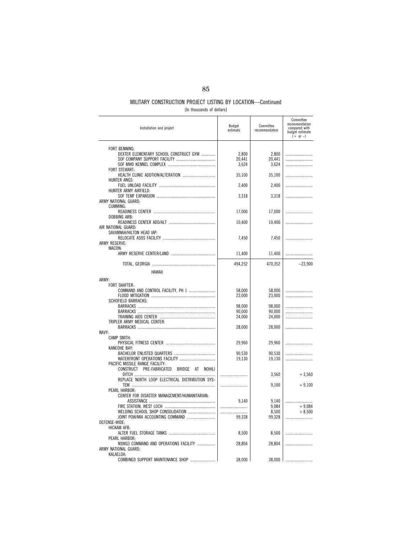|  |  |  | [In thousands of dollars] |  |
|--|--|--|---------------------------|--|
|--|--|--|---------------------------|--|

| Installation and project                                                                     | Budget<br>estimate | Committee<br>recommendation | Committee<br>recommendation<br>compared with<br>budget estimate<br>$(+ or -)$ |
|----------------------------------------------------------------------------------------------|--------------------|-----------------------------|-------------------------------------------------------------------------------|
| FORT BENNING:                                                                                |                    |                             |                                                                               |
| DEXTER ELEMENTARY SCHOOL CONSTRUCT GYM                                                       | 2,800              | 2,800                       |                                                                               |
|                                                                                              | 20,441             | 20.441                      |                                                                               |
|                                                                                              | 3,624              | 3,624                       |                                                                               |
| <b>FORT STEWART:</b>                                                                         | 35,100             | 35,100                      |                                                                               |
| HUNTER ANGS:                                                                                 |                    |                             |                                                                               |
|                                                                                              | 2,400              | 2,400                       |                                                                               |
| HUNTER ARMY AIRFIELD:                                                                        |                    |                             |                                                                               |
|                                                                                              | 3,318              | 3,318                       |                                                                               |
| ARMY NATIONAL GUARD:<br>CUMMING:                                                             |                    |                             |                                                                               |
|                                                                                              | 17,000             | 17,000                      |                                                                               |
| <b>DOBBINS ARB:</b>                                                                          |                    |                             |                                                                               |
|                                                                                              | 10,400             | 10,400                      |                                                                               |
| AIR NATIONAL GUARD:                                                                          |                    |                             |                                                                               |
| SAVANNAH/HILTON HEAD IAP:                                                                    |                    |                             |                                                                               |
| <b>ARMY RESERVE:</b>                                                                         | 7,450              | 7.450                       |                                                                               |
| MACON:                                                                                       |                    |                             |                                                                               |
|                                                                                              | 11,400             | 11,400                      |                                                                               |
|                                                                                              |                    |                             |                                                                               |
|                                                                                              | 494,252            | 470,352                     | $-23,900$                                                                     |
| HAWAII                                                                                       |                    |                             |                                                                               |
| ARMY:                                                                                        |                    |                             |                                                                               |
| FORT SHAFTER:                                                                                |                    |                             |                                                                               |
| COMMAND AND CONTROL FACILITY, PH 1                                                           | 58,000             | 58,000                      |                                                                               |
|                                                                                              | 23,000             | 23,000                      |                                                                               |
| <b>SCHOFIELD BARRACKS:</b>                                                                   | 98,000             | 98,000                      |                                                                               |
|                                                                                              | 90,000             | 90,000                      |                                                                               |
|                                                                                              | 24,000             | 24,000                      |                                                                               |
| TRIPLER ARMY MEDICAL CENTER:                                                                 |                    |                             |                                                                               |
|                                                                                              | 28,000             | 28,000                      |                                                                               |
| NAVY:<br>CAMP SMITH:                                                                         |                    |                             |                                                                               |
|                                                                                              | 29,960             | 29,960                      |                                                                               |
| KANEOHE BAY:                                                                                 |                    |                             |                                                                               |
|                                                                                              | 90,530             | 90,530                      |                                                                               |
|                                                                                              | 19,130             | 19,130                      |                                                                               |
| PACIFIC MISSILE RANGE FACILITY:<br>CONSTRUCT PRE-FABRICATED<br><b>BRIDGE</b><br>AT<br>NOHILI |                    |                             |                                                                               |
|                                                                                              |                    | 3,560                       | $+3,560$                                                                      |
| REPLACE NORTH LOOP ELECTRICAL DISTRIBUTION SYS-                                              |                    |                             |                                                                               |
|                                                                                              |                    | 9,100                       | $+9,100$                                                                      |
| PEARL HARBOR:                                                                                |                    |                             |                                                                               |
| CENTER FOR DISASTER MANAGEMENT/HUMANITARIAN:                                                 |                    |                             |                                                                               |
|                                                                                              | 9,140              | 9,140<br>9,084              | $+9,084$                                                                      |
| WELDING SCHOOL SHOP CONSOLIDATION                                                            |                    | 8,500                       | $+8,500$                                                                      |
| JOINT POW/MIA ACCOUNTING COMMAND                                                             | 99,328             | 99,328                      |                                                                               |
| DEFENSE-WIDE:                                                                                |                    |                             |                                                                               |
| <b>HICKAM AFB:</b>                                                                           |                    |                             |                                                                               |
|                                                                                              | 8,500              | 8,500                       |                                                                               |
| PEARL HARBOR:<br>NSWG3 COMMAND AND OPERATIONS FACILITY                                       | 28,804             | 28,804                      |                                                                               |
| ARMY NATIONAL GUARD:                                                                         |                    |                             |                                                                               |
| KALAELOA:                                                                                    |                    |                             |                                                                               |
| COMBINED SUPPORT MAINTENANCE SHOP                                                            | 38,000             | 38,000                      |                                                                               |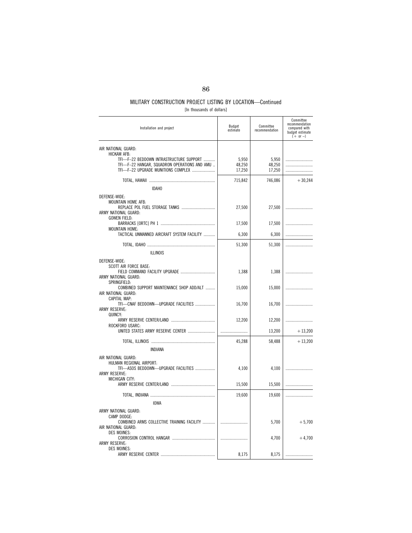### MILITARY CONSTRUCTION PROJECT LISTING BY LOCATION—Continued [In thousands of dollars]

| Installation and project                                                                                                                                            | Budget<br>estimate        | Committee<br>recommendation | Committee<br>recommendation<br>compared with<br>budget estimate<br>$(+ or -)$ |
|---------------------------------------------------------------------------------------------------------------------------------------------------------------------|---------------------------|-----------------------------|-------------------------------------------------------------------------------|
| AIR NATIONAL GUARD:<br>HICKAM AFB:<br>TFI-F-22 BEDDOWN INTRASTRUCTURE SUPPORT<br>TFI-F-22 HANGAR, SQUADRON OPERATIONS AND AMU<br>TFI-F-22 UPGRADE MUNITIONS COMPLEX | 5,950<br>48,250<br>17,250 | 5,950<br>48,250<br>17,250   |                                                                               |
|                                                                                                                                                                     | 715,842                   | 746,086                     | $+30,244$                                                                     |
| <b>IDAHO</b>                                                                                                                                                        |                           |                             |                                                                               |
| DEFENSE-WIDE:<br>MOUNTAIN HOME AFB:<br>ARMY NATIONAL GUARD:<br><b>GOWEN FIELD:</b>                                                                                  | 27,500                    | 27,500                      |                                                                               |
|                                                                                                                                                                     | 17,500                    | 17,500                      | .                                                                             |
| MOUNTAIN HOME:<br>TACTICAL UNMANNED AIRCRAFT SYSTEM FACILITY                                                                                                        | 6,300                     | 6,300                       |                                                                               |
|                                                                                                                                                                     | 51,300                    | 51,300                      |                                                                               |
| <b>ILLINOIS</b>                                                                                                                                                     |                           |                             |                                                                               |
| DEFENSE-WIDE:<br>SCOTT AIR FORCE BASE:<br>FIELD COMMAND FACILITY UPGRADE<br>ARMY NATIONAL GUARD:<br>SPRINGFIELD:                                                    | 1,388                     | 1,388                       |                                                                               |
| COMBINED SUPPORT MAINTENANCE SHOP ADD/ALT<br>AIR NATIONAL GUARD:                                                                                                    | 15,000                    | 15,000                      |                                                                               |
| CAPITAL MAP:<br>TFI-CNAF BEDDOWN-UPGRADE FACILITIES<br><b>ARMY RESERVE:</b><br>QUINCY:                                                                              | 16,700                    | 16,700                      |                                                                               |
| ROCKFORD USARC:                                                                                                                                                     | 12,200                    | 12,200                      |                                                                               |
| UNITED STATES ARMY RESERVE CENTER                                                                                                                                   |                           | 13,200                      | $+13,200$                                                                     |
|                                                                                                                                                                     | 45,288                    | 58,488                      | $+13,200$                                                                     |
| INDIANA                                                                                                                                                             |                           |                             |                                                                               |
| AIR NATIONAL GUARD:<br>HULMAN REGIONAL AIRPORT:<br>TFI-ASOS BEDDOWN-UPGRADE FACILITIES<br><b>ARMY RESERVE:</b>                                                      | 4,100                     | 4,100                       |                                                                               |
| MICHIGAN CITY:                                                                                                                                                      | 15,500                    | 15,500                      |                                                                               |
|                                                                                                                                                                     | 19,600                    | 19,600                      | .                                                                             |
| <b>IOWA</b>                                                                                                                                                         |                           |                             |                                                                               |
| ARMY NATIONAL GUARD:<br>CAMP DODGE:<br>COMBINED ARMS COLLECTIVE TRAINING FACILITY<br>AIR NATIONAL GUARD:<br><b>DES MOINES:</b>                                      |                           | 5,700                       | $+5,700$                                                                      |
| ARMY RESERVE:                                                                                                                                                       |                           | 4,700                       | $+4,700$                                                                      |
| <b>DES MOINES:</b>                                                                                                                                                  | 8,175                     | 8,175                       |                                                                               |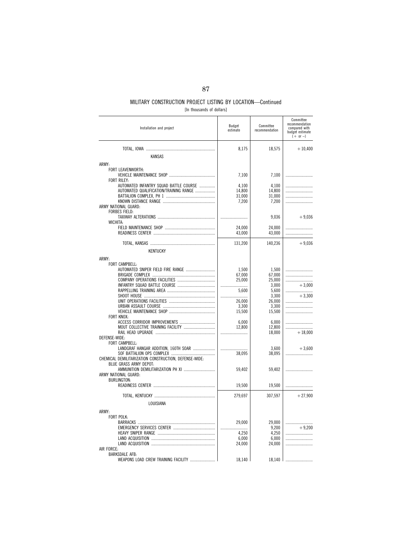| [In thousands of dollars] |  |
|---------------------------|--|
|---------------------------|--|

| Installation and project                                     | Budget<br>estimate | Committee<br>recommendation | Committee<br>recommendation<br>compared with<br>budget estimate<br>$(+ or -)$ |
|--------------------------------------------------------------|--------------------|-----------------------------|-------------------------------------------------------------------------------|
| <b>KANSAS</b>                                                | 8,175              | 18,575                      | $+10,400$                                                                     |
| ARMY:                                                        |                    |                             |                                                                               |
| FORT LEAVENWORTH:                                            | 7,100              | 7,100                       |                                                                               |
| <b>FORT RILEY:</b><br>AUTOMATED INFANTRY SQUAD BATTLE COURSE | 4,100              | 4,100                       |                                                                               |
| AUTOMATED QUALIFICATION/TRAINING RANGE                       | 14,800             | 14,800                      |                                                                               |
|                                                              | 31,000<br>7,200    | 31,000<br>7,200             |                                                                               |
| ARMY NATIONAL GUARD:<br>FORBES FIELD:                        |                    | 9,036                       | $+9,036$                                                                      |
| WICHITA:                                                     |                    |                             |                                                                               |
|                                                              | 24,000<br>43,000   | 24,000<br>43,000            |                                                                               |
|                                                              | 131,200            | 140,236                     | $+9,036$                                                                      |
| KENTUCKY                                                     |                    |                             |                                                                               |
| ARMY:                                                        |                    |                             |                                                                               |
| FORT CAMPBELL:                                               |                    |                             |                                                                               |
| AUTOMATED SNIPER FIELD FIRE RANGE                            | 1,500              | 1,500                       |                                                                               |
|                                                              | 67,000<br>25,000   | 67,000<br>25,000            |                                                                               |
|                                                              |                    | 3,000                       | $+3,000$                                                                      |
|                                                              | 5.600              | 5,600                       | $+3.300$                                                                      |
|                                                              | <br>26,000         | 3,300<br>26,000             |                                                                               |
|                                                              | 3,300              | 3,300                       |                                                                               |
|                                                              | 15,500             | 15,500                      |                                                                               |
| FORT KNOX:                                                   | 6.000              | 6.000                       |                                                                               |
| MOUT COLLECTIVE TRAINING FACILITY                            | 12,800             | 12,800                      |                                                                               |
| DEFENSE-WIDE:                                                |                    | 18,000                      | $+18,000$                                                                     |
| FORT CAMPBELL:                                               |                    |                             |                                                                               |
| LANDGRAF HANGAR ADDITION, 160TH SOAR                         |                    | 3,600                       | $+3,600$                                                                      |
| CHEMICAL DEMILITARIZATION CONSTRUCTION, DEFENSE-WIDE:        | 38,095             | 38,095                      |                                                                               |
| <b>BLUE GRASS ARMY DEPOT:</b>                                |                    |                             |                                                                               |
| AMMUNITION DEMILITARIZATION PH XI                            | 59,402             | 59,402                      |                                                                               |
| ARMY NATIONAL GUARD:<br><b>BURLINGTON:</b>                   |                    |                             |                                                                               |
|                                                              | 19,500             | 19,500                      |                                                                               |
|                                                              | 279,697            | 307,597                     | $+27,900$                                                                     |
| LOUISIANA                                                    |                    |                             |                                                                               |
| ARMY:                                                        |                    |                             |                                                                               |
| FORT POLK:                                                   |                    |                             |                                                                               |
|                                                              | 29,000             | 29,000                      |                                                                               |
|                                                              | 4,250              | 9,200<br>4,250              | $+9.200$                                                                      |
|                                                              | 6,000              | 6,000                       |                                                                               |
|                                                              | 24,000             | 24,000                      |                                                                               |
| AIR FORCE:<br><b>BARKSDALE AFB:</b>                          |                    |                             |                                                                               |
| WEAPONS LOAD CREW TRAINING FACILITY                          | 18,140             | 18,140                      |                                                                               |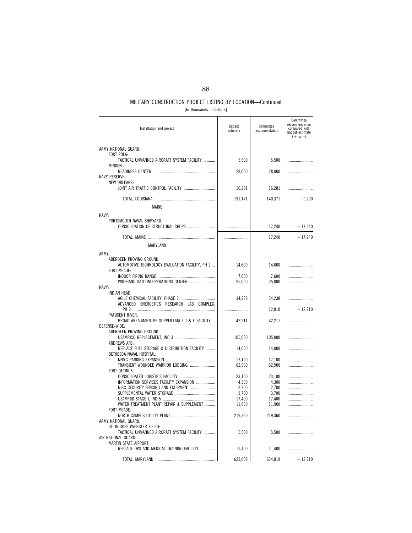| [In thousands of dollars] |
|---------------------------|
|---------------------------|

| Installation and project                                          | Budget<br>estimate | Committee<br>recommendation | Committee<br>recommendation<br>compared with<br>budget estimate<br>$(+ or -)$ |
|-------------------------------------------------------------------|--------------------|-----------------------------|-------------------------------------------------------------------------------|
| ARMY NATIONAL GUARD:                                              |                    |                             |                                                                               |
| FORT POLK:                                                        |                    |                             |                                                                               |
| TACTICAL UNMANNED AIRCRAFT SYSTEM FACILITY<br>MINDEN:             | 5,500              | 5,500                       |                                                                               |
|                                                                   | 28,000             | 28,000                      |                                                                               |
| <b>NAVY RESERVE:</b>                                              |                    |                             |                                                                               |
| <b>NEW ORLEANS:</b>                                               |                    |                             |                                                                               |
| JOINT AIR TRAFFIC CONTROL FACILITY                                | 16,281             | 16,281                      |                                                                               |
|                                                                   | 131,171            | 140,371                     | $+9,200$                                                                      |
| <b>MAINE</b>                                                      |                    |                             |                                                                               |
| NAVY:                                                             |                    |                             |                                                                               |
| PORTSMOUTH NAVAL SHIPYARD:                                        |                    |                             |                                                                               |
|                                                                   |                    | 17,240                      | $+17,240$                                                                     |
|                                                                   |                    | 17,240                      | $+17,240$                                                                     |
| MARYLAND                                                          |                    |                             |                                                                               |
|                                                                   |                    |                             |                                                                               |
| ARMY:<br>ABERDEEN PROVING GROUND:                                 |                    |                             |                                                                               |
| AUTOMOTIVE TECHNOLOGY EVALUATION FACILITY, PH 2                   | 14,600             | 14,600                      |                                                                               |
| <b>FORT MEADE:</b>                                                |                    |                             |                                                                               |
|                                                                   | 7,600              | 7,600                       |                                                                               |
| WIDEBAND SATCOM OPERATIONS CENTER<br>NAVY:                        | 25,000             | 25,000                      |                                                                               |
| INDIAN HEAD:                                                      |                    |                             |                                                                               |
|                                                                   | 34,238             | 34,238                      |                                                                               |
| ADVANCED ENERGETICS RESEARCH<br>LAB<br>COMPLEX.                   |                    | 12,810                      | $+12,810$                                                                     |
| PATUXENT RIVER:                                                   |                    |                             |                                                                               |
| BROAD AREA MARITIME SURVEILLANCE T & E FACILITY                   | 42,211             | 42,211                      |                                                                               |
| DEFENSE-WIDE:                                                     |                    |                             |                                                                               |
| ABERDEEN PROVING GROUND:                                          | 105,000            | 105,000                     |                                                                               |
| ANDREWS AFB:                                                      |                    |                             |                                                                               |
| REPLACE FUEL STORAGE & DISTRIBUTION FACILITY                      | 14,000             | 14,000                      |                                                                               |
| BETHESDA NAVAL HOSPITAL:                                          | 17,100             | 17,100                      |                                                                               |
| TRANSIENT WOUNDED WARRIOR LODGING                                 | 62,900             | 62,900                      | .                                                                             |
| <b>FORT DETRICK:</b>                                              |                    |                             |                                                                               |
|                                                                   | 23,100             | 23,100                      |                                                                               |
| INFORMATION SERVICES FACILITY EXPANSION                           | 4,300              | 4.300                       |                                                                               |
| NIBC SECURITY FENCING AND EQUIPMENT                               | 2,700<br>3,700     | 2,700<br>3,700              |                                                                               |
|                                                                   | 17,400             | 17,400                      |                                                                               |
| WATER TREATMENT PLANT REPAIR & SUPPLEMENT                         |                    |                             |                                                                               |
| FORT MEADE:                                                       | 11,900             | 11,900                      |                                                                               |
|                                                                   | 219,360            | 219,360                     |                                                                               |
| ARMY NATIONAL GUARD:                                              |                    |                             |                                                                               |
| ST. INIGOES (WEBSTER FIELD):                                      |                    |                             |                                                                               |
| TACTICAL UNMANNED AIRCRAFT SYSTEM FACILITY<br>AIR NATIONAL GUARD: | 5,500              | 5,500                       |                                                                               |
| MARTIN STATE AIRPORT:                                             |                    |                             |                                                                               |
| REPLACE OPS AND MEDICAL TRAINING FACILITY                         | 11,400             | 11,400                      |                                                                               |
|                                                                   | 622,009            | 634,819                     | $+12,810$                                                                     |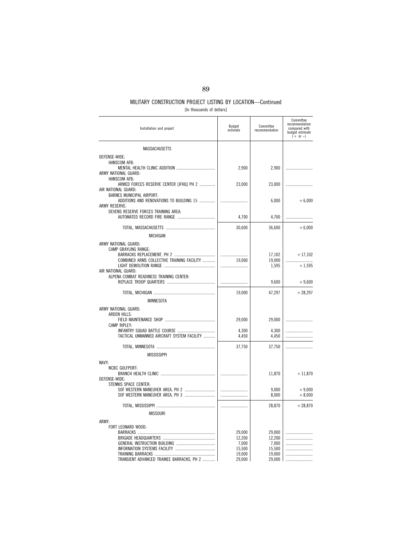| [In thousands of dollars] |  |
|---------------------------|--|
|---------------------------|--|

| Installation and project                                                                                          | Budget<br>estimate                                      | Committee<br>recommendation                             | Committee<br>recommendation<br>compared with<br>budget estimate<br>$(+ or -)$ |
|-------------------------------------------------------------------------------------------------------------------|---------------------------------------------------------|---------------------------------------------------------|-------------------------------------------------------------------------------|
| <b>MASSACHUSETTS</b>                                                                                              |                                                         |                                                         |                                                                               |
| DEFENSE-WIDE:<br><b>HANSCOM AFB:</b><br>ARMY NATIONAL GUARD:                                                      | 2,900                                                   | 2,900                                                   |                                                                               |
| HANSCOM AFB:<br>ARMED FORCES RESERVE CENTER [JFHQ] PH 2<br>AIR NATIONAL GUARD:                                    | 23,000                                                  | 23,000                                                  |                                                                               |
| BARNES MUNICIPAL AIRPORT:<br>ADDITIONS AND RENOVATIONS TO BUILDING 15<br><b>ARMY RESERVE:</b>                     |                                                         | 6,000                                                   | $+6,000$                                                                      |
| DEVENS RESERVE FORCES TRAINING AREA:                                                                              | 4,700                                                   | 4,700                                                   |                                                                               |
|                                                                                                                   | 30,600                                                  | 36,600                                                  | $+6,000$                                                                      |
| <b>MICHIGAN</b>                                                                                                   |                                                         |                                                         |                                                                               |
| ARMY NATIONAL GUARD:<br>CAMP GRAYLING RANGE:<br>COMBINED ARMS COLLECTIVE TRAINING FACILITY<br>AIR NATIONAL GUARD: | <br>19,000                                              | 17,102<br>19,000<br>1,595                               | $+17,102$<br>$+1.595$                                                         |
| ALPENA COMBAT READINESS TRAINING CENTER:                                                                          |                                                         | 9,600                                                   | $+9,600$                                                                      |
|                                                                                                                   | 19,000                                                  | 47,297                                                  | $+28,297$                                                                     |
| MINNESOTA                                                                                                         |                                                         |                                                         |                                                                               |
| ARMY NATIONAL GUARD:<br>ARDEN HILLS:<br>CAMP RIPLEY:                                                              | 29,000                                                  | 29,000                                                  |                                                                               |
| TACTICAL UNMANNED AIRCRAFT SYSTEM FACILITY                                                                        | 4.300<br>4,450                                          | 4.300<br>4,450                                          |                                                                               |
| <b>MISSISSIPPI</b>                                                                                                | 37,750                                                  | 37,750                                                  |                                                                               |
| NAVY:                                                                                                             |                                                         |                                                         |                                                                               |
| <b>NCBC GULFPORT:</b><br>DEFENSE-WIDE:                                                                            |                                                         | 11,870                                                  | $+11,870$                                                                     |
| STENNIS SPACE CENTER:<br>SOF WESTERN MANEUVER AREA, PH 2                                                          |                                                         | 9.000<br>8,000                                          | $+9.000$<br>$+8,000$                                                          |
| <b>MISSOURI</b>                                                                                                   |                                                         | 28,870                                                  | $+28,870$                                                                     |
| ARMY:<br>FORT LEONARD WOOD:<br>TRANSIENT ADVANCED TRAINEE BARRACKS, PH 2                                          | 29,000<br>12,200<br>7.000<br>15,500<br>19,000<br>29,000 | 29,000<br>12,200<br>7.000<br>15,500<br>19,000<br>29,000 |                                                                               |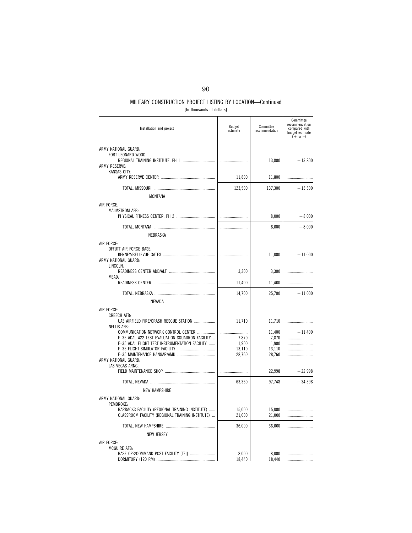| [In thousands of dollars] |  |
|---------------------------|--|
|---------------------------|--|

| Installation and project                                                                            | Budget<br>estimate | Committee<br>recommendation | Committee<br>recommendation<br>compared with<br>budget estimate<br>$(+ or -)$ |
|-----------------------------------------------------------------------------------------------------|--------------------|-----------------------------|-------------------------------------------------------------------------------|
| ARMY NATIONAL GUARD:<br>FORT LEONARD WOOD:<br><b>ARMY RESERVE:</b>                                  |                    | 13,800                      | $+13,800$                                                                     |
| KANSAS CITY:                                                                                        | 11,800             | 11,800                      |                                                                               |
|                                                                                                     | 123,500            | 137,300                     | $+13,800$                                                                     |
| MONTANA                                                                                             |                    |                             |                                                                               |
| AIR FORCE:<br>MALMSTROM AFB:                                                                        |                    | 8,000                       | $+8,000$                                                                      |
|                                                                                                     |                    | 8,000                       | $+8,000$                                                                      |
| NEBRASKA                                                                                            |                    |                             |                                                                               |
| AIR FORCE:<br>OFFUTT AIR FORCE BASE:<br>ARMY NATIONAL GUARD:<br>LINCOLN:                            |                    | 11,000                      | $+11,000$                                                                     |
|                                                                                                     | 3,300              | 3,300                       |                                                                               |
| MEAD:                                                                                               | 11,400             | 11,400                      |                                                                               |
|                                                                                                     | 14,700             | 25,700                      | $+11,000$                                                                     |
| <b>NEVADA</b>                                                                                       |                    |                             |                                                                               |
| AIR FORCE:                                                                                          |                    |                             |                                                                               |
| <b>CREECH AFB:</b><br>UAS AIRFIELD FIRE/CRASH RESCUE STATION<br><b>NELLIS AFB:</b>                  | 11,710             | 11,710                      |                                                                               |
| COMMUNICATION NETWORK CONTROL CENTER                                                                |                    | 11,400                      | $+11,400$                                                                     |
| F-35 ADAL 422 TEST EVALUATION SQUADRON FACILITY<br>F-35 ADAL FLIGHT TEST INSTRUMENTATION FACILITY   | 7,870<br>1,900     | 7,870<br>1,900              |                                                                               |
|                                                                                                     | 13,110             | 13,110                      |                                                                               |
| ARMY NATIONAL GUARD:                                                                                | 28,760             | 28,760                      | .                                                                             |
| LAS VEGAS ARNG:                                                                                     |                    | 22,998                      | $+22,998$                                                                     |
|                                                                                                     | 63,350             | 97,748                      | $+34,398$                                                                     |
| <b>NEW HAMPSHIRE</b>                                                                                |                    |                             |                                                                               |
| ARMY NATIONAL GUARD:<br>PEMBROKE:                                                                   |                    |                             |                                                                               |
| BARRACKS FACILITY (REGIONAL TRAINING INSTITUTE)<br>CLASSROOM FACILITY (REGIONAL TRAINING INSTITUTE) | 15,000<br>21,000   | 15,000<br>21,000            |                                                                               |
|                                                                                                     | 36,000             | 36,000                      |                                                                               |
| <b>NEW JERSEY</b>                                                                                   |                    |                             |                                                                               |
| AIR FORCE:                                                                                          |                    |                             |                                                                               |
| MCGUIRE AFB:<br>BASE OPS/COMMAND POST FACILITY [TFI]                                                | 8,000<br>18,440    | 8,000<br>18.440             |                                                                               |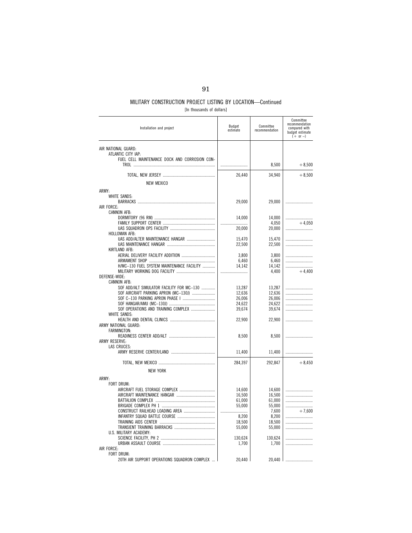[In thousands of dollars]

| Installation and project                      | Budget<br>estimate | Committee<br>recommendation | Committee<br>recommendation<br>compared with<br>budget estimate<br>$(+ or -)$ |
|-----------------------------------------------|--------------------|-----------------------------|-------------------------------------------------------------------------------|
| AIR NATIONAL GUARD:                           |                    |                             |                                                                               |
| ATLANTIC CITY IAP:                            |                    |                             |                                                                               |
| FUEL CELL MAINTENANCE DOCK AND CORROSION CON- |                    |                             | $+8,500$                                                                      |
|                                               |                    | 8,500                       |                                                                               |
|                                               | 26,440             | 34,940                      | $+8,500$                                                                      |
| <b>NEW MEXICO</b>                             |                    |                             |                                                                               |
| ARMY:                                         |                    |                             |                                                                               |
| <b>WHITE SANDS:</b>                           |                    |                             |                                                                               |
|                                               | 29,000             | 29,000                      |                                                                               |
| AIR FORCE:                                    |                    |                             |                                                                               |
| <b>CANNON AFB:</b>                            | 14,000             | 14,000                      |                                                                               |
|                                               |                    | 4,050                       | $+4.050$                                                                      |
|                                               | 20.000             | 20,000                      |                                                                               |
| HOLLOMAN AFB:                                 |                    |                             |                                                                               |
| UAS ADD/ALTER MAINTENANCE HANGAR              | 15,470<br>22,500   | 15,470<br>22,500            |                                                                               |
| KIRTLAND AFB:                                 |                    |                             |                                                                               |
| AERIAL DELIVERY FACILITY ADDITION             | 3,800              | 3,800                       |                                                                               |
|                                               | 6,460              | 6,460                       |                                                                               |
| H/MC-130 FUEL SYSTEM MAINTENANCE FACILITY     | 14,142             | 14,142                      |                                                                               |
| DEFENSE-WIDE:                                 |                    | 4,400                       | $+4,400$                                                                      |
| <b>CANNON AFB:</b>                            |                    |                             |                                                                               |
| SOF ADD/ALT SIMULATOR FACILITY FOR MC-130     | 13,287             | 13,287                      |                                                                               |
| SOF AIRCRAFT PARKING APRON (MC-130J)          | 12,636             | 12,636                      |                                                                               |
|                                               | 26,006             | 26,006                      |                                                                               |
| SOF OPERATIONS AND TRAINING COMPLEX           | 24,622<br>39,674   | 24,622<br>39,674            |                                                                               |
| WHITE SANDS:                                  |                    |                             |                                                                               |
|                                               | 22,900             | 22,900                      |                                                                               |
| ARMY NATIONAL GUARD:                          |                    |                             |                                                                               |
| FARMINGTON:                                   | 8,500              | 8,500                       |                                                                               |
| ARMY RESERVE:                                 |                    |                             |                                                                               |
| LAS CRUCES:                                   |                    |                             |                                                                               |
|                                               | 11,400             | 11,400                      |                                                                               |
|                                               | 284,397            | 292,847                     | $+8,450$                                                                      |
|                                               |                    |                             |                                                                               |
| <b>NEW YORK</b>                               |                    |                             |                                                                               |
| ARMY:                                         |                    |                             |                                                                               |
| FORT DRUM:                                    | 14,600             | 14,600                      |                                                                               |
|                                               | 16,500             | 16,500                      |                                                                               |
|                                               | 61,000             | 61,000                      |                                                                               |
|                                               | 55,000             | 55,000                      |                                                                               |
|                                               |                    | 7,600                       | $+7.600$                                                                      |
|                                               | 8,200<br>18,500    | 8,200<br>18,500             |                                                                               |
|                                               | 55,000             | 55,000                      |                                                                               |
| U.S. MILITARY ACADEMY:                        |                    |                             |                                                                               |
|                                               | 130,624            | 130,624                     |                                                                               |
| AIR FORCE:                                    | 1,700              | 1,700                       |                                                                               |
| <b>FORT DRUM:</b>                             |                    |                             |                                                                               |
| 20TH AIR SUPPORT OPERATIONS SQUADRON COMPLEX  | 20,440             | 20,440                      |                                                                               |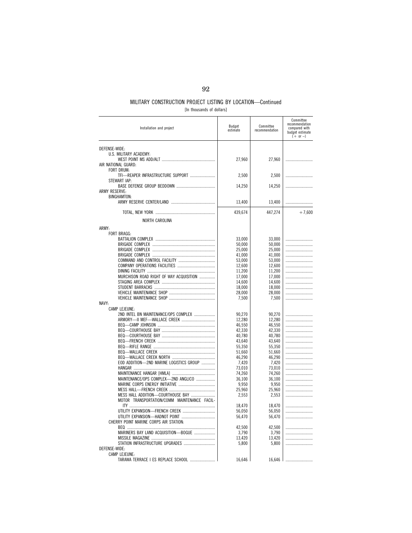|  |  |  | [In thousands of dollars] |  |
|--|--|--|---------------------------|--|
|--|--|--|---------------------------|--|

| Installation and project                     | Budget<br>estimate | Committee<br>recommendation | Committee<br>recommendation<br>compared with<br>budget estimate<br>$(+ or -)$ |
|----------------------------------------------|--------------------|-----------------------------|-------------------------------------------------------------------------------|
| DEFENSE-WIDE:                                |                    |                             |                                                                               |
| U.S. MILITARY ACADEMY:                       |                    |                             |                                                                               |
|                                              | 27,960             | 27,960                      |                                                                               |
| AIR NATIONAL GUARD:<br>FORT DRUM:            |                    |                             |                                                                               |
| TFI-REAPER INFRASTRUCTURE SUPPORT            | 2,500              | 2,500                       |                                                                               |
| STEWART IAP:                                 |                    |                             |                                                                               |
|                                              | 14,250             | 14,250                      |                                                                               |
| ARMY RESERVE:<br><b>BINGHAMTON:</b>          |                    |                             |                                                                               |
|                                              | 13,400             | 13,400                      |                                                                               |
|                                              |                    |                             |                                                                               |
|                                              | 439,674            | 447,274                     | $+7,600$                                                                      |
| NORTH CAROLINA                               |                    |                             |                                                                               |
| ARMY:                                        |                    |                             |                                                                               |
| FORT BRAGG:                                  |                    |                             |                                                                               |
|                                              | 33,000<br>50,000   | 33,000<br>50,000            |                                                                               |
|                                              | 25,000             | 25,000                      |                                                                               |
|                                              | 41,000             | 41,000                      |                                                                               |
|                                              | 53,000             | 53,000                      |                                                                               |
|                                              | 12.600             | 12,600                      |                                                                               |
|                                              | 11,200             | 11,200                      |                                                                               |
| MURCHISON ROAD RIGHT OF WAY ACQUISITION      | 17,000             | 17,000                      |                                                                               |
|                                              | 14.600             | 14,600                      |                                                                               |
|                                              | 18,000             | 18,000                      |                                                                               |
|                                              | 28,000             | 28,000                      |                                                                               |
| NAVY:                                        | 7,500              | 7,500                       |                                                                               |
| CAMP LEJEUNE:                                |                    |                             |                                                                               |
| 2ND INTEL BN MAINTENANCE/OPS COMPLEX         | 90,270             | 90,270                      |                                                                               |
| ARMORY-II MEF-WALLACE CREEK                  | 12,280             | 12,280                      |                                                                               |
|                                              | 46,550             | 46,550                      |                                                                               |
|                                              | 42,330             | 42,330                      |                                                                               |
|                                              | 40,780             | 40,780                      |                                                                               |
|                                              | 43,640<br>55,350   | 43,640<br>55,350            |                                                                               |
|                                              | 51,660             | 51,660                      |                                                                               |
|                                              | 46,290             | 46,290                      |                                                                               |
| EOD ADDITION-2ND MARINE LOGISTICS GROUP      | 7,420              | 7,420                       |                                                                               |
|                                              | 73,010             | 73,010                      |                                                                               |
|                                              | 74,260             | 74,260                      |                                                                               |
| MAINTENANCE/OPS COMPLEX-2ND ANGLICO<br>.     | 36,100             | 36,100                      |                                                                               |
|                                              | 9,950              | 9,950                       |                                                                               |
| MESS HALL ADDITION-COURTHOUSE BAY            | 25,960             | 25,960                      |                                                                               |
| MOTOR TRANSPORTATION/COMM MAINTENANCE FACIL- | 2,553              | 2,553                       |                                                                               |
|                                              | 18,470             | 18,470                      |                                                                               |
| UTILITY EXPANSION-FRENCH CREEK               | 56,050             | 56,050                      |                                                                               |
| UTILITY EXPANSION-HADNOT POINT               | 56,470             | 56,470                      |                                                                               |
| CHERRY POINT MARINE CORPS AIR STATION:       |                    |                             |                                                                               |
|                                              | 42,500             | 42,500                      |                                                                               |
| MARINERS BAY LAND ACQUISITION-BOGUE          | 3,790              | 3,790                       |                                                                               |
| STATION INFRASTRUCTURE UPGRADES              | 13,420<br>5,800    | 13,420<br>5,800             |                                                                               |
| DEFENSE-WIDE:                                |                    |                             |                                                                               |
| CAMP LEJEUNE:                                |                    |                             |                                                                               |
| TARAWA TERRACE I ES REPLACE SCHOOL           | 16,646             | 16,646                      |                                                                               |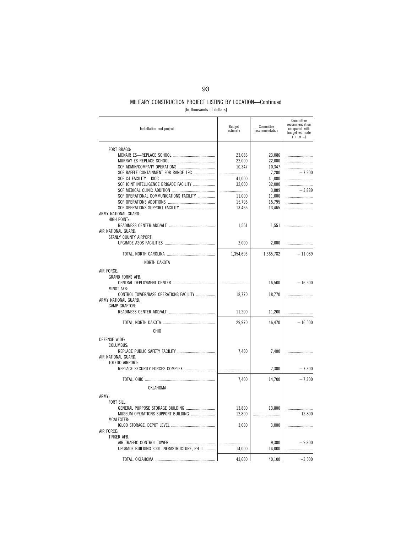### MILITARY CONSTRUCTION PROJECT LISTING BY LOCATION—Continued [In thousands of dollars]

|  | The thousands of dollars! |  |  |  |
|--|---------------------------|--|--|--|
|--|---------------------------|--|--|--|

| Installation and project                     | Budget<br>estimate | Committee<br>recommendation | Committee<br>recommendation<br>compared with<br>budget estimate<br>$(+ or -)$ |
|----------------------------------------------|--------------------|-----------------------------|-------------------------------------------------------------------------------|
|                                              |                    |                             |                                                                               |
| <b>FORT BRAGG:</b>                           | 23,086             | 23,086                      |                                                                               |
|                                              | 22,000             | 22,000                      |                                                                               |
|                                              | 10,347             | 10,347                      |                                                                               |
| SOF BAFFLE CONTAINMENT FOR RANGE 19C         |                    | 7,200                       | $+7,200$                                                                      |
|                                              | 41,000             | 41,000                      |                                                                               |
| SOF JOINT INTELLIGENCE BRIGADE FACILITY      | 32,000             | 32,000                      |                                                                               |
|                                              | .                  | 3,889                       | $+3,889$                                                                      |
| SOF OPERATIONAL COMMUNICATIONS FACILITY      | 11,000             | 11,000                      |                                                                               |
|                                              | 15,795             | 15,795                      |                                                                               |
| ARMY NATIONAL GUARD:                         | 13,465             | 13,465                      |                                                                               |
| HIGH POINT:                                  |                    |                             |                                                                               |
|                                              | 1,551              | 1,551                       |                                                                               |
| AIR NATIONAL GUARD:                          |                    |                             |                                                                               |
| STANLY COUNTY AIRPORT:                       |                    |                             |                                                                               |
|                                              | 2,000              | 2,000                       |                                                                               |
|                                              | 1,354,693          | 1,365,782                   | $+11,089$                                                                     |
| NORTH DAKOTA                                 |                    |                             |                                                                               |
|                                              |                    |                             |                                                                               |
| AIR FORCE:<br><b>GRAND FORKS AFB:</b>        |                    |                             |                                                                               |
|                                              |                    | 16,500                      | $+16,500$                                                                     |
| <b>MINOT AFB:</b>                            |                    |                             |                                                                               |
| CONTROL TOWER/BASE OPERATIONS FACILITY       | 18,770             | 18,770                      |                                                                               |
| ARMY NATIONAL GUARD:                         |                    |                             |                                                                               |
| CAMP GRAFTON:                                |                    |                             |                                                                               |
|                                              | 11,200             | 11,200                      |                                                                               |
|                                              | 29,970             | 46,470                      | $+16,500$                                                                     |
| OHI <sub>0</sub>                             |                    |                             |                                                                               |
|                                              |                    |                             |                                                                               |
| DEFENSE-WIDE:                                |                    |                             |                                                                               |
| COLUMBUS:                                    | 7,400              | 7,400                       |                                                                               |
| AIR NATIONAL GUARD:                          |                    |                             |                                                                               |
| TOLEDO AIRPORT:                              |                    |                             |                                                                               |
| REPLACE SECURITY FORCES COMPLEX              |                    | 7,300                       | $+7,300$                                                                      |
|                                              | 7,400              | 14,700                      | $+7,300$                                                                      |
|                                              |                    |                             |                                                                               |
| OKLAHOMA                                     |                    |                             |                                                                               |
| ARMY:                                        |                    |                             |                                                                               |
| FORT SILL:                                   |                    |                             |                                                                               |
| GENERAL PURPOSE STORAGE BUILDING             | 13,800             | 13,800                      |                                                                               |
| MUSEUM OPERATIONS SUPPORT BUILDING           | 12,800             |                             | $-12,800$                                                                     |
| MCALESTER:                                   |                    |                             |                                                                               |
| AIR FORCE:                                   | 3,000              | 3,000                       |                                                                               |
| TINKER AFB:                                  |                    |                             |                                                                               |
|                                              |                    | 9,300                       | $+9,300$                                                                      |
| UPGRADE BUILDING 3001 INFRASTRUCTURE, PH III | 14,000             | 14,000                      |                                                                               |
|                                              |                    |                             |                                                                               |
|                                              | 43,600             | 40,100                      | $-3,500$                                                                      |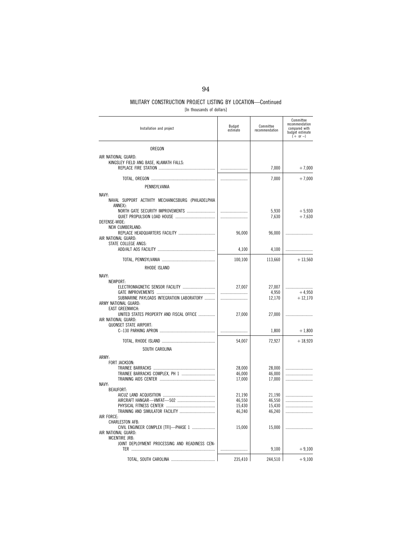| [In thousands of dollars] |  |  |
|---------------------------|--|--|
|---------------------------|--|--|

| Installation and project                                           | Budget<br>estimate | Committee<br>recommendation | Committee<br>recommendation<br>compared with<br>budget estimate<br>$(+ or -)$ |
|--------------------------------------------------------------------|--------------------|-----------------------------|-------------------------------------------------------------------------------|
| OREGON                                                             |                    |                             |                                                                               |
| AIR NATIONAL GUARD:                                                |                    |                             |                                                                               |
| KINGSLEY FIELD ANG BASE, KLAMATH FALLS:                            |                    |                             |                                                                               |
|                                                                    |                    | 7,000                       | $+7,000$                                                                      |
|                                                                    |                    | 7,000                       | $+7,000$                                                                      |
| PENNSYLVANIA                                                       |                    |                             |                                                                               |
| NAVY:                                                              |                    |                             |                                                                               |
| NAVAL SUPPORT ACTIVITY MECHANICSBURG (PHILADELPHIA<br>ANNEX):      |                    |                             |                                                                               |
| NORTH GATE SECURITY IMPROVEMENTS                                   |                    | 5,930                       | $+5,930$                                                                      |
| DEFENSE-WIDE:                                                      |                    | 7,630                       | $+7,630$                                                                      |
| <b>NEW CUMBERLAND:</b>                                             |                    |                             |                                                                               |
| AIR NATIONAL GUARD:                                                | 96,000             | 96,000                      |                                                                               |
| STATE COLLEGE ANGS:                                                |                    |                             |                                                                               |
|                                                                    | 4,100              | 4,100                       |                                                                               |
|                                                                    | 100,100            | 113,660                     | $+13,560$                                                                     |
| RHODE ISLAND                                                       |                    |                             |                                                                               |
| NAVY:                                                              |                    |                             |                                                                               |
| NEWPORT:                                                           |                    |                             |                                                                               |
| ELECTROMAGNETIC SENSOR FACILITY                                    | 27,007             | 27,007<br>4,950             | $+4.950$                                                                      |
| SUBMARINE PAYLOADS INTEGRATION LABORATORY                          |                    | 12,170                      | $+12,170$                                                                     |
| ARMY NATIONAL GUARD:                                               |                    |                             |                                                                               |
| <b>EAST GREENWICH:</b><br>UNITED STATES PROPERTY AND FISCAL OFFICE | 27.000             | 27,000                      |                                                                               |
| AIR NATIONAL GUARD:                                                |                    |                             |                                                                               |
| <b>QUONSET STATE AIRPORT:</b>                                      |                    | 1,800                       | $+1,800$                                                                      |
|                                                                    |                    |                             |                                                                               |
|                                                                    | 54,007             | 72,927                      | $+18,920$                                                                     |
| SOUTH CAROLINA                                                     |                    |                             |                                                                               |
| ARMY:<br>FORT JACKSON:                                             |                    |                             |                                                                               |
|                                                                    | 28,000             | 28,000                      | .                                                                             |
|                                                                    | 46,000             | 46,000                      |                                                                               |
| NAVY:                                                              | 17,000             | 17,000                      |                                                                               |
| <b>BEAUFORT:</b>                                                   |                    |                             |                                                                               |
|                                                                    | 21,190             | 21,190                      | .                                                                             |
|                                                                    | 46,550<br>15,430   | 46,550                      |                                                                               |
|                                                                    | 46,240             | 15.430<br>46,240            | .                                                                             |
| AIR FORCE:                                                         |                    |                             |                                                                               |
| CHARLESTON AFB:<br>CIVIL ENGINEER COMPLEX [TFI]-PHASE 1            | 15,000             | 15,000                      |                                                                               |
| AIR NATIONAL GUARD:                                                |                    |                             |                                                                               |
| MCENTIRE JRB:                                                      |                    |                             |                                                                               |
| JOINT DEPLOYMENT PROCESSING AND READINESS CEN-                     |                    | 9,100                       | $+9,100$                                                                      |
|                                                                    |                    |                             |                                                                               |
|                                                                    | 235,410            | 244,510                     | $+9,100$                                                                      |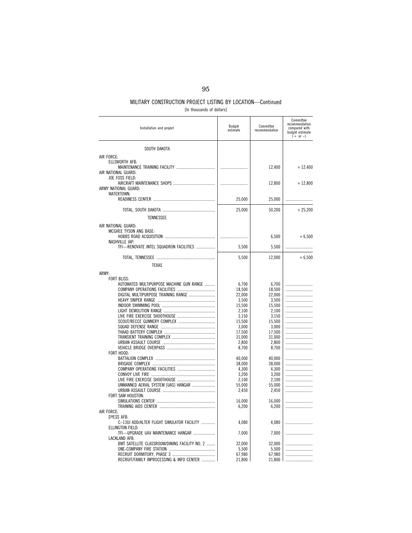| [In thousands of dollars] |  |  |
|---------------------------|--|--|
|---------------------------|--|--|

| Installation and project                                | Budget<br>estimate | Committee<br>recommendation | Committee<br>recommendation<br>compared with<br>budget estimate<br>$(+ or -)$ |
|---------------------------------------------------------|--------------------|-----------------------------|-------------------------------------------------------------------------------|
| SOUTH DAKOTA                                            |                    |                             |                                                                               |
| AIR FORCE:                                              |                    |                             |                                                                               |
| ELLSWORTH AFB:                                          |                    |                             |                                                                               |
|                                                         |                    | 12,400                      | $+12,400$                                                                     |
| AIR NATIONAL GUARD:                                     |                    |                             |                                                                               |
| JOE FOSS FIELD:                                         |                    |                             |                                                                               |
| ARMY NATIONAL GUARD:                                    |                    | 12,800                      | $+12,800$                                                                     |
| WATERTOWN:                                              |                    |                             |                                                                               |
|                                                         | 25,000             | 25,000                      |                                                                               |
|                                                         |                    |                             |                                                                               |
|                                                         | 25,000             | 50,200                      | $+25,200$                                                                     |
| <b>TENNESSEE</b>                                        |                    |                             |                                                                               |
| AIR NATIONAL GUARD:                                     |                    |                             |                                                                               |
| MCGHEE TYSON ANG BASE:                                  |                    |                             |                                                                               |
|                                                         |                    | 6,500                       | $+6,500$                                                                      |
| NASHVILLE IAP:                                          |                    |                             |                                                                               |
| TFI-RENOVATE INTEL SQUADRON FACILITIES                  | 5,500              | 5,500                       |                                                                               |
|                                                         | 5,500              | 12,000                      | $+6,500$                                                                      |
| <b>TEXAS</b>                                            |                    |                             |                                                                               |
|                                                         |                    |                             |                                                                               |
| ARMY:                                                   |                    |                             |                                                                               |
| FORT BLISS:<br>AUTOMATED MULTIPURPOSE MACHINE GUN RANGE | 6,700              | 6,700                       |                                                                               |
|                                                         | 18,500             | 18,500                      |                                                                               |
| DIGITAL MULTIPURPOSE TRAINING RANGE                     | 22,000             | 22.000                      |                                                                               |
|                                                         | 3,500              | 3,500                       |                                                                               |
|                                                         | 15,500             | 15,500                      |                                                                               |
|                                                         | 2,100              | 2,100                       |                                                                               |
|                                                         | 3,150<br>15,500    | 3,150<br>15,500             |                                                                               |
|                                                         | 3,000              | 3,000                       |                                                                               |
|                                                         | 17,500             | 17,500                      |                                                                               |
|                                                         | 31,000             | 31,000                      |                                                                               |
|                                                         | 2,800              | 2,800                       |                                                                               |
| FORT HOOD:                                              | 8,700              | 8,700                       | .                                                                             |
|                                                         | 40,000             | 40,000                      |                                                                               |
|                                                         | 38,000             | 38,000                      | .                                                                             |
|                                                         | 4,300              | 4.300                       |                                                                               |
|                                                         | 3,200              | 3,200                       |                                                                               |
|                                                         | 2,100              | 2.100                       |                                                                               |
| UNMANNED AERIAL SYSTEM [UAS] HANGAR                     | 55,000<br>2,450    | 55,000<br>2,450             | .                                                                             |
| FORT SAM HOUSTON:                                       |                    |                             |                                                                               |
|                                                         | 16,000             | 16,000                      |                                                                               |
|                                                         | 6,200              | 6,200                       |                                                                               |
| AIR FORCE:<br><b>DYESS AFB:</b>                         |                    |                             |                                                                               |
| C-130J ADD/ALTER FLIGHT SIMULATOR FACILITY              | 4,080              | 4,080                       |                                                                               |
| ELLINGTON FIELD:                                        |                    |                             |                                                                               |
| TFI-UPGRADE UAV MAINTENANCE HANGAR                      | 7,000              | 7,000                       |                                                                               |
| LACKLAND AFB:                                           |                    |                             |                                                                               |
| BMT SATELLITE CLASSROOM/DINING FACILITY NO. 2           | 32,000             | 32.000                      |                                                                               |
|                                                         | 5,500<br>67,980    | 5,500<br>67,980             |                                                                               |
| RECRUIT/FAMILY INPROCESSING & INFO CENTER               | 21,800             | 21,800                      |                                                                               |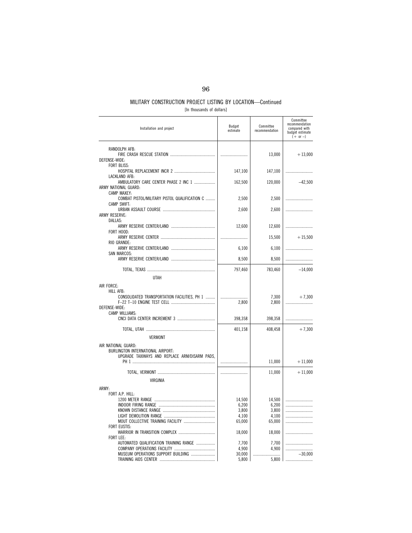### MILITARY CONSTRUCTION PROJECT LISTING BY LOCATION—Continued [In thousands of dollars]

| Installation and project                                                                                  | Budget<br>estimate                          | Committee<br>recommendation                 | Committee<br>recommendation<br>compared with<br>budget estimate<br>$(+ or -)$ |
|-----------------------------------------------------------------------------------------------------------|---------------------------------------------|---------------------------------------------|-------------------------------------------------------------------------------|
| RANDOLPH AFB:<br>DEFENSE-WIDE:<br><b>FORT BLISS:</b>                                                      |                                             | 13,000                                      | $+13,000$                                                                     |
| LACKLAND AFB:                                                                                             | 147,100                                     | 147,100                                     |                                                                               |
| AMBULATORY CARE CENTER PHASE 2 INC 1<br>ARMY NATIONAL GUARD:<br>CAMP MAXEY:                               | 162,500                                     | 120,000                                     | $-42,500$                                                                     |
| COMBAT PISTOL/MILITARY PISTOL QUALIFICATION C<br>CAMP SWIFT:                                              | 2,500                                       | 2,500                                       |                                                                               |
| ARMY RESERVE:                                                                                             | 2,600                                       | 2,600                                       |                                                                               |
| DALLAS:                                                                                                   | 12,600                                      | 12,600                                      |                                                                               |
| FORT HOOD:                                                                                                |                                             | 15,500                                      | $+15,500$                                                                     |
| RIO GRANDE:                                                                                               | 6,100                                       | 6,100                                       |                                                                               |
| <b>SAN MARCOS:</b>                                                                                        | 8,500                                       | 8,500                                       |                                                                               |
|                                                                                                           | 797,460                                     | 783,460                                     | $-14,000$                                                                     |
| UTAH<br>AIR FORCE:                                                                                        |                                             |                                             |                                                                               |
| HILL AFB:<br>CONSOLIDATED TRANSPORTATION FACILITIES, PH 1<br>DEFENSE-WIDE:                                | 2,800                                       | 7,300<br>2,800                              | $+7,300$                                                                      |
| CAMP WILLIAMS:                                                                                            | 398,358                                     | 398,358                                     |                                                                               |
|                                                                                                           | 401,158                                     | 408,458                                     | $+7,300$                                                                      |
| <b>VERMONT</b>                                                                                            |                                             |                                             |                                                                               |
| AIR NATIONAL GUARD:<br>BURLINGTON INTERNATIONAL AIRPORT:<br>UPGRADE TAXIWAYS AND REPLACE ARM/DISARM PADS, |                                             |                                             |                                                                               |
|                                                                                                           |                                             | 11,000                                      | $+11,000$                                                                     |
| VIRGINIA                                                                                                  |                                             | 11,000                                      | $+11,000$                                                                     |
| ARMY:                                                                                                     |                                             |                                             |                                                                               |
| FORT A.P. HILL:<br>MOUT COLLECTIVE TRAINING FACILITY                                                      | 14,500<br>6,200<br>3,800<br>4,100<br>65,000 | 14,500<br>6,200<br>3.800<br>4,100<br>65,000 | .                                                                             |
| <b>FORT EUSTIS:</b>                                                                                       | 18,000                                      | 18,000                                      |                                                                               |
| FORT LEE:<br>AUTOMATED QUALIFICATION TRAINING RANGE                                                       | 7,700<br>4,900                              | 7,700<br>4.900                              |                                                                               |
| MUSEUM OPERATIONS SUPPORT BUILDING                                                                        | 30,000<br>5,800                             | .<br>5,800                                  | $-30.000$                                                                     |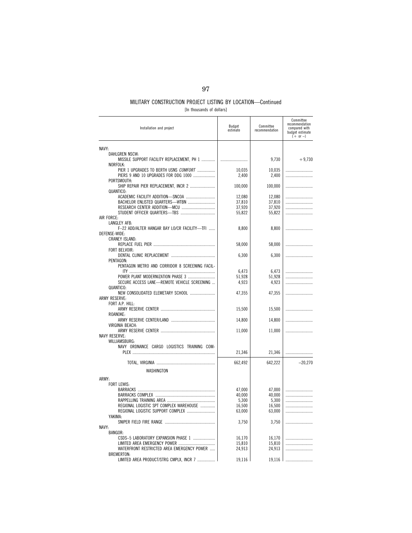[In thousands of dollars]

| Installation and project                                                                     | Budget<br>estimate | Committee<br>recommendation | Committee<br>recommendation<br>compared with<br>budget estimate<br>$(+ or -)$ |
|----------------------------------------------------------------------------------------------|--------------------|-----------------------------|-------------------------------------------------------------------------------|
| NAVY:                                                                                        |                    |                             |                                                                               |
| DAHLGREN NSCW:<br>MISSILE SUPPORT FACILITY REPLACEMENT, PH 1                                 |                    | 9,730                       | $+9.730$                                                                      |
| NORFOLK:                                                                                     |                    |                             |                                                                               |
| PIER 1 UPGRADES TO BERTH USNS COMFORT<br>PIERS 9 AND 10 UPGRADES FOR DDG 1000<br>PORTSMOUTH: | 10,035<br>2,400    | 10,035<br>2,400             |                                                                               |
| SHIP REPAIR PIER REPLACEMENT, INCR 2<br>QUANTICO:                                            | 100,000            | 100,000                     |                                                                               |
|                                                                                              | 12,080             | 12,080                      |                                                                               |
|                                                                                              | 37,810             | 37,810                      |                                                                               |
|                                                                                              | 37,920             | 37,920                      |                                                                               |
|                                                                                              | 55,822             | 55,822                      |                                                                               |
| AIR FORCE:                                                                                   |                    |                             |                                                                               |
| LANGLEY AFB:                                                                                 |                    |                             |                                                                               |
| F-22 ADD/ALTER HANGAR BAY LO/CR FACILITY-TFI<br>DEFENSE-WIDE:<br><b>CRANEY ISLAND:</b>       | 8,800              | 8,800                       |                                                                               |
|                                                                                              | 58,000             | 58,000                      |                                                                               |
| FORT BELVOIR:                                                                                |                    |                             |                                                                               |
|                                                                                              | 6,300              | 6,300                       |                                                                               |
| PENTAGON:                                                                                    |                    |                             |                                                                               |
| PENTAGON METRO AND CORRIDOR 8 SCREENING FACIL-                                               |                    |                             |                                                                               |
|                                                                                              | 6,473              | 6,473                       |                                                                               |
|                                                                                              | 51,928             | 51,928                      |                                                                               |
| SECURE ACCESS LANE-REMOTE VEHICLE SCREENING<br>QUANTICO:                                     | 4,923              | 4,923                       |                                                                               |
| NEW CONSOLIDATED ELEMETARY SCHOOL                                                            | 47,355             | 47,355                      |                                                                               |
| ARMY RESERVE:                                                                                |                    |                             |                                                                               |
| FORT A.P. HILL:                                                                              |                    |                             |                                                                               |
|                                                                                              | 15,500             | 15,500                      |                                                                               |
| ROANOKE:                                                                                     |                    |                             |                                                                               |
|                                                                                              | 14,800             | 14,800                      |                                                                               |
| VIRGINIA BEACH:                                                                              |                    |                             |                                                                               |
|                                                                                              | 11,000             | 11,000                      |                                                                               |
| <b>NAVY RESERVE:</b>                                                                         |                    |                             |                                                                               |
| WILLIAMSBURG:                                                                                |                    |                             |                                                                               |
| NAVY ORDNANCE CARGO LOGISTICS TRAINING COM-                                                  | 21,346             |                             |                                                                               |
|                                                                                              |                    | 21,346                      |                                                                               |
|                                                                                              | 662,492            | 642,222                     | $-20,270$                                                                     |
|                                                                                              |                    |                             |                                                                               |
| WASHINGTON                                                                                   |                    |                             |                                                                               |
| ARMY:                                                                                        |                    |                             |                                                                               |
| FORT LEWIS:                                                                                  |                    |                             |                                                                               |
|                                                                                              | 47,000             | 47,000                      |                                                                               |
|                                                                                              | 40,000             | 40,000                      |                                                                               |
|                                                                                              | 5,300              | 5,300                       |                                                                               |
| REGIONAL LOGISTIC SPT COMPLEX WAREHOUSE<br>REGIONAL LOGISTIC SUPPORT COMPLEX                 | 16,500             | 16.500                      |                                                                               |
| YAKIMA:                                                                                      | 63,000             | 63,000                      |                                                                               |
|                                                                                              | 3,750              | 3,750                       |                                                                               |
| NAVY:                                                                                        |                    |                             |                                                                               |
| <b>BANGOR:</b>                                                                               |                    |                             |                                                                               |
| CSDS-5 LABORATORY EXPANSION PHASE 1                                                          | 16,170             | 16,170                      |                                                                               |
|                                                                                              | 15,810             | 15,810                      |                                                                               |
| WATERFRONT RESTRICTED AREA EMERGENCY POWER                                                   | 24,913             | 24,913                      |                                                                               |
| BREMERTON:                                                                                   |                    |                             |                                                                               |
| LIMITED AREA PRODUCT/STRG CMPLX, INCR 7                                                      | 19,116             | 19,116                      |                                                                               |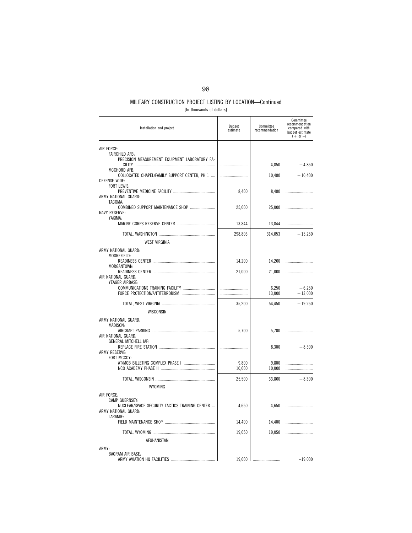[In thousands of dollars]

| Installation and project                                                                             | Budget<br>estimate | Committee<br>recommendation | Committee<br>recommendation<br>compared with<br>budget estimate<br>$(+ or -)$ |
|------------------------------------------------------------------------------------------------------|--------------------|-----------------------------|-------------------------------------------------------------------------------|
| AIR FORCE:                                                                                           |                    |                             |                                                                               |
| FAIRCHILD AFB:<br>PRECISION MEASUREMENT EQUIPMENT LABORATORY FA-                                     |                    |                             |                                                                               |
|                                                                                                      |                    | 4,850                       | $+4,850$                                                                      |
| MCCHORD AFB:<br>COLLOCATED CHAPEL/FAMILY SUPPORT CENTER, PH 1<br>DEFENSE-WIDE:<br><b>FORT LEWIS:</b> |                    | 10,400                      | $+10,400$                                                                     |
| ARMY NATIONAL GUARD:<br>TACOMA:                                                                      | 8,400              | 8,400                       |                                                                               |
| <b>NAVY RESERVE:</b><br>YAKIMA:                                                                      | 25,000             | 25,000                      |                                                                               |
|                                                                                                      | 13,844             | 13,844                      |                                                                               |
|                                                                                                      | 298,803            | 314,053                     | $+15,250$                                                                     |
| WEST VIRGINIA                                                                                        |                    |                             |                                                                               |
| ARMY NATIONAL GUARD:                                                                                 |                    |                             |                                                                               |
| MOOREFIELD:                                                                                          | 14,200             | 14,200                      |                                                                               |
| MORGANTOWN:                                                                                          | 21,000             | 21,000                      |                                                                               |
| AIR NATIONAL GUARD:<br>YEAGER AIRBASE:                                                               |                    |                             |                                                                               |
|                                                                                                      |                    | 6,250<br>13,000             | $+6,250$<br>$+13,000$                                                         |
|                                                                                                      | 35,200             | 54,450                      | $+19,250$                                                                     |
| WISCONSIN                                                                                            |                    |                             |                                                                               |
| ARMY NATIONAL GUARD:<br>MADISON:                                                                     |                    |                             |                                                                               |
|                                                                                                      | 5,700              | 5,700                       | .                                                                             |
| AIR NATIONAL GUARD:<br>GENERAL MITCHELL IAP:                                                         |                    |                             |                                                                               |
| ARMY RESERVE:                                                                                        |                    | 8,300                       | $+8,300$                                                                      |
| FORT MCCOY:                                                                                          |                    |                             |                                                                               |
|                                                                                                      | 9,800<br>10,000    | 9,800<br>10,000             |                                                                               |
|                                                                                                      | 25,500             | 33,800                      | $+8,300$                                                                      |
| WYOMING                                                                                              |                    |                             |                                                                               |
| AIR FORCE:                                                                                           |                    |                             |                                                                               |
| CAMP GUERNSEY:<br>NUCLEAR/SPACE SECURITY TACTICS TRAINING CENTER<br>ARMY NATIONAL GUARD:<br>LARAMIE: | 4,650              | 4,650                       |                                                                               |
|                                                                                                      | 14,400             | 14,400                      |                                                                               |
|                                                                                                      | 19,050             | 19,050                      |                                                                               |
| AFGHANISTAN                                                                                          |                    |                             |                                                                               |
| ARMY:                                                                                                |                    |                             |                                                                               |
| <b>BAGRAM AIR BASE:</b>                                                                              |                    | 19,000                      | $-19,000$                                                                     |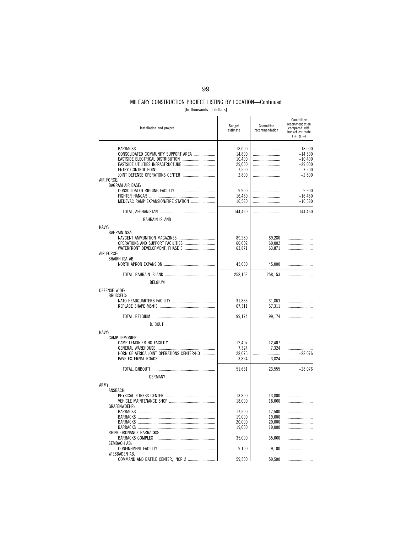### MILITARY CONSTRUCTION PROJECT LISTING BY LOCATION—Continued [In thousands of dollars]

| Installation and project                                                                                                  | Budget<br>estimate                                     | Committee<br>recommendation          | Committee<br>recommendation<br>compared with<br>budget estimate<br>$(+ or -)$ |
|---------------------------------------------------------------------------------------------------------------------------|--------------------------------------------------------|--------------------------------------|-------------------------------------------------------------------------------|
| CONSOLIDATED COMMUNITY SUPPORT AREA<br>EASTSIDE UTILITIES INFRASTRUCTURE<br>JOINT DEFENSE OPERATIONS CENTER<br>AIR FORCE: | 18,000<br>14,800<br>10.400<br>29,000<br>7,500<br>2,800 |                                      | $-18,000$<br>$-14,800$<br>$-10,400$<br>$-29,000$<br>$-7,500$<br>$-2,800$      |
| <b>BAGRAM AIR BASE:</b><br>MEDEVAC RAMP EXPANSION/FIRE STATION                                                            | 9,900<br>16,480<br>16,580                              |                                      | $-9,900$<br>$-16,480$<br>$-16,580$                                            |
|                                                                                                                           | 144,460                                                |                                      | $-144,460$                                                                    |
| <b>BAHRAIN ISLAND</b><br>NAVY:                                                                                            |                                                        |                                      |                                                                               |
| BAHRAIN NSA:<br>WATERFRONT DEVELOPMENT, PHASE 3<br>AIR FORCE:                                                             | 89,280<br>60,002<br>63,871                             | 89,280<br>60,002<br>63,871           | .                                                                             |
| SHAIKH ISA AB:                                                                                                            | 45,000                                                 | 45,000                               |                                                                               |
| <b>BELGIUM</b>                                                                                                            | 258,153                                                | 258,153                              |                                                                               |
| DEFENSE-WIDE:                                                                                                             |                                                        |                                      |                                                                               |
| <b>BRUSSELS:</b>                                                                                                          | 31,863<br>67,311                                       | 31,863<br>67,311                     |                                                                               |
|                                                                                                                           | 99,174                                                 | 99,174                               |                                                                               |
| <b>DJIBOUTI</b>                                                                                                           |                                                        |                                      |                                                                               |
| NAVY:<br><b>CAMP LEMONIER:</b><br>HORN OF AFRICA JOINT OPERATIONS CENTER/HQ                                               | 12,407<br>7,324<br>28,076<br>3,824                     | 12,407<br>7,324<br>3,824             | $-28.076$                                                                     |
|                                                                                                                           | 51,631                                                 | 23,555                               | $-28,076$                                                                     |
| <b>GERMANY</b>                                                                                                            |                                                        |                                      |                                                                               |
| ARMY:<br>ANSBACH:                                                                                                         | 13,800                                                 | 13,800                               |                                                                               |
| <b>GRAFENWOEHR:</b>                                                                                                       | 18,000                                                 | 18,000                               | .                                                                             |
|                                                                                                                           | 17,500<br>19,000<br>20,000<br>19,000                   | 17,500<br>19,000<br>20,000<br>19,000 |                                                                               |
| RHINE ORDNANCE BARRACKS:<br>BARRACKS COMPLEX                                                                              | 35,000                                                 | 35,000                               |                                                                               |
| SEMBACH AB:                                                                                                               | 9,100                                                  | 9,100                                |                                                                               |
| <b>WIESBADEN AB:</b><br>COMMAND AND BATTLE CENTER, INCR 2                                                                 | 59,500                                                 | 59,500                               |                                                                               |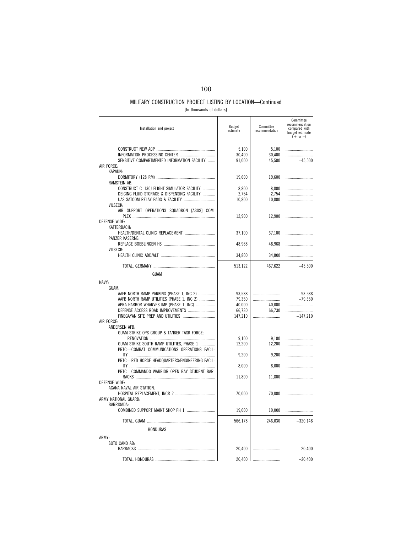[In thousands of dollars]

| Installation and project                                                               | Budget<br>estimate        | Committee<br>recommendation | Committee<br>recommendation<br>compared with<br>budget estimate<br>$(+ or -)$ |
|----------------------------------------------------------------------------------------|---------------------------|-----------------------------|-------------------------------------------------------------------------------|
| SENSITIVE COMPARTMENTED INFORMATION FACILITY                                           | 5,100<br>30,400<br>91,000 | 5,100<br>30,400<br>45,500   | $-45.500$                                                                     |
| AIR FORCE:<br>KAPAUN:                                                                  |                           |                             |                                                                               |
|                                                                                        | 19,600                    | 19,600                      |                                                                               |
| <b>RAMSTEIN AB:</b><br>CONSTRUCT C-130J FLIGHT SIMULATOR FACILITY                      | 8,800                     | 8,800                       |                                                                               |
| DEICING FLUID STORAGE & DISPENSING FACILITY                                            | 2,754                     | 2,754                       |                                                                               |
|                                                                                        | 10,800                    | 10,800                      |                                                                               |
| <b>VILSECK:</b><br>AIR SUPPORT OPERATIONS SQUADRON [ASOS] COM-                         |                           |                             |                                                                               |
|                                                                                        | 12,900                    | 12,900                      |                                                                               |
| DEFENSE-WIDE:<br>KATTERBACH:                                                           |                           |                             |                                                                               |
| HEALTH/DENTAL CLINIC REPLACEMENT                                                       | 37,100                    | 37,100                      |                                                                               |
| PANZER KASERNE:                                                                        | 48,968                    | 48,968                      |                                                                               |
| <b>VILSECK:</b>                                                                        |                           |                             |                                                                               |
|                                                                                        | 34,800                    | 34,800                      |                                                                               |
|                                                                                        | 513,122                   | 467,622                     | $-45,500$                                                                     |
| GUAM                                                                                   |                           |                             |                                                                               |
| NAVY:                                                                                  |                           |                             |                                                                               |
| GUAM:                                                                                  |                           |                             |                                                                               |
| AAFB NORTH RAMP PARKING (PHASE 1, INC 2)<br>AAFB NORTH RAMP UTILITIES (PHASE 1, INC 2) | 93,588<br>79,350          |                             | $-93,588$<br>$-79.350$                                                        |
| APRA HARBOR WHARVES IMP (PHASE 1, INC)                                                 | 40,000                    | 40,000                      |                                                                               |
| DEFENSE ACCESS ROAD IMPROVEMENTS                                                       | 66,730                    | 66,730                      |                                                                               |
| AIR FORCE:                                                                             | 147,210                   |                             | $-147,210$                                                                    |
| ANDERSEN AFB:                                                                          |                           |                             |                                                                               |
| GUAM STRIKE OPS GROUP & TANKER TASK FORCE:                                             |                           |                             |                                                                               |
| GUAM STRIKE SOUTH RAMP UTILITIES. PHASE 1                                              | 9.100<br>12,200           | 9,100<br>12,200             |                                                                               |
| PRTC-COMBAT COMMUNICATIONS OPERATIONS FACIL-                                           |                           |                             |                                                                               |
| PRTC-RED HORSE HEADQUARTERS/ENGINEERING FACIL-                                         | 9,200                     | 9,200                       |                                                                               |
|                                                                                        | 8,000                     | 8,000                       |                                                                               |
| PRTC-COMMANDO WARRIOR OPEN BAY STUDENT BAR-                                            | 11,800                    | 11,800                      |                                                                               |
| DEFENSE-WIDE:                                                                          |                           |                             |                                                                               |
| AGANA NAVAL AIR STATION:                                                               |                           |                             |                                                                               |
| ARMY NATIONAL GUARD:                                                                   | 70,000                    | 70,000                      |                                                                               |
| <b>BARRIGADA:</b>                                                                      |                           |                             |                                                                               |
|                                                                                        | 19,000                    | 19,000                      |                                                                               |
|                                                                                        | 566,178                   | 246,030                     | $-320,148$                                                                    |
| HONDURAS                                                                               |                           |                             |                                                                               |
| ARMY:                                                                                  |                           |                             |                                                                               |
| SOTO CANO AB:                                                                          |                           |                             |                                                                               |
|                                                                                        | 20,400                    |                             | $-20,400$                                                                     |
|                                                                                        | 20,400                    |                             | $-20,400$                                                                     |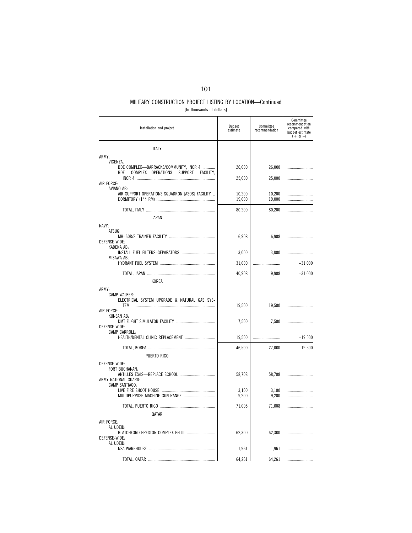| [In thousands of dollars] |  |
|---------------------------|--|
|                           |  |

| Installation and project                                                                                       | Budget<br>estimate | Committee<br>recommendation | Committee<br>recommendation<br>compared with<br>budget estimate<br>$(+ or -)$ |
|----------------------------------------------------------------------------------------------------------------|--------------------|-----------------------------|-------------------------------------------------------------------------------|
| <b>ITALY</b>                                                                                                   |                    |                             |                                                                               |
| ARMY:                                                                                                          |                    |                             |                                                                               |
| VICENZA:<br>BDE COMPLEX-BARRACKS/COMMUNITY, INCR 4<br><b>SUPPORT</b><br>COMPLEX-OPERATIONS<br>FACILITY.<br>BDE | 26,000             | 26,000                      |                                                                               |
| AIR FORCE:                                                                                                     | 25,000             | 25,000                      |                                                                               |
| AVIANO AB:<br>AIR SUPPORT OPERATIONS SQUADRON [ASOS] FACILITY                                                  | 10,200<br>19,000   | 10,200<br>19,000            | .                                                                             |
|                                                                                                                | 80,200             | 80,200                      |                                                                               |
| <b>JAPAN</b>                                                                                                   |                    |                             |                                                                               |
| NAVY:                                                                                                          |                    |                             |                                                                               |
| ATSUGI:<br>DEFENSE-WIDE:                                                                                       | 6,908              | 6,908                       |                                                                               |
| KADENA AB:<br>INSTALL FUEL FILTERS-SEPARATORS                                                                  | 3,000              | 3,000                       |                                                                               |
| MISAWA AB:                                                                                                     | 31,000             |                             | $-31,000$                                                                     |
|                                                                                                                | 40,908             | 9.908                       | $-31,000$                                                                     |
| KOREA                                                                                                          |                    |                             |                                                                               |
| ARMY:<br>CAMP WALKER:<br>ELECTRICAL SYSTEM UPGRADE & NATURAL GAS SYS-                                          | 19,500             | 19,500                      |                                                                               |
| AIR FORCE:<br>KUNSAN AB:                                                                                       |                    |                             |                                                                               |
| DEFENSE-WIDE:<br>CAMP CARROLL:                                                                                 | 7,500              | 7,500                       |                                                                               |
| HEALTH/DENTAL CLINIC REPLACEMENT                                                                               | 19,500             |                             | $-19,500$                                                                     |
| PUERTO RICO                                                                                                    | 46,500             | 27,000                      | $-19,500$                                                                     |
| DEFENSE-WIDE:<br>FORT BUCHANAN:<br>ARMY NATIONAL GUARD:                                                        | 58,708             | 58,708                      |                                                                               |
| CAMP SANTIAGO:                                                                                                 | 3,100<br>9,200     | 3,100<br>9,200              |                                                                               |
|                                                                                                                | 71,008             | 71,008                      |                                                                               |
| QATAR                                                                                                          |                    |                             |                                                                               |
| AIR FORCE:<br>AL UDEID:<br>BLATCHFORD-PRESTON COMPLEX PH III<br>DEFENSE-WIDE:<br>AL UDEID:                     | 62,300<br>1,961    | 62,300<br>1,961             |                                                                               |
|                                                                                                                |                    |                             |                                                                               |
|                                                                                                                | 64,261             | 64,261                      |                                                                               |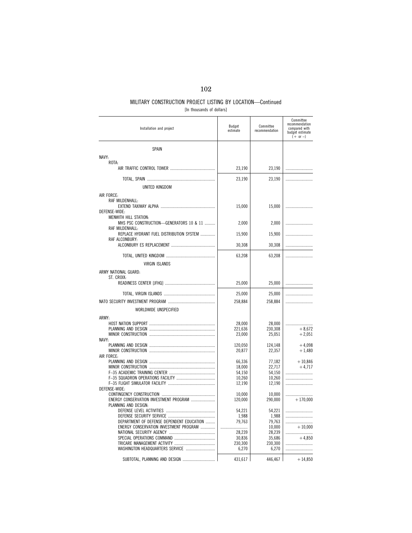### 102

### MILITARY CONSTRUCTION PROJECT LISTING BY LOCATION—Continued [In thousands of dollars]

| Installation and project                                    | <b>Budget</b><br>estimate | Committee<br>recommendation | Committee<br>recommendation<br>compared with<br>budget estimate<br>$(+ or -)$ |
|-------------------------------------------------------------|---------------------------|-----------------------------|-------------------------------------------------------------------------------|
| <b>SPAIN</b>                                                |                           |                             |                                                                               |
| NAVY:                                                       |                           |                             |                                                                               |
| ROTA:                                                       |                           |                             |                                                                               |
|                                                             | 23,190                    | 23,190                      |                                                                               |
|                                                             | 23,190                    | 23,190                      |                                                                               |
| UNITED KINGDOM                                              |                           |                             |                                                                               |
|                                                             |                           |                             |                                                                               |
| AIR FORCE:<br>RAF MILDENHALL:                               |                           |                             |                                                                               |
|                                                             | 15,000                    | 15,000                      |                                                                               |
| DEFENSE-WIDE:                                               |                           |                             |                                                                               |
| MENWITH HILL STATION:                                       |                           |                             |                                                                               |
| MHS PSC CONSTRUCTION-GENERATORS 10 & 11                     | 2,000                     | 2,000                       |                                                                               |
| RAF MILDENHALL:<br>REPLACE HYDRANT FUEL DISTRIBUTION SYSTEM | 15,900                    | 15,900                      |                                                                               |
| RAF ALCONBURY:                                              |                           |                             |                                                                               |
|                                                             | 30,308                    | 30,308                      |                                                                               |
|                                                             | 63,208                    | 63,208                      |                                                                               |
| VIRGIN ISLANDS                                              |                           |                             |                                                                               |
| ARMY NATIONAL GUARD:                                        |                           |                             |                                                                               |
| ST. CROIX:                                                  |                           |                             |                                                                               |
|                                                             | 25,000                    | 25,000                      |                                                                               |
|                                                             |                           |                             |                                                                               |
|                                                             | 25,000                    | 25,000                      |                                                                               |
|                                                             | 258,884                   | 258,884                     |                                                                               |
| WORLDWIDE UNSPECIFIED                                       |                           |                             |                                                                               |
| ARMY:                                                       |                           |                             |                                                                               |
|                                                             | 28,000                    | 28,000                      |                                                                               |
|                                                             | 221,636                   | 230,308                     | $+8,672$                                                                      |
| NAVY:                                                       | 23,000                    | 25,051                      | $+2,051$                                                                      |
|                                                             | 120,050                   | 124,148                     | $+4,098$                                                                      |
|                                                             | 20,877                    | 22,357                      | $+1,480$                                                                      |
| AIR FORCE:                                                  |                           |                             |                                                                               |
|                                                             | 66,336                    | 77,182                      | $+10,846$                                                                     |
|                                                             | 18,000                    | 22,717                      | $+4.717$                                                                      |
|                                                             | 54,150<br>10,260          | 54,150<br>10,260            |                                                                               |
|                                                             | 12,190                    | 12,190                      |                                                                               |
| DEFENSE-WIDE:                                               |                           |                             |                                                                               |
|                                                             | 10,000                    | 10,000                      |                                                                               |
| ENERGY CONSERVATION INVESTMENT PROGRAM                      | 120,000                   | 290,000                     | $+170,000$                                                                    |
| PLANNING AND DESIGN:                                        |                           |                             |                                                                               |
|                                                             | 54,221                    | 54,221                      |                                                                               |
| DEPARTMENT OF DEFENSE DEPENDENT EDUCATION                   | 1,988<br>79,763           | 1,988<br>79,763             |                                                                               |
| ENERGY CONSERVATION INVESTMENT PROGRAM                      |                           | 10,000                      | $+10,000$                                                                     |
|                                                             | 28.239                    | 28,239                      |                                                                               |
|                                                             | 30,836                    | 35,686                      | $+4,850$                                                                      |
|                                                             | 230,300                   | 230,300                     |                                                                               |
|                                                             | 6,270                     | 6,270                       |                                                                               |
|                                                             | 431,617                   | 446,467                     | $+14,850$                                                                     |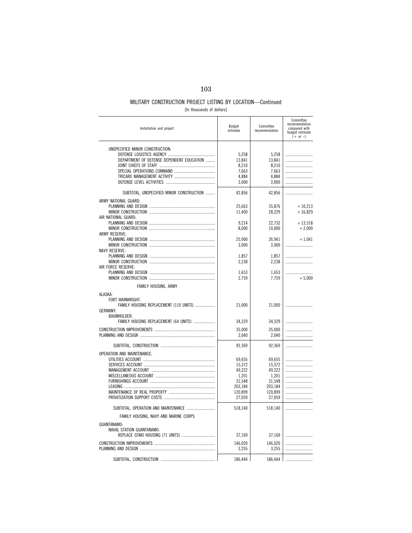[In thousands of dollars]

| Installation and project                                                                 | Budget<br>estimate                                  | Committee<br>recommendation                         | Committee<br>recommendation<br>compared with<br>budget estimate<br>$(+ or -)$ |
|------------------------------------------------------------------------------------------|-----------------------------------------------------|-----------------------------------------------------|-------------------------------------------------------------------------------|
| UNSPECIFIED MINOR CONSTRUCTION:<br>DEPARTMENT OF DEFENSE DEPENDENT EDUCATION             | 5,258<br>13.841<br>8,210<br>7,663<br>4,884<br>3,000 | 5,258<br>13.841<br>8,210<br>7,663<br>4,884<br>3,000 |                                                                               |
| SUBTOTAL, UNSPECIFIED MINOR CONSTRUCTION                                                 | 42,856                                              | 42,856                                              |                                                                               |
| ARMY NATIONAL GUARD:<br>AIR NATIONAL GUARD:                                              | 25,663<br>11,400                                    | 35,876<br>28,229                                    | $+10,213$<br>$+16,829$                                                        |
| ARMY RESERVE:                                                                            | 9,214<br>8,000                                      | 22,732<br>10,000                                    | $+13,518$<br>$+2,000$                                                         |
| <b>NAVY RESERVE:</b>                                                                     | 25,900<br>3,000                                     | 26,941<br>3,000                                     | $+1,041$                                                                      |
| AIR FORCE RESERVE:                                                                       | 1,857<br>2,238                                      | 1,857<br>2,238                                      |                                                                               |
|                                                                                          | 1,653<br>2,759                                      | 1,653<br>7,759                                      | $+5,000$                                                                      |
| FAMILY HOUSING, ARMY                                                                     |                                                     |                                                     |                                                                               |
| ALASKA:<br>FORT WAINWRIGHT:<br>FAMILY HOUSING REPLACEMENT (110 UNITS)<br><b>GERMANY:</b> | 21,000                                              | 21,000                                              |                                                                               |
| BAUMHOLDER:<br>FAMILY HOUSING REPLACEMENT (64 UNITS)                                     | 34,329                                              | 34,329                                              |                                                                               |
|                                                                                          | 35,000                                              | 35,000                                              |                                                                               |
|                                                                                          | 2,040                                               | 2,040                                               |                                                                               |
|                                                                                          | 92,369                                              | 92,369                                              |                                                                               |
| OPERATION AND MAINTENANCE:                                                               | 69,655<br>15,372<br>49,222<br>1,201<br>31,548       | 69.655<br>15,372<br>49,222<br>1,201<br>31,548       |                                                                               |
|                                                                                          | 203,184                                             | 203,184                                             |                                                                               |
|                                                                                          | 120,899<br>27,059                                   | 120,899<br>27,059                                   |                                                                               |
| SUBTOTAL, OPERATION AND MAINTENANCE                                                      | 518,140                                             | 518,140                                             |                                                                               |
| FAMILY HOUSING, NAVY AND MARINE CORPS                                                    |                                                     |                                                     |                                                                               |
| GUANTANAMO:<br>NAVAL STATION GUANTANAMO:                                                 | 37,169                                              | 37,169                                              |                                                                               |
|                                                                                          | 146,020<br>3,255                                    | 146,020<br>3,255                                    |                                                                               |
|                                                                                          | 186,444                                             | 186,444                                             |                                                                               |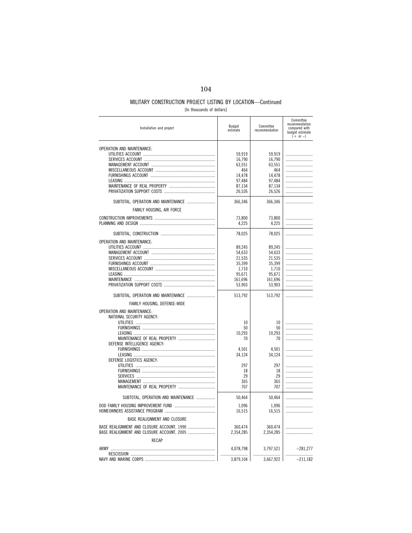|  | [In thousands of dollars] |  |  |  |  |
|--|---------------------------|--|--|--|--|
|--|---------------------------|--|--|--|--|

| Installation and project                   | Budget<br>estimate | Committee<br>recommendation | Committee<br>recommendation<br>compared with<br>budget estimate<br>$(+ or -)$ |
|--------------------------------------------|--------------------|-----------------------------|-------------------------------------------------------------------------------|
| OPERATION AND MAINTENANCE:                 | 59,919             | 59.919                      |                                                                               |
|                                            | 16,790             | 16,790                      |                                                                               |
|                                            | 63,551<br>464      | 63,551<br>464               |                                                                               |
|                                            | 14.478             | 14.478                      |                                                                               |
|                                            | 97,484             | 97,484                      |                                                                               |
|                                            | 87,134             | 87,134                      |                                                                               |
|                                            | 26,526             | 26,526                      |                                                                               |
| SUBTOTAL, OPERATION AND MAINTENANCE        | 366,346            | 366,346                     |                                                                               |
| FAMILY HOUSING, AIR FORCE                  |                    |                             |                                                                               |
|                                            | 73,800             | 73.800                      |                                                                               |
|                                            | 4,225              | 4.225                       |                                                                               |
|                                            |                    |                             |                                                                               |
|                                            | 78,025             | 78,025                      |                                                                               |
| OPERATION AND MAINTENANCE:                 |                    |                             |                                                                               |
|                                            | 89,245             | 89,245                      |                                                                               |
|                                            | 54.633             | 54.633                      |                                                                               |
|                                            | 21,535             | 21,535                      |                                                                               |
|                                            | 35,399<br>1,710    | 35,399<br>1,710             |                                                                               |
|                                            | 95,671             | 95,671                      |                                                                               |
|                                            | 161,696            | 161,696                     |                                                                               |
|                                            | 53,903             | 53,903                      |                                                                               |
| SUBTOTAL, OPERATION AND MAINTENANCE        | 513,792            | 513,792                     |                                                                               |
| FAMILY HOUSING, DEFENSE-WIDE               |                    |                             |                                                                               |
| <b>OPERATION AND MAINTENANCE:</b>          |                    |                             |                                                                               |
| NATIONAL SECURITY AGENCY:                  |                    |                             |                                                                               |
|                                            | 10                 | 10 <sup>°</sup>             |                                                                               |
|                                            | 50                 | 50                          |                                                                               |
|                                            | 10,293             | 10,293                      |                                                                               |
|                                            | 70                 | 70                          |                                                                               |
| DEFENSE INTELLIGENCE AGENCY:               |                    |                             |                                                                               |
|                                            | 4,501<br>34,124    | 4,501<br>34,124             |                                                                               |
| DEFENSE LOGISTICS AGENCY:                  |                    |                             |                                                                               |
|                                            | 297                | 297                         |                                                                               |
|                                            | 18                 | 18                          |                                                                               |
|                                            | 29                 | 29                          |                                                                               |
|                                            | 365                | 365                         |                                                                               |
|                                            | 707                | 707                         |                                                                               |
| SUBTOTAL, OPERATION AND MAINTENANCE        | 50,464             | 50,464                      |                                                                               |
|                                            | 1.096              | 1.096                       |                                                                               |
|                                            | 16,515             | 16,515                      |                                                                               |
| BASE REALIGNMENT AND CLOSURE               |                    |                             |                                                                               |
| BASE REALIGNMENT AND CLOSURE ACCOUNT, 1990 | 360,474            | 360,474                     |                                                                               |
| BASE REALIGNMENT AND CLOSURE ACCOUNT, 2005 | 2,354,285          | 2,354,285                   |                                                                               |
| RECAP                                      |                    |                             |                                                                               |
|                                            | 4,078,798          | 3,797,521                   | $-281,277$                                                                    |
|                                            |                    |                             |                                                                               |
|                                            | 3,879,104          | 3,667,922                   | $-211,182$                                                                    |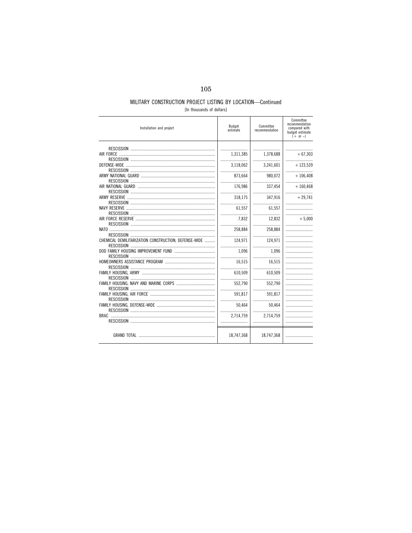### MILITARY CONSTRUCTION PROJECT LISTING BY LOCATION-Continued [In thousands of dollars]

| Installation and project                             | Budget<br>estimate | Committee<br>recommendation | Committee<br>recommendation<br>compared with<br>budget estimate<br>$(+ or -)$ |
|------------------------------------------------------|--------------------|-----------------------------|-------------------------------------------------------------------------------|
|                                                      |                    |                             |                                                                               |
|                                                      |                    |                             |                                                                               |
|                                                      | 1,311,385          | 1,378,688                   | $+67,303$                                                                     |
| <b>DEFENSE-WIDE</b>                                  | <br>3,118,062      | <br>3.241.601               | $+123,539$                                                                    |
|                                                      |                    |                             |                                                                               |
|                                                      | 873.664            | 980.072                     | $+106.408$                                                                    |
|                                                      |                    |                             |                                                                               |
|                                                      | 176.986            | 337,454                     | $+160.468$                                                                    |
|                                                      |                    | .                           |                                                                               |
| ARMY RESERVE                                         | 318.175            | 347.916                     | $+29.741$                                                                     |
|                                                      |                    |                             |                                                                               |
|                                                      | 61.557             | 61.557                      |                                                                               |
|                                                      |                    |                             |                                                                               |
|                                                      | 7,832              | 12,832                      | $+5,000$                                                                      |
|                                                      |                    |                             |                                                                               |
|                                                      | 258,884            | 258,884                     |                                                                               |
|                                                      |                    |                             |                                                                               |
| CHEMICAL DEMILITARIZATION CONSTRUCTION, DEFENSE-WIDE | 124,971            | 124.971                     |                                                                               |
|                                                      |                    |                             |                                                                               |
|                                                      | 1.096              | 1.096                       |                                                                               |
|                                                      | 16.515             | 16,515                      |                                                                               |
|                                                      |                    |                             |                                                                               |
|                                                      | 610.509            | 610.509                     |                                                                               |
|                                                      |                    |                             |                                                                               |
|                                                      | 552,790            | 552,790                     |                                                                               |
|                                                      |                    |                             |                                                                               |
|                                                      | 591.817            | 591.817                     |                                                                               |
|                                                      |                    |                             |                                                                               |
|                                                      | 50.464             | 50.464                      |                                                                               |
|                                                      |                    |                             |                                                                               |
|                                                      | 2.714.759          | 2.714.759                   |                                                                               |
|                                                      |                    |                             |                                                                               |
|                                                      |                    |                             |                                                                               |
|                                                      | 18,747,368         | 18,747,368                  |                                                                               |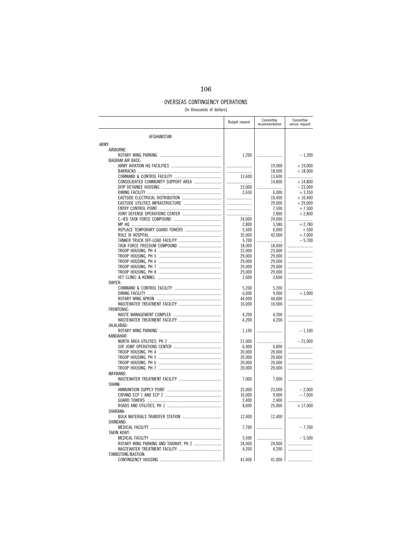### 106

### OVERSEAS CONTINGENCY OPERATIONS

[In thousands of dollars]

|                                     | <b>Budget request</b> | Committee<br>recommendation | Committee<br>versus request |
|-------------------------------------|-----------------------|-----------------------------|-----------------------------|
| AFGHANISTAN                         |                       |                             |                             |
| ARMY:                               |                       |                             |                             |
| AIRBORNE:                           |                       |                             |                             |
|                                     | 1,200                 |                             | $-1,200$                    |
| <b>BAGRAM AIR BASE:</b>             |                       |                             |                             |
|                                     |                       | 19,000                      | $+19,000$                   |
|                                     |                       | 18,000                      | $+18,000$                   |
|                                     | 13.600                | 13,600                      |                             |
| CONSOLIDATED COMMUNITY SUPPORT AREA |                       | 14,800                      | $+14,800$                   |
|                                     | 23,000                |                             | $-23,000$                   |
|                                     | 2.650                 | 6.000                       | $+3.350$                    |
|                                     |                       | 10,400                      | $+10,400$                   |
|                                     |                       | 29,000                      | $+29,000$                   |
|                                     |                       | 7,500                       | $+7,500$                    |
|                                     |                       | 2,800                       | $+2,800$                    |
|                                     | 24,000                | 24,000                      |                             |
|                                     | 2,800                 | 5,580                       | $+2,780$                    |
|                                     | 5,500                 | 6,000                       | $+500$                      |
|                                     | 35,000                | 42,000                      | $+7,000$                    |
|                                     | 5,700                 |                             | $-5,700$                    |
|                                     | 18,000                | 18,000                      |                             |
|                                     | 23,000                | 23,000                      |                             |
|                                     | 29,000                | 29,000                      |                             |
|                                     | 29,000                | 29,000                      |                             |
|                                     | 29,000                | 29,000                      |                             |
|                                     | 29,000                | 29,000                      |                             |
| DWYER:                              | 2,600                 | 2,600                       |                             |
|                                     |                       |                             |                             |
|                                     | 5,200                 | 5,200<br>9,000              | $+3,000$                    |
|                                     | 6,000<br>44,000       | 44,000                      |                             |
|                                     |                       | 16,000                      |                             |
| FRONTENAC:                          | 16,000                |                             |                             |
|                                     | 4,200                 | 4,200                       |                             |
|                                     | 4,200                 | 4,200                       |                             |
| JALALABAD:                          |                       |                             |                             |
|                                     | 1,100                 |                             | $-1,100$                    |
| KANDAHAR:                           |                       |                             |                             |
|                                     | 21,000                |                             | $-21.000$                   |
|                                     | 6,000                 | 6,000                       |                             |
|                                     | 20,000                | 20,000                      |                             |
|                                     | 20,000                | 20,000                      |                             |
|                                     | 20,000                | 20,000                      |                             |
|                                     | 20,000                | 20,000                      |                             |
| MAYWAND:                            |                       |                             |                             |
|                                     | 7,000                 | 7,000                       |                             |
| SHANK:                              |                       |                             |                             |
|                                     | 25,000                | 23,000                      | $-2,000$                    |
|                                     | 16,000                | 9,000                       | $-7,000$                    |
|                                     | 2,400                 | 2,400                       |                             |
|                                     | 8,000                 | 25,000                      | $+17,000$                   |
| SHARANA:                            |                       |                             |                             |
|                                     | 12,400                | 12,400                      |                             |
| SHINDAND:                           |                       |                             |                             |
|                                     | 7,700                 |                             | $-7,700$                    |
| TARIN KOWT:                         |                       |                             |                             |
|                                     | 5,500                 |                             | $-5,500$                    |
|                                     | 24,000                | 24.000                      |                             |
|                                     | 4,200                 | 4,200                       |                             |
| TOMBSTONE/BASTION:                  |                       |                             |                             |
|                                     | 41,000                | 41,000                      |                             |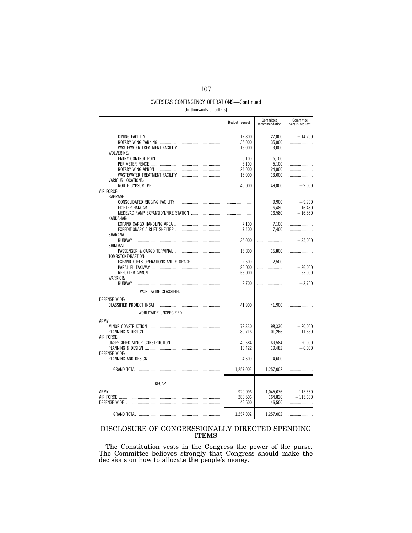# OVERSEAS CONTINGENCY OPERATIONS—Continued

[In thousands of dollars]

|                       | <b>Budget request</b> | Committee<br>recommendation | Committee<br>versus request |
|-----------------------|-----------------------|-----------------------------|-----------------------------|
|                       | 12,800<br>35,000      | 27,000<br>35,000            | $+14,200$                   |
| WOLVERINE:            | 13,000                | 13,000                      |                             |
|                       | 5,100                 | 5.100                       |                             |
|                       | 5,100                 | 5,100                       |                             |
|                       | 24,000                | 24,000                      |                             |
|                       | 13,000                | 13,000                      |                             |
| VARIOUS LOCATIONS:    | 40.000                | 49.000                      | $+9,000$                    |
| AIR FORCE:            |                       |                             |                             |
| <b>BAGRAM:</b>        |                       |                             |                             |
|                       |                       | 9,900                       | $+9,900$                    |
|                       |                       | 16,480                      | $+16,480$                   |
|                       |                       | 16,580                      | $+16,580$                   |
| KANDAHAR:             |                       |                             |                             |
|                       | 7.100                 | 7.100                       |                             |
| SHARANA:              | 7,400                 | 7,400                       |                             |
|                       | 35,000                |                             | $-35,000$                   |
| SHINDAND:             |                       |                             |                             |
|                       | 15,800                | 15,800                      |                             |
| TOMBSTONE/BASTION:    |                       |                             |                             |
|                       | 2,500                 | 2.500                       |                             |
|                       | 86,000                |                             | $-86.000$                   |
|                       | 55,000                |                             | $-55,000$                   |
| WARRIOR:              |                       |                             |                             |
|                       | 8,700                 |                             | $-8,700$                    |
| WORLDWIDE CLASSIFIED  |                       |                             |                             |
| DEFENSE-WIDE:         |                       |                             |                             |
|                       | 41,900                | 41,900                      |                             |
| WORLDWIDE UNSPECIFIED |                       |                             |                             |
| ARMY:                 |                       |                             |                             |
|                       | 78,330                | 98,330                      | $+20,000$                   |
|                       | 89,716                | 101,266                     | $+11,550$                   |
| AIR FORCE:            |                       |                             |                             |
|                       | 49,584                | 69,584                      | $+20,000$                   |
| DEFENSE-WIDE:         | 13,422                | 19,482                      | $+6,060$                    |
|                       | 4,600                 | 4,600                       |                             |
|                       | 1,257,002             | 1,257,002                   |                             |
| <b>RFCAP</b>          |                       |                             |                             |
|                       |                       |                             |                             |
|                       | 929,996               | 1,045,676                   | $+115,680$                  |
|                       | 280,506               | 164.826                     | $-115.680$                  |
|                       | 46,500                | 46,500                      |                             |
|                       | 1,257,002             | 1,257,002                   |                             |

### DISCLOSURE OF CONGRESSIONALLY DIRECTED SPENDING ITEMS

The Constitution vests in the Congress the power of the purse. The Committee believes strongly that Congress should make the decisions on how to allocate the people's money.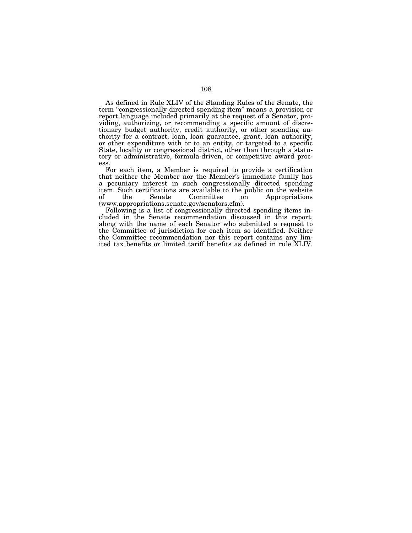As defined in Rule XLIV of the Standing Rules of the Senate, the term "congressionally directed spending item" means a provision or report language included primarily at the request of a Senator, providing, authorizing, or recommending a specific amount of discretionary budget authority, credit authority, or other spending authority for a contract, loan, loan guarantee, grant, loan authority, or other expenditure with or to an entity, or targeted to a specific State, locality or congressional district, other than through a statutory or administrative, formula-driven, or competitive award process.

For each item, a Member is required to provide a certification that neither the Member nor the Member's immediate family has a pecuniary interest in such congressionally directed spending item. Such certifications are available to the public on the website on Appropriations (www.appropriations.senate.gov/senators.cfm).

Following is a list of congressionally directed spending items included in the Senate recommendation discussed in this report, along with the name of each Senator who submitted a request to the Committee of jurisdiction for each item so identified. Neither the Committee recommendation nor this report contains any limited tax benefits or limited tariff benefits as defined in rule XLIV.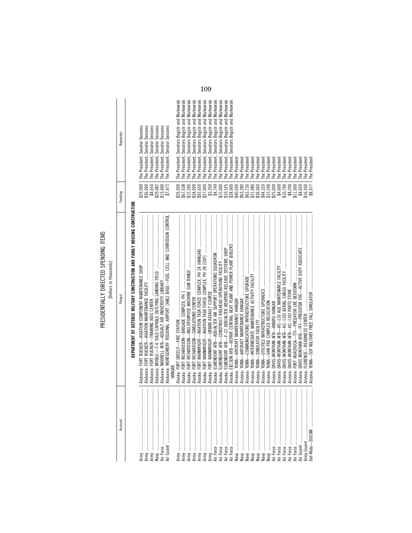PRESIDENTIALLY DIRECTED SPENDING ITEMS PRESIDENTIALLY DIRECTED SPENDING ITEMS

| j<br>׆ימ<br>$\overline{a}$ |
|----------------------------|
| J<br>۰<br>Ï                |
|                            |
|                            |

Account Project Funding Requestor

Project

Account

Requestor

Funding

|                                                                                                                                                                                                                                                                                                                                                                                                                                                                                                                                                   | DEPARTMENT OF DEFENSE MILITARY CONSTRUCTION AND FAMILY HOUSING CONSTRUCTION       |                     |                                                                        |
|---------------------------------------------------------------------------------------------------------------------------------------------------------------------------------------------------------------------------------------------------------------------------------------------------------------------------------------------------------------------------------------------------------------------------------------------------------------------------------------------------------------------------------------------------|-----------------------------------------------------------------------------------|---------------------|------------------------------------------------------------------------|
|                                                                                                                                                                                                                                                                                                                                                                                                                                                                                                                                                   |                                                                                   | \$29,000            | The President, Senator Sessions                                        |
|                                                                                                                                                                                                                                                                                                                                                                                                                                                                                                                                                   |                                                                                   | \$36,000            | The President, Senator Sessions                                        |
| İ                                                                                                                                                                                                                                                                                                                                                                                                                                                                                                                                                 |                                                                                   |                     | Sessions<br>Senator<br>The President,                                  |
| Navy                                                                                                                                                                                                                                                                                                                                                                                                                                                                                                                                              |                                                                                   | \$4,650<br>\$29,082 | Sessions<br>Senator<br>The President,                                  |
| Air Force                                                                                                                                                                                                                                                                                                                                                                                                                                                                                                                                         |                                                                                   | \$13,400            | The President, Senator Sessions                                        |
| l                                                                                                                                                                                                                                                                                                                                                                                                                                                                                                                                                 | Alabama: MONTGOMERY REGIONAL AIRPORT [ANG] BASE-FUEL CELL AND CORROSION CONTROI   | \$7,472             | The President, Senator Sessions                                        |
|                                                                                                                                                                                                                                                                                                                                                                                                                                                                                                                                                   | HANGAR                                                                            |                     |                                                                        |
|                                                                                                                                                                                                                                                                                                                                                                                                                                                                                                                                                   | Alaska: FORT GREELY—FIRE STATION<br>Alaska: FORT RICHARDSON—BRIGADE COMPLEX, PH 1 | \$26,000            | The President, Senators Begich and Murkowski                           |
|                                                                                                                                                                                                                                                                                                                                                                                                                                                                                                                                                   |                                                                                   | \$67,038            | The President, Senators Begich and Murkowski                           |
| ļ<br>Army                                                                                                                                                                                                                                                                                                                                                                                                                                                                                                                                         | Alaska: FORT                                                                      | \$12,200            | The President, Senators Begich and Murkowski                           |
| ļ<br>Army                                                                                                                                                                                                                                                                                                                                                                                                                                                                                                                                         |                                                                                   | \$34,000            | Begich and Murkowski<br>The President, Senators                        |
| ļ<br>Army                                                                                                                                                                                                                                                                                                                                                                                                                                                                                                                                         |                                                                                   | \$92,650            | Murkowski<br>Begich and<br><b>Senators</b><br>The President,           |
| ļ                                                                                                                                                                                                                                                                                                                                                                                                                                                                                                                                                 |                                                                                   | \$27,000            | Murkowski<br>Begich and<br><b>Senators</b><br>President,<br>The I      |
|                                                                                                                                                                                                                                                                                                                                                                                                                                                                                                                                                   | Naska:                                                                            | \$3,350             | Murkowski<br>and<br><b>Begich</b><br><b>Senators</b><br>The President, |
| $\frac{1}{2}$<br>Air Force                                                                                                                                                                                                                                                                                                                                                                                                                                                                                                                        | Naska:                                                                            | \$4,749             | Murkowski<br>Begich and<br><b>Senators</b><br>The President,           |
| $\ddot{\ddot{\phantom{a}}}\phantom{00}$                                                                                                                                                                                                                                                                                                                                                                                                                                                                                                           | Naska:                                                                            | \$15,000            | Murkowski<br>and<br>Begich<br><b>Senators</b><br>The President,        |
| $\frac{1}{2}$                                                                                                                                                                                                                                                                                                                                                                                                                                                                                                                                     | Naska:                                                                            | \$10,525            | Murkowski<br>Begich and<br><b>Senators</b><br>The President,           |
|                                                                                                                                                                                                                                                                                                                                                                                                                                                                                                                                                   | Alaska: EIELSON AFB—REPAIR CENTRAL HEAT PLANT AND POWER PLANT BOILERS             | \$28,000            | Senators Begich and Murkowski<br>The President,                        |
| Navy manufactured and a state of the state of the state of the state of the state of the state of the state of the state of the state of the state of the state of the state of the state of the state of the state of the sta                                                                                                                                                                                                                                                                                                                    |                                                                                   | \$40,600            | The President                                                          |
|                                                                                                                                                                                                                                                                                                                                                                                                                                                                                                                                                   |                                                                                   | \$63,280            | The President                                                          |
| ļ                                                                                                                                                                                                                                                                                                                                                                                                                                                                                                                                                 |                                                                                   | \$63,730            | The President                                                          |
| j<br>Naw                                                                                                                                                                                                                                                                                                                                                                                                                                                                                                                                          | Arizona:                                                                          | \$21,480            | The President                                                          |
| ļ<br>Naw                                                                                                                                                                                                                                                                                                                                                                                                                                                                                                                                          | Arizona:                                                                          | \$36,060            | President<br>Ihe I                                                     |
| $\begin{array}{c} \begin{array}{c} \begin{array}{c} \begin{array}{c} \end{array} \\ \begin{array}{c} \end{array} \end{array} \end{array} \end{array}$<br>Navy                                                                                                                                                                                                                                                                                                                                                                                     | Arizona:                                                                          | \$44,320            | President<br>The I                                                     |
| $\frac{1}{2}$<br>Naw                                                                                                                                                                                                                                                                                                                                                                                                                                                                                                                              | Arizona:                                                                          | \$15,590            | President<br>The I                                                     |
|                                                                                                                                                                                                                                                                                                                                                                                                                                                                                                                                                   | Arizona:                                                                          | \$25,000            | The President                                                          |
| l                                                                                                                                                                                                                                                                                                                                                                                                                                                                                                                                                 | Arizona:                                                                          | \$4,600             | The President                                                          |
| $\ddot{\phantom{a}}$                                                                                                                                                                                                                                                                                                                                                                                                                                                                                                                              | Arizona:                                                                          | \$10,700            | The President                                                          |
|                                                                                                                                                                                                                                                                                                                                                                                                                                                                                                                                                   | Arizona:                                                                          | \$8,200             | The President                                                          |
|                                                                                                                                                                                                                                                                                                                                                                                                                                                                                                                                                   |                                                                                   | \$11,000            | The President                                                          |
| $\frac{1}{2}$                                                                                                                                                                                                                                                                                                                                                                                                                                                                                                                                     |                                                                                   | \$4,650             | The President                                                          |
| <br> <br> <br>Army Guard                                                                                                                                                                                                                                                                                                                                                                                                                                                                                                                          |                                                                                   | \$16,500            | The President                                                          |
| $\begin{minipage}{0.5\linewidth} \begin{tabular}{l} \hline \multicolumn{3}{c}{\textbf{0.5}\linewidth} \end{tabular} \end{minipage} \begin{minipage}{0.5\linewidth} \begin{tabular}{l} \multicolumn{3}{c}{\textbf{0.5}\linewidth} \end{tabular} \end{minipage} \begin{minipage}{0.5\linewidth} \end{minipage} \begin{minipage}{0.5\linewidth} \end{minipage} \begin{minipage}{0.5\linewidth} \end{minipage} \begin{minipage}{0.5\linewidth} \end{minipage} \begin{minipage}{0.5\linewidth} \end{minipage} \begin{minipage}{0.5\$<br>bef-Wide-SOCOM |                                                                                   | \$8,977             | The President                                                          |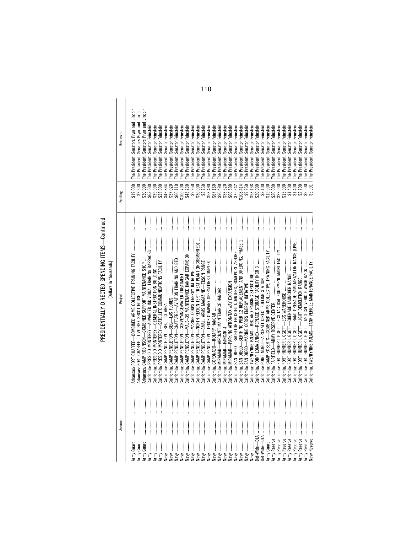PRESIDENTIALLY DIRECTED SPENDING ITEMS—Continued<br>[Dollars in thousands] PRESIDENTIALLY DIRECTED SPENDING ITEMS—Continued [Dollars in thousands]

| Requestor<br>Funding | The President, Senators Pryor and Lincoln<br>Senators Pryor and Lincoln<br>Senators Pryor and Lincoln<br>Senator Feinstein<br>Senator Feinstein<br>Feinstein<br>Feinstein<br>Feinstein<br>Feinstein<br>Feinstein<br>Feinstein<br>Feinstein<br>Feinstein<br>Feinstein<br>Feinstein<br>Feinstein<br>Feinstein<br>Feinstein<br>Feinstein<br>Feinstein<br>Feinstein<br>Feinstein<br>Feinstein<br>Feinstein<br>Feinstein<br>Feinstein<br>Feinstein<br>Feinstein<br>Feinstein<br>Feinstein<br>Feinstein<br>Feinstein<br>Feinstein<br>The President, Senator Feinstein<br>Senator<br>Senator<br>Senator<br>Senator<br>Senator<br>Senator<br>Senator<br>Senator<br>Senator<br>Senator F<br>Senator F<br>Senator F<br>Senator<br>Senator<br>The President, Senator<br>Senator I<br>Senator I<br>Senator I<br>Senator<br>Senator<br>Senator<br>Senator<br>Senator<br>Senator<br>Senator<br>Senator<br>Senator<br>Senator<br>The President,<br>The President,<br>The President,<br>The President,<br>The President,<br>The President,<br>The President,<br>The President,<br>The President,<br>The President,<br>The President,<br>The President,<br>The President,<br>The President,<br>The President,<br>The President,<br>The President,<br>The President,<br>The President,<br>The President,<br>The President,<br>The President,<br>The President,<br>The President,<br>The President,<br>The President,<br>The President,<br>The President,<br>The President,<br>The President,<br>The President,<br>\$5,991<br>\$75,342<br>\$9,950<br>\$33,620<br>\$66,500<br>\$108,414<br>\$53,158<br>\$20,000<br>\$2,500<br>\$66,110<br>\$9,950<br>\$30,000<br>\$3,760<br>\$67,160<br>\$90,490<br>\$3,100<br>\$19,000<br>\$26,000<br>\$22,000<br>\$15,000<br>\$1,400<br>\$1,400<br>\$9,500<br>\$19,000<br>\$30,000<br>\$63,000<br>\$39,000<br>\$38,000<br>\$42,864<br>\$37,020<br>\$48,230<br>\$53,490<br>\$2,700<br>\$100,700 |
|----------------------|--------------------------------------------------------------------------------------------------------------------------------------------------------------------------------------------------------------------------------------------------------------------------------------------------------------------------------------------------------------------------------------------------------------------------------------------------------------------------------------------------------------------------------------------------------------------------------------------------------------------------------------------------------------------------------------------------------------------------------------------------------------------------------------------------------------------------------------------------------------------------------------------------------------------------------------------------------------------------------------------------------------------------------------------------------------------------------------------------------------------------------------------------------------------------------------------------------------------------------------------------------------------------------------------------------------------------------------------------------------------------------------------------------------------------------------------------------------------------------------------------------------------------------------------------------------------------------------------------------------------------------------------------------------------------------------------------------------------------------------------------------------------------------------------------------------------------------------------------------------------------------------------------------------|
| Project              | Arkansas: FORT CHAFFEE—COMBINED ARMS COLLECTIVE TRAINING FACILITY<br>California: PRESIDIO MONTEREY-ADVANCED INDIVIDUAL TRAINING BARRACKS<br>California: CAMP PENDLETON-NORTH REGION TERT TREAT PLANT (INCREMENTED)<br>California: SAN DIEGO-BACHELOR ENLISTED QUARTERS, HOMEPORT ASHORE<br>California: SAN DIEGO-BERTHING PIER 12 REPLACEMENT AND DREDGING, PHASE 1<br>California: CAMP PENDLETON-<br>California: CAMP PENDLETON-<br>California: CAMP PENDLETON-<br>California:<br>California:<br>California:<br>California:<br>California:                                                                                                                                                                                                                                                                                                                                                                                                                                                                                                                                                                                                                                                                                                                                                                                                                                                                                                                                                                                                                                                                                                                                                                                                                                                                                                                                                                  |
| Account              | Ī<br>$\vdots$<br>ļ<br>ĺ<br>ļ<br>ļ<br>Î<br>$\vdots$<br>$\vdots$<br>ļ<br>ļ<br>$\vdots$<br>$\vdots$<br>ļ<br>ļ<br>ļ<br>ļ<br>$\vdots$<br>ļ<br>ļ<br>ļ<br>ļ<br>ļ<br>$\vdots$<br>ļ<br>ļ<br>$\vdots$<br>ļ<br>ļ<br>$\vdots$<br>ļ<br>ļ<br>ļ<br>ļ<br>Army Reserve<br>Army Reserve<br>Army Reserve<br>Def-Wide-DLA<br>Def-Wide-DLA<br>Army Reserve<br>Army Reserve<br>Army Reserve<br>Army Reserve<br><b>Vavy Reserve</b><br>Army Guard<br>Army<br>Army<br>Army<br>Naw<br>Naw<br>Naw<br>Naw<br>Naw<br>Naw<br>Naw<br>Naw<br>Naw<br>New<br>New<br>New<br>New<br>Naw<br>Naw<br>Vaw<br>New                                                                                                                                                                                                                                                                                                                                                                                                                                                                                                                                                                                                                                                                                                                                                                                                                                                                                                                                                                                                                                                                                                                                                                                                                                                                                                                                    |

110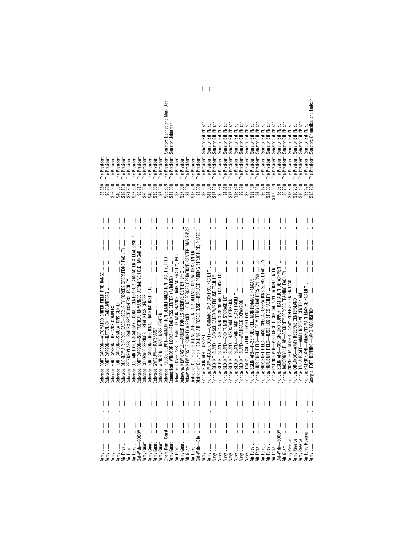|                                    | Colorado: FORT CARSON-SOF TACTICAL UNMANNED AERIAL VEHICLE HANGAR<br>Colorado:<br>Colorado:<br>Colorado:<br>Colorado:<br>Colorado:                                                                                                                                                                                                                                     | \$56,000<br>\$40,000<br>\$12,160<br>\$27,600<br>\$24,800<br>\$3,717                                                                      | President<br>President<br>President<br>President<br>President<br>The<br>The<br>The<br>The<br>The                                                                                                                                                                                                                                                                                               |                                                                                                                                                                                                                                                                                                                                                       |
|------------------------------------|------------------------------------------------------------------------------------------------------------------------------------------------------------------------------------------------------------------------------------------------------------------------------------------------------------------------------------------------------------------------|------------------------------------------------------------------------------------------------------------------------------------------|------------------------------------------------------------------------------------------------------------------------------------------------------------------------------------------------------------------------------------------------------------------------------------------------------------------------------------------------------------------------------------------------|-------------------------------------------------------------------------------------------------------------------------------------------------------------------------------------------------------------------------------------------------------------------------------------------------------------------------------------------------------|
| <br> <br> <br> <br> <br> <br> <br> | Colorado: WINDSOR—READINESS CENTER<br>Colorado: PUEBLO DEPOT—AMMUNITION DEMILITARIZATION FACILITY, PH XII<br>Delaware: NEW CASTLE COUNTY AIRPORT-JOINT FORCES OPERATIONS CENTER-ANG SHARE<br>District of Columbia: BOLLING AIR FORCE BASE-REPLACE PARKING STRUCTURE, PHASE 1<br>Delaware: NEW CASTLE-ARMED FORCES RESERVE CENTER [JFHQ]<br>Colorado: GYPSUM-HAATS/AASF | \$65,569<br>\$41,000<br>$$1,500$<br>$$13,200$<br>\$20,000<br>$$39,000$<br>$$7,500$<br>$$3,200$<br>$$27,000$<br>\$40,000                  | President, Senator Lieberman<br>President<br>President<br>President<br>President<br>President<br>President<br>President<br>President<br>President<br><sup>2</sup><br>The<br>The<br>The<br>The<br>The<br>The<br>The<br>The<br>The<br>The                                                                                                                                                        | President, Senators Bennet and Mark Udall                                                                                                                                                                                                                                                                                                             |
|                                    | Florida:<br>Florida:<br><sup>-</sup> lorida:<br>Florida:<br>lorida:<br>Florida:<br>Florida:                                                                                                                                                                                                                                                                            | $$3,000$<br>$$6,900$<br>\$41,000<br>\$17,260<br>\$5,990<br>\$4,910<br>\$17,930<br>\$18,840<br>\$9,690<br>\$2,300                         | Senator<br>Senator<br>Senator<br>Senator<br>Senator<br>Senator<br>Senator<br>Senator<br>Senator<br>President,<br>President,<br>President.<br>President,<br>President.<br>President,<br>President,<br>President,<br>President,<br>The<br>The<br>The<br>The<br>The<br>$\overline{e}$<br>The<br>The<br>The                                                                                        | Nelson<br>Velson<br>Velson<br>lelson<br>Velson<br><b>Velson</b><br>$\equiv$<br>$\equiv$<br>Bill<br>$\overline{3}$<br>$\equiv$                                                                                                                                                                                                                         |
| bef-Wide-SOCOM                     | Florida:<br>lorida:<br>Florida:<br><sup>-</sup> lorida:<br>Florida:<br><sup>-</sup> lorida:<br>Florida:<br>Florida:<br><sup>-</sup> lorida:<br>Florida:<br>Florida:                                                                                                                                                                                                    | \$11,400<br>\$4,500<br>\$100,009<br>\$10,400<br>\$3,420<br>\$12,200<br>\$6,170<br>\$24,000<br>\$6,030<br>\$6,700<br>\$13,800<br>\$10,200 | Senator<br>Senator<br><br>Senator<br>Senator<br>Senator<br>Senator<br>Senator<br>Senator<br>Senator<br>Senator<br>Senator<br>President,<br>President,<br>President,<br>President,<br>President,<br>President,<br>President,<br>President,<br>President,<br>President,<br>President,<br>President.<br>The<br>The<br>The<br>The<br>The<br>The<br>The<br>The<br>The<br>The<br>The<br><sup>e</sup> | Senators Chambliss and Isakson<br>Nelson<br>Nelson<br>Nelson<br>Nelson<br>Nelson<br>Nelson<br>Nelson<br>Nelson<br>Nelson<br>Nelson<br><b>Bill Nelson</b><br>Bill<br>$\overline{3}$<br>Bill<br>Bill<br>Bill<br>Bill<br>$\overline{\overline{\overline{\overline{a}}}$<br>$\overline{\overline{a}}$<br>$\equiv$<br>$\overline{\overline{\overline{a}}}$ |

| ິລ<br>8<br>\$6,7<br>\$3,6 | President<br>resident<br>o.<br>È<br>The                                         |
|---------------------------|---------------------------------------------------------------------------------|
| 8<br>56,0                 | resident<br>o.<br>The                                                           |
| 40,000                    | resident<br>dent<br>Presir<br>C.<br>The<br>The                                  |
| 12,160<br>24,800          | resident<br>n<br>Le                                                             |
| 8<br>27,6                 | resident<br>C<br>Le                                                             |
|                           | resident<br>ົ<br>Le                                                             |
| $$3,717$<br>$20,000$      | Jent<br>resi<br>n<br>Le                                                         |
| 40,000                    | dent<br>resi<br>n<br>The                                                        |
| 39,000                    | resident<br>n<br>The                                                            |
| ,500<br>చ్                | đent<br>resi<br>n<br>The                                                        |
| ස<br>65,51                | Udall<br>Mark<br>and<br><b>Bennet</b><br><b>Senators</b><br>dent.<br>resi<br>Le |
| 41,000                    | Lieberman<br>Senator<br>resident<br>n<br>Le                                     |
| \$3,200                   | resident<br>n<br>The                                                            |
| 27,000                    | Jent<br>resi<br>n<br>Le                                                         |
| \$1,500                   | resident<br>n.<br>The                                                           |
| 13,200                    | resident<br>ົ<br>The                                                            |
| \$3,000                   | resident<br>Fhe                                                                 |
| \$6,900                   | Nelson<br>沄<br>Senator<br>resident<br>n<br>Le                                   |
| 41,000                    | Nelson<br>둚<br>Senator<br>resident,<br>ົ<br>Le                                  |
| ,260<br>$\Box$            | Son<br>孠<br>忈<br>Senator<br>resident<br>C<br>Le                                 |
| \$5,990                   | Son<br>孠<br>āī<br>ator<br>Sen<br>dent.<br>resi<br>n<br>Le                       |
| \$4,910                   | son<br>孠<br>沄<br>Senator<br>resident<br>C<br>The                                |
| ,930<br>17.               | Son<br>孠<br>沄<br>Senator<br>resident<br>n<br>The                                |
| 18,840                    | son<br>g<br>沄<br>Senator<br>dent,<br>resi<br>n<br>The                           |
| \$9,690                   | son<br>孠<br>沄<br>Senator<br>resident<br>$\sim$<br>È                             |
| \$2,300                   | son<br>孠<br>忈<br>Senator<br>resident,<br>C<br>Le                                |
| 11,400                    | son<br>孠<br>沄<br>Senator<br>resident<br>$\sim$<br>Le                            |
| \$4,500                   | SON<br>夏<br>詞<br>ator<br>Sen:<br>resident<br>C<br>The                           |
| \$6,170                   | Nelson<br>沄<br>Senator<br>President,<br>The                                     |
| 24,000                    | Nelson<br>沄<br>Senator<br>resident<br>n.<br>The                                 |
| 00,009                    | Nelson<br>沄<br>Senator<br>resident,<br>n<br>The                                 |
| \$6,030                   | Nelson<br>沄<br>Senator<br>resident,<br><sup>n</sup><br>Le                       |
|                           | Nelson<br>忈<br>Senator<br>resident<br>Ċ.<br>$\mathbb{H}^{\mathsf{e}}$           |
| \$6,700<br>13,800         | Nelson<br>冨<br>ator<br>Šĕ<br>resident,<br>Δ<br>The                              |
| 10,200                    | Nelson<br>冨<br>Senator<br>President<br>The                                      |
| 10,400                    | Nelson<br>沄<br>Senator<br>resident,<br>n.<br>The                                |
| ∞<br>ė۶                   | Nelson<br><b>Sill</b><br>Senator<br>resident<br>n<br>The                        |
| 8<br>2,21                 | and Isakson<br>Chambliss<br>Senators<br>resident<br>$\Omega$<br>Le              |

111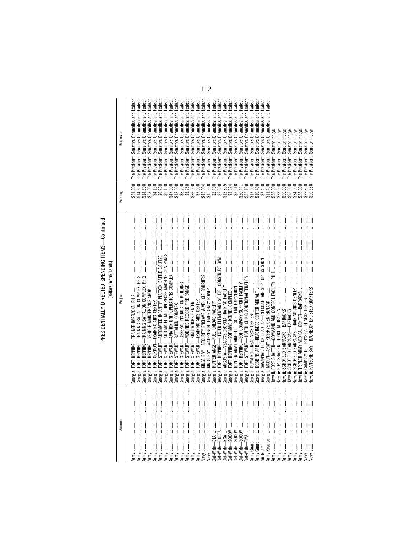PRESIDENTIALLY DIRECTED SPENDING ITEMS—Continued<br>[Dollars in thousands] PRESIDENTIALLY DIRECTED SPENDING ITEMS—Continued

[Dollars in thousands]

| Account                                                                                                                                                       | Project                                       | Funding              | Requestor                                                   |
|---------------------------------------------------------------------------------------------------------------------------------------------------------------|-----------------------------------------------|----------------------|-------------------------------------------------------------|
|                                                                                                                                                               |                                               |                      |                                                             |
| $\vdots$                                                                                                                                                      | Georgia: FORT BENNING-                        | \$51,000             | Isakson<br>The President, Senators Chambliss and            |
| ļ                                                                                                                                                             | FORT I<br>Georgia:                            |                      | Isakson<br>The President, Senators Chambliss and            |
| $\vdots$                                                                                                                                                      | BENNING-<br>FORT<br>Georgia:                  | \$14,600             | Isakson<br>and<br>Senators Chambliss<br>The President,      |
| ļ                                                                                                                                                             | BENNING-<br>FORT<br>Georgia:                  | \$53,000             | Isakson<br>and<br>Senators Chambliss<br>President,          |
| $\vdots$<br>Army                                                                                                                                              | FORT GORDON-<br>Georgia:                      | \$4,150              | Isakson<br>and<br>Senators Chambliss<br>President,<br>The I |
| $\vdots$<br>Army                                                                                                                                              | STEWART-<br>FORT<br>Georgia:                  | \$6,200              | Isakson<br>and<br>Senators Chambliss<br>President,<br>The I |
| $\begin{array}{ccc} \vdots & \vdots & \vdots \\ \vdots & \vdots & \vdots \\ \end{array}$<br>Army                                                              | FORT:<br>Georgia: I                           | \$9,100              | Isakson<br>and<br>Senators Chambliss<br>President,<br>The I |
| $\begin{array}{c} \begin{array}{c} \begin{array}{c} \begin{array}{c} \end{array} \\ \end{array} \end{array} \end{array}$<br>Army                              | Georgia: I                                    | \$47,000             | Isakson<br>and<br>Senators Chambliss<br>President,<br>The I |
| $\begin{array}{c} \begin{array}{c} \begin{array}{c} \begin{array}{c} \end{array} \\ \begin{array}{c} \end{array} \end{array} \end{array} \end{array}$<br>Army | Georgia: F                                    | \$18,000             | Isakson<br>and<br>Senators Chambliss<br>The President,      |
| $\begin{array}{c} \begin{array}{c} \bullet \\ \bullet \\ \bullet \end{array} \end{array}$<br>Army                                                             | Georgia: I                                    |                      | Isakson<br>and<br>Senators Chambliss<br>The President,      |
| $\begin{array}{c} \begin{array}{c} 1 \\ 1 \end{array} \\ \begin{array}{c} 1 \end{array} \end{array}$<br>Army                                                  | Georgia: ł                                    | \$8,200<br>\$3,750   | Isakson<br>and<br>Senators Chambliss<br>President,<br>The I |
| $\vdots$                                                                                                                                                      | Georgia: F                                    | \$26,000             | Isakson<br>and<br>President, Senators Chambliss<br>The I    |
| ļ<br>Army                                                                                                                                                     | Georgia: F                                    | \$7,000              | Isakson<br>and<br>President, Senators Chambliss<br>The I    |
| ļ                                                                                                                                                             | Georgia: ł                                    |                      | Isakson<br>The President, Senators Chambliss and            |
| ļ                                                                                                                                                             | Georgia: ł                                    | \$45,004<br>\$15,660 | Isakson<br>The President, Senators Chambliss and            |
| l                                                                                                                                                             | Georgia: ł                                    |                      | Isakson<br>The President, Senators Chambliss and            |
| ļ<br>Def-Wide-DODEA                                                                                                                                           |                                               | $$2,400$<br>$$2,800$ | The President, Senators Chambliss and Isakson               |
| $\vdots$<br>Def-Wide-                                                                                                                                         | Georgia: /                                    | \$12,855             | The President, Senators Chambliss and Isakson               |
| $\vdots$                                                                                                                                                      |                                               | \$3,624              | The President, Senators Chambliss and Isakson               |
| $\vdots$<br>Def-Wide—<br>Def-Wide—                                                                                                                            |                                               | \$3,318              | The President, Senators Chambliss and Isakson               |
| j<br>Def-Wide-                                                                                                                                                |                                               | \$20,441             | The President, Senators Chambliss and Isakson               |
| l<br>Def-Wide-TMA                                                                                                                                             |                                               | \$35,100             | The President, Senators Chambliss and Isakson               |
| ļ<br>Army Guard<br>Army Guard                                                                                                                                 |                                               | \$17,000             | The President, Senators Chambliss and Isakson               |
| j                                                                                                                                                             | Georgia: DOBBINS ARB-READINESS CENTER ADD/ALT | \$10,400             | The President, Senators Chambliss and Isakson               |
| l                                                                                                                                                             |                                               | \$7,450              | Senators Chambliss and Isakson<br>The President,            |
| ļ<br>Army Reserve                                                                                                                                             |                                               | \$11,400             | Isakson<br>Senators Chambliss and<br>The President,         |
| ļ<br>Army                                                                                                                                                     |                                               | \$58,000             | Senator Inouye<br>The President,                            |
| l<br>Army                                                                                                                                                     |                                               | \$23,000             | Senator Inouye<br>The President,                            |
| ļ<br>Army                                                                                                                                                     |                                               | \$90,000             | Inouye<br>Senator<br>The President,                         |
| j<br>Army                                                                                                                                                     | ławaii:                                       | \$98,000             | Inouye<br>Senator<br>The President,                         |
| $\vdots$<br>Army                                                                                                                                              |                                               | \$24,000             | Inouye<br>Senator<br>The President,                         |
| $\vdots$<br>Army                                                                                                                                              |                                               | \$28,000             | Inouye<br>Senator<br>The President,                         |
| $\vdots$<br>Vavy                                                                                                                                              |                                               | \$29,960             | Inouye<br>The President, Senator                            |
| $\frac{1}{2}$<br>Navy                                                                                                                                         |                                               | \$90,530             | The President, Senator Inouye                               |

112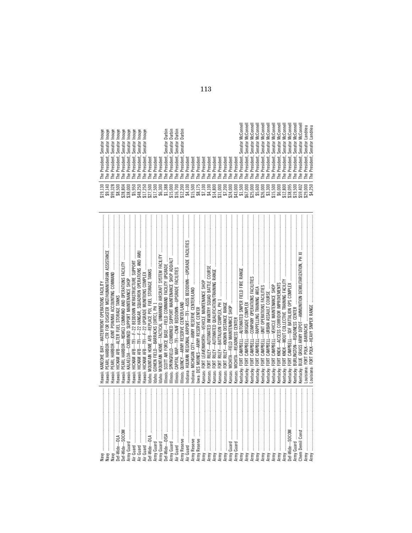| Inouye<br>nouye<br>Inouye<br>Inouye<br>Inouye<br>₹<br>Inouye<br>Inouye<br>흗<br>ator<br>ator<br>ator<br>Senator<br>Senator<br>Senator<br>Senator<br>Senator<br>Sena<br>Sena<br>Sen                                                                                                                                                                                      | tbin<br>rbin<br>Durbin<br>tbin<br>₽<br>홑<br>ā<br>ā<br>5<br>⊝<br>ator<br>Senator<br>Senator<br>ator<br>Senator<br>Sena<br>Šĕ                                                                                                                                                                                                                                                                               |                                                                                                                                                                                                                                                                                                                                                                                                                                                                | Connell<br>ᇹ<br>Connell<br>Connell<br>ಕ<br>Connell<br>Conne<br>Conn<br>چ<br>⋚<br>⋚<br>€<br>€<br>€<br>ator<br>ator<br>Senator<br>Senator<br>Senator<br>Senator<br>Sena<br>Seii                                                    | Connell<br>Connell<br>Connell<br>Connell<br><b>McConnel</b><br><b>McConne</b><br>andrieu<br>Ξ<br>Landrieu<br>š<br>€<br>š<br>š<br>Senator<br>Senator<br>ator<br>Senator<br>ator<br>Senator<br>ator<br>ator<br>Sei<br>Sen<br>5<br>ä<br>ch                                                             |
|------------------------------------------------------------------------------------------------------------------------------------------------------------------------------------------------------------------------------------------------------------------------------------------------------------------------------------------------------------------------|-----------------------------------------------------------------------------------------------------------------------------------------------------------------------------------------------------------------------------------------------------------------------------------------------------------------------------------------------------------------------------------------------------------|----------------------------------------------------------------------------------------------------------------------------------------------------------------------------------------------------------------------------------------------------------------------------------------------------------------------------------------------------------------------------------------------------------------------------------------------------------------|----------------------------------------------------------------------------------------------------------------------------------------------------------------------------------------------------------------------------------|-----------------------------------------------------------------------------------------------------------------------------------------------------------------------------------------------------------------------------------------------------------------------------------------------------|
| $\tilde{\phantom{a}}$<br>dent.<br>dent.<br>dent.<br>dent.<br>dent.<br>đent<br>dent<br>dent<br>್ದ<br>resi<br>'ಪ<br>.ಜ<br>Presi<br>`ವ<br>'ಪ<br>$\overline{a}$<br>يَّة<br>ط<br>ق<br>ěة<br>Pr<br>قع<br>ه<br>نق<br>نق<br>$\Omega$<br>$\Omega$<br>$\Omega$<br>은<br>은<br>은<br>몯<br>온<br>은<br>옫<br>옫<br>$\overline{\phantom{0}}$<br>$\overline{ }$<br>$\overline{\phantom{0}}$ | ۰<br>dent.<br><b>Jent</b><br>dent<br>dent<br>dent<br>dent<br>dent<br>dent<br>resi<br>resi<br>Presi<br>Presi<br>Presi<br>resi<br>resi<br>Presi<br>$\Omega$<br>$\Omega$<br>$\Omega$<br>$\Omega$<br>o.<br>뽇<br>르<br>옫<br>르<br>몯<br>옫<br>옫<br>르<br>$\overline{\phantom{0}}$<br>$\overline{\phantom{0}}$<br>$\overline{\phantom{0}}$<br>$\overline{\phantom{0}}$<br>$\overline{\phantom{0}}$<br>$\overline{ }$ | dent<br>dent<br>dent<br>dent<br>President<br>dent<br>đent<br>dent<br>dent<br>dent<br>resi<br>resi<br>Presir<br>resi<br>Presi<br>resi<br>resi<br>resi<br>Presi<br>ō<br>$\overline{a}$<br>o.<br>$\Omega$<br>$\Omega$<br>은<br>울<br>은<br>≗<br>르<br>르<br>뽇<br>옫<br>르<br>뽇<br>ᆮ<br>ᆮ<br>$\overline{\phantom{0}}$<br>$\overline{\phantom{0}}$<br>$\overline{\phantom{0}}$<br>$\overline{\phantom{0}}$<br>$ =$<br>$\overline{\phantom{0}}$<br>$\overline{\phantom{0}}$ | dent,<br>dent.<br>dent.<br>dent<br>dent<br>dent<br>Presi<br>resi<br>Presir<br>resi<br>resi<br>resi<br>ō<br>$\Omega$<br>o.<br>$\Omega$<br>울<br>≗<br>몯<br>옫<br>옫<br>르<br>ᆮ<br>$\overline{\phantom{0}}$<br>$\overline{\phantom{0}}$ | $\sim$<br>dent.<br>dent.<br>dent,<br>dent.<br>dent.<br>dent.<br>dent<br>dent<br>Presi<br>resi<br>Presi<br>.ಪ<br>resi<br>Presi<br>resi<br>`ವ<br>ق<br>نق<br>o.<br>$\Omega$<br>≏<br>$\sim$<br>$\Omega$<br>울<br>몯<br>옫<br>옫<br>르<br>옫<br>≌<br>은<br>$\overline{\phantom{0}}$<br>$\overline{\phantom{0}}$ |
| ੩<br>∞<br>ິລ<br>8<br>8<br>ິລ<br>⇉<br>$\sim$<br>Ó<br>ದ<br>$\infty$<br>0<br>99.3<br>ᡡ<br>$\tilde{\mathcal{L}}$<br>$\sim$<br>-<br>\$9,<br>$\ddot{\mathbf{8}}$<br>28,<br>38 <sub>1</sub><br>\$5,<br>ᡋ<br>↮<br>$\leftrightarrow$<br>↮                                                                                                                                       | 8<br>8<br>88<br>8<br>8<br>ິລ<br>8<br>8<br>្តី ដូច គី ឆ្នាំ<br>ដូច គី ឆ្នាំ<br>515,2<br>516,72<br>512,2                                                                                                                                                                                                                                                                                                    | $\begin{array}{l} \textbf{3.100} \\ \textbf{2.11} \\ \textbf{3.22} \\ \textbf{4.33} \\ \textbf{5.41} \\ \textbf{6.51} \\ \textbf{7.41} \\ \textbf{8.62} \\ \textbf{9.71} \\ \textbf{10.83} \\ \textbf{11.80} \\ \textbf{2.72} \\ \textbf{3.73} \\ \textbf{4.74} \\ \textbf{5.74} \\ \textbf{6.75} \\ \textbf{7.75} \\ \textbf{8.75} \\ \textbf{9.75} \\ \textbf{1.75} \\ \textbf{1.75} \\$<br>43,0<br>မတေ                                                      | 8<br>8<br>600<br>8<br>8<br>8<br>ភ្នំ<br>គឺជំនួន<br>0<br>\$3,3<br>5.6<br>$\leftrightarrow$<br>↮                                                                                                                                   | ε<br>8<br>ما<br>8<br>8<br>8<br>$\sim$<br>တ<br>0<br>⊷<br>õ<br>59,4(<br>\$6,0<br>19,5<br>29,01<br>5,5<br>$\infty$<br>$\sim$<br>$\tilde{E}$<br>38 <sub>1</sub><br>$\ddot{\phantom{1}}$<br>ෑ<br>⊣<br>000000000<br>↮                                                                                     |

|       |                                                                                                                                                                                                                                                                                                                                                                                                                                                                                                                                                         |                                                                                                                                                                                                                         | Senator Inouye<br>The President,       |                  |
|-------|---------------------------------------------------------------------------------------------------------------------------------------------------------------------------------------------------------------------------------------------------------------------------------------------------------------------------------------------------------------------------------------------------------------------------------------------------------------------------------------------------------------------------------------------------------|-------------------------------------------------------------------------------------------------------------------------------------------------------------------------------------------------------------------------|----------------------------------------|------------------|
|       | PEARL HARBOR-CTR FOR DISASTER MGT/HUMANITARIAN ASSISTANCE<br>ławaii:                                                                                                                                                                                                                                                                                                                                                                                                                                                                                    | $$19,130$<br>$$9,140$<br>$$99,328$<br>$$8500$                                                                                                                                                                           | Inouye<br>Senator In<br>The President, |                  |
|       | ławaii:                                                                                                                                                                                                                                                                                                                                                                                                                                                                                                                                                 |                                                                                                                                                                                                                         | Inouye<br>Senator<br>The President,    |                  |
|       | ławaii:                                                                                                                                                                                                                                                                                                                                                                                                                                                                                                                                                 |                                                                                                                                                                                                                         | Inouye<br>Senator<br>The President,    |                  |
|       | Hawaii: I                                                                                                                                                                                                                                                                                                                                                                                                                                                                                                                                               | \$28,804                                                                                                                                                                                                                | Inouye<br>Senator I<br>The President,  |                  |
|       | Hawaii: H                                                                                                                                                                                                                                                                                                                                                                                                                                                                                                                                               | $$38,000$<br>$$5,950$                                                                                                                                                                                                   | Inouye<br>Senator<br>The President,    |                  |
|       | HICKAM AFB $-\text{TF}$ $-$ F $-$ 22 BEDDOWN INTRASTRUCTURE SUPPORT<br>Hawaii:                                                                                                                                                                                                                                                                                                                                                                                                                                                                          |                                                                                                                                                                                                                         | Inouye<br>Senator I<br>The President,  |                  |
|       | HICKAM AFB—TFI—F-22 HANGAR, SQUADRON OPERATIONS AND AMU<br>Hawaii: H                                                                                                                                                                                                                                                                                                                                                                                                                                                                                    | \$48,250                                                                                                                                                                                                                | Inouye<br>Senator<br>The President,    |                  |
|       |                                                                                                                                                                                                                                                                                                                                                                                                                                                                                                                                                         | \$17,250                                                                                                                                                                                                                | Inouye<br>Senator I<br>The President,  |                  |
|       |                                                                                                                                                                                                                                                                                                                                                                                                                                                                                                                                                         | \$27,500                                                                                                                                                                                                                | The President                          |                  |
|       |                                                                                                                                                                                                                                                                                                                                                                                                                                                                                                                                                         | \$17,500                                                                                                                                                                                                                | The President                          |                  |
|       |                                                                                                                                                                                                                                                                                                                                                                                                                                                                                                                                                         | \$6,300                                                                                                                                                                                                                 | The President                          |                  |
|       |                                                                                                                                                                                                                                                                                                                                                                                                                                                                                                                                                         | \$1,388                                                                                                                                                                                                                 | Senator Durbin<br>The President,       |                  |
|       |                                                                                                                                                                                                                                                                                                                                                                                                                                                                                                                                                         |                                                                                                                                                                                                                         | The President, Senator Durbin          |                  |
|       |                                                                                                                                                                                                                                                                                                                                                                                                                                                                                                                                                         | $\begin{bmatrix} 15,000 \\ 15,700 \\ 16,700 \\ 12,200 \\ 94,100 \end{bmatrix}$                                                                                                                                          | The President, Senator Durbin          |                  |
|       |                                                                                                                                                                                                                                                                                                                                                                                                                                                                                                                                                         |                                                                                                                                                                                                                         | Senator Durbir<br>The President,       |                  |
|       | ndiana: HULMAN REGIONAL AIRPORT—TFI-ASOS BEDDOWN—UPGRADE FACILITIES                                                                                                                                                                                                                                                                                                                                                                                                                                                                                     |                                                                                                                                                                                                                         | The President                          |                  |
|       |                                                                                                                                                                                                                                                                                                                                                                                                                                                                                                                                                         | \$15,500                                                                                                                                                                                                                | The President                          |                  |
|       |                                                                                                                                                                                                                                                                                                                                                                                                                                                                                                                                                         | $\begin{array}{c} 88.175 \\ 87.100 \\ 84.100 \end{array}$                                                                                                                                                               | The President                          |                  |
|       | Kansas: FORT LEAVENWORTH-VEHICLE MAINTENANCE SHOP                                                                                                                                                                                                                                                                                                                                                                                                                                                                                                       |                                                                                                                                                                                                                         | The President                          |                  |
|       | Cansas:                                                                                                                                                                                                                                                                                                                                                                                                                                                                                                                                                 |                                                                                                                                                                                                                         | The President                          |                  |
|       | Kansas: F                                                                                                                                                                                                                                                                                                                                                                                                                                                                                                                                               | $$14,800$<br>$$31,000$                                                                                                                                                                                                  | The President                          |                  |
|       | Kansas:                                                                                                                                                                                                                                                                                                                                                                                                                                                                                                                                                 |                                                                                                                                                                                                                         | The President                          |                  |
| Army. | Cansas:                                                                                                                                                                                                                                                                                                                                                                                                                                                                                                                                                 |                                                                                                                                                                                                                         | The President                          |                  |
|       | <b>Kansas:</b>                                                                                                                                                                                                                                                                                                                                                                                                                                                                                                                                          |                                                                                                                                                                                                                         | The President                          |                  |
|       |                                                                                                                                                                                                                                                                                                                                                                                                                                                                                                                                                         |                                                                                                                                                                                                                         | The President                          |                  |
|       |                                                                                                                                                                                                                                                                                                                                                                                                                                                                                                                                                         |                                                                                                                                                                                                                         | Senator McConnell<br>The President,    |                  |
|       |                                                                                                                                                                                                                                                                                                                                                                                                                                                                                                                                                         |                                                                                                                                                                                                                         | The President, Senator McConnell       |                  |
|       |                                                                                                                                                                                                                                                                                                                                                                                                                                                                                                                                                         | $\begin{array}{r} \textbf{\$7,200} \\ \textbf{\$24,000} \\ \textbf{\$43,000} \\ \textbf{\$43,000} \\ \textbf{\$56,000} \\ \textbf{\$85,000} \\ \textbf{\$85,000} \\ \textbf{\$85,000} \\ \textbf{\$85,000} \end{array}$ | The President, Senator                 | <b>McConnell</b> |
|       |                                                                                                                                                                                                                                                                                                                                                                                                                                                                                                                                                         |                                                                                                                                                                                                                         | Senator<br>The President,              | McConnell        |
|       |                                                                                                                                                                                                                                                                                                                                                                                                                                                                                                                                                         | \$26,000                                                                                                                                                                                                                | Senator<br>The President,              | McConnell        |
|       |                                                                                                                                                                                                                                                                                                                                                                                                                                                                                                                                                         | \$3,300                                                                                                                                                                                                                 | The President, Senator                 | <b>McConnell</b> |
|       | Kentucky: FORT CAMPBELL-VEHICLE MAINTENANCE SHOP                                                                                                                                                                                                                                                                                                                                                                                                                                                                                                        |                                                                                                                                                                                                                         | The President, Senator McConnell       |                  |
|       |                                                                                                                                                                                                                                                                                                                                                                                                                                                                                                                                                         | $$15,500$<br>$$6,000$                                                                                                                                                                                                   | The President, Senator McConnell       |                  |
|       |                                                                                                                                                                                                                                                                                                                                                                                                                                                                                                                                                         | \$12,800                                                                                                                                                                                                                | The President, Senator                 | McConnell        |
|       |                                                                                                                                                                                                                                                                                                                                                                                                                                                                                                                                                         | \$38,095                                                                                                                                                                                                                | The President, Senator McConnell       |                  |
|       |                                                                                                                                                                                                                                                                                                                                                                                                                                                                                                                                                         | \$19,500                                                                                                                                                                                                                | Senator McConnell<br>The President,    |                  |
|       | kentucky: I                                                                                                                                                                                                                                                                                                                                                                                                                                                                                                                                             | \$59,402                                                                                                                                                                                                                | Senator I<br>The President,            | McConnell        |
|       | $\label{def:1} \begin{minipage}{0.9\textwidth} \begin{minipage}{0.9\textwidth} \begin{itemize} \textbf{0.9\textwidth} \begin{itemize} \textbf{0.9\textwidth} \begin{itemize} \textbf{0.9\textwidth} \begin{itemize} \textbf{0.9\textwidth} \begin{itemize} \textbf{0.9\textwidth} \begin{itemize} \textbf{0.9\textwidth} \begin{itemize} \textbf{0.9\textwidth} \begin{itemize} \textbf{0.9\textwidth} \begin{itemize} \textbf{0.9\textwidth} \begin{itemize} \textbf{0.9\textwidth} \begin{itemize} \textbf{0.9\text$<br>.ouisiana: FORT POLK-BARRACKS | \$29,000                                                                                                                                                                                                                | Senator I<br>The President,            |                  |
|       |                                                                                                                                                                                                                                                                                                                                                                                                                                                                                                                                                         | \$4,250                                                                                                                                                                                                                 | The President, Senator Landrieu        |                  |

113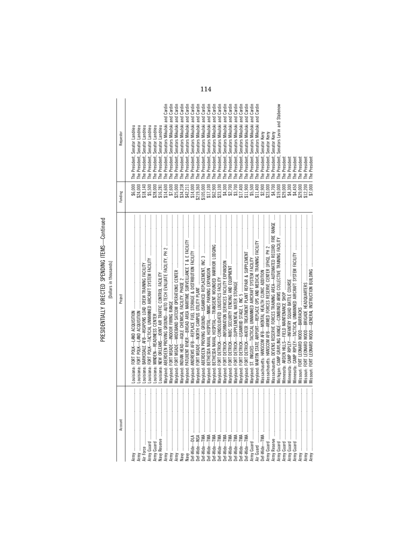PRESIDENTIALLY DIRECTED SPENDING ITEMS—Continued<br>[Dollars in thousands] PRESIDENTIALLY DIRECTED SPENDING ITEMS—Continued

[Dollars in thousands]

| Account                                                            | Project                                                                                        | Funding              | Requestor                                     |
|--------------------------------------------------------------------|------------------------------------------------------------------------------------------------|----------------------|-----------------------------------------------|
|                                                                    |                                                                                                |                      |                                               |
| $\vdots$                                                           |                                                                                                | \$6,000              | The President, Senator Landrieu               |
| $\begin{array}{c} \begin{array}{c} 1 \\ 1 \end{array} \end{array}$ |                                                                                                | \$24,000             | The President, Senator Landrieu               |
| $\mathcal{I}$<br>ir Force                                          |                                                                                                | \$18,140             | The President, Senator Landrieu               |
| $\frac{1}{2}$<br>Army Guard                                        |                                                                                                | \$5,500              | The President, Senator Landrieu               |
| $\mathbf{r}$                                                       |                                                                                                | \$28,000             | The President, Senator Landrieu               |
| $\begin{array}{c} \vdots \\ \vdots \end{array}$                    |                                                                                                | \$16,281             | The President, Senator Landrieu               |
| ļ                                                                  |                                                                                                | \$14,600             | The President, Senators Mikulski and Cardin   |
| ļ                                                                  |                                                                                                | \$7,600              | The President, Senators Mikulski and Cardin   |
| ļ                                                                  |                                                                                                | \$25,000             | The President, Senators Mikulski and Cardin   |
|                                                                    |                                                                                                | \$34,238             | The President, Senators Mikulski and Cardin   |
|                                                                    |                                                                                                | \$42,211             | The President, Senators Mikulski and Cardin   |
| bef-Wide-                                                          | Maryland: ANDREWS AFB-REPLACE FUEL STORAGE & DISTRIBUTION FACILITY                             | \$14,000             | The President, Senators Mikulski and Cardin   |
| bef-Wide-                                                          |                                                                                                | \$219,360            | The President, Senators Mikulski and Cardin   |
| -TMA<br>bef-Wide-                                                  |                                                                                                | \$105,000            | The President, Senators Mikulski and Cardin   |
| ļ<br>-TMA<br>bef-Wide-                                             |                                                                                                | \$17,100             | The President, Senators Mikulski and Cardin   |
| ļ<br>-TMA<br>bef-Wide-                                             |                                                                                                | \$62,900             | The President, Senators Mikulski and Cardin   |
| ļ<br>$-T$ MA<br>Def-Wide-                                          |                                                                                                | \$23,100             | The President, Senators Mikulski and Cardin   |
| ļ<br>-TMA<br>Def-Wide-                                             |                                                                                                | \$4,300              | The President, Senators Mikulski and Cardin   |
| ļ<br>-TMA<br>Def-Wide-                                             |                                                                                                | \$2,700              | The President, Senators Mikulski and Cardin   |
| ļ<br>$-T$<br>Def-Wide-                                             |                                                                                                | \$3,700              | The President, Senators Mikulski and Cardin   |
| ļ<br>Def-Wide-TMA                                                  |                                                                                                | \$17,400             | The President, Senators Mikulski and Cardin   |
| İ<br>Def-Wide-TMA                                                  |                                                                                                | \$11,900             | The President, Senators Mikulski and Cardin   |
| ļ                                                                  | Maryland: ST. INIGDES-TACTICAL UNMANNED AIRCRAFT SYSTEM FACILITY                               | \$5,500              | The President, Senators Mikulski and Cardin   |
| ļ<br>Army Guard<br>Air Guard                                       | Maryland: MARTIN STATE AIRPORT—REPLACE OPS AND MEDICAL TRAINING FACILITY                       | \$11,400             | The President, Senators Mikulski and Cardin   |
| ļ<br>Def-Wide-TMA                                                  |                                                                                                | \$2,900              | The President, Senator Kerry                  |
| ļ                                                                  | Massachusetts: HANSCOM AFB-ARMED FORCES RESERVE CENTER [JFHQ], PH 2                            | \$23,000             | The President, Senator Kerry                  |
| ļ                                                                  | $\mathbf{i}$<br>Massachusetts: DEVENS RESERVE FORCES TRAINING AREA-AUTOMATED RECORD FIRE RANGE | \$4,700              | The President, Senator Kerry                  |
| ļ<br>Army Guard                                                    | Michigan: CAMP GRAYLING RANGE-COMBINED ARMS COLLECTIVE TRAINING FACILITY                       | \$19,000<br>\$29,000 | Senators Levin and Stabenow<br>The President, |
| ļ<br>Army Guard                                                    |                                                                                                |                      | The President                                 |
| ļ<br>Army Guard                                                    |                                                                                                | \$4,300              | The President                                 |
| ļ<br>Army Guard                                                    |                                                                                                | \$4,450              | The President                                 |
| ļ                                                                  |                                                                                                | \$29,000             | The President                                 |
| ļ                                                                  |                                                                                                | \$12,200             | The President                                 |
| Ī<br>kuuk                                                          |                                                                                                | \$7,000              | The President                                 |

114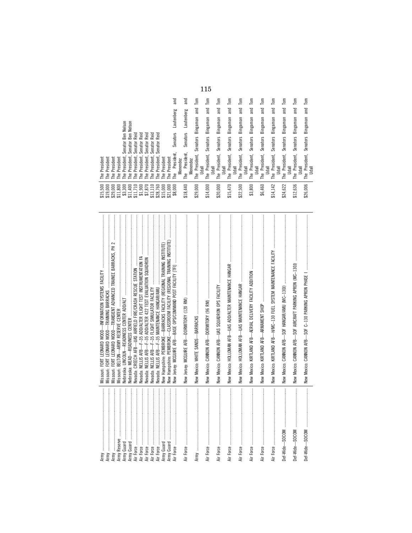|                                                                                                                                                                                                                                                                                 |                                       |                                        |                   |                                                                         |                  | Tand             | and                           |          | Tom               | Tom                               | Tom                        |       | Tom                        | Tom                               | Tom               | Tom                               | Tom                                        | $\overline{\mathsf{Hom}}$ | Tom                        | $\overline{\mathsf{I}}$ om |       |
|---------------------------------------------------------------------------------------------------------------------------------------------------------------------------------------------------------------------------------------------------------------------------------|---------------------------------------|----------------------------------------|-------------------|-------------------------------------------------------------------------|------------------|------------------|-------------------------------|----------|-------------------|-----------------------------------|----------------------------|-------|----------------------------|-----------------------------------|-------------------|-----------------------------------|--------------------------------------------|---------------------------|----------------------------|----------------------------|-------|
|                                                                                                                                                                                                                                                                                 |                                       |                                        |                   |                                                                         |                  |                  |                               |          | and               | and                               | and                        |       | and                        | and                               | and               | and                               | and                                        | and                       | and                        | and                        |       |
| Nelson                                                                                                                                                                                                                                                                          | <b>Nelson</b>                         |                                        |                   |                                                                         |                  | Lautenberg       | Lautenberg                    |          | Bingaman          | Bingaman                          | Bingaman                   |       | Bingaman                   | Bingaman                          | Bingaman          | Bingaman                          | Bingaman                                   | Bingaman                  | Bingaman                   | Bingaman                   |       |
| Ben                                                                                                                                                                                                                                                                             | Reid<br>Ben                           | Reid<br>Reid                           | Reid              | Reid                                                                    |                  | Senators         | <b>Senators</b>               |          |                   |                                   |                            |       |                            |                                   |                   |                                   |                                            |                           |                            |                            |       |
| Senator                                                                                                                                                                                                                                                                         | Senator<br>Senator                    | Senator<br>Senator                     | Senator           | Senator                                                                 |                  |                  |                               |          | Senators          | <b>Senators</b>                   | Senators                   |       | Senators                   | Senators                          | Senators          | Senators                          | Senators                                   | Senators                  | Senators                   | Senators                   |       |
| President,<br>President<br>President<br>President<br>President<br>The<br>The<br>The<br><b>F</b><br><b>F</b>                                                                                                                                                                     | President,<br>President,<br>Le<br>Fhe | President,<br>President,<br>The<br>The | President,<br>The | President,<br>President<br>The<br><b>Fhe</b>                            | President<br>The | President,<br>Le | President,<br>Menendez<br>The | Menendez | President,<br>The | President,<br><b>Udall</b><br>The | President,<br>Udall<br>The | Udall | President,<br>Udall<br>The | President,<br><b>Udall</b><br>The | President,<br>The | President,<br><b>Udall</b><br>The | President,<br><b>Udall</b><br>Udall<br>The | The President,<br>Udall   | President,<br>Udall<br>The | President,<br>The          | Udall |
| $\begin{array}{l} 19,000\\ 319,000\\ 431,800\\ 511,800\\ 511,710\\ 511,710\\ 511,700\\ 511,700\\ 51,800\\ 51,900\\ 51,800\\ 51,900\\ 52,900\\ 53,800\\ 54,800\\ 56,800\\ 57,900\\ 58,700\\ 59,800\\ 59,800\\ 50,800\\ 50,800\\ 50,800\\ 50,800\\ 50,800\\ 50,80$<br>15,500<br>↮ |                                       |                                        |                   | $\begin{array}{c} $13,110 \\ $28,760 \\ $15,000 \\ $21,000 \end{array}$ |                  | \$8,000          | \$18,440                      |          | \$29,000          | \$14,000                          | \$20,000                   |       | \$15,470                   | \$22,500                          | \$3,800           | \$6,460                           | \$14,142                                   | \$24,622                  | \$12,636                   | \$26,006                   |       |

| Ben Nelson<br><b>Nelson</b><br>Ben<br>Reid<br>Reid<br><b>Reid</b><br>Reid<br>Reid<br>Senator I<br>Senator<br>Senator<br>Senator<br>Senator<br>Senator<br>Senator<br>The President,<br>The President,<br>The President,<br>The President,<br>The President,<br>The President,<br>The President,<br>The President<br>The President<br>The President<br>The President<br>The President<br>The President<br>\$19,000<br>\$29,000<br>\$11,800<br>\$3,300<br>\$11,400<br>\$11,710<br>\$1,900<br>\$7,870<br>\$13,110<br>\$21,000<br>\$15,500<br>\$28,760<br>\$15,000                                                                                                                                                                                                                                                                                                                                                                                                                                                                                                                                                    | and<br>and<br>Lautenberg<br>Lautenberg<br><b>Senators</b><br>Senators<br>President,<br>The President,<br>Menendez<br>The<br>\$18,440<br>\$8,000 | $\mathsf{Tom}$<br>and<br>Bingaman<br><b>Senators</b><br>The President,<br>Menendez<br><b>Udall</b><br>\$29,000 | Tom<br>and<br>Bingaman<br><b>Senators</b><br>The President,<br>Udall<br>\$14,000 | Tom<br>Tom<br>Bingaman and<br>Bingaman and<br><b>Senators</b><br><b>Senators</b><br>The President,<br>The President,<br>Udall<br>\$20,000<br>\$15,470                                                                                                                                                                                                                                                                                                                                                                                                                                                                                                        | Tom<br>and<br>Bingaman<br><b>Senators</b><br>The President,<br><b>Udall</b><br>Udall<br>\$22,500 | Tom<br>Tom<br>and<br>and<br>Bingaman<br>Bingaman<br>Senators<br>Senators<br>The President,<br>The President,<br>Udall<br>\$3,800<br>\$6,460 | Tom<br>and<br>Bingaman<br>Senators<br>The President,<br><b>Udall</b><br>Udall<br>\$14,142 | $\overline{\mathsf{Iom}}$<br>Bingaman and<br><b>Senators</b><br>The President,<br><b>Udall</b><br>\$24,622 | Tom<br>Tom<br>Bingaman and<br>and<br>Bingaman<br>The President, Senators<br><b>Senators</b><br>The President,<br>Udall<br>\$26,006<br>\$12,636                                                                                                                                                                                                                                                                                                                                                                                                                                                     | Udall |
|------------------------------------------------------------------------------------------------------------------------------------------------------------------------------------------------------------------------------------------------------------------------------------------------------------------------------------------------------------------------------------------------------------------------------------------------------------------------------------------------------------------------------------------------------------------------------------------------------------------------------------------------------------------------------------------------------------------------------------------------------------------------------------------------------------------------------------------------------------------------------------------------------------------------------------------------------------------------------------------------------------------------------------------------------------------------------------------------------------------|-------------------------------------------------------------------------------------------------------------------------------------------------|----------------------------------------------------------------------------------------------------------------|----------------------------------------------------------------------------------|--------------------------------------------------------------------------------------------------------------------------------------------------------------------------------------------------------------------------------------------------------------------------------------------------------------------------------------------------------------------------------------------------------------------------------------------------------------------------------------------------------------------------------------------------------------------------------------------------------------------------------------------------------------|--------------------------------------------------------------------------------------------------|---------------------------------------------------------------------------------------------------------------------------------------------|-------------------------------------------------------------------------------------------|------------------------------------------------------------------------------------------------------------|----------------------------------------------------------------------------------------------------------------------------------------------------------------------------------------------------------------------------------------------------------------------------------------------------------------------------------------------------------------------------------------------------------------------------------------------------------------------------------------------------------------------------------------------------------------------------------------------------|-------|
| $\label{def:1} \begin{minipage}{0.9\textwidth} \begin{minipage}{0.9\textwidth} \centering \begin{minipage}{0.9\textwidth} \centering \end{minipage} \begin{minipage}{0.9\textwidth} \centering \begin{minipage}{0.9\textwidth} \centering \end{minipage} \begin{minipage}{0.9\textwidth} \centering \end{minipage} \begin{minipage}{0.9\textwidth} \centering \begin{minipage}{0.9\textwidth} \centering \end{minipage} \begin{minipage}{0.9\textwidth} \centering \end{minipage} \begin{minipage}{0.9\textwidth} \centering \end{minipage} \begin{min$<br>New Hampshire: PEMBROKE—CLASSROOM FACILITY (REGIONAL TRAINING INSTITUTE)<br>Missouri: FORT LEONARD WOOD-TRANSIENT ADVANCED TRAINEE BARRACKS. PH 2<br>New Hampshire: PEMBROKE-BARRACKS FACILITY (REGIONAL TRAINING INSTITUTE)<br>Nevada: CREECH AFB-UAS AIRFIELD FIRE/CRASH RESCUE STATION<br>Missouri: FORT LEONARD WOOD-INFORMATION SYSTEMS FACILITY<br>Nevada: NELLIS AFB-F-35 FLIGHT SIMULATOR FACILITY<br>Nevada: NELLIS AFB-F-35 MAINTENANCE HANGAR/AMU<br>Missouri: FORT LEONARD WOOD-TRAINING BARRACKS<br>Missouri: BELTON-ARMY RESERVE CENTER | New Jersey: MCGUIRE AFB-DORMITORY (120 RM)                                                                                                      | New Mexico: WHITE SANDS-BARRACKS                                                                               | New Mexico: CANNON AFB-DORMITORY (96 RM)                                         | $\label{def:1} \begin{minipage}{0.9\linewidth} \begin{minipage}{0.9\linewidth} \begin{minipage}{0.9\linewidth} \begin{minipage}{0.9\linewidth} \end{minipage} \begin{minipage}{0.9\linewidth} \begin{minipage}{0.9\linewidth} \end{minipage} \end{minipage} \begin{minipage}{0.9\linewidth} \begin{minipage}{0.9\linewidth} \begin{minipage}{0.9\linewidth} \end{minipage} \end{minipage} \begin{minipage}{0.9\linewidth} \begin{minipage}{0.9\linewidth} \end{minipage} \end{minipage} \begin{minipage}{0.9\linewidth} \begin{minipage}{0$<br>New Mexico: HOLLOMAN AFB-UAS ADD/ALTER MAINTENANCE HANGAR<br>New Mexico: CANNON AFB-UAS SQUADRON OPS FACILITY | New Mexico: HOLLOMAN AFB-UAS MAINTENANCE HANGAR                                                  | KIRTLAND AFB-AERIAL DELIVERY FACILITY ADDITION<br>New Mexico: KIRTLAND AFB-ARMAMENT SHOP<br>New Mexico:                                     | New Mexico: KIRTLAND AFB-H/MC-130 FUEL SYSTEM MAINTENANCE FACILITY                        |                                                                                                            | New Mexico: CANNON AFB-SOF AIRCRAFT PARKING APRON (MC-130J)                                                                                                                                                                                                                                                                                                                                                                                                                                                                                                                                        |       |
| <br> <br> <br>ļ<br> <br> <br> <br>Army Guard<br>Army Reserve<br>Air Force<br>Army Guard<br>Air Force<br>Army                                                                                                                                                                                                                                                                                                                                                                                                                                                                                                                                                                                                                                                                                                                                                                                                                                                                                                                                                                                                     | $\frac{1}{2}$<br>$\frac{1}{2}$                                                                                                                  |                                                                                                                |                                                                                  | $\frac{1}{2}$<br>$\vdots$<br>Air Force                                                                                                                                                                                                                                                                                                                                                                                                                                                                                                                                                                                                                       |                                                                                                  | Air Force                                                                                                                                   |                                                                                           | <br> <br>                                                                                                  | $\begin{minipage}{0.9\linewidth} \centering \begin{minipage}{0.9\linewidth} \centering \end{minipage} \begin{minipage}{0.9\linewidth} \centering \begin{minipage}{0.9\linewidth} \centering \end{minipage} \end{minipage} \begin{minipage}{0.9\linewidth} \centering \begin{minipage}{0.9\linewidth} \centering \end{minipage} \end{minipage} \begin{minipage}{0.9\linewidth} \centering \end{minipage} \begin{minipage}{0.9\linewidth} \centering \end{minipage} \begin{minipage}{0.9\linewidth} \centering \end{minipage} \begin{minipage}{0.9\linewidth} \centering \end{min$<br>Def-Wide-SOCOM |       |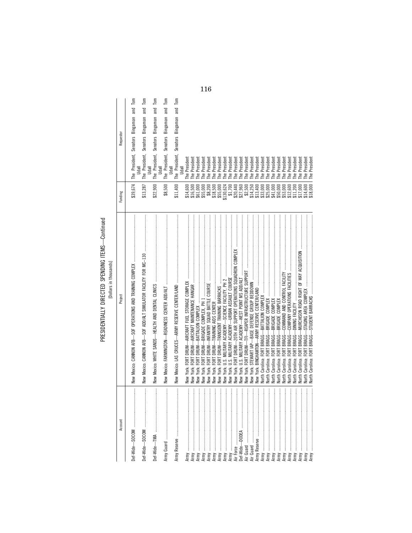| ≀                                                |  |
|--------------------------------------------------|--|
| ↽                                                |  |
| PRESIDENTIALLY DIRECTED SPENDING ITEMS<br>שוטייי |  |

| Account                       | Project                                                          | Funding   | Requestor                                                                  |
|-------------------------------|------------------------------------------------------------------|-----------|----------------------------------------------------------------------------|
|                               |                                                                  |           |                                                                            |
|                               |                                                                  | \$39,674  | The President, Senators Bingaman and Tom                                   |
| $\ddot{}}$                    | New Mexico: CANNON AFB-SOF ADD/ALT SIMULATOR FACILITY FOR MC-130 | \$13,287  | $\overline{\mathsf{Hom}}$<br>The President, Senators Bingaman and          |
| $\frac{1}{2}$                 |                                                                  | \$22,900  | $\overline{\phantom{a}}$<br>The President, Senators Bingaman and<br>Udall  |
| $\ddot{\phantom{a}}$          |                                                                  | \$8,500   | Tom<br>The President, Senators Bingaman and<br>Udall                       |
| $\vdots$                      |                                                                  | \$11,400  | $\overline{\mathsf{Hom}}$<br>The President, Senators Bingaman and<br>Udall |
|                               | ์<br>≹                                                           | \$14,600  | The President<br>Udall                                                     |
| ļ<br>$\ddot{}}$               |                                                                  | \$16,500  | The President                                                              |
| l                             | .<br>⊌ew                                                         | \$61,000  | The President                                                              |
|                               | .<br>≹                                                           | \$55,000  | The President                                                              |
| $\ddot{}}$                    | DRUM-<br>York: FORT I<br>.<br>⊉                                  | \$8,200   | The President                                                              |
| <br> <br>                     | York: FORT DRUM-<br>New                                          | \$18,500  | The President                                                              |
| $\ddot{}}$                    | New                                                              | \$55,000  | The President                                                              |
| $\ddot{}}$                    | New                                                              | \$130,624 | The President                                                              |
| l                             | New                                                              | \$1,700   | The President                                                              |
| $\ddot{}}$<br>Air Force       | New                                                              | \$20,440  | The President                                                              |
| $\ddot{}}$<br>Def-Wide-DODEA  | New                                                              | \$27,960  | The President                                                              |
| İ                             | New                                                              | \$2,500   | The President                                                              |
| $\frac{1}{2}$                 | New                                                              | \$14,250  | The President                                                              |
| $\frac{1}{2}$<br>Army Reserve |                                                                  | \$13,400  | The President                                                              |
| İ                             |                                                                  | \$33,000  | The President                                                              |
| $\frac{1}{2}$                 |                                                                  | \$25,000  | The President                                                              |
| $\ddot{}}$<br>Army            |                                                                  | \$41,000  | The President                                                              |
| <br> <br> <br>Army            |                                                                  | \$50,000  | The President                                                              |
| Army                          |                                                                  | \$53,000  | The President                                                              |
| $\ddot{}}$<br>Army            |                                                                  | \$12,600  | President<br>The I                                                         |
| $\frac{1}{2}$<br>Army         | Vorth Carolina:                                                  | \$11,200  | The President                                                              |
| $\frac{1}{2}$<br>Army         | North Carolina: FORT BRAGG-                                      | \$17,000  | The President                                                              |
| $\ddot{}}$<br>Army            |                                                                  | \$14,600  | The President                                                              |
| Army                          | North Carolina: FORT BRAGG-                                      | \$18,000  | The President                                                              |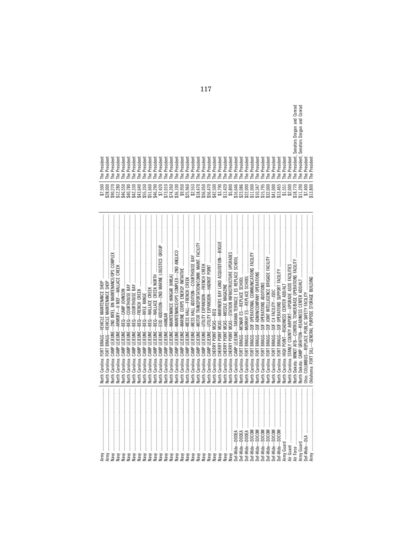| Army                                                                                                                                                                                                                                                                                                                                                                                                                                                                                                                                                                                                                                                                                                                                                                                                                                                                                                                                                                                                                               | North Carolina: FORT BRAGG-VEHICLE MAINTENANCE SHOP               | \$7,500              | The President                                |
|------------------------------------------------------------------------------------------------------------------------------------------------------------------------------------------------------------------------------------------------------------------------------------------------------------------------------------------------------------------------------------------------------------------------------------------------------------------------------------------------------------------------------------------------------------------------------------------------------------------------------------------------------------------------------------------------------------------------------------------------------------------------------------------------------------------------------------------------------------------------------------------------------------------------------------------------------------------------------------------------------------------------------------|-------------------------------------------------------------------|----------------------|----------------------------------------------|
| Army                                                                                                                                                                                                                                                                                                                                                                                                                                                                                                                                                                                                                                                                                                                                                                                                                                                                                                                                                                                                                               | North Carolina: FORT BRAGG-VEHICLE MAINTENANCE SHOP               | \$28,000             | The President                                |
| Navy                                                                                                                                                                                                                                                                                                                                                                                                                                                                                                                                                                                                                                                                                                                                                                                                                                                                                                                                                                                                                               |                                                                   | \$90,270             | The President                                |
| Navy                                                                                                                                                                                                                                                                                                                                                                                                                                                                                                                                                                                                                                                                                                                                                                                                                                                                                                                                                                                                                               | <b>Jorth Carolina:</b>                                            | \$12,280             | The President                                |
| Vavy                                                                                                                                                                                                                                                                                                                                                                                                                                                                                                                                                                                                                                                                                                                                                                                                                                                                                                                                                                                                                               | CAMP LEJEUNE-<br><b>Vorth Carolina:</b>                           | \$46,550             | The President                                |
| Vavy                                                                                                                                                                                                                                                                                                                                                                                                                                                                                                                                                                                                                                                                                                                                                                                                                                                                                                                                                                                                                               | CAMP LEJEUNE-<br><b>Vorth Carolina:</b>                           | \$40,780             | The President                                |
| $\begin{minipage}{0.9\linewidth} \begin{tabular}{l} \hline \multicolumn{3}{c}{\textbf{m}} & \multicolumn{3}{c}{\textbf{m}} \\ \multicolumn{3}{c}{\textbf{m}} & \multicolumn{3}{c}{\textbf{m}} \\ \multicolumn{3}{c}{\textbf{m}} & \multicolumn{3}{c}{\textbf{m}} \\ \multicolumn{3}{c}{\textbf{m}} & \multicolumn{3}{c}{\textbf{m}} \\ \multicolumn{3}{c}{\textbf{m}} & \multicolumn{3}{c}{\textbf{m}} \\ \multicolumn{3}{c}{\textbf{m}} & \multicolumn{3}{c}{\textbf{m}} \\ \multicolumn$<br>Navy                                                                                                                                                                                                                                                                                                                                                                                                                                                                                                                                 | CAMP LEJEUNE-<br>Carolina:<br>$\frac{1}{2}$                       | \$42,330             | The Presiden                                 |
| Naw                                                                                                                                                                                                                                                                                                                                                                                                                                                                                                                                                                                                                                                                                                                                                                                                                                                                                                                                                                                                                                | CAMP LEJEUNE-<br>Carolina:<br><b>Jeth</b>                         | \$43,640             | The Presiden                                 |
| Navy                                                                                                                                                                                                                                                                                                                                                                                                                                                                                                                                                                                                                                                                                                                                                                                                                                                                                                                                                                                                                               | CAMP LEJEUNE-<br><b>Vorth Carolina:</b>                           |                      | The President                                |
| Navy                                                                                                                                                                                                                                                                                                                                                                                                                                                                                                                                                                                                                                                                                                                                                                                                                                                                                                                                                                                                                               | Vorth Carolina: CAMP LEJEUNE-                                     | \$55,350<br>\$51,660 | The President                                |
| Navy                                                                                                                                                                                                                                                                                                                                                                                                                                                                                                                                                                                                                                                                                                                                                                                                                                                                                                                                                                                                                               | CAMP LEJEUNE-<br>Carolina:<br>North (                             | \$46,290             | The President                                |
| Navy                                                                                                                                                                                                                                                                                                                                                                                                                                                                                                                                                                                                                                                                                                                                                                                                                                                                                                                                                                                                                               | CAMP LEJEUNE-<br><b>Vorth Carolina:</b>                           | \$7,420              | The President                                |
| $\begin{minipage}{0.9\linewidth} \begin{tabular}{ c c c } \hline \multicolumn{3}{ c }{\textbf{m}} & \multicolumn{3}{ c }{\textbf{m}} & \multicolumn{3}{ c }{\textbf{m}} & \multicolumn{3}{ c }{\textbf{m}} & \multicolumn{3}{ c }{\textbf{m}} & \multicolumn{3}{ c }{\textbf{m}} & \multicolumn{3}{ c }{\textbf{m}} & \multicolumn{3}{ c }{\textbf{m}} & \multicolumn{3}{ c }{\textbf{m}} & \multicolumn{3}{ c }{\textbf{m}} & \multicolumn{3}{ c $<br>Vavy                                                                                                                                                                                                                                                                                                                                                                                                                                                                                                                                                                        |                                                                   | \$73,010             | The President                                |
| Navy                                                                                                                                                                                                                                                                                                                                                                                                                                                                                                                                                                                                                                                                                                                                                                                                                                                                                                                                                                                                                               | <b>North Carolina: CAMP LEJEUNE</b>                               | \$74,260             | The President                                |
| $\begin{minipage}{0.9\linewidth} \begin{tabular}{ c c c } \hline \multicolumn{3}{ c }{\textbf{1}} & \multicolumn{3}{ c }{\textbf{2}} & \multicolumn{3}{ c }{\textbf{3}} & \multicolumn{3}{ c }{\textbf{4}} & \multicolumn{3}{ c }{\textbf{5}} & \multicolumn{3}{ c }{\textbf{6}} & \multicolumn{3}{ c }{\textbf{6}} & \multicolumn{3}{ c }{\textbf{6}} & \multicolumn{3}{ c }{\textbf{6}} & \multicolumn{3}{ c }{\textbf{6}} & \multicolumn{3}{ c $<br>Naw                                                                                                                                                                                                                                                                                                                                                                                                                                                                                                                                                                         | North Carolina: CAMP LEJEUNE-MAINTENANCE/OPS COMPLEX-2ND ANGLICO  | \$36,100             | The President                                |
| Navy                                                                                                                                                                                                                                                                                                                                                                                                                                                                                                                                                                                                                                                                                                                                                                                                                                                                                                                                                                                                                               |                                                                   | \$9,950              | The President                                |
| $\label{eq:3} \begin{aligned} \mathcal{L}_{\text{invariant}}(\mathcal{L}_{\text{in}}(\mathcal{L}_{\text{out}},\mathcal{L}_{\text{out}}),\mathcal{L}_{\text{out}}(\mathcal{L}_{\text{out}}), \mathcal{L}_{\text{out}}(\mathcal{L}_{\text{out}}), \mathcal{L}_{\text{out}}(\mathcal{L}_{\text{out}}), \mathcal{L}_{\text{out}}(\mathcal{L}_{\text{out}}(\mathcal{L}_{\text{out}}),\mathcal{L}_{\text{out}}(\mathcal{L}_{\text{out}}), \mathcal{L}_{\text{out}}(\mathcal{L}_{\text{out}}), \mathcal{L}_{\text{out}}(\math$<br>Vavy                                                                                                                                                                                                                                                                                                                                                                                                                                                                                                    | North Carolina: CAMP LEJEUNE-MESS HALL-FRENCH CREEK               | \$25,960             | The President                                |
| Vavy                                                                                                                                                                                                                                                                                                                                                                                                                                                                                                                                                                                                                                                                                                                                                                                                                                                                                                                                                                                                                               | North Carolina: CAMP LEJEUNE-MESS HALL ADDITION-COURTHOUSE BAY    | \$2,553              | The President                                |
| Vaw                                                                                                                                                                                                                                                                                                                                                                                                                                                                                                                                                                                                                                                                                                                                                                                                                                                                                                                                                                                                                                |                                                                   | \$18,470             | The President                                |
| Vaw                                                                                                                                                                                                                                                                                                                                                                                                                                                                                                                                                                                                                                                                                                                                                                                                                                                                                                                                                                                                                                | Vorth Carolina: CAMP LEJEUNE-                                     | \$56,050             | The President                                |
| $\begin{aligned} \begin{tabular}{cccccccccc} \multicolumn{2}{cccc} \multicolumn{2}{cccc} \multicolumn{2}{cccc} \multicolumn{2}{cccc} \multicolumn{2}{cccc} \multicolumn{2}{cccc} \multicolumn{2}{cccc} \multicolumn{2}{cccc} \multicolumn{2}{cccc} \multicolumn{2}{cccc} \multicolumn{2}{cccc} \multicolumn{2}{cccc} \multicolumn{2}{cccc} \multicolumn{2}{cccc} \multicolumn{2}{cccc} \multicolumn{2}{cccc} \multicolumn{2}{cccc} \multicolumn{2}{cccc} \multicolumn{2}{cccc} \multicolumn{2}{cccc} \multicolumn{2}{cccc} \multicolumn{2}{cccc} \multicolumn{2}{$<br>way                                                                                                                                                                                                                                                                                                                                                                                                                                                          |                                                                   | \$56,470             | The President                                |
| $\begin{minipage}{0.9\linewidth} \begin{tabular}{l} \hline \multicolumn{3}{c}{\textbf{m}} & \multicolumn{3}{c}{\textbf{m}} & \multicolumn{3}{c}{\textbf{m}} \\ \multicolumn{3}{c}{\textbf{m}} & \multicolumn{3}{c}{\textbf{m}} & \multicolumn{3}{c}{\textbf{m}} \\ \multicolumn{3}{c}{\textbf{m}} & \multicolumn{3}{c}{\textbf{m}} & \multicolumn{3}{c}{\textbf{m}} \\ \multicolumn{3}{c}{\textbf{m}} & \multicolumn{3}{c}{\textbf{m}} & \multicolumn{3}{c}{\textbf{m}} \\ \multicolumn$<br>New                                                                                                                                                                                                                                                                                                                                                                                                                                                                                                                                    |                                                                   | \$42,500             | The President                                |
|                                                                                                                                                                                                                                                                                                                                                                                                                                                                                                                                                                                                                                                                                                                                                                                                                                                                                                                                                                                                                                    |                                                                   | \$3,790              | The President                                |
| Vay                                                                                                                                                                                                                                                                                                                                                                                                                                                                                                                                                                                                                                                                                                                                                                                                                                                                                                                                                                                                                                |                                                                   | \$13,420             | The President                                |
| New                                                                                                                                                                                                                                                                                                                                                                                                                                                                                                                                                                                                                                                                                                                                                                                                                                                                                                                                                                                                                                | North Carolina: CHERRY POINT MCAS-STATION INFRASTRUCTURE UPGRADES | \$5,800              | The President                                |
| Def-Wide-DODEA                                                                                                                                                                                                                                                                                                                                                                                                                                                                                                                                                                                                                                                                                                                                                                                                                                                                                                                                                                                                                     |                                                                   | \$16,646             | The President                                |
| -DODEA<br>Def-Wide-                                                                                                                                                                                                                                                                                                                                                                                                                                                                                                                                                                                                                                                                                                                                                                                                                                                                                                                                                                                                                |                                                                   | \$23,086             | The President                                |
| -DODEA<br>Def-Wide-                                                                                                                                                                                                                                                                                                                                                                                                                                                                                                                                                                                                                                                                                                                                                                                                                                                                                                                                                                                                                |                                                                   | \$22,000             | The President                                |
| SOCOM<br>Def-Wide-                                                                                                                                                                                                                                                                                                                                                                                                                                                                                                                                                                                                                                                                                                                                                                                                                                                                                                                                                                                                                 |                                                                   | \$11,000             | The President                                |
| $\label{eq:3} \begin{array}{lllllllllllllll} \multicolumn{3}{l}{} & \multicolumn{3}{l}{} & \multicolumn{3}{l}{} & \multicolumn{3}{l}{} & \multicolumn{3}{l}{} & \multicolumn{3}{l}{} & \multicolumn{3}{l}{} & \multicolumn{3}{l}{} & \multicolumn{3}{l}{} & \multicolumn{3}{l}{} & \multicolumn{3}{l}{} & \multicolumn{3}{l}{} & \multicolumn{3}{l}{} & \multicolumn{3}{l}{} & \multicolumn{3}{l}{} & \multicolumn{3}{l}{} & \multicolumn{3}{l}{} & \multicolumn{3}{l}{} & \$<br>$\begin{minipage}{0.9\linewidth} \begin{tabular}{l} \toprule \multicolumn{3}{c}{\textbf{0.9\linewidth}} \begin{tabular}{l} \multicolumn{3}{c}{\textbf{0.9\linewidth}} \end{tabular} \end{minipage} \end{minipage} \begin{minipage}{0.9\linewidth} \begin{tabular}{l} \multicolumn{3}{c}{\textbf{0.9\linewidth}} \end{tabular} \end{minipage} \end{minipage} \begin{minipage}{0.9\linewidth} \begin{tabular}{l} \multicolumn{3}{c}{\textbf{0.9\linewidth}} \end{tabular} \end{minipage} \end{minipage} \begin{minipage}{0.9$<br>SOCOM<br>Def-Wide- | lorth Carolina: FORT BRAGG-                                       | \$10,347             | The President                                |
| SOCOM<br>Def-Wide-                                                                                                                                                                                                                                                                                                                                                                                                                                                                                                                                                                                                                                                                                                                                                                                                                                                                                                                                                                                                                 | lorth Carolina: FORT BRAGG-                                       | \$15,795             | The President                                |
| SOCOM<br>Def-Wide-                                                                                                                                                                                                                                                                                                                                                                                                                                                                                                                                                                                                                                                                                                                                                                                                                                                                                                                                                                                                                 | <b>Vorth Carolina: FORT BRAGG</b>                                 | \$32,000             | The President                                |
| SOCOM<br>Def-Wide-                                                                                                                                                                                                                                                                                                                                                                                                                                                                                                                                                                                                                                                                                                                                                                                                                                                                                                                                                                                                                 |                                                                   | \$41,000             | The President                                |
| Def-Wide-SOCOM                                                                                                                                                                                                                                                                                                                                                                                                                                                                                                                                                                                                                                                                                                                                                                                                                                                                                                                                                                                                                     |                                                                   | \$13,465             | The President                                |
|                                                                                                                                                                                                                                                                                                                                                                                                                                                                                                                                                                                                                                                                                                                                                                                                                                                                                                                                                                                                                                    |                                                                   | \$1,551              | The President                                |
|                                                                                                                                                                                                                                                                                                                                                                                                                                                                                                                                                                                                                                                                                                                                                                                                                                                                                                                                                                                                                                    |                                                                   | \$2,000              | The President                                |
| $\label{eq:3} \begin{array}{lllllllllll} \multicolumn{3}{l}{{\color{red}{{\color{green}{{\color{green}{{\color{green}{{\color{green}{{\color{green}{{\color{green}{{\color{green}{{\color{green}{{\color{green}{{\color{green}{{\color{green}{{\color{green}{{\color{green}{{\color{green}{{\color{green}{{\color{green}{{\color{green}{{\color{green}{{\color{green}{{\color{green}{{\color{green}{{\color{green}{{\color{green}{{\color{green}{{\color{green}{{\color{green}{{\color{green}{{\color{green}{{\color{green}{{\color{green}{{\color{green}$                                                                                                                                                                                                                                                                                                                                                                                                                                                                         |                                                                   | \$18,770             | Senators Dorgan and Conrad<br>The President, |
| Army Guard                                                                                                                                                                                                                                                                                                                                                                                                                                                                                                                                                                                                                                                                                                                                                                                                                                                                                                                                                                                                                         |                                                                   | \$11,200             | Senators Dorgan and Conrad<br>The President, |
|                                                                                                                                                                                                                                                                                                                                                                                                                                                                                                                                                                                                                                                                                                                                                                                                                                                                                                                                                                                                                                    |                                                                   | \$7,400              | The President                                |
|                                                                                                                                                                                                                                                                                                                                                                                                                                                                                                                                                                                                                                                                                                                                                                                                                                                                                                                                                                                                                                    |                                                                   | \$13,800             | The President                                |

| dent                                             | dent                                                                            | dent                           | đent                                              | dent                    | đent                               | dent                           | dent                | dent                    | dent                    | dent                               | dent                    | dent                                  | dent                           | dent                                                     | dent                           | dent                            | dent                          | dent                    | đent                                                                   | dent                   | dent                   | <b>Jest</b>              | dent                                          | dent                       | dent                    | dent                              | dent                                         | dent                  | dent                           | đent                           | dent                   | dent                                  | dent                                                       | đent                  | dent                    | Conrad<br>and<br>Dorgan<br><b>Senators</b><br>$\sim$<br>dent. | Conrad<br>ᇰ<br>ē<br>$\sigma$<br>$\equiv$<br>$\sigma$<br>Dorg<br>$\mathcal{L}$<br><b>Senators</b><br>ъ.<br>dent. | dent           |  |
|--------------------------------------------------|---------------------------------------------------------------------------------|--------------------------------|---------------------------------------------------|-------------------------|------------------------------------|--------------------------------|---------------------|-------------------------|-------------------------|------------------------------------|-------------------------|---------------------------------------|--------------------------------|----------------------------------------------------------|--------------------------------|---------------------------------|-------------------------------|-------------------------|------------------------------------------------------------------------|------------------------|------------------------|--------------------------|-----------------------------------------------|----------------------------|-------------------------|-----------------------------------|----------------------------------------------|-----------------------|--------------------------------|--------------------------------|------------------------|---------------------------------------|------------------------------------------------------------|-----------------------|-------------------------|---------------------------------------------------------------|-----------------------------------------------------------------------------------------------------------------|----------------|--|
| resi<br>$\Omega$<br>≗                            | resi<br>$\Omega$<br>ے                                                           | resi<br>$\Omega$<br>Le         | resi<br>ō<br>The                                  | resi<br>$\Omega$<br>The | resi<br>$\Omega$<br>≗<br>ᆮ         | resi<br>$\Omega$<br><b>Fhe</b> | resi<br>C<br>≗<br>⊢ | .ಪ<br>قع<br>C<br>은<br>ᆮ | resi<br>$\Omega$<br>The | resi<br>$\Omega$<br>The            | resi<br>$\Omega$<br>The | resi<br>$\Omega$<br>The               | resi<br>$\sim$<br>The          | resi<br>$\Omega$<br>The                                  | .ಪ<br>قة<br>$\Omega$<br>≗<br>ᆮ | resi<br>$\Omega$<br>Le          | resi<br>$\overline{a}$<br>The | resi<br>$\Omega$<br>The | resi<br>$\Omega$<br>The                                                | resi<br>$\Omega$<br>Le | resi<br>$\Omega$<br>Le | resi<br>$\sim$<br>뽇<br>ᆮ | resi<br>Δ<br>The                              | resi<br>$\sim$<br><b>F</b> | resi<br>$\Omega$<br>The | resi<br>$\Omega$<br>The           | resi<br>$\Omega$<br>Le                       | resi<br>$\sim$<br>The | 'ಪ<br>ئة<br>$\Omega$<br>은<br>ᆮ | .ಪ<br>قع<br>$\Omega$<br>은<br>ᆮ | resi<br>$\Omega$<br>Le | resi<br>$\Omega$<br>The               | resi<br>$\Omega$<br>The                                    | resi<br>$\Omega$<br>飞 | resi<br>$\Omega$<br>The | resi<br>$\Omega$<br>은<br>ᆮ                                    | ್ಯ<br>قع<br>$\Omega$<br>ے                                                                                       | resi<br>C<br>뽇 |  |
| 0<br>ō<br>صا<br>∼<br>∼<br>$\leftrightarrow \sim$ | 0<br>ō<br>$\circ$<br>$\frac{8}{10}$<br><del>10 10 10 10 10 10 10 10 10 10</del> | $\approx$<br>$\sim$<br>ъ.<br>ഒ | င္တ<br>2 <sup>2</sup><br>$\overline{\phantom{0}}$ | ິລ<br>46,5              | జ<br>$\overline{ }$<br>$\sim$<br>₽ | ౾<br>23.<br>₩                  | ₽<br>43.3           | ິລ                      | 51,660                  | ຂ<br>$\sim$<br>ъ.<br>$\frac{6}{4}$ | 420<br>w<br>₷           | $\frac{10}{2}$<br>$\overline{3}$<br>∼ | ධි<br>4,2<br>$\leftrightarrow$ | 8<br>$\overline{\phantom{a}}$<br>36<br>$\leftrightarrow$ | 950<br>ື້                      | 960<br>25,<br>$\leftrightarrow$ | က<br>က်<br>\$2,5              | 470<br>18 <sub>i</sub>  | 5,050<br>56,0<br>$\leftrightarrow$ $\leftrightarrow$ $\leftrightarrow$ | 56                     | 2,500<br>ಈ             | 3,790<br>3,420<br>ఈ      | $\overline{\phantom{0}}$<br>$\leftrightarrow$ | \$5,800                    | 46<br>16,6              | 86<br>$\circ$<br>ъ<br>3<br>$\sim$ | $\overline{0}00$<br>$\overline{c}$<br>$\sim$ | 1,000                 | ∼<br>₩<br>$\ddot{0}$           | 795                            | 000<br>52<br>$\sim$    | 41,000<br><b>69 69 69 69 69 69 69</b> | 5<br>3,46<br>$\overline{\phantom{0}}$<br>$\leftrightarrow$ | 5<br>$\ddot{1}$       | ,000,<br>52             | R<br>8 <sub>1</sub>                                           | 8<br>Ņ<br>$\overline{\phantom{0}}$<br>$\leftrightarrow$                                                         | (400)          |  |

117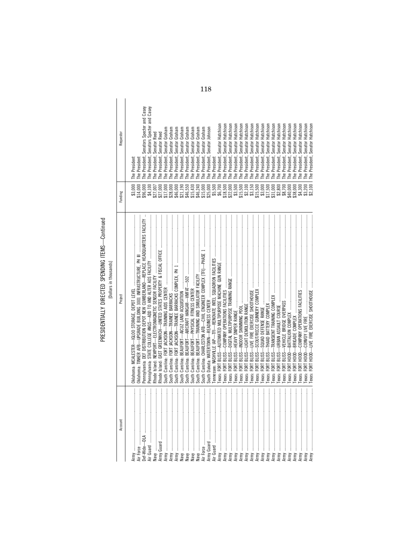## PRESIDENTIALLY DIRECTED SPENDING ITEMS—Continued<br>[Dollars in thousands] PRESIDENTIALLY DIRECTED SPENDING ITEMS—Continued [Dollars in thousands]

| Account              | Project                                                                           | Funding  | Requestor                                 |
|----------------------|-----------------------------------------------------------------------------------|----------|-------------------------------------------|
| $\vdots$             |                                                                                   | \$3,000  | The President                             |
|                      |                                                                                   | \$14,000 | The President                             |
| ef-Wide-DLA          | Pennsylvania: DEF DISTRIBUTION DEPOT NEW CUMBERLAND-REPLACE HEADQUARTERS FACILITY | \$96,000 | The President, Senators Specter and Casey |
| ir Guard             |                                                                                   |          | The President, Senators Specter and Casey |
| van mannen Krak      |                                                                                   | \$27,007 | The President, Senator Reed               |
| Army Guard           |                                                                                   | \$27,000 | The President, Senator Reed               |
| Army                 |                                                                                   | \$17,000 | The President, Senator Graham             |
| Army                 |                                                                                   | \$28,000 | Graham<br>The President, Senator          |
| ┋<br>Army            |                                                                                   | \$46,000 | Graham<br>The President, Senator          |
| ļ<br>Vay             |                                                                                   | \$21,190 | Graham<br>The President, Senator          |
|                      |                                                                                   | \$46,550 | Graham<br>The President, Senator          |
| ┋                    |                                                                                   | \$15,430 | Graham<br>The President, Senator          |
| İ                    |                                                                                   | \$46,240 | Graham<br>The President, Senator          |
| İ                    | South Carolina: CHARLESTON AFB-CIVIL ENGINEER COMPLEX [TFI]-PHASE 1               | \$15,000 | Graham<br>The President, Senator          |
| ļ<br>Army Guard      |                                                                                   | \$25,000 | Johnson<br>Senator<br>The President,      |
| Air Guard            |                                                                                   | \$5,500  | The President                             |
| <b>Army</b> …………………… |                                                                                   | \$6,700  | The President, Senator Hutchisor          |
| Army                 |                                                                                   | \$18,500 | The President, Senator Hutchison          |
| Army                 |                                                                                   | \$22,000 | Hutchison<br>Senator<br>The President,    |
| Army                 |                                                                                   | \$3,500  | Hutchison<br>Senator<br>The President,    |
| $\vdots$<br>Army     | $-52118$<br>Texas: FORT                                                           | \$15,500 | Hutchison<br>Senator<br>The President,    |
| Army                 | RISS<br>Texas: FORT                                                               | \$2,100  | Hutchison<br>Senator<br>The President,    |
| Army                 | RISS<br>Texas: FORT                                                               | \$3,150  | Hutchison<br>Senator<br>The President,    |
| Army                 | BLISS-<br>Texas: FORT                                                             | \$15,500 | Hutchison<br>Senator<br>The President,    |
| Army                 | BLISS-<br>Texas: FORT                                                             | \$3,000  | Hutchison<br>Senator<br>The President,    |
| Army                 | BLISS-<br>Texas: FORT                                                             | \$17,500 | Hutchison<br>Senator<br>The President,    |
| <b>Army</b>          | BLISS-<br>Texas: FORT                                                             | \$31,000 | Hutchison<br>Senator<br>The President,    |
| Army                 | BLISS-<br>Texas: FORT                                                             | \$2,800  | Hutchison<br>Senator<br>The President,    |
| Army                 | BLISS-<br>Texas: FORT                                                             | \$8,700  | Hutchison<br>Senator<br>The President,    |
| Army                 | $\frac{1}{2}$<br>Texas: FORT                                                      | \$40,000 | Hutchison<br>Senator<br>The President,    |
| VILLA                | $\frac{1}{2}$<br>Texas: FORT                                                      | \$38,000 | Hutchison<br>Senator<br>The President,    |
| Army                 | $\frac{1}{2}$<br>Texas: FORT                                                      | \$4,300  | Hutchison<br>The President, Senator       |
| Yuuk                 | HOOD-<br>Texas: FORT                                                              | \$3,200  | The President, Senator Hutchison          |
| Army                 |                                                                                   | \$2,100  | The President, Senator Hutchison          |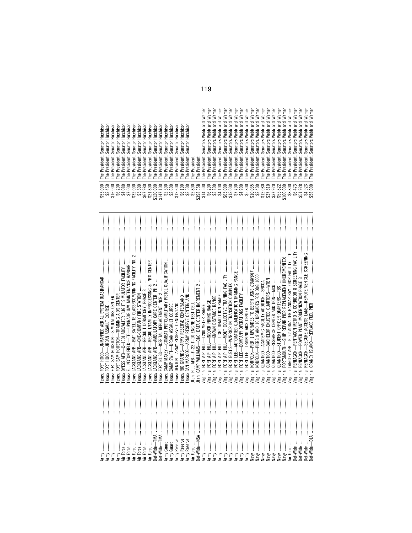|                                                                                                                                                                                                                                                                                                                                                                                                                                                                                                                                                 | Texas:                                                                                                                                                                                                                                                                                                                                                                                                                                                                                                                                        |                                                                                                                                                                                                                                                                    | Hutchisor<br>Senator H<br>The President,                                         |
|-------------------------------------------------------------------------------------------------------------------------------------------------------------------------------------------------------------------------------------------------------------------------------------------------------------------------------------------------------------------------------------------------------------------------------------------------------------------------------------------------------------------------------------------------|-----------------------------------------------------------------------------------------------------------------------------------------------------------------------------------------------------------------------------------------------------------------------------------------------------------------------------------------------------------------------------------------------------------------------------------------------------------------------------------------------------------------------------------------------|--------------------------------------------------------------------------------------------------------------------------------------------------------------------------------------------------------------------------------------------------------------------|----------------------------------------------------------------------------------|
|                                                                                                                                                                                                                                                                                                                                                                                                                                                                                                                                                 | Texas:<br>Texas:                                                                                                                                                                                                                                                                                                                                                                                                                                                                                                                              | $\begin{smallmatrix} 455,000\\ 456,450\\ 82,450\\ 945,000\\ 456,000\\ 456,000\\ 456,000\\ 456,000\\ 456,000\\ 456,000\\ 456,000\\ 456,000\\ 456,000\\ 456,000\\ 456,000\\ 456,000\\ 456,000\\ 456,000\\ 456,000\\ 456,000\\ 456,000\\ 456,000\\ 456,000\\ 456,000$ | Hutchison<br>Hutchison<br>Senator<br>Senator<br>The President,<br>The President, |
|                                                                                                                                                                                                                                                                                                                                                                                                                                                                                                                                                 | FORT SAM HOUSTON-TRAINING AIDS CENTER<br>lexas:                                                                                                                                                                                                                                                                                                                                                                                                                                                                                               |                                                                                                                                                                                                                                                                    | Hutchison<br>Senator<br>The President,                                           |
|                                                                                                                                                                                                                                                                                                                                                                                                                                                                                                                                                 | Texas:                                                                                                                                                                                                                                                                                                                                                                                                                                                                                                                                        |                                                                                                                                                                                                                                                                    | Hutchison<br>Senator <sup>1</sup><br>The President,                              |
|                                                                                                                                                                                                                                                                                                                                                                                                                                                                                                                                                 | ELLINGTON FIELD—TFI—UPGRADE UAV MAINTENANCE HANGAR ……………………………………………………………………………<br>Texas:                                                                                                                                                                                                                                                                                                                                                                                                                                                    |                                                                                                                                                                                                                                                                    | Hutchison<br>Senator<br>The President,                                           |
| Air Force                                                                                                                                                                                                                                                                                                                                                                                                                                                                                                                                       | Texas:                                                                                                                                                                                                                                                                                                                                                                                                                                                                                                                                        |                                                                                                                                                                                                                                                                    | Hutchison<br>Senator<br>The President,                                           |
| Air Force                                                                                                                                                                                                                                                                                                                                                                                                                                                                                                                                       | LACKLAND AFB-ONE-COMPANY FIRE STATION<br>Texas:                                                                                                                                                                                                                                                                                                                                                                                                                                                                                               |                                                                                                                                                                                                                                                                    | Hutchison<br>Senator<br>The President,                                           |
|                                                                                                                                                                                                                                                                                                                                                                                                                                                                                                                                                 | $\label{def:1} \begin{minipage}{0.9\linewidth} \begin{tabular}{ c c c } \hline \multicolumn{1}{ c }{\textbf{0.9\linewidth}} & \multicolumn{1}{ c }{\textbf{0.9\linewidth}} & \multicolumn{1}{ c }{\textbf{0.9\linewidth}} & \multicolumn{1}{ c }{\textbf{0.9\linewidth}} & \multicolumn{1}{ c }{\textbf{0.9\linewidth}} & \multicolumn{1}{ c }{\textbf{0.9\linewidth}} & \multicolumn{1}{ c }{\textbf{0.9\linewidth}} & \multicolumn{1}{ c }{\textbf{0.9\linewidth}} & \multicolumn{1}{$<br>LACKLAND AFB-RECRUIT DORMITORY, PHASE 3<br>Texas: |                                                                                                                                                                                                                                                                    | Hutchison<br>Senator<br>The President,                                           |
|                                                                                                                                                                                                                                                                                                                                                                                                                                                                                                                                                 | Texas:                                                                                                                                                                                                                                                                                                                                                                                                                                                                                                                                        |                                                                                                                                                                                                                                                                    | Hutchison<br>Senator<br>The President,                                           |
|                                                                                                                                                                                                                                                                                                                                                                                                                                                                                                                                                 | Texas:                                                                                                                                                                                                                                                                                                                                                                                                                                                                                                                                        |                                                                                                                                                                                                                                                                    | Hutchison<br>Senator<br>The President,                                           |
|                                                                                                                                                                                                                                                                                                                                                                                                                                                                                                                                                 | Texas:                                                                                                                                                                                                                                                                                                                                                                                                                                                                                                                                        |                                                                                                                                                                                                                                                                    | Hutchison<br>Senator<br>The President,                                           |
|                                                                                                                                                                                                                                                                                                                                                                                                                                                                                                                                                 | Texas:                                                                                                                                                                                                                                                                                                                                                                                                                                                                                                                                        | ក្នុង<br>ខាងក្នុងក្នុងមាន មាន មាន មាន មាន មាន មាន មាន មាន<br>ខាងក្នុងក្នុងមាន មាន មាន មាន មាន មាន មាន មាន មាន<br>ខាងក្នុង មាន មាន មាន មាន មាន មាន មាន មាន មាន                                                                                                      | Hutchison<br>Senator I<br>The President,                                         |
|                                                                                                                                                                                                                                                                                                                                                                                                                                                                                                                                                 | Texas:                                                                                                                                                                                                                                                                                                                                                                                                                                                                                                                                        |                                                                                                                                                                                                                                                                    | Hutchison<br>Senator<br>The President,                                           |
|                                                                                                                                                                                                                                                                                                                                                                                                                                                                                                                                                 | Texas:                                                                                                                                                                                                                                                                                                                                                                                                                                                                                                                                        |                                                                                                                                                                                                                                                                    | Hutchison<br>Senator<br>The President,                                           |
|                                                                                                                                                                                                                                                                                                                                                                                                                                                                                                                                                 | Texas:                                                                                                                                                                                                                                                                                                                                                                                                                                                                                                                                        |                                                                                                                                                                                                                                                                    | Hutchison<br>Senator<br>The President,                                           |
|                                                                                                                                                                                                                                                                                                                                                                                                                                                                                                                                                 |                                                                                                                                                                                                                                                                                                                                                                                                                                                                                                                                               |                                                                                                                                                                                                                                                                    | Hutchison<br>Senator<br>The President,                                           |
|                                                                                                                                                                                                                                                                                                                                                                                                                                                                                                                                                 |                                                                                                                                                                                                                                                                                                                                                                                                                                                                                                                                               |                                                                                                                                                                                                                                                                    | The President                                                                    |
|                                                                                                                                                                                                                                                                                                                                                                                                                                                                                                                                                 |                                                                                                                                                                                                                                                                                                                                                                                                                                                                                                                                               |                                                                                                                                                                                                                                                                    | The President                                                                    |
|                                                                                                                                                                                                                                                                                                                                                                                                                                                                                                                                                 |                                                                                                                                                                                                                                                                                                                                                                                                                                                                                                                                               |                                                                                                                                                                                                                                                                    | Senators Webb and Warner<br>The President,                                       |
|                                                                                                                                                                                                                                                                                                                                                                                                                                                                                                                                                 |                                                                                                                                                                                                                                                                                                                                                                                                                                                                                                                                               |                                                                                                                                                                                                                                                                    | Senators Webb and Warner<br>The President,                                       |
| Army                                                                                                                                                                                                                                                                                                                                                                                                                                                                                                                                            |                                                                                                                                                                                                                                                                                                                                                                                                                                                                                                                                               |                                                                                                                                                                                                                                                                    | Warner<br>and<br>Senators Webb<br>The President,                                 |
| Army                                                                                                                                                                                                                                                                                                                                                                                                                                                                                                                                            |                                                                                                                                                                                                                                                                                                                                                                                                                                                                                                                                               |                                                                                                                                                                                                                                                                    | Warner<br>$rac{1}{6}$<br>Senators Webb<br>The President,                         |
| Army                                                                                                                                                                                                                                                                                                                                                                                                                                                                                                                                            | Virginia:                                                                                                                                                                                                                                                                                                                                                                                                                                                                                                                                     |                                                                                                                                                                                                                                                                    | Warner<br>and<br>Senators Webb<br>The President,                                 |
| Army                                                                                                                                                                                                                                                                                                                                                                                                                                                                                                                                            | Virginia: I                                                                                                                                                                                                                                                                                                                                                                                                                                                                                                                                   |                                                                                                                                                                                                                                                                    | Warner<br>$\frac{1}{2}$<br>Senators Webb<br>The President,                       |
| Army                                                                                                                                                                                                                                                                                                                                                                                                                                                                                                                                            | Virginia:                                                                                                                                                                                                                                                                                                                                                                                                                                                                                                                                     |                                                                                                                                                                                                                                                                    | Warner<br>and<br>Senators Webb<br>The President,                                 |
| Army                                                                                                                                                                                                                                                                                                                                                                                                                                                                                                                                            | Virginia: I                                                                                                                                                                                                                                                                                                                                                                                                                                                                                                                                   |                                                                                                                                                                                                                                                                    | and Warner<br>Senators Webb<br>The President,                                    |
| Army                                                                                                                                                                                                                                                                                                                                                                                                                                                                                                                                            | Virginia: I                                                                                                                                                                                                                                                                                                                                                                                                                                                                                                                                   |                                                                                                                                                                                                                                                                    | and Warner<br>Senators Webb<br>The President,                                    |
| Naw                                                                                                                                                                                                                                                                                                                                                                                                                                                                                                                                             | Virginia: I<br>Virginia: I                                                                                                                                                                                                                                                                                                                                                                                                                                                                                                                    |                                                                                                                                                                                                                                                                    | and Warner<br>Senators Webb<br>The President,                                    |
| Naw                                                                                                                                                                                                                                                                                                                                                                                                                                                                                                                                             |                                                                                                                                                                                                                                                                                                                                                                                                                                                                                                                                               |                                                                                                                                                                                                                                                                    | and Warner<br>Senators Webb<br>The President,                                    |
| Naw                                                                                                                                                                                                                                                                                                                                                                                                                                                                                                                                             | Virginia:                                                                                                                                                                                                                                                                                                                                                                                                                                                                                                                                     |                                                                                                                                                                                                                                                                    | and Warner<br>Senators Webb<br>The President,                                    |
| Naw                                                                                                                                                                                                                                                                                                                                                                                                                                                                                                                                             | Virginia:                                                                                                                                                                                                                                                                                                                                                                                                                                                                                                                                     |                                                                                                                                                                                                                                                                    | and Warner<br>Senators Webb<br>The President,                                    |
| Naw                                                                                                                                                                                                                                                                                                                                                                                                                                                                                                                                             | Virginia:                                                                                                                                                                                                                                                                                                                                                                                                                                                                                                                                     |                                                                                                                                                                                                                                                                    | Senators Webb and Warner<br>The President,                                       |
| $\label{def:1} \centering \begin{minipage}{0.9\linewidth} \begin{minipage}{0.9\linewidth} \begin{minipage}{0.9\linewidth} \begin{minipage}{0.9\linewidth} \end{minipage} \end{minipage} \begin{minipage}{0.9\linewidth} \begin{minipage}{0.9\linewidth} \begin{minipage}{0.9\linewidth} \end{minipage} \end{minipage} \end{minipage} \begin{minipage}{0.9\linewidth} \begin{minipage}{0.9\linewidth} \begin{minipage}{0.9\linewidth} \end{minipage} \end{minipage} \end{minipage} \begin{minipage}{0.9\linewidth} \begin{minipage}{0.9\$<br>Naw | QUANTICO-STUDENT OFFICER QUARTERS-TBS<br>Virginia:                                                                                                                                                                                                                                                                                                                                                                                                                                                                                            | \$37,920<br>\$55,822                                                                                                                                                                                                                                               | Senators Webb and Warner<br>The President,                                       |
| Naw                                                                                                                                                                                                                                                                                                                                                                                                                                                                                                                                             | Virginia:                                                                                                                                                                                                                                                                                                                                                                                                                                                                                                                                     | $$100,000$<br>$$8,800$                                                                                                                                                                                                                                             | Senators Webb and Warner<br>The President,                                       |
| Air Force                                                                                                                                                                                                                                                                                                                                                                                                                                                                                                                                       | LANGLEY AFB-F-22 ADD/ALTER HANGAR BAY LO/CR FACILITY-TF<br>Virginia: L                                                                                                                                                                                                                                                                                                                                                                                                                                                                        |                                                                                                                                                                                                                                                                    | Senators Webb and Warner<br>The President,                                       |
| Def-Wide                                                                                                                                                                                                                                                                                                                                                                                                                                                                                                                                        | Virginia: I                                                                                                                                                                                                                                                                                                                                                                                                                                                                                                                                   | \$6,473                                                                                                                                                                                                                                                            | Senators Webb and Warner<br>The President,                                       |
|                                                                                                                                                                                                                                                                                                                                                                                                                                                                                                                                                 | Virginia:                                                                                                                                                                                                                                                                                                                                                                                                                                                                                                                                     | \$51,928                                                                                                                                                                                                                                                           | Senators Webb and Warner<br>The President,                                       |
|                                                                                                                                                                                                                                                                                                                                                                                                                                                                                                                                                 | Virginia: F                                                                                                                                                                                                                                                                                                                                                                                                                                                                                                                                   | \$4,923<br>\$58,000                                                                                                                                                                                                                                                | Senators Webb and Warner<br>The President,                                       |
|                                                                                                                                                                                                                                                                                                                                                                                                                                                                                                                                                 | Virginia: CRANEY ISLAND-REPLACE FUEL PIER                                                                                                                                                                                                                                                                                                                                                                                                                                                                                                     |                                                                                                                                                                                                                                                                    | Senators Webb and Warner<br>The President.                                       |

|                                                                                   |                                                                                                                               |                                                    |                                                                                     |                                                                                                            |                                                                                                                                                                                           |                                                                       |                                                                                              |                                            |                                                                       |                                                            |                                            |                                            |                                                             |                                                 |                                                               | $\omega$<br>∊<br>ᆮ<br>-≌                       | ധ<br>∊<br>ᆮ<br>š                              | 읃<br>ᆮ<br>౾                           | 읃<br>ᆮ<br>౾                                      | 뽇<br>$\overline{ }$<br>౾                           | ٣<br>ᆮ<br>š                              | ٣<br>ᆮ<br>కి                               | ٣<br>≂<br>౾                                          | Ë<br>š                                          | Ë<br>l®                                                       | ξ<br>౾                                                        | Ë<br>కి                             | 읃<br>ᆮ<br>š                                                                                                                 | ٣<br>≂<br>౾                    | ξ<br>౾<br>కి                                                                           | rne<br>Ë<br>కై                                          | rne<br>౾                                                            | 읃<br>ᆮ<br>š                                            | Warne<br>Warne<br>కై               |                                                |
|-----------------------------------------------------------------------------------|-------------------------------------------------------------------------------------------------------------------------------|----------------------------------------------------|-------------------------------------------------------------------------------------|------------------------------------------------------------------------------------------------------------|-------------------------------------------------------------------------------------------------------------------------------------------------------------------------------------------|-----------------------------------------------------------------------|----------------------------------------------------------------------------------------------|--------------------------------------------|-----------------------------------------------------------------------|------------------------------------------------------------|--------------------------------------------|--------------------------------------------|-------------------------------------------------------------|-------------------------------------------------|---------------------------------------------------------------|------------------------------------------------|-----------------------------------------------|---------------------------------------|--------------------------------------------------|----------------------------------------------------|------------------------------------------|--------------------------------------------|------------------------------------------------------|-------------------------------------------------|---------------------------------------------------------------|---------------------------------------------------------------|-------------------------------------|-----------------------------------------------------------------------------------------------------------------------------|--------------------------------|----------------------------------------------------------------------------------------|---------------------------------------------------------|---------------------------------------------------------------------|--------------------------------------------------------|------------------------------------|------------------------------------------------|
| 등<br>5                                                                            | ∊<br>ᇹ                                                                                                                        | 등<br>등                                             | ⋍<br>ਠ                                                                              | 5<br>등<br>∽                                                                                                | 5                                                                                                                                                                                         | 등                                                                     | 5                                                                                            | 등                                          | 등                                                                     | 5                                                          | 등                                          | 5                                          | $\equiv$<br>ᇹ                                               |                                                 |                                                               | ᇰ<br>$\equiv$<br>$\sigma$                      | ᇰ<br>$\equiv$<br>$\sigma$                     | ᇰ<br>∊<br>$\sigma$                    | ᇰ<br>$\equiv$<br>$\sigma$                        | ᇰ<br>$\equiv$<br>$\sigma$                          | ᅙ<br>$\equiv$<br>$\sigma$                | ᇰ<br>∊<br>$\sigma$                         | ᇰ<br>$\equiv$<br>$\sigma$                            | ᅙ<br>$\equiv$<br>$\sigma$                       | ᇰ<br>∊<br>ਨ                                                   | ᇰ<br>흛                                                        | ᇰ<br>$\equiv$<br>$\sigma$           | ᇰ<br>∊<br>$\sigma$                                                                                                          | ᇰ<br>∊<br>$\sigma$             | ᇰ<br>ᅙ<br>∊<br>∊<br>$\sigma$<br>$\sigma$                                               | and                                                     | ᇰ<br>흛                                                              | ᇰ<br>$\equiv$<br>$\sigma$                              | 몯<br>$\sigma$                      | Turk                                           |
| $\sim$<br>$\sim$<br>ΈÉ<br>Hutchi<br>₽<br>로                                        | $\sim$<br>Ë<br>tchis<br>고<br>로<br>로                                                                                           | $\sim$<br>$\sim$<br>tchis<br>로                     | $\sim$<br>tchis<br>로                                                                | tchis<br>tchis<br>로<br>로                                                                                   | tchis<br>로                                                                                                                                                                                | tchis<br>로                                                            | tchis<br>로                                                                                   | tchis<br>로                                 | tchis<br>로                                                            | tchis<br>로                                                 | tchis<br>로                                 | tchis<br>로                                 | $\omega$<br>$\equiv$<br>흐<br>$\Rightarrow$<br>ᆂ             |                                                 |                                                               | ء<br>る<br>₹                                    | Webb                                          | ء<br>웁<br>౾                           | $\overline{\phantom{0}}$<br>읍<br>₹               | ء<br>용<br>౾                                        | ebb<br>₹                                 | ebb<br>౾                                   | ء<br>공<br>≥                                          | ebb<br>౾                                        | ebb<br>౾                                                      | ebb<br>౾                                                      | م<br>공<br>₹                         | ab<br>₹<br>≥                                                                                                                | ebb                            | abb<br>ebb<br>₹<br>≥                                                                   | Webb                                                    | $\mathbf{r}$<br>공<br>౾                                              | $\mathbf{r}$<br>م<br>$\overline{\mathbf{c}}$<br>₹      | ebb<br>₹                           | Wehh                                           |
| <u>t</u><br>ator<br>$\sigma$<br>듮<br>Sei<br>ch                                    | <u>tā</u><br>$\overline{\sigma}$<br>និទីនិ                                                                                    | ator<br>하<br>$\sigma$                              | ğ,<br>$\sigma$<br>$\equiv$<br>සි                                                    | ator<br>ator<br>Sei                                                                                        | 효<br>$\sigma$<br>នីទី                                                                                                                                                                     | ator                                                                  | ator<br>និទីនី                                                                               | <b>b</b><br>$\sigma$                       | ğ,<br>$\sigma$<br>Sen                                                 | ator<br><b>Sei</b>                                         | ator<br>Sei                                | 효<br>$\sigma$<br>$\equiv$<br>ಹ<br>$\sigma$ | 효<br>$\sigma$<br>$\equiv$<br>ತಾ<br>$\sigma$                 |                                                 |                                                               | $\sim$<br>ator:<br>5<br>$\sigma$               | $\sim$<br>ator:<br>5<br>Ø                     | $\sim$<br>ator<br>Sei                 | $\omega$<br>ğ<br>$\sigma$<br>Sei                 | $\sim$<br>효<br>$\sigma$<br>Sen                     | $\mathcal{L}$<br>ator<br>5<br>$\bar{c}$  | $\omega$<br><b>b</b><br>$\sigma$<br>Sei    | $\omega$<br><u>ដ</u><br>$\sigma$<br>Sei              | $\sim$<br><b>b</b><br>$\sigma$<br><b>Series</b> | $\omega$<br>ator:<br>Sen                                      | $\omega$<br>ator:                                             | $\sim$<br>흐<br>$\sigma$             | $\omega$<br>ator:<br>នីនីនីនី                                                                                               | $\sim$<br>ator:                | $\mathcal{L}$<br><b>b</b><br>효<br>$\sigma$<br><b>Sei</b><br>Sei                        | $\omega$<br>$\omega$<br>ator:<br>$\sigma$<br>Sei        | $\mathcal{L}$<br>ator:<br><b>Series</b>                             | $\sim$<br>흐<br>$\sigma$<br>Sei                         | $\sim$<br>ator:<br>ق ق<br>م        | $\checkmark$<br>$rac{1}{2}$                    |
| $\sim$<br>ert<br>Έ<br>ಹ<br>ᅙ<br>ᅙ<br>.ಜ<br>್<br>نق<br>نق<br>$\sim$<br>은<br>Φ<br>ᇰ | $\sim$<br>$\sim$<br>岂<br>ு<br>ᅙ<br>ᅙ<br>$\overline{a}$<br>್<br>قع<br>$\sim$<br>$\Omega$<br>ے<br>은<br>$\overline{\phantom{0}}$ | $\sim$<br>ā<br>dent<br>್<br>نق<br>உ<br>$\sim$<br>르 | $\sim$<br>=<br>용<br>$\sim$<br>உ<br>$\Omega$<br>മ<br>ᆂ<br>$\vdash$ $\vdash$ $\vdash$ | $\sim$<br>╘<br>dent<br>ு<br>ᅙ<br>್<br>್<br>نق<br>نق<br>൳<br>$\Omega$<br>울<br>옫<br>$\overline{\phantom{0}}$ | $\sim$<br>$\sim$<br>ᄇ<br>용<br>್<br>نق<br>$\Omega$<br>옫<br>⊢                                                                                                                               | $\sim$<br>dent<br>್<br>ق<br>$\Omega$<br>옫<br>$\overline{\phantom{0}}$ | dent<br>್<br>ق<br>$\Omega$<br>르                                                              | $\sim$<br>dent<br>್<br>نق<br>$\Omega$<br>르 | $\sim$<br>dent<br>್<br>உ<br>$\Omega$<br>르<br>$\overline{\phantom{0}}$ | $\overline{\phantom{a}}$<br>dent<br>.ಪ<br>உ<br>$\sim$<br>울 | $\sim$<br>dent<br>್<br>نق<br>$\Omega$<br>은 | 栏<br>용<br>್<br>قع<br>$\Omega$<br>옫<br>⊢    | dent<br>್<br>ق<br>$\Omega$<br>은<br>$\overline{\phantom{0}}$ | dent<br>್<br>ق<br>$\sim$<br>울<br>$\overline{ }$ | dent<br>'ಪ<br>نق<br>$\Omega$<br>上<br>$\overline{\phantom{0}}$ | $\sim$<br>dent<br>್<br>ق<br>$\Omega$<br>르<br>⊏ | $\sim$<br>$d$ ent<br>.ಪ<br>ق<br>$\Omega$<br>一 | $\sim$<br>dent<br>'ಪ<br>قع<br>P<br>Le | $\sim$<br>dent,<br>.ಜ<br>ق<br>$\Omega$<br>옫<br>⊏ | dent,<br>.ಜ<br>ق<br>$\tilde{\mathbf{a}}$<br>뽇<br>⊢ | ×.<br>dent<br>resi<br>$\Omega$<br>옫<br>⊢ | $\sim$<br>dent<br>.ಜ<br>ق<br>$\Omega$<br>르 | $\sim$<br>岂<br>홍<br>.ಪ<br>قع<br>$\Omega$<br>ے<br>드드드 | $\sim$<br>dent<br>.ವ<br>ق<br>$\Omega$<br>옫      | $\overline{\phantom{a}}$<br>dent<br>.ಜ<br>ق<br>$\Omega$<br>Le | $\sim$<br>dent,<br>'ಪ<br>نق<br>$\Omega$<br>$\Omega$<br>은<br>⊢ | $\sim$<br>dent,<br>್<br>ق<br>옫<br>⊢ | $\sim$<br>dent,<br>್<br>ق<br>$\Omega$<br>$\Omega$<br>옫                                                                      | $\sim$<br>dent<br>'ವ<br>ق<br>은 | $\sim$<br>dent,<br>dent<br>್<br>نق<br>$\Omega$<br>$\Omega$<br>옫<br>옫<br>$\overline{ }$ | $\sim$<br>dent<br>.ಜ<br>್<br>ق<br>نق<br>$\Omega$<br>The | $\sim$<br>dent.<br>.ವ<br>قع<br>The                                  | $\sim$<br>$\sim$<br>Έ<br>홍<br>್<br>ق<br>$\Omega$<br>Le | dent,<br>'ವ<br>نق<br>ō<br>뽇<br>ᆮ   | tent<br>rasji<br>$\sim$<br>오<br>$\overline{a}$ |
| $\circ$<br>っ<br>$\supset$<br>$\overline{ }$<br>$\leftrightarrow$                  | $\circ$<br>っ<br>$\circ$<br>$\circ$<br>ъ.<br>∼<br>50004 N<br><u>59 - 69 69 69 69 60</u><br>$\leftrightarrow$                   | $\circ$<br>$\circ$<br>$\sim$ $\sim$                | $\circ$<br>ᅙ<br>$\circ$<br>∼                                                        | $\circ$<br>8<br>ᇹ<br>$\circ$<br>∼<br>$\leftrightarrow$                                                     | $\circ$<br>∞<br>หลังอีกเลือดการอังการ จัดการออกจัด จัดจัด จัด<br>พริการ จัดตั้งสาร์ จัดตั้ง จัดตั้ง จัดตั้งสาร์ จัดตั้งสาร์ จัดตั้ง<br>พริการ จัดตั้งสาร์ จัดตั้งสาร์ จัดตั้งสาร์ จัดตั้ง | $\circ$<br>ē                                                          | $\circ$<br>$\circ$<br>$\leftrightarrow$ $\leftrightarrow$ $\rightarrow$<br>$\leftrightarrow$ | $\circ$<br>ᇹ                               | 8                                                                     | 8                                                          | 8<br>$\leftrightarrow$                     | 8                                          |                                                             | 8888                                            | $\sim$<br>$\leftrightarrow$                                   | ↮                                              | 8                                             | 8                                     | 8                                                | 8<br>$\boldsymbol{\varphi}$                        | 8                                        | 8                                          | 8                                                    | 8                                               | 5<br>$\infty$<br>$\leftrightarrow$                            | 8                                                             | $\circ$                             | $\circ$<br>$\overline{\infty}$ $\overline{\sim}$<br>$\leftrightarrow$ $\leftrightarrow$ $\leftrightarrow$ $\leftrightarrow$ | $\circ$                        | 8<br>$\sim$<br>$\sim$<br>$\leftrightarrow$                                             | 8<br>$\infty$<br>ъ.                                     | $\infty$<br>$\overline{\phantom{0}}$<br>₩<br>∼<br>$\infty$ $\infty$ | $\sigma$<br>ь<br>69690695<br>$\leftrightarrow$         | 8835<br>$\circ$ $\circ$<br>ਜੱਥਾਂ ਕ | $\epsilon$                                     |

119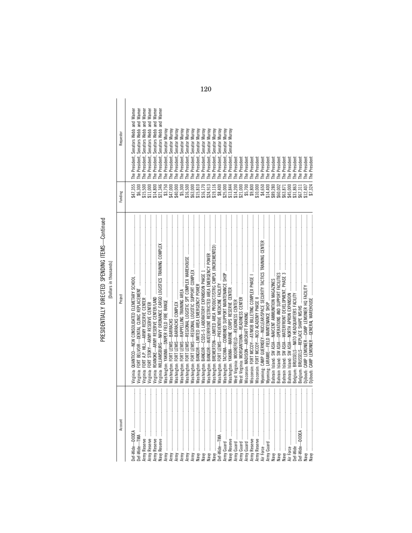## PRESIDENTIALLY DIRECTED SPENDING ITEMS-Continued PRESIDENTIALLY DIRECTED SPENDING ITEMS—Continued

| č      |  |
|--------|--|
|        |  |
|        |  |
| housen |  |
|        |  |
|        |  |
| F      |  |
|        |  |
| č      |  |
|        |  |
| Ξ      |  |
|        |  |
|        |  |
|        |  |
|        |  |
|        |  |

| Account                                                                                            | Project                                                                                                                                                                                                                                                                                                                                                                                                                                                                                                                                                                                      | Funding  | Requestor                                             |
|----------------------------------------------------------------------------------------------------|----------------------------------------------------------------------------------------------------------------------------------------------------------------------------------------------------------------------------------------------------------------------------------------------------------------------------------------------------------------------------------------------------------------------------------------------------------------------------------------------------------------------------------------------------------------------------------------------|----------|-------------------------------------------------------|
|                                                                                                    |                                                                                                                                                                                                                                                                                                                                                                                                                                                                                                                                                                                              |          |                                                       |
| ĺ                                                                                                  |                                                                                                                                                                                                                                                                                                                                                                                                                                                                                                                                                                                              | \$47,355 | The President, Senators Webb and Warner               |
| ļ                                                                                                  |                                                                                                                                                                                                                                                                                                                                                                                                                                                                                                                                                                                              | \$6,300  | The President, Senators Webb and Warner               |
| ļ                                                                                                  |                                                                                                                                                                                                                                                                                                                                                                                                                                                                                                                                                                                              | \$15,500 | Warner<br>and<br>The President, Senators Webb         |
| ļ<br>Army Reserve                                                                                  |                                                                                                                                                                                                                                                                                                                                                                                                                                                                                                                                                                                              | \$11,000 | Warner<br>and<br>Senators Webb<br>President,<br>The I |
| ļ                                                                                                  | $\label{def:1} \begin{minipage}{0.9\textwidth} \begin{minipage}{0.9\textwidth} \centering \begin{minipage}{0.9\textwidth} \centering \end{minipage} \begin{minipage}{0.9\textwidth} \centering \begin{minipage}{0.9\textwidth} \centering \end{minipage} \end{minipage} \begin{minipage}{0.9\textwidth} \centering \begin{minipage}{0.9\textwidth} \centering \end{minipage} \end{minipage} \end{minipage} \begin{minipage}{0.9\textwidth} \centering \begin{minipage}{0.9\textwidth} \centering \end{minipage} \end{minipage} \end{minipage}$<br>Virginia: ROANOKE-ARMY RESERVE CENTER/LAND | \$14,800 | Warner<br>and<br>Senators Webb<br>President,<br>The I |
| ļ                                                                                                  | Wirginia: WILLIAMSBURG-NAVY ORDNANCE CARGO LOGISTICS TRAINING COMPLEX                                                                                                                                                                                                                                                                                                                                                                                                                                                                                                                        | \$21,346 | and Warner<br>Senators Webb<br>President,<br>The I    |
| ļ                                                                                                  |                                                                                                                                                                                                                                                                                                                                                                                                                                                                                                                                                                                              | \$3,750  | Senator Murray<br>President,<br>The I                 |
| ļ                                                                                                  |                                                                                                                                                                                                                                                                                                                                                                                                                                                                                                                                                                                              | \$47,000 | Миггау<br>Senator<br>President,<br>The I              |
| ļ                                                                                                  |                                                                                                                                                                                                                                                                                                                                                                                                                                                                                                                                                                                              | \$40,000 | Миггау<br>Senator<br>President,<br>The I              |
| ļ                                                                                                  |                                                                                                                                                                                                                                                                                                                                                                                                                                                                                                                                                                                              | \$5,300  | Vlurray<br>Senator<br>President,<br>The I             |
| ļ                                                                                                  |                                                                                                                                                                                                                                                                                                                                                                                                                                                                                                                                                                                              | \$16,500 | Vlurray<br>Senator<br>President,<br>The I             |
| ļ                                                                                                  |                                                                                                                                                                                                                                                                                                                                                                                                                                                                                                                                                                                              | \$63,000 | Мигтау<br>Senator<br>The President,                   |
| ļ<br>New                                                                                           |                                                                                                                                                                                                                                                                                                                                                                                                                                                                                                                                                                                              | \$15,810 | Миггау<br>Senator<br>The President,                   |
| ļ<br>Naw                                                                                           |                                                                                                                                                                                                                                                                                                                                                                                                                                                                                                                                                                                              | \$16,170 | Миггау<br>Senator<br>The President,                   |
| ļ                                                                                                  |                                                                                                                                                                                                                                                                                                                                                                                                                                                                                                                                                                                              | \$24,913 | Мигтау<br>Senator<br>The President,                   |
| ĺ                                                                                                  |                                                                                                                                                                                                                                                                                                                                                                                                                                                                                                                                                                                              | \$19,116 | Миггау<br>Senator<br>The President,                   |
| ļ<br>Def-Wide-TMA                                                                                  |                                                                                                                                                                                                                                                                                                                                                                                                                                                                                                                                                                                              | \$8,400  | Миггау<br>Senator<br>The President,                   |
| ļ                                                                                                  |                                                                                                                                                                                                                                                                                                                                                                                                                                                                                                                                                                                              | \$25,000 | Миггау<br>Senator<br>The President,                   |
| $\ddot{\phantom{a}}$                                                                               |                                                                                                                                                                                                                                                                                                                                                                                                                                                                                                                                                                                              | \$13,844 | Миггау<br>Senator<br>The President,                   |
| $\ddot{\phantom{a}}$                                                                               |                                                                                                                                                                                                                                                                                                                                                                                                                                                                                                                                                                                              | \$14,200 | The President                                         |
| $\vdots$<br>Army Guard<br>Mary Reserve<br>Army Guard<br>Army Guard<br>Army Reserve<br>Army Reserve |                                                                                                                                                                                                                                                                                                                                                                                                                                                                                                                                                                                              | \$21,000 | The President                                         |
| ļ                                                                                                  |                                                                                                                                                                                                                                                                                                                                                                                                                                                                                                                                                                                              | \$5,700  | The President                                         |
| ļ                                                                                                  |                                                                                                                                                                                                                                                                                                                                                                                                                                                                                                                                                                                              | \$9,800  | The President                                         |
| ļ                                                                                                  |                                                                                                                                                                                                                                                                                                                                                                                                                                                                                                                                                                                              | \$10,000 | The President                                         |
| ļ                                                                                                  |                                                                                                                                                                                                                                                                                                                                                                                                                                                                                                                                                                                              | \$4,650  | The President                                         |
| ļ                                                                                                  |                                                                                                                                                                                                                                                                                                                                                                                                                                                                                                                                                                                              | \$14,400 | The President                                         |
| j<br>Army Guard<br>Navy                                                                            |                                                                                                                                                                                                                                                                                                                                                                                                                                                                                                                                                                                              | \$89,280 | President<br>The I                                    |
| l                                                                                                  |                                                                                                                                                                                                                                                                                                                                                                                                                                                                                                                                                                                              | \$60,002 | The President                                         |
| ļ                                                                                                  |                                                                                                                                                                                                                                                                                                                                                                                                                                                                                                                                                                                              | \$63,871 | President<br>The I                                    |
| ļ                                                                                                  |                                                                                                                                                                                                                                                                                                                                                                                                                                                                                                                                                                                              | \$45,000 | President<br>The I                                    |
| l<br>Def-Wide                                                                                      |                                                                                                                                                                                                                                                                                                                                                                                                                                                                                                                                                                                              | \$31,863 | The President                                         |
| ļ<br>Def-Wide-DODEA                                                                                |                                                                                                                                                                                                                                                                                                                                                                                                                                                                                                                                                                                              | \$67,311 | The President                                         |
| ļ                                                                                                  |                                                                                                                                                                                                                                                                                                                                                                                                                                                                                                                                                                                              | \$12,407 | The President                                         |
| $\vdots$                                                                                           | Djibouti: CAMP LEMONIER—GENERAL WAREHOUSE www.www.www.www.www.www.www.www.w                                                                                                                                                                                                                                                                                                                                                                                                                                                                                                                  | \$7,324  | The President                                         |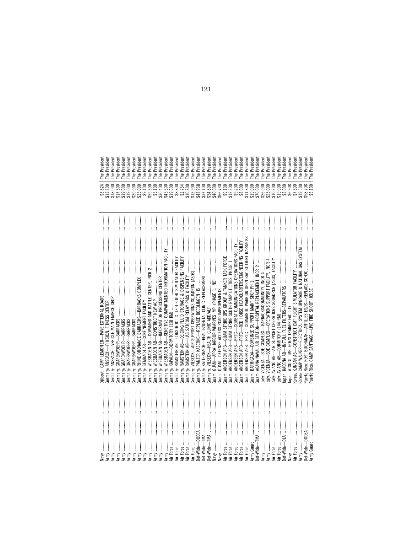|                              | Djibouti: CAMP LEMONIER-PAVE EXTERNAL ROADS                         | The President |
|------------------------------|---------------------------------------------------------------------|---------------|
| Army                         | Germany: ANSBACH-PHYSICAL FITNESS CENTER                            | The President |
| Army                         | ANSBACH-VEHICLE MAINTENANCE SHOP<br>Germany:                        | The President |
|                              | aermany: GRAFENWOEHR-BARRACKS                                       | The President |
|                              | aermany: GRAFENWOEHR-BARRACKS                                       | The President |
|                              | GRAFENWOEHR-BARRACKS<br>Germany:                                    | The President |
|                              | GRAFENWOEHR-BARRACKS<br>Germany:                                    | The President |
| Army<br>Army<br>Army<br>Army | Germany:                                                            | The President |
| Army                         | SEMBACH AB-CONFINEMENT FACILITY<br>Germany:                         | The President |
|                              | Germany:                                                            | The President |
|                              | -CONSTRUCT NEW ACP<br>WIESBADEN AB-<br>Germany:                     | The President |
|                              | Germany:                                                            | The President |
|                              |                                                                     | The President |
|                              |                                                                     | The President |
|                              |                                                                     | The President |
|                              | Germany:                                                            | The President |
|                              | Germany: RAMSTEIN AB-UAS SATCOM RELAY PADS & FACILITY               | The President |
| Air Force                    | Germany: VILSECK-AIR SUPPORT OPERATIONS SQUADRON [ASOS]             | The President |
| Def-Wide-DODEA               | Germany: PANZER KASERNE-REPLACE BOEBLINGEN HS                       | The President |
| Def-Wide—TMA<br>Def-Wide—TMA | Germany: KATTERBACH-HEALTH/DENTAL CLINIC REPLACEMENT                | The President |
|                              | aermany: VILSECK-HEALTH CLINIC ADD/ALT                              | The President |
|                              |                                                                     | The President |
|                              |                                                                     | The President |
| Air Force<br>Air Force       | Guam: ANDERSEN AFB-                                                 | The President |
|                              | Juam: ANDERSEN AFB-                                                 | The President |
|                              | Guam: ANDERSEN AFB-PRTC-COMBAT COMMUNICATIONS OPERATIONS FACILITY   | The President |
|                              | Guam: ANDERSEN AFB-PRTC-RED HORSE HEADQUARTERS/ENGINEERING FACILITY | The President |
|                              | Guam: ANDERSEN AFB-PRTC-COMMANDO WARRIOR OPEN BAY STUDENT BARRACKS  | The President |
| Army Guard                   |                                                                     | The President |
| Def-Wide-TMA                 | GLAMA NAVAL AIR STATION-HOSPITAL REPLACEMENT, INCR 2                | The President |
|                              | taly: VICENZA—BDE COMPLEX—BARRACKS/COMMUNITY, INCR 4                | The President |
|                              | taly: VICENZA-BDE COMPLEX-OPERATIONS SUPPORT FACILITY, INCR 4       | The President |
|                              | taly: AVIANO AB—AIR SUPPORT OPERATIONS SQUADRON [ASOS] FACILITY     | The President |
| Air Force                    | taly: AVIANO AB-DORMITORY (144 RM)                                  | The President |
| Def-Wide-DLA                 |                                                                     | The President |
|                              | lapan: ATSUGI-MH-60R/S TRAINER FACILITY                             | The President |
|                              | KOREA: KUNSAN AB-CONSTRUCT DMT FLIGHT SIMULATOR FACILITY            | The President |
| Army                         | Korea: CAMP WALKER-ELECTRICAL SYSTEM UPGRADE & NATURAL GAS SYSTEM   | The President |
|                              |                                                                     | The President |
| Army Guard                   | Puerto Rico: CAMP SANTIAGO-LIVE FIRE SHOOT HOUSE                    | The President |

| C)<br>$\mathcal{L}$<br>உ<br>$\sim$ | $\overline{\omega}$<br>ئة<br><b>CD</b> | $\overline{\omega}$<br>ᆷ<br>ئة<br>$\sim$<br>$\sim$<br>മമ<br>----<br>---------- | $\overline{\omega}$<br>ᇰ<br>$\omega$<br>ىم | $\overline{a}$<br>$\overline{a}$<br>ئة<br>ئة<br>CD.<br><b>CD</b><br>$\overline{a}$ | ᇰ<br>ധ | $\overline{a}$<br>g<br>CD.<br>----- | $\overline{a}$<br>ئة<br><b>CD</b> | ᇰ<br>ξğ<br>ം      | $\equiv$<br>ᇰ<br>ຶ<br>ئة<br>$\sim$<br>ധ | $\equiv$<br>ᇰ<br>$\sim$<br>ئة<br>ധ<br>c. | $\equiv$<br>ಹ<br>ᇰ<br>$\mathcal{L}$<br>ئة<br>ധ | $=$<br>ᇰ<br>ᅮ<br>್<br>نة<br>$\sim$<br>ധ<br>-------    | $\equiv$<br>ᡖ<br>ᆷ<br>್<br>ئة<br>$\sim$<br>ധ | $\equiv$<br>ᅙ<br>ᇰ<br>es.<br>$\sim$<br>ഄ | 5<br>ᇰ<br>ē.<br>$\sim$ | 횳<br>esi<br>$\sim$<br>മേ | 훕<br>esi<br>$\sim$<br>ഄ<br>c. | 둡<br>ᇰ<br>esi<br>$\sim$ | 듮<br>ᅮ<br>res<br>$\sim$<br>P P P P P P P P P P P P P P<br>----------------------- | 둡<br>ᄒ<br>esi<br>$\sim$ | $=$<br>ᅙ<br>ᇰ<br>esj<br>$\sim$ | $=$<br>ಹ<br>ᇰ<br>ēs,<br>$\sim$ | 듮<br>ᇰ<br>ဥ္သ<br>$\sim$ | $=$<br>$\overline{\mathbf{d}}$<br>ᄒ<br>$\sim$<br>ئة<br>$\sim$ | $\equiv$<br>ಹ<br>ᇰ<br>res<br>$\sim$ | $=$<br>ᇰ<br>ᇰ<br>es<br>$\sim$ | $=$<br>ᇰ<br>ᅮ<br>es<br>$\sim$ | $=$<br>ਨ<br>ᆷ<br>್<br>ئة<br>$\sim$ | $\equiv$<br>ᇰ<br>ᄒ<br>୍<br>ئة<br>$\sim$ | 듮<br>ᇰ<br>ัด<br>نة<br>$\sim$ | 둡<br>ᇰ<br>$\sim$<br>ئة<br>$\sim$ | $\equiv$<br>ಹ<br>ᇹ<br>$\sim$<br>ئة<br>$\sim$<br>ധ<br>$\overline{ }$ | $\overline{\omega}$<br>3g<br>$\sim$<br><b>CD</b><br>$\overline{ }$ | $\overline{a}$<br>es,<br>$\sim$<br><b>CD</b><br>$\overline{ }$<br>$\vdash \vdash \vdash \vdash \vdash \vdash$ | $\overline{a}$<br>ئة<br>$\sim$<br><b>CD</b><br>$\overline{a}$ | ∽<br>نة<br>$\alpha$<br><b>CD</b> | ᠍<br>ئة<br>$\sim$ $\sim$<br>മമ    | മ<br>ᅮ<br>$\epsilon$<br>نق |
|------------------------------------|----------------------------------------|--------------------------------------------------------------------------------|--------------------------------------------|------------------------------------------------------------------------------------|--------|-------------------------------------|-----------------------------------|-------------------|-----------------------------------------|------------------------------------------|------------------------------------------------|-------------------------------------------------------|----------------------------------------------|------------------------------------------|------------------------|--------------------------|-------------------------------|-------------------------|-----------------------------------------------------------------------------------|-------------------------|--------------------------------|--------------------------------|-------------------------|---------------------------------------------------------------|-------------------------------------|-------------------------------|-------------------------------|------------------------------------|-----------------------------------------|------------------------------|----------------------------------|---------------------------------------------------------------------|--------------------------------------------------------------------|---------------------------------------------------------------------------------------------------------------|---------------------------------------------------------------|----------------------------------|-----------------------------------|----------------------------|
| $\sim$                             | $m \omega \sim m \omega \sim m \omega$ | 888888888888888888888888888888888<br>000000000000000                           |                                            |                                                                                    |        |                                     |                                   | $\leftrightarrow$ |                                         |                                          |                                                | $\leftrightarrow$ $\leftrightarrow$ $\leftrightarrow$ |                                              |                                          |                        |                          |                               |                         | 69 69 69 69 69 69 69                                                              |                         |                                |                                | $\leftrightarrow$       |                                                               |                                     |                               | <b>60 60 60 60 60 60 60</b>   |                                    |                                         |                              |                                  |                                                                     |                                                                    | $\circ$ $\circ$<br><b>00 LD LD</b>                                                                            |                                                               | ۰.<br>$\leftrightarrow$          | $\infty$<br>$\circ$<br>. .<br>∞ ന |                            |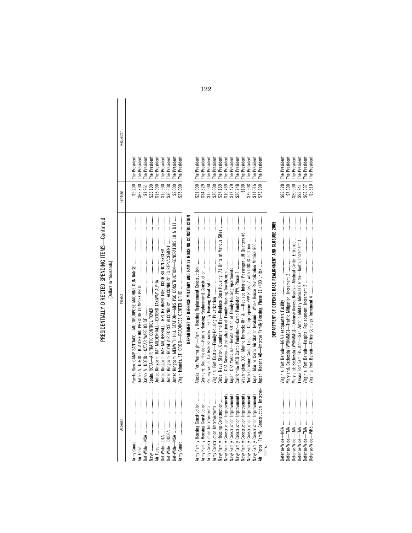## PRESIDENTIALLY DIRECTED SPENDING ITEMS-Continued PRESIDENTIALLY DIRECTED SPENDING ITEMS—Continued

| Dollars in thousands | iniert |
|----------------------|--------|
|                      |        |

| Requestor |                                                                                                                                                                                                                            |                                                                |                                                                                                                           |                                |                                                                                     |                                       |                                                                                |                                                                                       |                                                                           |                                                                                           |                                                         |                                                                 |
|-----------|----------------------------------------------------------------------------------------------------------------------------------------------------------------------------------------------------------------------------|----------------------------------------------------------------|---------------------------------------------------------------------------------------------------------------------------|--------------------------------|-------------------------------------------------------------------------------------|---------------------------------------|--------------------------------------------------------------------------------|---------------------------------------------------------------------------------------|---------------------------------------------------------------------------|-------------------------------------------------------------------------------------------|---------------------------------------------------------|-----------------------------------------------------------------|
|           | \$25,000   The President<br>The President<br>The President<br>The President<br>The President<br>The President<br>The President<br>The President<br>The President                                                           |                                                                | The President<br>The President                                                                                            | The President                  | The President<br>The President                                                      | The President                         | The President<br>The President                                                 | The President                                                                         | The President                                                             | The President<br>The President                                                            |                                                         | $h \cap \cap \cap$ $\cap$ $\vdash$ $\vdash$ $\vdash$ $\vdash$   |
| Funding   | \$9,200<br>\$62,300<br>\$15,900<br>\$30,308<br>\$2,000<br>\$1,961<br>\$23,190<br>\$15,000                                                                                                                                  |                                                                | \$21,000<br>\$34,329                                                                                                      | \$15,000                       | \$20,000<br>37,169                                                                  | 10,769                                | \$17,479<br>\$26,748                                                           | \$100                                                                                 | \$79,908                                                                  | \$11,016<br>\$73,800                                                                      |                                                         |                                                                 |
| Project   | United Kingdom: RAF MILDENHALL-RPL HYDRANT FUEL DISTRIBUTION SYSTEM<br>United Kingdom: MENWITH HILL STATION-MHS PSC CONSTRUCTION-GENERATORS 10 & D11<br>United Kingdom: ROYAL AIR FORCE ALCONBURY—ALCONBURY ES REPLACEMENT | DEPARTMENT OF DEFENSE MILITARY AND FAMILY HOUSING CONSTRUCTION | Army Family Housing Construction ………   Alaska: Fort Wainwright—Family Housing Replacement Construction ……………………………………………… |                                | Cuba: Naval Station, Guantanamo Bay-Replace Base Housing, 71 Units at Various Sites |                                       |                                                                                | Washington, D.C.: Marine Barracks 8th & I-Replace Interior Passenger Lift Quarters #6 | North Carolina: Camp Lejeune-Camp Lejeune PPV Phase 7 with DODDS addition | Japan: Marine Corps Air Station Iwakuni—Whole House Revitalization Midrise 906            | DEPARTMENT OF DEFENSE BASE REALIGNMENT AND CLOSURE 2005 | I seem the problems and a strategic contract of the contract of |
| Account   |                                                                                                                                                                                                                            |                                                                | Army Family Housing Construction                                                                                          | Army Construction Improvements | Navy Family Housing Construction<br>Army Construction Improvements                  | Navy Family Construction Improvements | Navy Family Construction Improvements<br>Navy Family Construction Improvements | Navy Family Construction Improvements                                                 | Navy Family Construction Improvements                                     | Air Force Family Construction Improve-<br>Navy Family Construction Improvements<br>ments. |                                                         | Defense Mitales Minis                                           |

| The President | Maryland: Bethesda [WRNMMC]—Defense Access Roads—Medical Center Entrance | Texas: Fort Sam Houston—San Antonio Military Medical Center—North, Increment 4 |                                                                               |
|---------------|--------------------------------------------------------------------------|--------------------------------------------------------------------------------|-------------------------------------------------------------------------------|
|               |                                                                          |                                                                                |                                                                               |
|               |                                                                          |                                                                                | <b>10</b> manufacture construction of the construction of<br>Defense-Wide-WHS |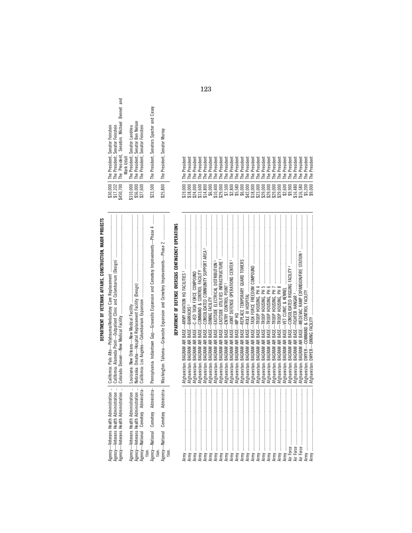| l<br>í<br>۱<br>í<br>í<br>í<br>۱<br>í<br>í<br>í<br>۱<br>١<br>I<br>ı<br>ı<br>l<br>ı<br>l<br>í<br>۱<br>ı<br>ı<br>í<br>í<br>ı<br>í<br>í<br>í<br>í<br>í | ١<br>í<br>í<br>í<br>¢<br>١<br>١<br>i |
|----------------------------------------------------------------------------------------------------------------------------------------------------|--------------------------------------|
|                                                                                                                                                    |                                      |
|                                                                                                                                                    |                                      |
|                                                                                                                                                    |                                      |

| Bennet and<br>The President, Senators Michael<br>The President, Senator Feinstein<br>The President, Senator Feinstein                                                                                                                                                                                                                                                                                                                                                                                      | The President, Senator Ben Nelson<br>The President, Senator Landrieu<br>The President, Senator Feinstein                         | The President, Senators Specter and Casey                                                                  | The President, Senator Murray                                            |                                                       |               |                                                                                                                                                                                                                                                                                                                                                                                                                                                                                                                                                                         |                                                                          |                                                                                   |                                     |                                     |                                     |                                            |                                            |                                                                                          |                                            |                                                                                                                   |                                              |                                     |                                                                                                                                                                                                                                                                                                                                                                                                                                                                                                                                                                                                                          |                                            |                                     |                                            |                                   |                |                  |                  |
|------------------------------------------------------------------------------------------------------------------------------------------------------------------------------------------------------------------------------------------------------------------------------------------------------------------------------------------------------------------------------------------------------------------------------------------------------------------------------------------------------------|----------------------------------------------------------------------------------------------------------------------------------|------------------------------------------------------------------------------------------------------------|--------------------------------------------------------------------------|-------------------------------------------------------|---------------|-------------------------------------------------------------------------------------------------------------------------------------------------------------------------------------------------------------------------------------------------------------------------------------------------------------------------------------------------------------------------------------------------------------------------------------------------------------------------------------------------------------------------------------------------------------------------|--------------------------------------------------------------------------|-----------------------------------------------------------------------------------|-------------------------------------|-------------------------------------|-------------------------------------|--------------------------------------------|--------------------------------------------|------------------------------------------------------------------------------------------|--------------------------------------------|-------------------------------------------------------------------------------------------------------------------|----------------------------------------------|-------------------------------------|--------------------------------------------------------------------------------------------------------------------------------------------------------------------------------------------------------------------------------------------------------------------------------------------------------------------------------------------------------------------------------------------------------------------------------------------------------------------------------------------------------------------------------------------------------------------------------------------------------------------------|--------------------------------------------|-------------------------------------|--------------------------------------------|-----------------------------------|----------------|------------------|------------------|
| Mark Udall                                                                                                                                                                                                                                                                                                                                                                                                                                                                                                 |                                                                                                                                  |                                                                                                            |                                                                          |                                                       | The President | The President<br>The President                                                                                                                                                                                                                                                                                                                                                                                                                                                                                                                                          | The President                                                            | The President<br>The President                                                    | The President                       | The President                       | The President                       | The President                              | The President                              | The President<br>The President                                                           | The President                              | The President                                                                                                     | The President                                | The President                       | The President                                                                                                                                                                                                                                                                                                                                                                                                                                                                                                                                                                                                            | The President                              | The President                       | The President                              | The President                     | The President  | The President    | The President    |
| \$30,000<br>\$17,332<br>\$450,700                                                                                                                                                                                                                                                                                                                                                                                                                                                                          | \$56,000<br>\$27,600<br>\$310,000                                                                                                | \$23,500                                                                                                   | \$25,800                                                                 |                                                       | \$19,000      | \$18,000<br>\$24,000                                                                                                                                                                                                                                                                                                                                                                                                                                                                                                                                                    | \$13,600                                                                 | \$14,800<br>\$6,000                                                               | \$10,400                            | \$29,000                            | \$7,500                             | \$2,800                                    | \$5,580                                    | \$6,000<br>\$42,000                                                                      | \$18,000                                   | \$23,000                                                                                                          | \$29,000                                     | \$29,000                            | \$29,000                                                                                                                                                                                                                                                                                                                                                                                                                                                                                                                                                                                                                 | \$29,000                                   | $$2,500$<br>$$9,900$                |                                            | \$16,480                          | \$16,580       | \$5,200          | \$9,000          |
| $\label{def:1} \begin{array}{lllllllllllllllllllllllllllllll} \hline \textbf{1} & \textbf{1} & \textbf{1} & \textbf{1} & \textbf{1} & \textbf{1} & \textbf{1} & \textbf{1} & \textbf{1} & \textbf{1} & \textbf{1} & \textbf{1} & \textbf{1} & \textbf{1} & \textbf{1} & \textbf{1} & \textbf{1} & \textbf{1} & \textbf{1} & \textbf{1} & \textbf{1} & \textbf{1} & \textbf{1} & \textbf{1} & \textbf{1} & \textbf{1} & \textbf{1}$<br>California: Alameda Point-Outpatient Clinic and Columbarium (Design) |                                                                                                                                  | $\ddot{\phantom{a}}$<br>Pennsylvania: Indiantown Gap-Gravesite Expansion and Cemetery Improvements-Phase 4 | Washington: Tahoma-Gravesite Expansion and Cemetery Improvements-Phase 2 | DEPARTMENT OF DEFENSE OVERSEAS CONTINGENCY OPERATIONS |               | BASE-<br>BASE-<br>BAGRAM AIR<br>BAGRAM AIR<br>Afghanistan:<br>Afghanistan:                                                                                                                                                                                                                                                                                                                                                                                                                                                                                              | COMMAND & CONTROL FACILITY<br>BASE-<br><b>BAGRAM AIR</b><br>Afghanistan: | BASE-<br>BASE-<br><b>BAGRAM AIR</b><br>BAGRAM AIR<br>Afghanistan:<br>Afghanistan: | BASE-<br>BAGRAM AIR<br>Afghanistan: | BASE-<br>BAGRAM AIR<br>Afghanistan: | BASE-<br>BAGRAM AIR<br>Afghanistan: | BASE-<br><b>BAGRAM AIR</b><br>Afghanistan: | BASE-<br><b>BAGRAM AIR</b><br>Afghanistan: | BASE-<br>BASE-<br><b>BAGRAM AIR</b><br><b>BAGRAM AIR</b><br>Afghanistan:<br>Afghanistan: | BASE-<br><b>BAGRAM AIR</b><br>Afghanistan: | TROOP HOUSING, PM 4<br>TROOP HOUSING, PM 5<br>TROOP HOUSING, PM 6<br>$BASE-$<br><b>BAGRAM AIR</b><br>Afghanistan: | $BASE-$<br><b>BAGRAM AIR</b><br>Afghanistan: | BASE-<br>BAGRAM AIR<br>Afghanistan: | $\label{eq:conformal} \begin{minipage}{0.9\textwidth} \begin{minipage}{0.9\textwidth} \centering \begin{minipage}{0.9\textwidth} \centering \end{minipage} \begin{minipage}{0.9\textwidth} \centering \end{minipage} \begin{minipage}{0.9\textwidth} \centering \end{minipage} \begin{minipage}{0.9\textwidth} \centering \end{minipage} \begin{minipage}{0.9\textwidth} \centering \end{minipage} \begin{minipage}{0.9\textwidth} \centering \end{minipage} \begin{minipage}{0.9\textwidth} \centering \end{minipage} \begin{minipage}{0.9\text$<br>TROOP HOUSING, PH 7<br>$BASE-$<br><b>BAGRAM AIR</b><br>Afghanistan: | BASE-<br><b>BAGRAM AIR</b><br>Afghanistan: | BASE-<br>BAGRAM AIR<br>Afghanistan: | BASE-<br><b>BAGRAM AIR</b><br>Afghanistan: | <b>BAGRAM AIR</b><br>Afghanistan: | Afghanistan:   | Afghanistan:     |                  |
| $\bar{z}$<br>$\ddot{\phantom{a}}$<br>ï<br>Agency-Veterans Health Administration<br>gency-Veterans Health Administration<br>Agency-Veterans Health Administration                                                                                                                                                                                                                                                                                                                                           | Agency—Veterans Health Administration<br>Agency—National   Cemetery   Administra-<br>ł,<br>Agency-Veterans Health Administration | ra-<br>Agency-National Cemetery Administr                                                                  | $\frac{1}{6}$<br>Agency-National Cemetery Administ<br>tion.              |                                                       | ŧ             | $\label{def:1} \begin{minipage}{0.9\textwidth} \begin{minipage}{0.9\textwidth} \centering \begin{minipage}{0.9\textwidth} \centering \end{minipage} \begin{minipage}{0.9\textwidth} \centering \begin{minipage}{0.9\textwidth} \centering \end{minipage} \begin{minipage}{0.9\textwidth} \centering \end{minipage} \begin{minipage}{0.9\textwidth} \centering \begin{minipage}{0.9\textwidth} \centering \end{minipage} \begin{minipage}{0.9\textwidth} \centering \end{minipage} \begin{minipage}{0.9\textwidth} \centering \end{minipage} \begin{min$<br>Army<br>Army | Army                                                                     | Army<br>Army                                                                      | ŧ<br>Army                           | Army                                | Army                                | Army                                       | Army                                       | Army<br>Army                                                                             | Army                                       | Army                                                                                                              | Army                                         | Army                                | Army                                                                                                                                                                                                                                                                                                                                                                                                                                                                                                                                                                                                                     | $\vdots$<br>Army                           | ŧ                                   | Air Force                                  | ţ<br>Air Force                    | ł<br>Air Force | $\vdots$<br>Army | $\vdots$<br>Army |

|                                                                                                                                                                                                                                                                                                                                                                                                                                     | <b>Property of the Second Second Second Second Second Second Second Second Second Second Second Second Second Second Second Second Second Second Second Second Second Second Second Second Second Second Second Second Second Se</b>       |                      |               |
|-------------------------------------------------------------------------------------------------------------------------------------------------------------------------------------------------------------------------------------------------------------------------------------------------------------------------------------------------------------------------------------------------------------------------------------|--------------------------------------------------------------------------------------------------------------------------------------------------------------------------------------------------------------------------------------------|----------------------|---------------|
| $\begin{minipage}{0.9\linewidth} \textbf{1} & \textbf{1} & \textbf{1} & \textbf{1} & \textbf{1} & \textbf{1} & \textbf{1} & \textbf{1} & \textbf{1} & \textbf{1} & \textbf{1} & \textbf{1} & \textbf{1} & \textbf{1} & \textbf{1} & \textbf{1} & \textbf{1} & \textbf{1} & \textbf{1} & \textbf{1} & \textbf{1} & \textbf{1} & \textbf{1} & \textbf{1} & \textbf{1} & \textbf{1} & \textbf{1} & \textbf{1} & \textbf{1} & \textbf{$ | Afghanistan:                                                                                                                                                                                                                               | 19,000               | The President |
|                                                                                                                                                                                                                                                                                                                                                                                                                                     | BAGRAM AIR BASE-BARRACKS1<br>Afghanistan:                                                                                                                                                                                                  |                      | The President |
|                                                                                                                                                                                                                                                                                                                                                                                                                                     | BAGRAM AIR BASE-<br>Afghanistan:                                                                                                                                                                                                           |                      | The President |
|                                                                                                                                                                                                                                                                                                                                                                                                                                     | BAGRAM AIR BASE-<br>Afghanistan:                                                                                                                                                                                                           |                      | The President |
| Army                                                                                                                                                                                                                                                                                                                                                                                                                                | Afghanistan: BAGRAM AIR BASE-                                                                                                                                                                                                              |                      | The President |
|                                                                                                                                                                                                                                                                                                                                                                                                                                     |                                                                                                                                                                                                                                            |                      | The President |
|                                                                                                                                                                                                                                                                                                                                                                                                                                     |                                                                                                                                                                                                                                            |                      | The President |
|                                                                                                                                                                                                                                                                                                                                                                                                                                     | Afghanistan:                                                                                                                                                                                                                               |                      | The President |
|                                                                                                                                                                                                                                                                                                                                                                                                                                     | BAGRAM AIR BASE-<br>Afghanistan:                                                                                                                                                                                                           | \$7,500              | The President |
|                                                                                                                                                                                                                                                                                                                                                                                                                                     | BAGRAM AIR BASE-<br>Afghanistan:                                                                                                                                                                                                           |                      | The President |
|                                                                                                                                                                                                                                                                                                                                                                                                                                     |                                                                                                                                                                                                                                            |                      | The President |
|                                                                                                                                                                                                                                                                                                                                                                                                                                     | BAGRAM AIR BASE-<br>Afghanistan: I                                                                                                                                                                                                         | $$2,80055,58086,000$ | The President |
|                                                                                                                                                                                                                                                                                                                                                                                                                                     |                                                                                                                                                                                                                                            |                      | The President |
|                                                                                                                                                                                                                                                                                                                                                                                                                                     | Afghanistan: BAGRAM AIR BASE—F<br>Afghanistan: BAGRAM AIR BASE—T                                                                                                                                                                           |                      | The President |
| Army                                                                                                                                                                                                                                                                                                                                                                                                                                | Afghanistan: BAGRAM AIR BASE—TROOP HOUSING, PH 4<br>Afghanistan: BAGRAM AIR BASE—TROOP HOUSING, PH 5<br>Afghanistan: BAGRAM AIR BASE—TROOP HOUSING, PH 6<br>  Afghanistan: BAGRAM AIR BASE—TROOP HOUSING, PH 7<br>  Afghanistan: BAGRAM AI |                      | The President |
| Army                                                                                                                                                                                                                                                                                                                                                                                                                                |                                                                                                                                                                                                                                            |                      | The President |
|                                                                                                                                                                                                                                                                                                                                                                                                                                     |                                                                                                                                                                                                                                            |                      | The President |
|                                                                                                                                                                                                                                                                                                                                                                                                                                     |                                                                                                                                                                                                                                            |                      | The President |
|                                                                                                                                                                                                                                                                                                                                                                                                                                     |                                                                                                                                                                                                                                            |                      | The President |
|                                                                                                                                                                                                                                                                                                                                                                                                                                     | Afghanistan:                                                                                                                                                                                                                               |                      | The President |
|                                                                                                                                                                                                                                                                                                                                                                                                                                     | Afghanistan: I                                                                                                                                                                                                                             | \$9,900              | The President |
|                                                                                                                                                                                                                                                                                                                                                                                                                                     | Afghanistan:                                                                                                                                                                                                                               |                      | The President |
|                                                                                                                                                                                                                                                                                                                                                                                                                                     | Afghanistan:                                                                                                                                                                                                                               | \$16,480             | The President |
|                                                                                                                                                                                                                                                                                                                                                                                                                                     |                                                                                                                                                                                                                                            | \$5,200              | The President |
|                                                                                                                                                                                                                                                                                                                                                                                                                                     |                                                                                                                                                                                                                                            | \$9,000              | The President |

| ۰.<br>M.<br>۰.<br>__ |  |
|----------------------|--|
|                      |  |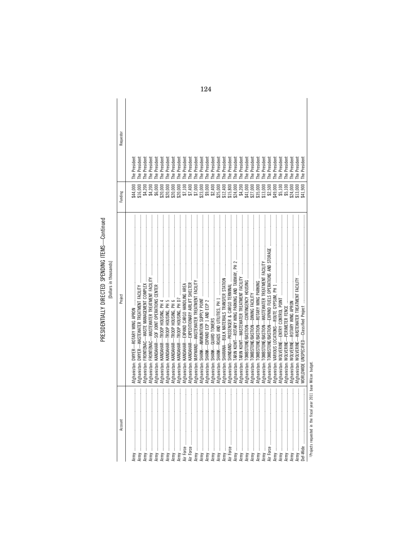| Account                      | Project                                                                           | Funding  | Requestor     |
|------------------------------|-----------------------------------------------------------------------------------|----------|---------------|
|                              |                                                                                   |          |               |
|                              |                                                                                   | \$44,000 | The President |
| l                            |                                                                                   | \$16,000 | The President |
| <br> <br> <br>:<br>:<br>Army |                                                                                   | \$4,200  | The President |
| l                            |                                                                                   | \$4,200  | The President |
| <br> <br>                    |                                                                                   | \$6,000  | The President |
| İ<br>Army                    | Afghanistan: KANDAHAR—TROOP HOUSING, PH 4                                         | \$20,000 | The President |
| <br> <br> <br>Army ……………     |                                                                                   | \$20,000 | The President |
| l                            |                                                                                   | \$20,000 | The President |
| $\vdots$                     |                                                                                   | \$20,000 | The President |
| l                            |                                                                                   | \$7,100  | The President |
| $\vdots$                     |                                                                                   | \$7,400  | The President |
| <br> <br> <br>Army ……………     |                                                                                   | \$7,000  | The President |
| :<br>:                       |                                                                                   | \$23,000 | The President |
| $\vdots$                     |                                                                                   | \$9,000  | The President |
| l                            |                                                                                   | \$2,400  | The President |
| $\vdots$                     |                                                                                   | \$25,000 | The President |
| $\frac{1}{2}$                |                                                                                   | \$12,400 | The President |
| $\frac{1}{2}$<br>Air Force   |                                                                                   | \$15,800 | The President |
| $\vdots$<br>Army …………………     |                                                                                   | \$24,000 | The President |
| l                            |                                                                                   | \$4,200  | The President |
| $\vdots$                     |                                                                                   | \$41,000 | The President |
| l                            |                                                                                   | \$27,000 | The President |
| :<br>:<br>Army               |                                                                                   | \$35,000 | The President |
| $\ddot{}}$<br>Army           | Afghanistan: TOMBSTONE/BASTION-WASTEWATER TREATMENT FACILITY                      | \$13,000 | The President |
| l<br>Air Force               | Afghanistan: TOMBSTONE/BASTION—EXPAND FUELS OPERATIONS AND STORAGE                | \$2,500  | The President |
| l                            |                                                                                   | \$49,000 | The President |
| $\vdots$                     |                                                                                   | \$5,100  | The President |
| :<br>:<br>:<br>:             |                                                                                   | \$5,100  | The President |
| l                            |                                                                                   | \$24,000 | The President |
| ļ                            | Afghanistan: WOLVERINE—WASTEWATER TREATMENT FACILITY www.www.www.www.www.www.www. | \$13,000 | The President |
| İ<br>Def-Wide                |                                                                                   | \$41,900 | The President |

PRESIDENTIALLY DIRECTED SPENDING ITEMS—Continued<br>[Dollars in thousands] PRESIDENTIALLY DIRECTED SPENDING ITEMS—Continued [Dollars in thousands]

> <sup>1</sup> Projects requested in the fiscal year 2011 base Milcon budget. Projects requested in the fiscal year 2011 base Milcon budget.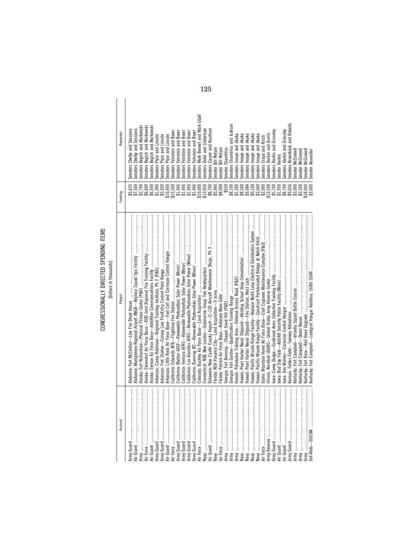## CONGRESSIONALLY DIRECTED SPENDING ITEMS CONGRESSIONALLY DIRECTED SPENDING ITEMS [Dollars in thousands]

| Account                                                                                                                                                      | Project                                                                     | Funding                | Requestor                          |
|--------------------------------------------------------------------------------------------------------------------------------------------------------------|-----------------------------------------------------------------------------|------------------------|------------------------------------|
|                                                                                                                                                              |                                                                             | \$5,635                | Senators Shelby and Sessions       |
| ļ                                                                                                                                                            |                                                                             |                        |                                    |
| ļ                                                                                                                                                            |                                                                             | \$7,500                | Senators Shelby and Sessions       |
| ļ                                                                                                                                                            |                                                                             | \$2,700                | Senators Begich and Murkowski      |
| ļ                                                                                                                                                            |                                                                             | \$6,600                | Senators Begich and Murkowski      |
| ļ<br>r Guard                                                                                                                                                 |                                                                             | \$6,500                | Senators Begich and Murkowski      |
| ļ                                                                                                                                                            |                                                                             | \$1,900                | Senators Pryor and Lincoln         |
| $\frac{1}{2}$                                                                                                                                                |                                                                             | \$3,500                | Senators Pryor and Lincoln         |
|                                                                                                                                                              | Arkansas: Little Rock Air Force Base-Fuel Cell and Corrosion Control Hanger |                        | Senators Pryor and Lincoln         |
| ļ                                                                                                                                                            |                                                                             | $$10,400$<br>$$15,500$ | Senators Feinstein and Boxer       |
| ļ                                                                                                                                                            |                                                                             | \$1,466                | Senators Feinstein and Boxer       |
| ļ                                                                                                                                                            |                                                                             |                        |                                    |
| ļ                                                                                                                                                            |                                                                             | \$1,466                | Senators Feinstein and Boxer       |
| ļ                                                                                                                                                            |                                                                             | \$1,466                | Senators Feinstein and Boxer       |
| ļ                                                                                                                                                            |                                                                             | \$1,466                | Senators Feinstein and Boxer       |
| $\vdots$                                                                                                                                                     |                                                                             | \$10,000               | Senators Mark Bennet and Mark Udal |
|                                                                                                                                                              |                                                                             | \$12,930               | Senators Dodd and Lieberman        |
| $\vdots$<br>valida alla alla marriammana alla suomen marriammana alla suomen marriammana alla suomen marriammana alla suom<br>Ny faritr'i Nord-Africa (1993) |                                                                             | \$8,700                | Senators Carper and Kautman        |
| ļ                                                                                                                                                            |                                                                             |                        |                                    |
| ļ                                                                                                                                                            |                                                                             | \$5,960                | Senator Bill Nelson                |
| ļ                                                                                                                                                            |                                                                             | \$8,000                | Senator Bill Nelson                |
| ļ                                                                                                                                                            |                                                                             | \$550                  | Senator Chambliss                  |
| ļ                                                                                                                                                            |                                                                             | \$8,100                | Senators Chambliss and Isakson     |
|                                                                                                                                                              |                                                                             | \$1,200                | Senators Inouye and Akaka          |
| ļ                                                                                                                                                            |                                                                             | \$8,500                | Senators Inouye and Akaka          |
| ļ                                                                                                                                                            |                                                                             | \$9,084                | Senators Inouye and Akaka          |
| $\frac{1}{2}$                                                                                                                                                |                                                                             |                        |                                    |
| $\vdots$                                                                                                                                                     |                                                                             | \$9,100                | Senators Inouye and Akaka          |
| $\vdots$                                                                                                                                                     |                                                                             | \$3,560                | Senators Inouye and Akaka          |
| $\vdots$                                                                                                                                                     | daho: Mountain Home Air Force Base-Civil Engineer Maintenance Complex [P&D] | \$2,000                | Senators Crapo and Risch           |
| $\vdots$                                                                                                                                                     |                                                                             | \$13,200               | Senators Durbin and Burris         |
| $\vdots$                                                                                                                                                     |                                                                             | \$5,700                | Senators Harkin and Grassley       |
|                                                                                                                                                              |                                                                             | \$1,950                | Senator Harkin                     |
| l<br>Army Reserve<br>Army Guard<br>Air Guard<br>Air Guard<br>Army Guard                                                                                      |                                                                             | \$4,700                | Senators Harkin and Grassley       |
| l                                                                                                                                                            |                                                                             |                        |                                    |
| ļ                                                                                                                                                            |                                                                             | \$9,036                | Senators Brownback and Roberts     |
| ļ                                                                                                                                                            |                                                                             | \$3,000                | Senator McConnel                   |
| ļ<br>$\text{rms}_{\text{beam}}$                                                                                                                              |                                                                             | \$3,300                | Senator McConnel                   |
| ĺ                                                                                                                                                            |                                                                             |                        | Senator McConnel                   |
| <br>Def-Wide—SOCOM<br> -                                                                                                                                     |                                                                             | $$18,000$<br>$$3,600$  | Senator Alexander                  |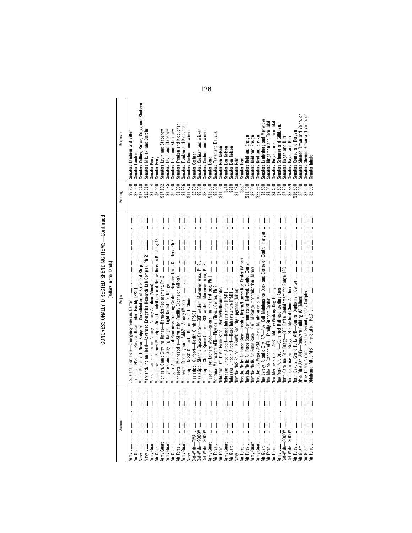CONGRESSIONALLY DIRECTED SPENDING ITEMS-Continued CONGRESSIONALLY DIRECTED SPENDING ITEMS—Continued [Dollars in thousands]

| Account                             | Project                                                                               | Funding                                                                            | Requestor                                                          |
|-------------------------------------|---------------------------------------------------------------------------------------|------------------------------------------------------------------------------------|--------------------------------------------------------------------|
|                                     |                                                                                       |                                                                                    |                                                                    |
|                                     |                                                                                       | \$9,200                                                                            | Senators Landrieu and Vitter                                       |
|                                     |                                                                                       |                                                                                    | Senator Landrieu                                                   |
| $\frac{1}{2}$                       |                                                                                       | \$2,000<br>\$17,240                                                                | Senators Collins, Snowe, Gregg and Shaheen                         |
| ļ                                   |                                                                                       | \$12,810                                                                           | Senators Mikulski and Cardin                                       |
| ļ                                   |                                                                                       |                                                                                    |                                                                    |
| ļ<br>rmy Guard                      |                                                                                       | \$1,554                                                                            | Senator Kerry                                                      |
| ļ<br>r Guard                        |                                                                                       | \$6,000                                                                            | Senator Kerry                                                      |
| rmy Guard<br>rmy Guard              |                                                                                       |                                                                                    | Senators Levin and Stabenow                                        |
| $\ddot{}}$                          |                                                                                       |                                                                                    |                                                                    |
| $\ddot{}}$                          |                                                                                       |                                                                                    | Senators Levin and Stabenow                                        |
| $\frac{1}{2}$                       |                                                                                       |                                                                                    | Senators Levin and Stabenow                                        |
| ļ<br>r Force                        |                                                                                       |                                                                                    | Senators Franken and Klobuchar                                     |
| $\frac{1}{2}$                       |                                                                                       | $\begin{array}{l} $17,102\\ $1,595\\ $9,600\\ $1,900\\ $1,900\\ $1,900\end{array}$ | Senators Franken and Klobuchar                                     |
|                                     |                                                                                       | \$11,870                                                                           | Senators Cochran and Wicker                                        |
| ef-Wide-TMA                         |                                                                                       |                                                                                    | Senator Cochran                                                    |
| ļ                                   |                                                                                       | 32,700<br>\$3,000<br>\$8,000                                                       |                                                                    |
| ļ                                   |                                                                                       |                                                                                    | Senators Cochran and Wicker                                        |
| ļ<br>ef-Wide—SOCOM<br>ef-Wide—SOCOM |                                                                                       |                                                                                    | Senators Cochran and Wicker                                        |
| ļ                                   |                                                                                       | \$13,800                                                                           | Senator Bond                                                       |
|                                     |                                                                                       |                                                                                    | Senators Tester and Baucus                                         |
| ļ                                   |                                                                                       |                                                                                    |                                                                    |
| ļ                                   |                                                                                       | \$8,000<br>\$11,000                                                                | Senator Ben Nelson                                                 |
| ļ<br>rmy Guard                      |                                                                                       | \$240<br>\$210                                                                     | Senator Ben Nelson                                                 |
| ļ                                   |                                                                                       |                                                                                    | Senator Ben Nelson                                                 |
|                                     |                                                                                       | \$1,480                                                                            | Senator Reid                                                       |
|                                     |                                                                                       | \$867                                                                              | Senator Reid                                                       |
| j                                   |                                                                                       |                                                                                    |                                                                    |
| ļ                                   |                                                                                       |                                                                                    | Senators Reid and Ensign                                           |
| rmy Guard                           |                                                                                       |                                                                                    | Senators Reid and Ensign                                           |
| rmy Guard                           |                                                                                       | $$11,400$<br>$$2,000$<br>$$22,998$                                                 | Senators Reid and Ensign                                           |
| $\vdots$                            | New Jersey: Atlantic City IAP-Fuel Cell Maintenance Dock and Corrosion Control Hangar |                                                                                    | Senators Lautenberg and Menendez                                   |
| $\vdots$<br>$^{\circ}$ orce         |                                                                                       |                                                                                    |                                                                    |
| $\frac{1}{2}$                       |                                                                                       |                                                                                    | Senators Bingaman and Tom Udall<br>Senators Bingaman and Tom Udall |
|                                     |                                                                                       |                                                                                    | Senators Schumer and Gillibrand                                    |
| $\ddot{}}$                          |                                                                                       |                                                                                    |                                                                    |
| $\ddot{}}$<br>$et-Wide$ $-$ SOCOM   |                                                                                       |                                                                                    | Senators Hagan and Burr                                            |
| Jef-Wide-                           |                                                                                       |                                                                                    | Senators Hagan and Burr                                            |
| İ<br>ir Force                       |                                                                                       |                                                                                    | Senators Conrad and Dorgan                                         |
| İ<br>ir Guard                       |                                                                                       | \$2,000                                                                            | Senators Sherrod Brown and Voinovich                               |
| ir Guard                            |                                                                                       | \$7,300                                                                            | Senators Sherrod Brown and Voinovich                               |
| ┋<br>Force                          |                                                                                       | \$2,000                                                                            | Senator Inhofe                                                     |
|                                     |                                                                                       |                                                                                    |                                                                    |

126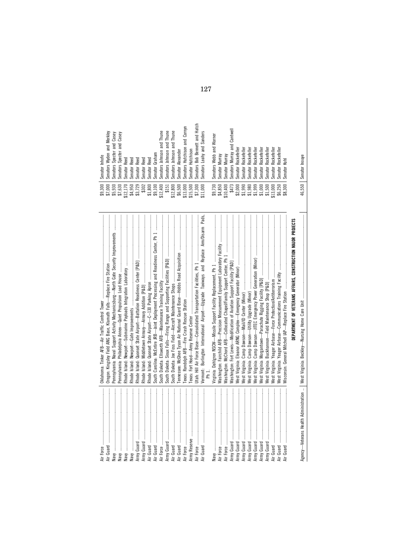| Pennsylvania: Naval Support Activity Mechanicsburg—North Gate Security Improvements                     | \$7,000<br>\$5,930<br>\$9,300 | Senators Wyden and Merkley<br>Senators Specter and Casey<br>Senator Inhofe |
|---------------------------------------------------------------------------------------------------------|-------------------------------|----------------------------------------------------------------------------|
|                                                                                                         | \$7,630<br>\$12,170           | Senators Specter and Casey<br>Senator Reed                                 |
|                                                                                                         | \$4,950                       | Senator Reed                                                               |
|                                                                                                         | \$3,729                       | Senator Reed                                                               |
|                                                                                                         | \$302                         | <b>Senator Reed</b>                                                        |
|                                                                                                         | \$1,800                       | Senator Reed                                                               |
| South Carolina: McEntire JRB-Joint Deployment Processing and Readiness Center, Ph 1                     | $$9,100$<br>$$12,400$         | Senator Graham                                                             |
|                                                                                                         |                               | Senators Johnson and Thune                                                 |
|                                                                                                         | \$151                         | Senators Johnson and Thune                                                 |
|                                                                                                         | \$12,800                      | Senators Johnson and Thune                                                 |
|                                                                                                         | \$6,500                       | Senator Alexander                                                          |
|                                                                                                         | \$13,000                      | Senators Hutchison and Cornyn                                              |
|                                                                                                         | \$15,500                      | Senator Hutchison                                                          |
|                                                                                                         | \$7,300                       | Senators Bob Bennett and Hatch                                             |
| Vermont: Burlington International Airport-Upgrade Taxiways and Replace Arm/Disarm Pads,<br>-<br>Fm<br>1 | \$11,000                      | Senators Leahy and Sanders                                                 |
|                                                                                                         | \$9,730                       | Senators Webb and Warner                                                   |
| Washington: Fairchild AFB—Precision Measurement Equipment Laboratory Facility                           | \$4,850                       | Senator Murray                                                             |
|                                                                                                         | \$10,400                      | Senator Murray                                                             |
|                                                                                                         | \$473                         | Senators Murray and Cantwell                                               |
|                                                                                                         | \$2,000                       | Senator Rockefeller                                                        |
|                                                                                                         | \$1,990                       | Senator Rockefeller                                                        |
|                                                                                                         | \$1,980                       | Senator Rockefeller                                                        |
|                                                                                                         | \$1,999                       | Senator Rockefeller                                                        |
|                                                                                                         | \$1,000                       | Senator Rockefeller                                                        |
|                                                                                                         | \$1,500                       | Senator Rockefeller                                                        |
|                                                                                                         | \$13,000                      | Rockefeller<br>Senator I                                                   |
|                                                                                                         | \$6,250                       | Rockefeller<br>Senator I                                                   |
|                                                                                                         | \$8,300                       | Senator Kohl                                                               |
| DEPARTMENT OF VETERANS AFFAIRS, CONSTRUCTION MAJOR PROJECTS                                             |                               |                                                                            |
|                                                                                                         | 46,550                        | Senator Inouye                                                             |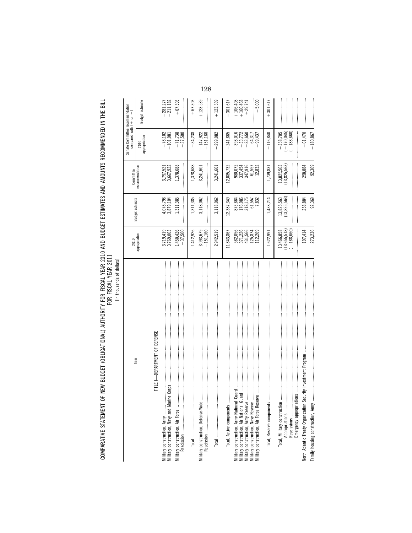COMPARATIVE STATEMENT OF NEW BUDGET (OBLIGATIONAL) AUTHORITY FOR FISCAL YEAR 2010 AND BUDGET ESTIMATES AND AMOUNTS RECOMMENDED IN THE BILL<br>FOR FISCAL YEAR of The State of the State of The State of The Mexical State of Hold

|                                                                                                               | 2010                                                |                                                 | Committee                                         | Senate Committee recommendation<br>compared with $( + or - )$       |                                                                |
|---------------------------------------------------------------------------------------------------------------|-----------------------------------------------------|-------------------------------------------------|---------------------------------------------------|---------------------------------------------------------------------|----------------------------------------------------------------|
| Item                                                                                                          | appropriation                                       | Budget estimate                                 | recommendation                                    | 2010<br>appropriation                                               | Budget estimate                                                |
| -DEPARTMENT OF DEFENSE<br>TITLE 1                                                                             |                                                     |                                                 |                                                   |                                                                     |                                                                |
| ine Corps<br>Military construction, Army<br>Military construction, Navy and Mari                              | 3,719,419<br>3,769,003                              | 4,078,798<br>3,879,104                          | 3,797,521<br>3,667,922                            | $\begin{array}{r} + 78,102 \\ - 101,081 \end{array}$                | $-281,277$<br>$-211,182$                                       |
| Military construction, Air Force                                                                              | $1,450,426$<br>-37,500                              | 1,311,385                                       | 1,378,688                                         | $-71,738$<br>+37,500                                                | $+67,303$                                                      |
|                                                                                                               | 1,412,926                                           | 1,311,385                                       | 1,378,688                                         | $-34,238$                                                           | $+67,303$                                                      |
| Military construction, Defense-Wide                                                                           | $3,093,679$<br>-151,160                             | 3,118,062                                       | 3,241,601                                         | $+147,922$<br>$+151,160$                                            | $+123,539$                                                     |
|                                                                                                               | 2,942,519                                           | 3,118,062                                       | 3,241,601                                         | $+299,082$                                                          | $+123,539$                                                     |
| Total, Active components                                                                                      | 11,843,867                                          | 12,387,349                                      | 12,085,732                                        | $+241,865$                                                          | 301,617                                                        |
|                                                                                                               |                                                     |                                                 |                                                   | $+398,016$                                                          | $\begin{array}{r} +106,408 \\ +160,468 \\ +29,741 \end{array}$ |
| Military construction, Air Force Reserve                                                                      | 582,056<br>371,226<br>431,566<br>125,874<br>112,269 | 873,664<br>176,986<br>18,175<br>61,557<br>7,832 | 980,072<br>337,454<br>347,916<br>61,557<br>12,832 | $-33,772$<br>$-83,650$<br>$-64,317$<br>99,437                       | $+ 5,000$                                                      |
| Total, Reserve components manufacturement and an accompanion and accountant and accountant and accountant and | 1,622,991                                           | 1,438,214                                       | 1,739,831                                         | $+116,840$                                                          | $+301,617$                                                     |
|                                                                                                               | $(13,655,518)$<br>$(-188,660)$<br>13,466,858        | 13,825,563<br>(13,825,563)                      | 13,825,563<br>(13,825,563)                        | $\begin{array}{r} +358,705 \\ (+170,045) \\ (+188,660) \end{array}$ |                                                                |
| ecurity Investment Program<br>North Atlantic Treaty Organization S                                            | 197,414                                             | 258,884                                         | 258,884                                           | $+61,470$                                                           |                                                                |
| Family housing construction, Army.                                                                            | 273,236                                             | 92,369                                          | 92,369                                            | $-180,867$                                                          |                                                                |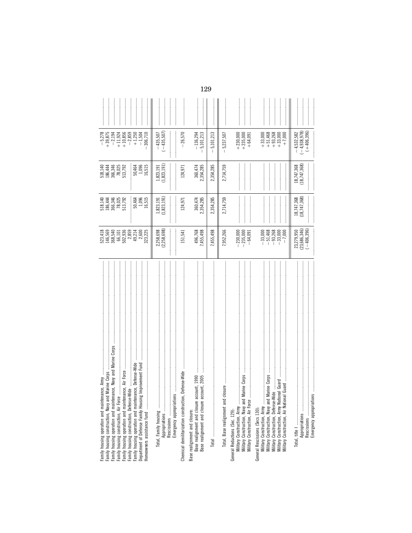| Family housing operation and maintenance, Navy and Marine Corps<br>Family housing operation and maintenance, Defense-Wide<br>Department of Defense Family Housing Improvement Fund<br>Family housing operation and maintenance, Air Force<br>nance, Army<br>Family housing construction, Navy and Marine Corps<br>Family housing construction, Defense-Wide<br>Family housing operation and mainter<br>Family housing construction, Air Force<br>Homeowners assistance fund | 2,859<br>49,214<br>523,418<br>146,569<br>368,540<br>66,101<br>502,936<br>2,600<br>323,225 | 518,140<br>186,444<br>366,346<br>78,025<br>513,792<br>1,096<br>16,515<br>50,464 | $\frac{50,464}{1,096}$<br>518,140<br>186,444<br>366,346<br>78,792<br>513,792<br>16,515 | $+39,875$<br>$-2,859$<br>$-5,278$<br>$+10,856$<br>$+1,250$<br>306,710<br>$-2,194$<br>$+11,924$<br>$-1,504$ |  |
|-----------------------------------------------------------------------------------------------------------------------------------------------------------------------------------------------------------------------------------------------------------------------------------------------------------------------------------------------------------------------------------------------------------------------------------------------------------------------------|-------------------------------------------------------------------------------------------|---------------------------------------------------------------------------------|----------------------------------------------------------------------------------------|------------------------------------------------------------------------------------------------------------|--|
|                                                                                                                                                                                                                                                                                                                                                                                                                                                                             | 2,258,698<br>2,258,698                                                                    | 1,823,191<br>:<br>:<br>:<br>:<br>1,823,191                                      | (1,823,191)<br>1,823,191                                                               | $(1 - 435, 507)$<br>$-435,507$                                                                             |  |
| Defense-Wide<br>Chemical demilitarization construction<br>Base realignment and closure:                                                                                                                                                                                                                                                                                                                                                                                     | 151,541                                                                                   | 124,971                                                                         | 124,971                                                                                | 26,570                                                                                                     |  |
| Base realignment and closure account, 2005<br>Base realignment and closure account, 1990                                                                                                                                                                                                                                                                                                                                                                                    | 496,768<br>7,455,498                                                                      | 360,474<br>2,354,285                                                            | 360,474<br>2,354,285                                                                   | 5,101,213<br>$-136,294$                                                                                    |  |
|                                                                                                                                                                                                                                                                                                                                                                                                                                                                             | 7,455,498                                                                                 | 2,354,285                                                                       | 2,354,285                                                                              | 5,101,213                                                                                                  |  |
| Total, Base realignment and closure                                                                                                                                                                                                                                                                                                                                                                                                                                         | 7,952,266                                                                                 | 2,714,759                                                                       | 2,714,759                                                                              | 5,237,507                                                                                                  |  |
| Marine Corps<br>Military Construction, Navy and I<br>Military Construction, Air Force<br>General Reductions (Sec. 129):<br>Military Construction, Army                                                                                                                                                                                                                                                                                                                      | $-230,000$<br>$-235,000$<br>$-64,091$                                                     |                                                                                 |                                                                                        | $+ 230,000$<br>$+ 235,000$<br>$+ 64,091$                                                                   |  |
| Marine Corps<br>Military Construction, Defense-Wide<br>Military Construction, Army National Guard<br>General Rescissions (Secs 130):<br>Military Construction, Army<br>Military Construction, Navy and I                                                                                                                                                                                                                                                                    | $-51,468$<br>$-93,268$<br>$-33,000$<br>$-33,000$<br>$-7,000$                              |                                                                                 |                                                                                        | $\begin{array}{r} +33,000 \\ +51,468 \\ +93,268 \end{array}$<br>$+33,000$<br>$+7,000$                      |  |
| ă,<br>Emergency appropriation<br>Appropriations<br>Rescissions<br>Total, title I                                                                                                                                                                                                                                                                                                                                                                                            | 23,279,950<br>(23,686,346)<br>$-406.396$                                                  | 18,747,368<br>(18,747,368)                                                      | 18,747,368<br>(18,747,368)                                                             | $-4,532,582$<br>$(-4,938,978)$<br>$(+406,396)$                                                             |  |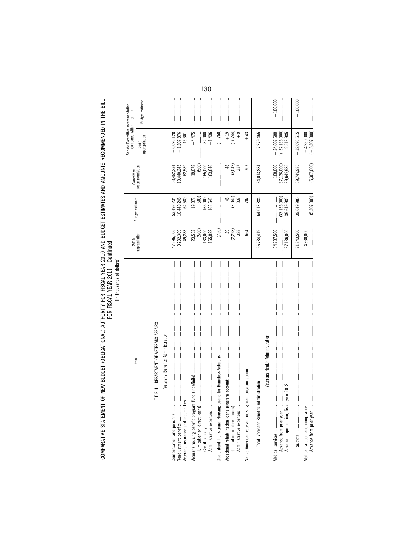COMPARATIVE STATEMENT OF NEW BUDGET (OBLIGATIONAL) AUTHORITY FOR FISCAL YEAR 2010 AND BUDGET ESTIMATES AND AMOUNTS RECOMMENDED IN THE BILL<br>FOR YEAR YEAR

[In thousands of dollars]

| Item                                                        | 2010                    |                                    | Committee                          | Senate Committee recommendation<br>compared with $( + $ or $- )$ |                 |
|-------------------------------------------------------------|-------------------------|------------------------------------|------------------------------------|------------------------------------------------------------------|-----------------|
|                                                             | appropriation           | Budget estimate                    | recommendation                     | appropriation<br>2010                                            | Budget estimate |
| TITLE II-DEPARTMENT OF VETERANS AFFAIRS                     |                         |                                    |                                    |                                                                  |                 |
| Veterans Benefits Administration                            |                         |                                    |                                    |                                                                  |                 |
| Compensation and pensions                                   | 47,396,106<br>9,232,369 | 53,492,234<br>10,440,245           | 53,492,234<br>10,440,245           | $+6,096,128$<br>$+1,207,876$                                     |                 |
| Veterans insurance and indemnities                          | 49,288                  | 62,589                             | 62,589                             | $+13,301$                                                        |                 |
|                                                             | (500)<br>23,553         | (500)<br>19,078                    | 19,078<br>(500)                    | $-4,475$                                                         |                 |
|                                                             | $-133,000$<br>165,082   | 163,646<br>$-165,000$              | $-165,000$<br>163,646              | $-1,436$<br>$-32,000$                                            |                 |
| Guaranteed Transitional Housing Loans for Homeless Veterans | (750)                   |                                    |                                    | $(-750)$                                                         |                 |
|                                                             | (2, 298)<br>29<br>328   | (3,042)<br>$\frac{8}{3}$<br>337    | (3,042)<br>$\frac{8}{3}$<br>337    | $(+ 744)$<br>$+19$<br>$\frac{6}{1}$                              |                 |
| Native American veteran housing loan program account        | 664                     | 707                                | 707                                | $+43$                                                            |                 |
|                                                             | 56,734,419              | 64,013,884                         | 64,013,884                         | $+7,279,465$                                                     |                 |
| Veterans Health Administration                              |                         |                                    |                                    |                                                                  |                 |
|                                                             | 34,707,500              |                                    | 100,000                            | $-34,607,500$                                                    | $+100,000$      |
|                                                             | 37,136,000              | $(37, 136, 000)$<br>$39, 649, 985$ | $(37, 136, 000)$<br>$39, 649, 985$ | $(+37, 136, 000)$<br>$+2,513,985$                                |                 |
|                                                             | 71,843,500              | 39,649,985                         | 39,749,985                         | $-32,093,515$                                                    | $+100,000$      |
| Medical support and compliance                              | 4,930,000               | (5, 307, 000)                      | (5, 307, 000)                      | $(+5,307,000)$<br>$-4,930,000$                                   |                 |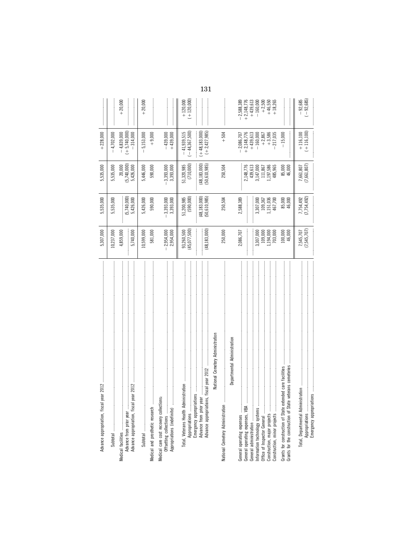|                                         |                                                                                                                        |                                                                                                                                                  |            |          |                                         |                                       | 131                                                                                                                       |                                                                                                                                                                                                                                                                                                                                                                                                                                                                                                                                                       |                                                          |                                    |                                                             |                                                                |
|-----------------------------------------|------------------------------------------------------------------------------------------------------------------------|--------------------------------------------------------------------------------------------------------------------------------------------------|------------|----------|-----------------------------------------|---------------------------------------|---------------------------------------------------------------------------------------------------------------------------|-------------------------------------------------------------------------------------------------------------------------------------------------------------------------------------------------------------------------------------------------------------------------------------------------------------------------------------------------------------------------------------------------------------------------------------------------------------------------------------------------------------------------------------------------------|----------------------------------------------------------|------------------------------------|-------------------------------------------------------------|----------------------------------------------------------------|
|                                         | $+20,000$                                                                                                              |                                                                                                                                                  | $+20,000$  |          |                                         | $(+120,000)$<br>$+120,000$            |                                                                                                                           |                                                                                                                                                                                                                                                                                                                                                                                                                                                                                                                                                       | $+2,148,776$<br>$+439,613$<br>$-2,588,389$<br>$-160,000$ | $+2,500$<br>$+46,550$<br>$+18,265$ |                                                             | $(-92,685)$<br>$-92,685$                                       |
| $+228,000$                              | $(+ 5, 740, 000)$<br>$-4,702,000$<br>$-4,839,000$                                                                      | $-314,000$                                                                                                                                       | 5,153,000  | $+9,000$ | $-439,000$<br>$+439,000$                | $-41,939,515$<br>$(-44, 367, 500)$    | $(-48, 183, 000)$<br>$(+2,427,985)$                                                                                       | $+504$                                                                                                                                                                                                                                                                                                                                                                                                                                                                                                                                                | $+2,148,776$<br>$+439,613$<br>$-160,000$<br>$-2,086,707$ | $+2,867$<br>+3,586<br>217,035      | $-15,000$                                                   | $( + 116, 100)$<br>$+116,100$                                  |
| 5,535,000                               | (5,740,000)<br>20,000<br>5,535,000                                                                                     | 5,426,000                                                                                                                                        | 5,446,000  | 590,000  | 3,393,000<br>3,393,000                  | (710,000)<br>51,320,985               | (48, 183, 000)<br>(50, 610, 985)                                                                                          | 250,504                                                                                                                                                                                                                                                                                                                                                                                                                                                                                                                                               | 2,148,776<br>439,613<br>3,147,000                        | 1,197,586<br>111,867<br>485,965    | 85,000<br>46,000                                            | (7,661,807)<br>7,661,807                                       |
| 5,535,000                               | (5,740,000)<br>5,535,000                                                                                               | 5,426,000                                                                                                                                        | 5,426,000  | 590,000  | 3,393,000<br>3,393,000                  | (590,000)<br>51,200,985               | (48, 183, 000)<br>(50,610,985)                                                                                            | 250,504                                                                                                                                                                                                                                                                                                                                                                                                                                                                                                                                               | 2,588,389<br>3,307,000                                   | 1,151,036<br>109,367<br>467,700    | 85,000<br>46,000                                            | (7, 754, 492)<br>7,754,492                                     |
| 5,307,000                               | 10,237,000<br>4,859,000                                                                                                | 5,740,000<br>:<br>:<br>:                                                                                                                         | 10,599,000 | 581,000  | 2,954,000<br>2,954,000                  | (45, 077, 500)<br>93,260,500          | (48, 183, 000)                                                                                                            | 250,000                                                                                                                                                                                                                                                                                                                                                                                                                                                                                                                                               | 2,086,707<br>3,307,000                                   | 109,000<br>1,194,000<br>703,000    | 100,000<br>46,000                                           | (7,545,707)<br>7,545,707                                       |
| Advance appropriation, fiscal year 201: | 8ubtra 1994 - Maria Maria Maria manda manda manda manda manda manda manda manda manda manda manda manda manda<br>Notae | <b>在这个人的一个人的人的人的人的人,我们在这个人的人的人的人,我们在这个人的人的人的人的人,我们在这个人的人的人的人的人,我们是不是一个人的人的人的人的人的人的人的人,我们的人的人的人,我们</b><br>Advance appropriation, fiscal year 2012 |            |          | Medical care cost recovery collections: | Total, Veterans Health Administration | National Cemetery Administration<br>Emergency appropriations<br>Advance from prior year<br>Advance appropriations, fiscal | $\label{def:1} \begin{minipage}{0.9\textwidth} \begin{minipage}{0.9\textwidth} \begin{itemize} \textbf{0.9\textwidth} \begin{itemize} \textbf{0.9\textwidth} \begin{itemize} \textbf{0.9\textwidth} \begin{itemize} \textbf{0.9\textwidth} \begin{itemize} \textbf{0.9\textwidth} \begin{itemize} \textbf{0.9\textwidth} \begin{itemize} \textbf{0.9\textwidth} \begin{itemize} \textbf{0.9\textwidth} \begin{itemize} \textbf{0.9\textwidth} \begin{itemize} \textbf{0.9\textwidth} \begin{itemize} \textbf{0.9\text$<br>Departmental Administration |                                                          |                                    | cemeteries<br>Grants for the construction of State veterans | Emergency appropriations<br>Total, Departmental Administration |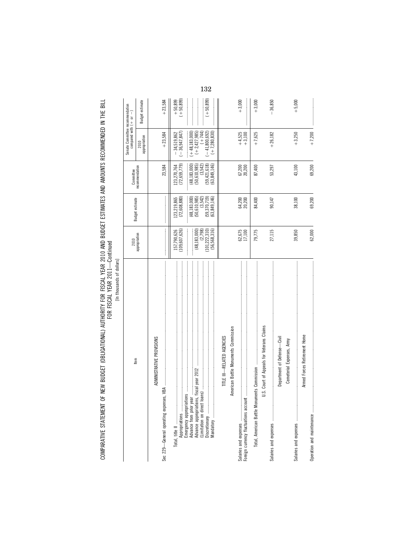COMPARATIVE STATEMENT OF NEW BUDGET (OBLIGATIONAL) AUTHORITY FOR FISCAL YEAR 2010 AND BUDGET ESTIMATES AND AMOUNTS RECOMMENDED IN THE BILL<br>FOR YEAR YEAR COMPARATIVE STATEMENT OF NEW BUDGET (OBLIGATIONAL) AUTHORITY FOR FISCAL YEAR 2010 AND BUDGET ESTIMATES AND AMOUNTS RECOMMENDED IN THE BILL FOR FISCAL YEAR 2011—Continued

| ۱<br>ş       |
|--------------|
| ה            |
| l<br>ì<br>ij |
|              |

| [cipitals of the chinese of the same of the                                               |                                                                                                                                                                                                                                                                                                                                                                                                                                                                                                                                          |                                                                                                                                                                                                                                                                                                                                                                                                                                                                                                                                             |                                             |                                                               |                        |
|-------------------------------------------------------------------------------------------|------------------------------------------------------------------------------------------------------------------------------------------------------------------------------------------------------------------------------------------------------------------------------------------------------------------------------------------------------------------------------------------------------------------------------------------------------------------------------------------------------------------------------------------|---------------------------------------------------------------------------------------------------------------------------------------------------------------------------------------------------------------------------------------------------------------------------------------------------------------------------------------------------------------------------------------------------------------------------------------------------------------------------------------------------------------------------------------------|---------------------------------------------|---------------------------------------------------------------|------------------------|
| Item                                                                                      | 2010                                                                                                                                                                                                                                                                                                                                                                                                                                                                                                                                     | <b>Budget estimate</b>                                                                                                                                                                                                                                                                                                                                                                                                                                                                                                                      | Committee                                   | Senate Committee recommendation<br>compared with $( + or - )$ |                        |
|                                                                                           | appropriation                                                                                                                                                                                                                                                                                                                                                                                                                                                                                                                            |                                                                                                                                                                                                                                                                                                                                                                                                                                                                                                                                             | recommendation                              | appropriation<br>2010                                         | Budget estimate        |
| ADMINISTRATIVE PROVISIONS<br>Sec 229-General operating expenses,                          |                                                                                                                                                                                                                                                                                                                                                                                                                                                                                                                                          |                                                                                                                                                                                                                                                                                                                                                                                                                                                                                                                                             | 23,584                                      | $+23,584$                                                     | $+23,584$              |
| $VBA$ , and an anomalous component constraint and an anomalous component constraint $VBA$ | $\label{def:1} \begin{minipage}{0.9\linewidth} \begin{minipage}{0.9\linewidth} \begin{minipage}{0.9\linewidth} \begin{minipage}{0.9\linewidth} \end{minipage} \begin{minipage}{0.9\linewidth} \begin{minipage}{0.9\linewidth} \end{minipage} \end{minipage} \end{minipage} \begin{minipage}{0.9\linewidth} \begin{minipage}{0.9\linewidth} \begin{minipage}{0.9\linewidth} \end{minipage} \end{minipage} \end{minipage} \begin{minipage}{0.9\linewidth} \begin{minipage}{0.9\linewidth} \end{minipage} \end{minipage} \begin{minipage}{$ | $\label{def:1} \begin{minipage}{0.9\linewidth} \begin{minipage}{0.9\linewidth} \begin{minipage}{0.9\linewidth} \begin{minipage}{0.9\linewidth} \end{minipage} \begin{minipage}{0.9\linewidth} \begin{minipage}{0.9\linewidth} \end{minipage} \end{minipage} \begin{minipage}{0.9\linewidth} \begin{minipage}{0.9\linewidth} \begin{minipage}{0.9\linewidth} \end{minipage} \end{minipage} \begin{minipage}{0.9\linewidth} \begin{minipage}{0.9\linewidth} \end{minipage} \end{minipage} \begin{minipage}{0.9\linewidth} \begin{minipage}{0$ |                                             |                                                               |                        |
| Appropriations                                                                            | (109, 607, 626)<br>157,790,626                                                                                                                                                                                                                                                                                                                                                                                                                                                                                                           | (72,608,880)<br>123,219,865                                                                                                                                                                                                                                                                                                                                                                                                                                                                                                                 | (72, 659, 779)<br>123,270,764               | $-34,519,862$<br>$(-36,947,847)$                              | $+50,899$<br>(+50,899) |
| fiscal year 2012<br>Advance from prior year<br>Advance appropriations,                    | (48, 183, 000)                                                                                                                                                                                                                                                                                                                                                                                                                                                                                                                           | (48, 183, 000)<br>(50, 610, 985)                                                                                                                                                                                                                                                                                                                                                                                                                                                                                                            | (48, 183, 000)<br>(50, 610, 985)            | $(+48, 183, 000)$<br>$(+2, 427, 985)$                         |                        |
| Discretionary                                                                             | (101, 222, 310)<br>(2,798)<br>(56, 568, 316)                                                                                                                                                                                                                                                                                                                                                                                                                                                                                             | (59, 370, 719)<br>(63, 849, 146)<br>(3, 542)                                                                                                                                                                                                                                                                                                                                                                                                                                                                                                | (59, 421, 618)<br>(63, 849, 146)<br>(3,542) | $-41,800,692$<br>$(+ 744)$<br>$(+7,280,830)$                  | $(+50, 899)$           |
| TITLE III-RELATED AGENCIES                                                                |                                                                                                                                                                                                                                                                                                                                                                                                                                                                                                                                          |                                                                                                                                                                                                                                                                                                                                                                                                                                                                                                                                             |                                             |                                                               |                        |
| American Battle Monuments Commission                                                      |                                                                                                                                                                                                                                                                                                                                                                                                                                                                                                                                          |                                                                                                                                                                                                                                                                                                                                                                                                                                                                                                                                             |                                             |                                                               |                        |
| Foreign currency fluctuations account                                                     | 62,675<br>17,100                                                                                                                                                                                                                                                                                                                                                                                                                                                                                                                         | 64,200<br>20,200                                                                                                                                                                                                                                                                                                                                                                                                                                                                                                                            | 67,200<br>20,200                            | $+4,525$<br>$+3,100$                                          | $+3,000$               |
|                                                                                           | 79,775                                                                                                                                                                                                                                                                                                                                                                                                                                                                                                                                   | 84,400                                                                                                                                                                                                                                                                                                                                                                                                                                                                                                                                      | 87,400                                      | $+7,625$                                                      | $+3,000$               |
| U.S. Court of Appeals for Veterans Claims                                                 | 27,115                                                                                                                                                                                                                                                                                                                                                                                                                                                                                                                                   | 90,147                                                                                                                                                                                                                                                                                                                                                                                                                                                                                                                                      | 53,297                                      | $+26,182$                                                     | $-36,850$              |
| Department of Defense-Civil                                                               |                                                                                                                                                                                                                                                                                                                                                                                                                                                                                                                                          |                                                                                                                                                                                                                                                                                                                                                                                                                                                                                                                                             |                                             |                                                               |                        |
| Cemeterial Expenses, Army                                                                 | 39,850                                                                                                                                                                                                                                                                                                                                                                                                                                                                                                                                   | 38,100                                                                                                                                                                                                                                                                                                                                                                                                                                                                                                                                      | 43,100                                      | $+3,250$                                                      | $+5,000$               |
| Armed Forces Retirement Home<br>Operation and maintenance                                 | 62,000                                                                                                                                                                                                                                                                                                                                                                                                                                                                                                                                   | 69,200                                                                                                                                                                                                                                                                                                                                                                                                                                                                                                                                      | 69,200                                      | $+7,200$                                                      |                        |